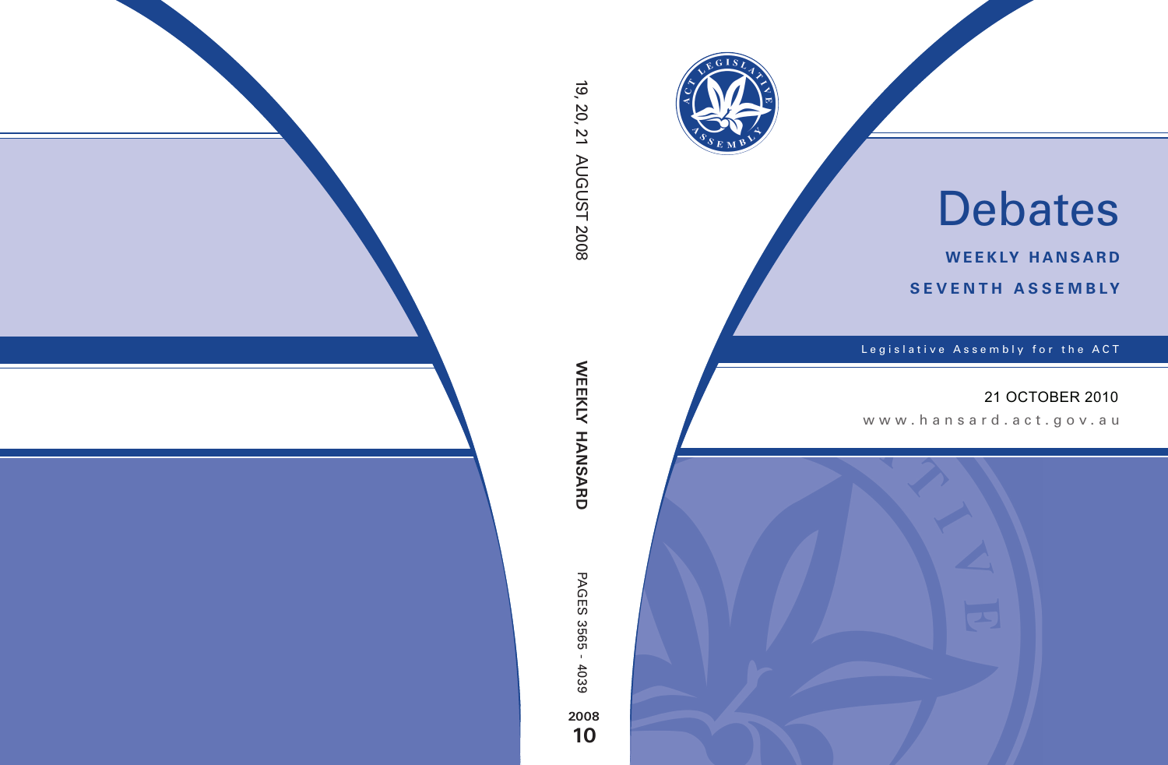

# Debates

**weekly hansard seventh asseMBly**

Legislative Assembly for the ACT

## 21 OCTOBER 2010

www.hansard.act.go v.au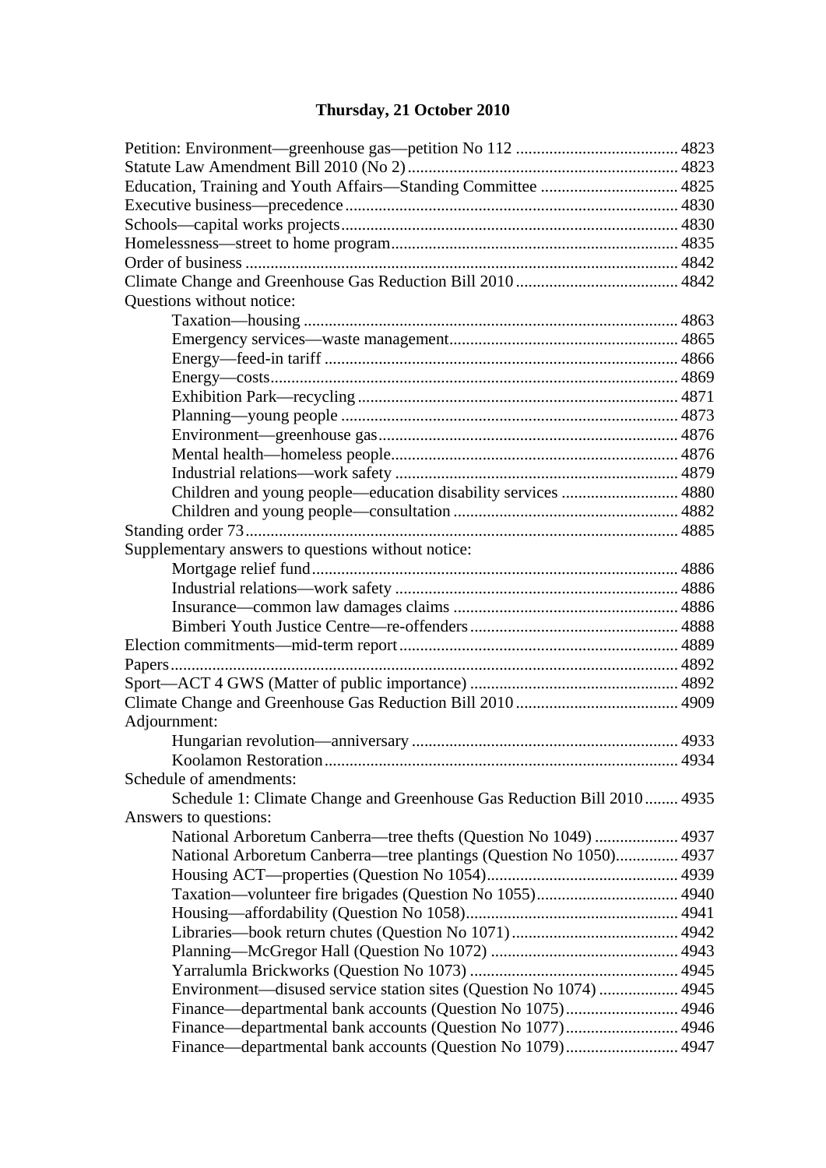# **[Thursday, 21 October 2010](#page-4-0)**

| Questions without notice:                                              |  |  |  |  |
|------------------------------------------------------------------------|--|--|--|--|
|                                                                        |  |  |  |  |
|                                                                        |  |  |  |  |
|                                                                        |  |  |  |  |
|                                                                        |  |  |  |  |
|                                                                        |  |  |  |  |
|                                                                        |  |  |  |  |
|                                                                        |  |  |  |  |
|                                                                        |  |  |  |  |
|                                                                        |  |  |  |  |
| Children and young people—education disability services  4880          |  |  |  |  |
|                                                                        |  |  |  |  |
|                                                                        |  |  |  |  |
| Supplementary answers to questions without notice:                     |  |  |  |  |
|                                                                        |  |  |  |  |
|                                                                        |  |  |  |  |
|                                                                        |  |  |  |  |
|                                                                        |  |  |  |  |
|                                                                        |  |  |  |  |
|                                                                        |  |  |  |  |
|                                                                        |  |  |  |  |
|                                                                        |  |  |  |  |
| Adjournment:                                                           |  |  |  |  |
|                                                                        |  |  |  |  |
|                                                                        |  |  |  |  |
| Schedule of amendments:                                                |  |  |  |  |
| Schedule 1: Climate Change and Greenhouse Gas Reduction Bill 2010 4935 |  |  |  |  |
| Answers to questions:                                                  |  |  |  |  |
| National Arboretum Canberra—tree thefts (Question No 1049)  4937       |  |  |  |  |
| National Arboretum Canberra—tree plantings (Question No 1050) 4937     |  |  |  |  |
|                                                                        |  |  |  |  |
|                                                                        |  |  |  |  |
|                                                                        |  |  |  |  |
|                                                                        |  |  |  |  |
|                                                                        |  |  |  |  |
|                                                                        |  |  |  |  |
| Environment—disused service station sites (Question No 1074)  4945     |  |  |  |  |
|                                                                        |  |  |  |  |
|                                                                        |  |  |  |  |
| Finance—departmental bank accounts (Question No 1079) 4947             |  |  |  |  |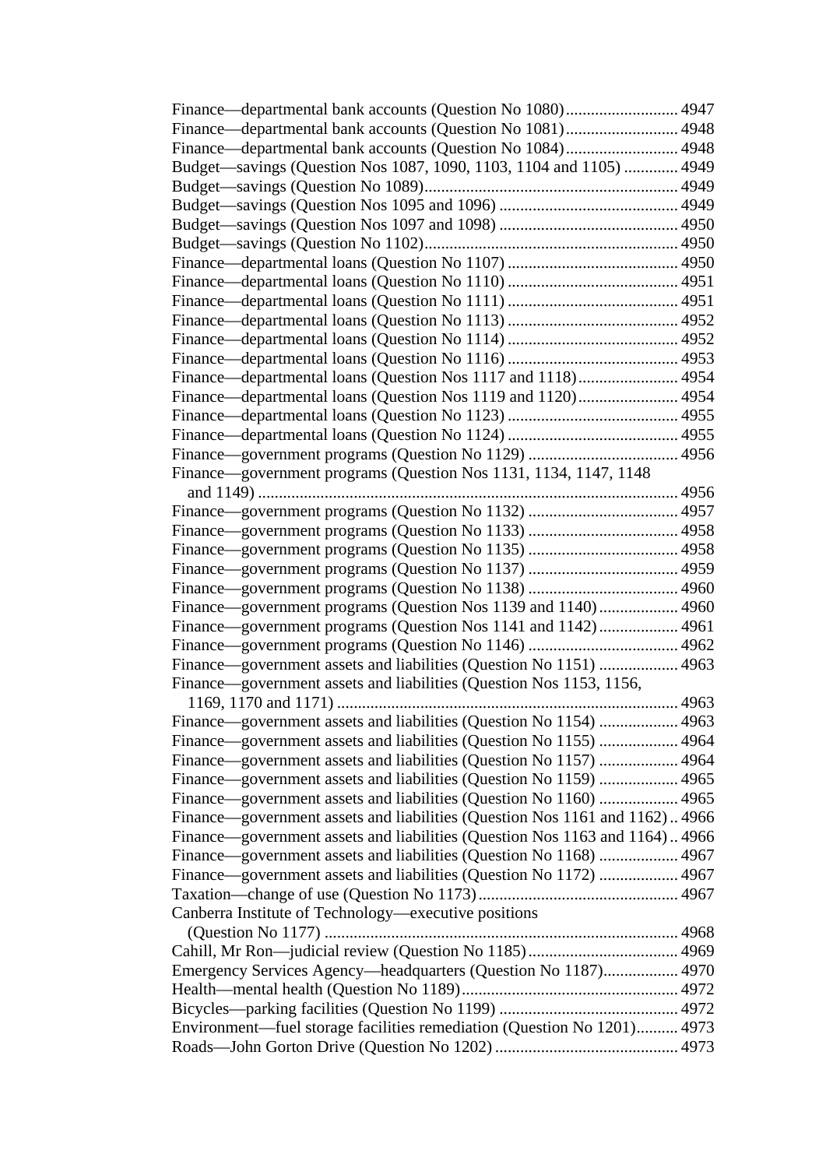| Finance—departmental bank accounts (Question No 1081) 4948                  |  |  |  |
|-----------------------------------------------------------------------------|--|--|--|
| Finance—departmental bank accounts (Question No 1084) 4948                  |  |  |  |
| Budget-savings (Question Nos 1087, 1090, 1103, 1104 and 1105)  4949         |  |  |  |
|                                                                             |  |  |  |
|                                                                             |  |  |  |
|                                                                             |  |  |  |
|                                                                             |  |  |  |
|                                                                             |  |  |  |
|                                                                             |  |  |  |
|                                                                             |  |  |  |
|                                                                             |  |  |  |
|                                                                             |  |  |  |
|                                                                             |  |  |  |
| Finance—departmental loans (Question Nos 1117 and 1118) 4954                |  |  |  |
| Finance—departmental loans (Question Nos 1119 and 1120) 4954                |  |  |  |
|                                                                             |  |  |  |
|                                                                             |  |  |  |
|                                                                             |  |  |  |
| Finance—government programs (Question Nos 1131, 1134, 1147, 1148            |  |  |  |
|                                                                             |  |  |  |
|                                                                             |  |  |  |
|                                                                             |  |  |  |
|                                                                             |  |  |  |
|                                                                             |  |  |  |
|                                                                             |  |  |  |
| Finance—government programs (Question Nos 1139 and 1140) 4960               |  |  |  |
| Finance—government programs (Question Nos 1141 and 1142) 4961               |  |  |  |
|                                                                             |  |  |  |
| Finance—government assets and liabilities (Question No 1151)  4963          |  |  |  |
| Finance—government assets and liabilities (Question Nos 1153, 1156,         |  |  |  |
|                                                                             |  |  |  |
| Finance—government assets and liabilities (Question No 1154)  4963          |  |  |  |
| Finance—government assets and liabilities (Question No 1155)  4964          |  |  |  |
| Finance—government assets and liabilities (Question No 1157)  4964          |  |  |  |
| Finance—government assets and liabilities (Question No 1159)  4965          |  |  |  |
| Finance—government assets and liabilities (Question No 1160)  4965          |  |  |  |
| Finance—government assets and liabilities (Question Nos 1161 and 1162)4966  |  |  |  |
| Finance—government assets and liabilities (Question Nos 1163 and 1164) 4966 |  |  |  |
| Finance—government assets and liabilities (Question No 1168)  4967          |  |  |  |
| Finance—government assets and liabilities (Question No 1172)  4967          |  |  |  |
|                                                                             |  |  |  |
| Canberra Institute of Technology—executive positions                        |  |  |  |
|                                                                             |  |  |  |
|                                                                             |  |  |  |
| Emergency Services Agency—headquarters (Question No 1187) 4970              |  |  |  |
|                                                                             |  |  |  |
|                                                                             |  |  |  |
| Environment—fuel storage facilities remediation (Question No 1201) 4973     |  |  |  |
|                                                                             |  |  |  |
|                                                                             |  |  |  |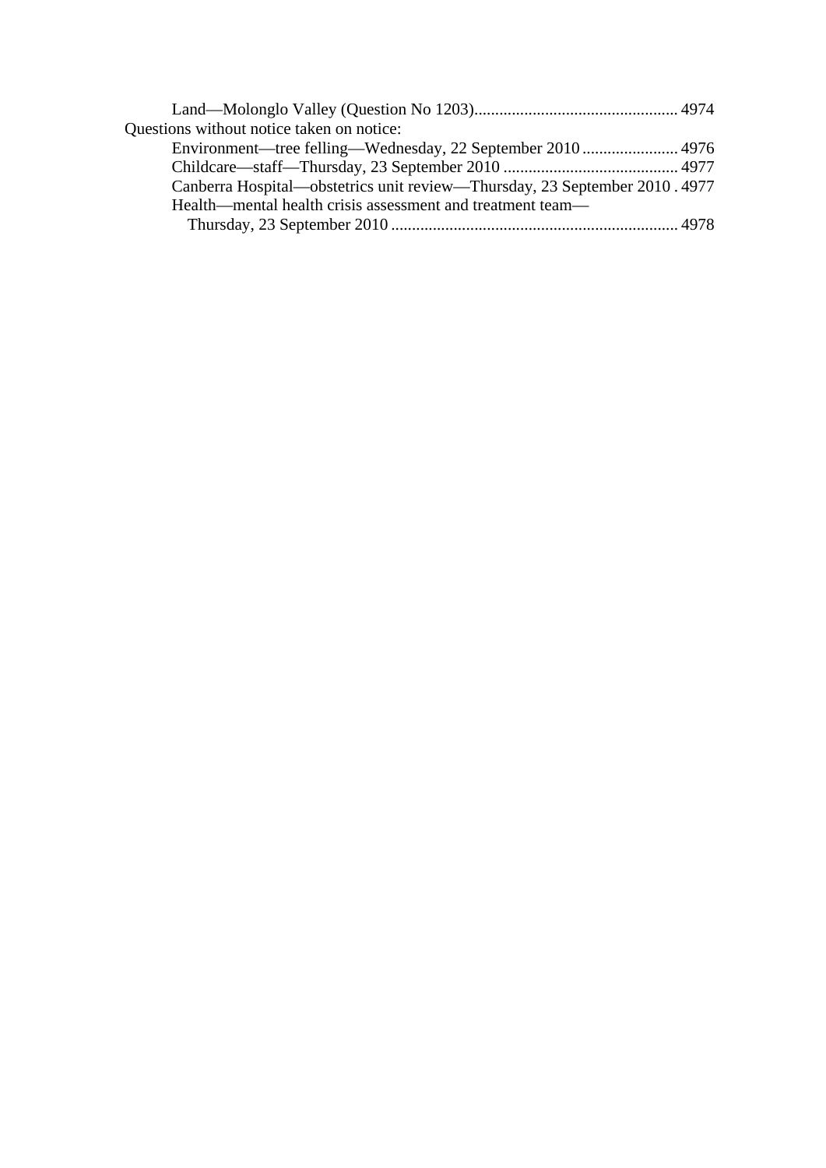| Questions without notice taken on notice:                                 |  |
|---------------------------------------------------------------------------|--|
|                                                                           |  |
|                                                                           |  |
| Canberra Hospital—obstetrics unit review—Thursday, 23 September 2010.4977 |  |
| Health—mental health crisis assessment and treatment team—                |  |
|                                                                           |  |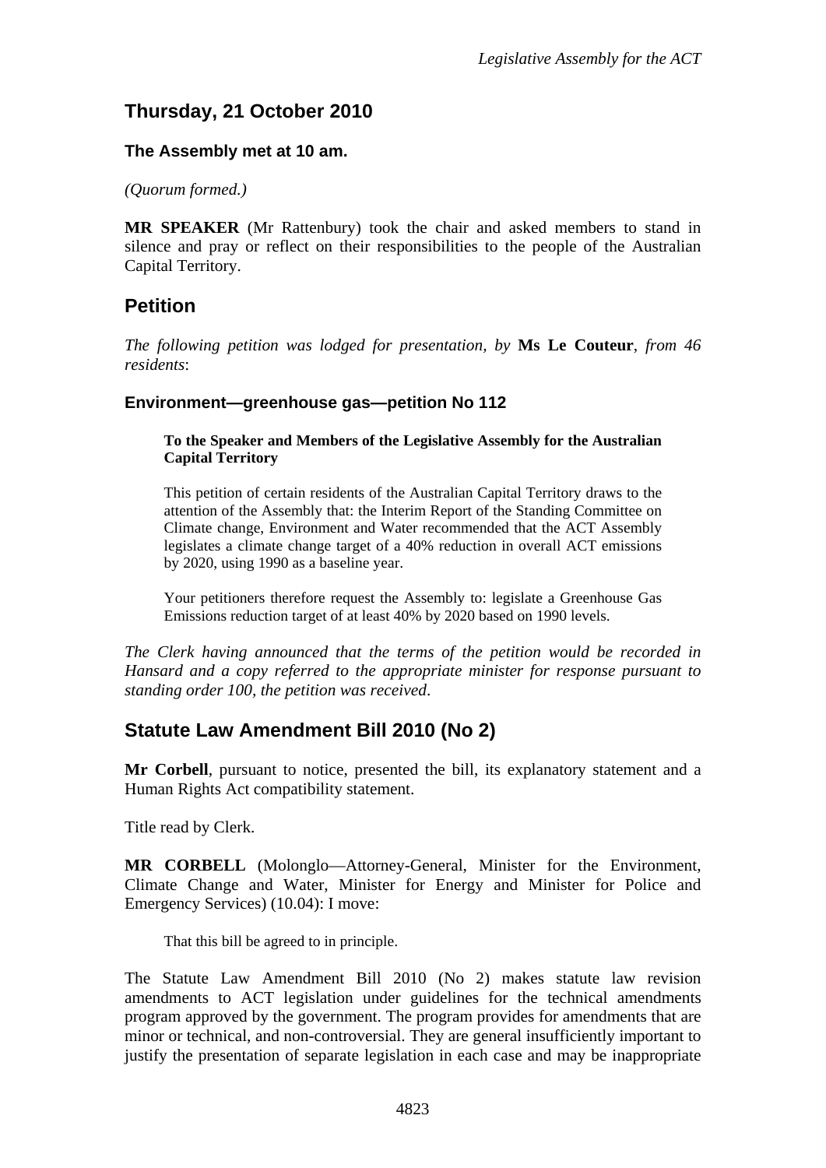# <span id="page-4-0"></span>**Thursday, 21 October 2010**

#### **The Assembly met at 10 am.**

*(Quorum formed.)*

**MR SPEAKER** (Mr Rattenbury) took the chair and asked members to stand in silence and pray or reflect on their responsibilities to the people of the Australian Capital Territory.

## <span id="page-4-1"></span>**Petition**

*The following petition was lodged for presentation, by* **Ms Le Couteur**, *from 46 residents*:

#### **Environment—greenhouse gas—petition No 112**

#### **To the Speaker and Members of the Legislative Assembly for the Australian Capital Territory**

This petition of certain residents of the Australian Capital Territory draws to the attention of the Assembly that: the Interim Report of the Standing Committee on Climate change, Environment and Water recommended that the ACT Assembly legislates a climate change target of a 40% reduction in overall ACT emissions by 2020, using 1990 as a baseline year.

Your petitioners therefore request the Assembly to: legislate a Greenhouse Gas Emissions reduction target of at least 40% by 2020 based on 1990 levels.

*The Clerk having announced that the terms of the petition would be recorded in Hansard and a copy referred to the appropriate minister for response pursuant to standing order 100, the petition was received*.

## <span id="page-4-2"></span>**Statute Law Amendment Bill 2010 (No 2)**

**Mr Corbell**, pursuant to notice, presented the bill, its explanatory statement and a Human Rights Act compatibility statement.

Title read by Clerk.

**MR CORBELL** (Molonglo—Attorney-General, Minister for the Environment, Climate Change and Water, Minister for Energy and Minister for Police and Emergency Services) (10.04): I move:

That this bill be agreed to in principle.

The Statute Law Amendment Bill 2010 (No 2) makes statute law revision amendments to ACT legislation under guidelines for the technical amendments program approved by the government. The program provides for amendments that are minor or technical, and non-controversial. They are general insufficiently important to justify the presentation of separate legislation in each case and may be inappropriate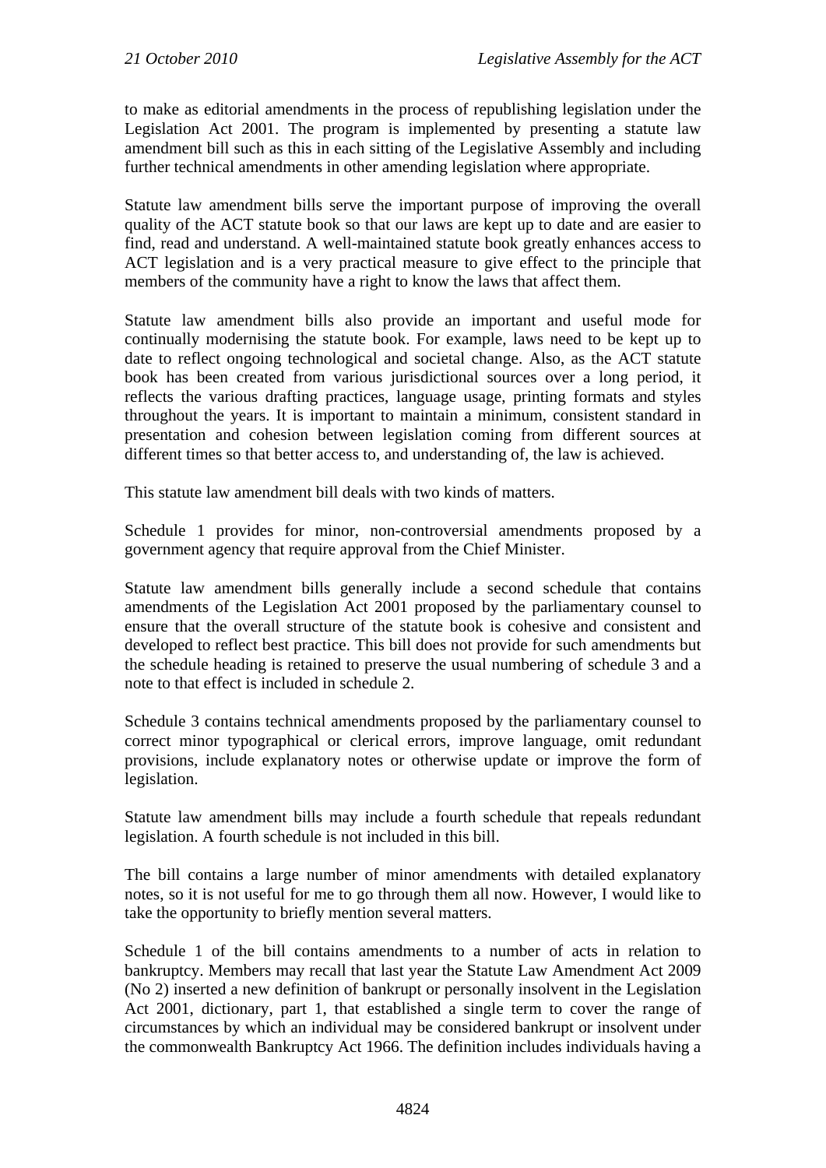to make as editorial amendments in the process of republishing legislation under the Legislation Act 2001. The program is implemented by presenting a statute law amendment bill such as this in each sitting of the Legislative Assembly and including further technical amendments in other amending legislation where appropriate.

Statute law amendment bills serve the important purpose of improving the overall quality of the ACT statute book so that our laws are kept up to date and are easier to find, read and understand. A well-maintained statute book greatly enhances access to ACT legislation and is a very practical measure to give effect to the principle that members of the community have a right to know the laws that affect them.

Statute law amendment bills also provide an important and useful mode for continually modernising the statute book. For example, laws need to be kept up to date to reflect ongoing technological and societal change. Also, as the ACT statute book has been created from various jurisdictional sources over a long period, it reflects the various drafting practices, language usage, printing formats and styles throughout the years. It is important to maintain a minimum, consistent standard in presentation and cohesion between legislation coming from different sources at different times so that better access to, and understanding of, the law is achieved.

This statute law amendment bill deals with two kinds of matters.

Schedule 1 provides for minor, non-controversial amendments proposed by a government agency that require approval from the Chief Minister.

Statute law amendment bills generally include a second schedule that contains amendments of the Legislation Act 2001 proposed by the parliamentary counsel to ensure that the overall structure of the statute book is cohesive and consistent and developed to reflect best practice. This bill does not provide for such amendments but the schedule heading is retained to preserve the usual numbering of schedule 3 and a note to that effect is included in schedule 2.

Schedule 3 contains technical amendments proposed by the parliamentary counsel to correct minor typographical or clerical errors, improve language, omit redundant provisions, include explanatory notes or otherwise update or improve the form of legislation.

Statute law amendment bills may include a fourth schedule that repeals redundant legislation. A fourth schedule is not included in this bill.

The bill contains a large number of minor amendments with detailed explanatory notes, so it is not useful for me to go through them all now. However, I would like to take the opportunity to briefly mention several matters.

Schedule 1 of the bill contains amendments to a number of acts in relation to bankruptcy. Members may recall that last year the Statute Law Amendment Act 2009 (No 2) inserted a new definition of bankrupt or personally insolvent in the Legislation Act 2001, dictionary, part 1, that established a single term to cover the range of circumstances by which an individual may be considered bankrupt or insolvent under the commonwealth Bankruptcy Act 1966. The definition includes individuals having a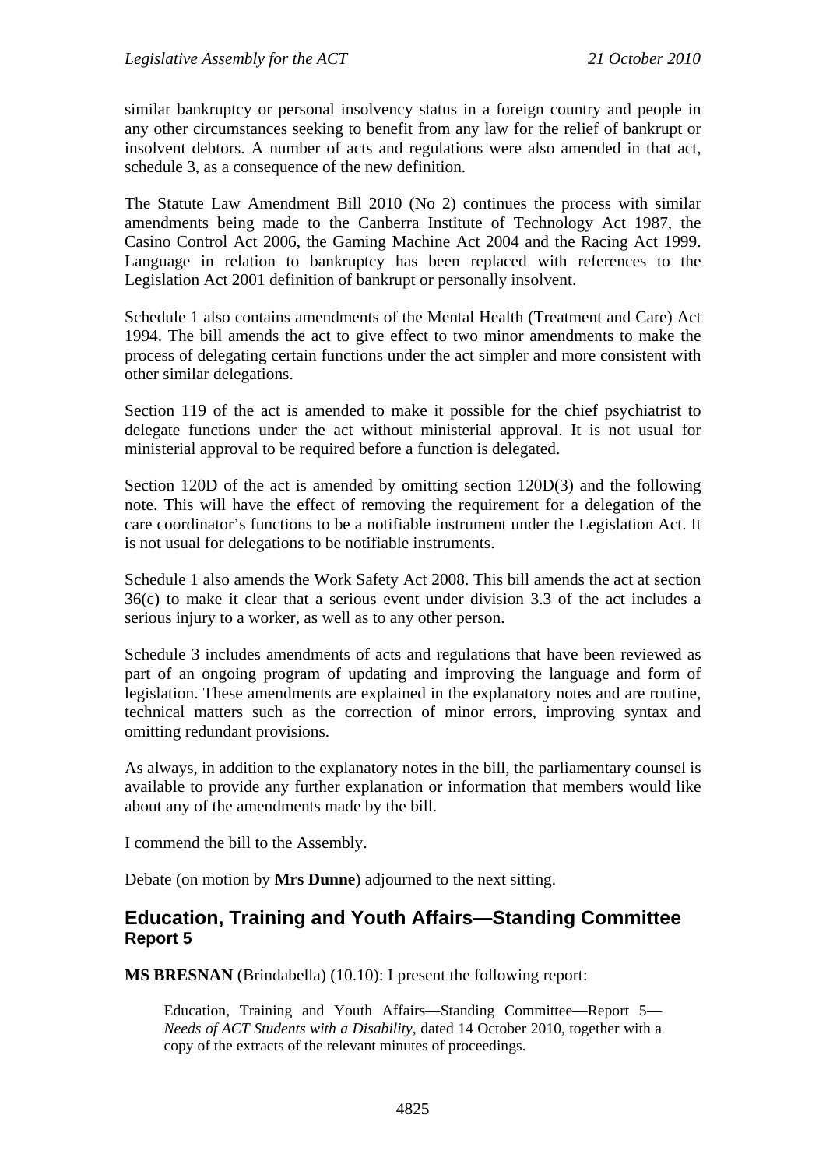similar bankruptcy or personal insolvency status in a foreign country and people in any other circumstances seeking to benefit from any law for the relief of bankrupt or insolvent debtors. A number of acts and regulations were also amended in that act, schedule 3, as a consequence of the new definition.

The Statute Law Amendment Bill 2010 (No 2) continues the process with similar amendments being made to the Canberra Institute of Technology Act 1987, the Casino Control Act 2006, the Gaming Machine Act 2004 and the Racing Act 1999. Language in relation to bankruptcy has been replaced with references to the Legislation Act 2001 definition of bankrupt or personally insolvent.

Schedule 1 also contains amendments of the Mental Health (Treatment and Care) Act 1994. The bill amends the act to give effect to two minor amendments to make the process of delegating certain functions under the act simpler and more consistent with other similar delegations.

Section 119 of the act is amended to make it possible for the chief psychiatrist to delegate functions under the act without ministerial approval. It is not usual for ministerial approval to be required before a function is delegated.

Section 120D of the act is amended by omitting section 120D(3) and the following note. This will have the effect of removing the requirement for a delegation of the care coordinator's functions to be a notifiable instrument under the Legislation Act. It is not usual for delegations to be notifiable instruments.

Schedule 1 also amends the Work Safety Act 2008. This bill amends the act at section 36(c) to make it clear that a serious event under division 3.3 of the act includes a serious injury to a worker, as well as to any other person.

Schedule 3 includes amendments of acts and regulations that have been reviewed as part of an ongoing program of updating and improving the language and form of legislation. These amendments are explained in the explanatory notes and are routine, technical matters such as the correction of minor errors, improving syntax and omitting redundant provisions.

As always, in addition to the explanatory notes in the bill, the parliamentary counsel is available to provide any further explanation or information that members would like about any of the amendments made by the bill.

I commend the bill to the Assembly.

Debate (on motion by **Mrs Dunne**) adjourned to the next sitting.

## <span id="page-6-0"></span>**Education, Training and Youth Affairs—Standing Committee Report 5**

**MS BRESNAN** (Brindabella) (10.10): I present the following report:

Education, Training and Youth Affairs—Standing Committee—Report 5— *Needs of ACT Students with a Disability,* dated 14 October 2010, together with a copy of the extracts of the relevant minutes of proceedings.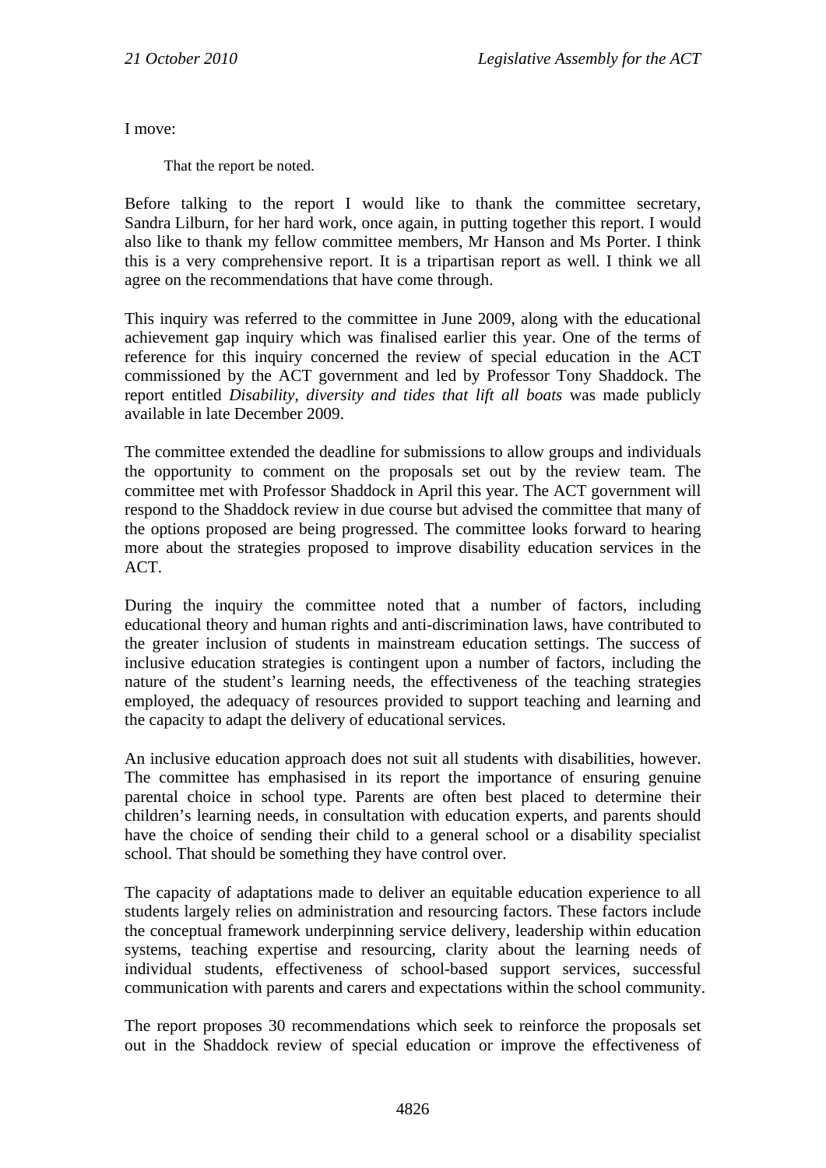I move:

That the report be noted.

Before talking to the report I would like to thank the committee secretary, Sandra Lilburn, for her hard work, once again, in putting together this report. I would also like to thank my fellow committee members, Mr Hanson and Ms Porter. I think this is a very comprehensive report. It is a tripartisan report as well. I think we all agree on the recommendations that have come through.

This inquiry was referred to the committee in June 2009, along with the educational achievement gap inquiry which was finalised earlier this year. One of the terms of reference for this inquiry concerned the review of special education in the ACT commissioned by the ACT government and led by Professor Tony Shaddock. The report entitled *Disability, diversity and tides that lift all boats* was made publicly available in late December 2009.

The committee extended the deadline for submissions to allow groups and individuals the opportunity to comment on the proposals set out by the review team. The committee met with Professor Shaddock in April this year. The ACT government will respond to the Shaddock review in due course but advised the committee that many of the options proposed are being progressed. The committee looks forward to hearing more about the strategies proposed to improve disability education services in the ACT.

During the inquiry the committee noted that a number of factors, including educational theory and human rights and anti-discrimination laws, have contributed to the greater inclusion of students in mainstream education settings. The success of inclusive education strategies is contingent upon a number of factors, including the nature of the student's learning needs, the effectiveness of the teaching strategies employed, the adequacy of resources provided to support teaching and learning and the capacity to adapt the delivery of educational services.

An inclusive education approach does not suit all students with disabilities, however. The committee has emphasised in its report the importance of ensuring genuine parental choice in school type. Parents are often best placed to determine their children's learning needs, in consultation with education experts, and parents should have the choice of sending their child to a general school or a disability specialist school. That should be something they have control over.

The capacity of adaptations made to deliver an equitable education experience to all students largely relies on administration and resourcing factors. These factors include the conceptual framework underpinning service delivery, leadership within education systems, teaching expertise and resourcing, clarity about the learning needs of individual students, effectiveness of school-based support services, successful communication with parents and carers and expectations within the school community.

The report proposes 30 recommendations which seek to reinforce the proposals set out in the Shaddock review of special education or improve the effectiveness of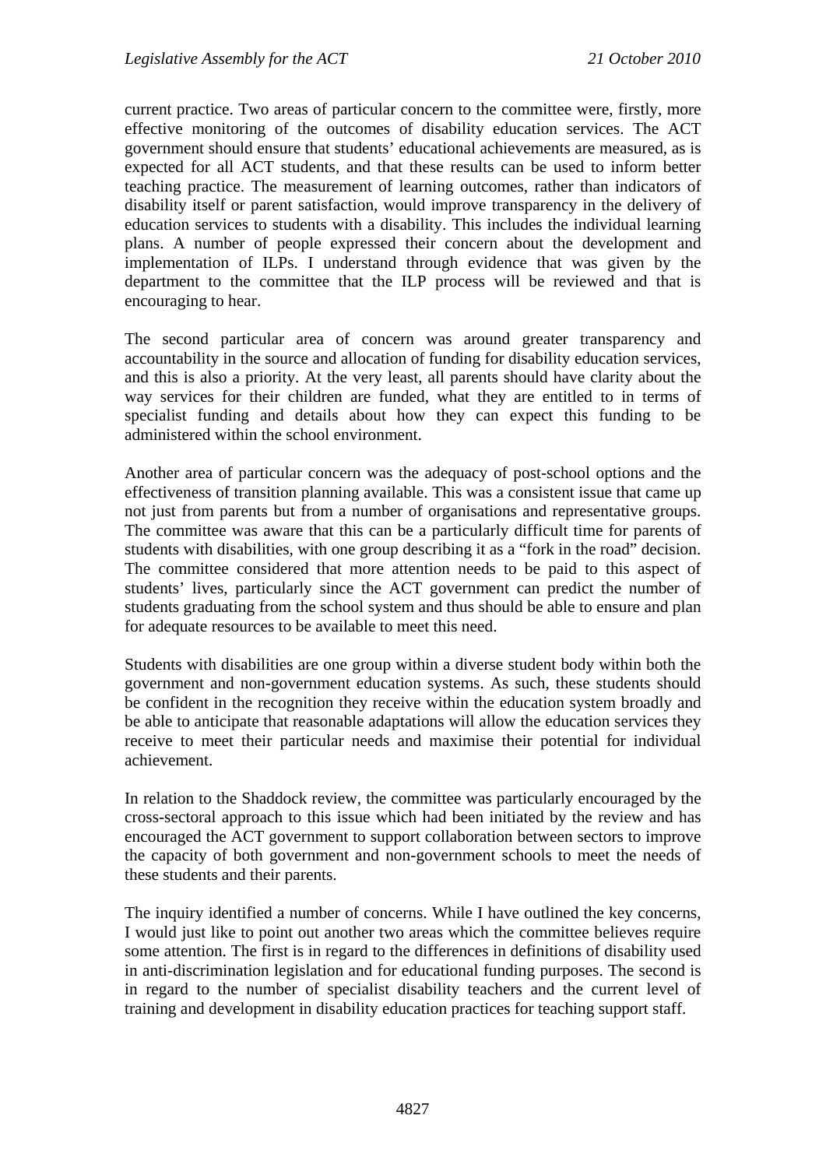current practice. Two areas of particular concern to the committee were, firstly, more effective monitoring of the outcomes of disability education services. The ACT government should ensure that students' educational achievements are measured, as is expected for all ACT students, and that these results can be used to inform better teaching practice. The measurement of learning outcomes, rather than indicators of disability itself or parent satisfaction, would improve transparency in the delivery of education services to students with a disability. This includes the individual learning plans. A number of people expressed their concern about the development and implementation of ILPs. I understand through evidence that was given by the department to the committee that the ILP process will be reviewed and that is encouraging to hear.

The second particular area of concern was around greater transparency and accountability in the source and allocation of funding for disability education services, and this is also a priority. At the very least, all parents should have clarity about the way services for their children are funded, what they are entitled to in terms of specialist funding and details about how they can expect this funding to be administered within the school environment.

Another area of particular concern was the adequacy of post-school options and the effectiveness of transition planning available. This was a consistent issue that came up not just from parents but from a number of organisations and representative groups. The committee was aware that this can be a particularly difficult time for parents of students with disabilities, with one group describing it as a "fork in the road" decision. The committee considered that more attention needs to be paid to this aspect of students' lives, particularly since the ACT government can predict the number of students graduating from the school system and thus should be able to ensure and plan for adequate resources to be available to meet this need.

Students with disabilities are one group within a diverse student body within both the government and non-government education systems. As such, these students should be confident in the recognition they receive within the education system broadly and be able to anticipate that reasonable adaptations will allow the education services they receive to meet their particular needs and maximise their potential for individual achievement.

In relation to the Shaddock review, the committee was particularly encouraged by the cross-sectoral approach to this issue which had been initiated by the review and has encouraged the ACT government to support collaboration between sectors to improve the capacity of both government and non-government schools to meet the needs of these students and their parents.

The inquiry identified a number of concerns. While I have outlined the key concerns, I would just like to point out another two areas which the committee believes require some attention. The first is in regard to the differences in definitions of disability used in anti-discrimination legislation and for educational funding purposes. The second is in regard to the number of specialist disability teachers and the current level of training and development in disability education practices for teaching support staff.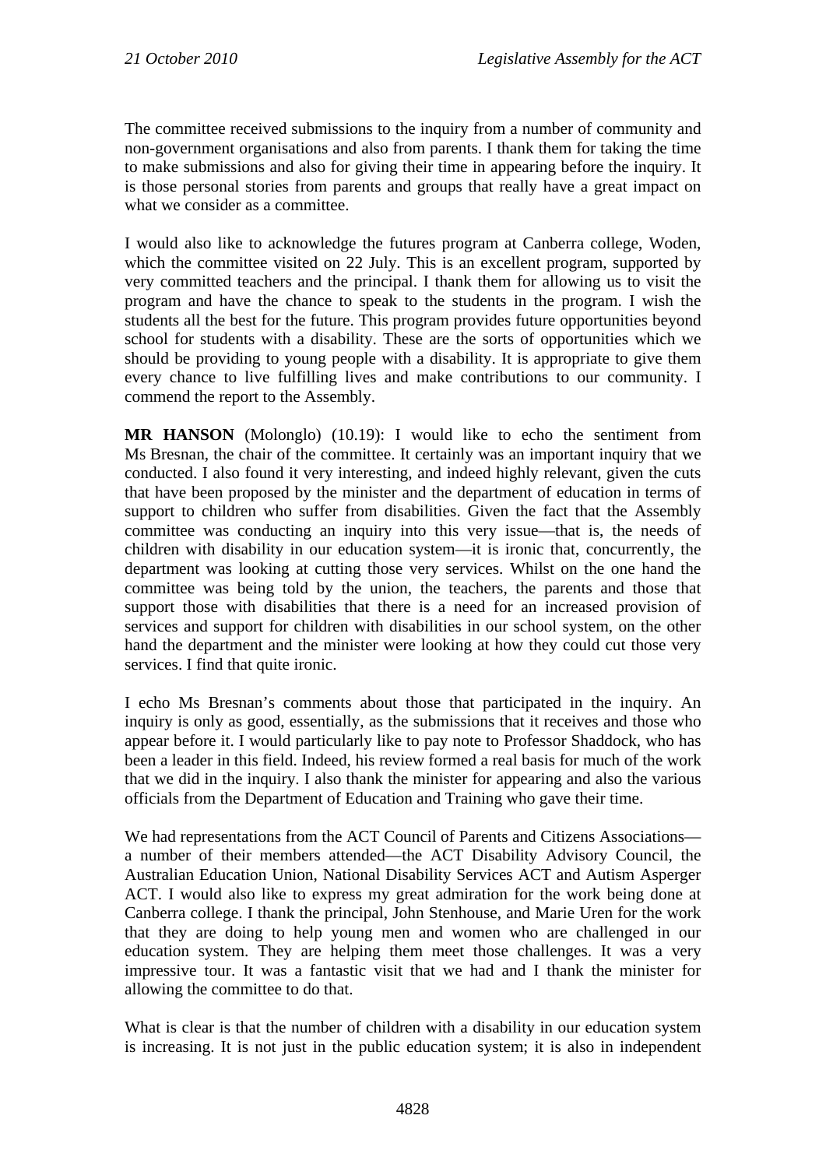The committee received submissions to the inquiry from a number of community and non-government organisations and also from parents. I thank them for taking the time to make submissions and also for giving their time in appearing before the inquiry. It is those personal stories from parents and groups that really have a great impact on what we consider as a committee.

I would also like to acknowledge the futures program at Canberra college, Woden, which the committee visited on 22 July. This is an excellent program, supported by very committed teachers and the principal. I thank them for allowing us to visit the program and have the chance to speak to the students in the program. I wish the students all the best for the future. This program provides future opportunities beyond school for students with a disability. These are the sorts of opportunities which we should be providing to young people with a disability. It is appropriate to give them every chance to live fulfilling lives and make contributions to our community. I commend the report to the Assembly.

**MR HANSON** (Molonglo) (10.19): I would like to echo the sentiment from Ms Bresnan, the chair of the committee. It certainly was an important inquiry that we conducted. I also found it very interesting, and indeed highly relevant, given the cuts that have been proposed by the minister and the department of education in terms of support to children who suffer from disabilities. Given the fact that the Assembly committee was conducting an inquiry into this very issue—that is, the needs of children with disability in our education system—it is ironic that, concurrently, the department was looking at cutting those very services. Whilst on the one hand the committee was being told by the union, the teachers, the parents and those that support those with disabilities that there is a need for an increased provision of services and support for children with disabilities in our school system, on the other hand the department and the minister were looking at how they could cut those very services. I find that quite ironic.

I echo Ms Bresnan's comments about those that participated in the inquiry. An inquiry is only as good, essentially, as the submissions that it receives and those who appear before it. I would particularly like to pay note to Professor Shaddock, who has been a leader in this field. Indeed, his review formed a real basis for much of the work that we did in the inquiry. I also thank the minister for appearing and also the various officials from the Department of Education and Training who gave their time.

We had representations from the ACT Council of Parents and Citizens Associations a number of their members attended—the ACT Disability Advisory Council, the Australian Education Union, National Disability Services ACT and Autism Asperger ACT. I would also like to express my great admiration for the work being done at Canberra college. I thank the principal, John Stenhouse, and Marie Uren for the work that they are doing to help young men and women who are challenged in our education system. They are helping them meet those challenges. It was a very impressive tour. It was a fantastic visit that we had and I thank the minister for allowing the committee to do that.

What is clear is that the number of children with a disability in our education system is increasing. It is not just in the public education system; it is also in independent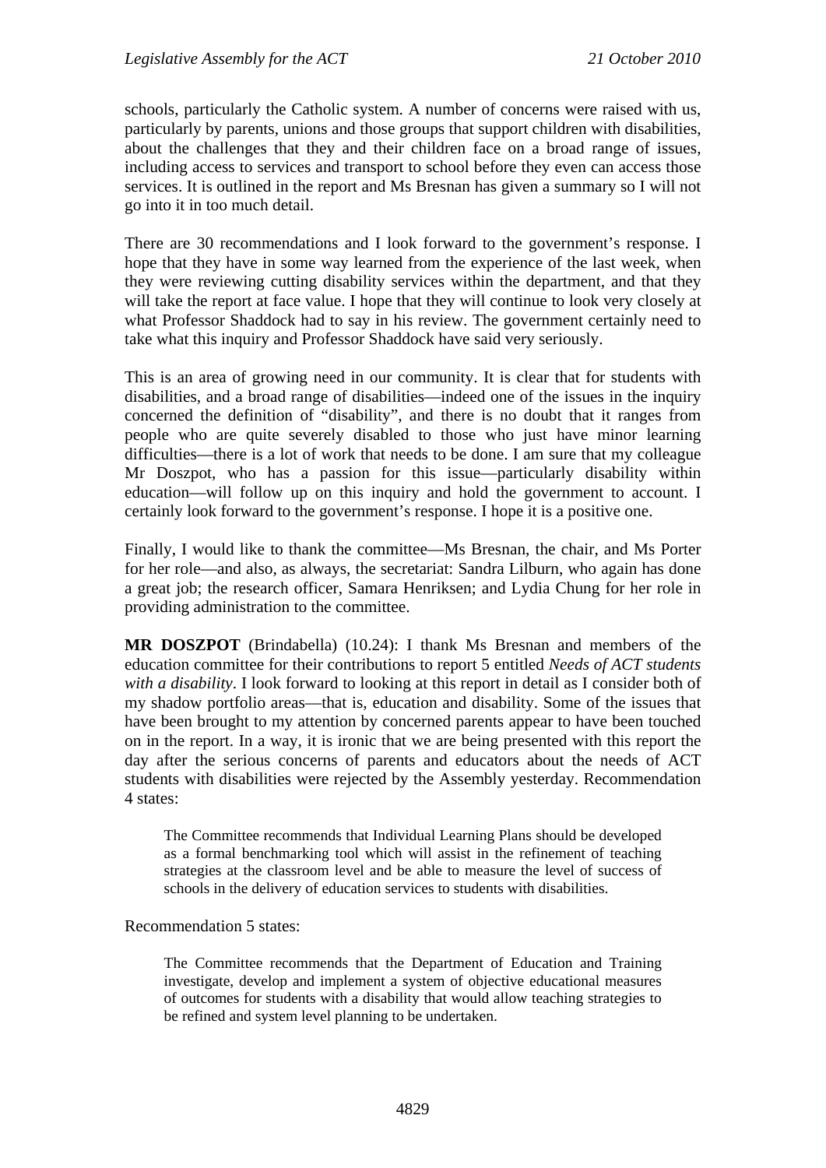schools, particularly the Catholic system. A number of concerns were raised with us, particularly by parents, unions and those groups that support children with disabilities, about the challenges that they and their children face on a broad range of issues, including access to services and transport to school before they even can access those services. It is outlined in the report and Ms Bresnan has given a summary so I will not go into it in too much detail.

There are 30 recommendations and I look forward to the government's response. I hope that they have in some way learned from the experience of the last week, when they were reviewing cutting disability services within the department, and that they will take the report at face value. I hope that they will continue to look very closely at what Professor Shaddock had to say in his review. The government certainly need to take what this inquiry and Professor Shaddock have said very seriously.

This is an area of growing need in our community. It is clear that for students with disabilities, and a broad range of disabilities—indeed one of the issues in the inquiry concerned the definition of "disability", and there is no doubt that it ranges from people who are quite severely disabled to those who just have minor learning difficulties—there is a lot of work that needs to be done. I am sure that my colleague Mr Doszpot, who has a passion for this issue—particularly disability within education—will follow up on this inquiry and hold the government to account. I certainly look forward to the government's response. I hope it is a positive one.

Finally, I would like to thank the committee—Ms Bresnan, the chair, and Ms Porter for her role—and also, as always, the secretariat: Sandra Lilburn, who again has done a great job; the research officer, Samara Henriksen; and Lydia Chung for her role in providing administration to the committee.

**MR DOSZPOT** (Brindabella) (10.24): I thank Ms Bresnan and members of the education committee for their contributions to report 5 entitled *Needs of ACT students with a disability*. I look forward to looking at this report in detail as I consider both of my shadow portfolio areas—that is, education and disability. Some of the issues that have been brought to my attention by concerned parents appear to have been touched on in the report. In a way, it is ironic that we are being presented with this report the day after the serious concerns of parents and educators about the needs of ACT students with disabilities were rejected by the Assembly yesterday. Recommendation 4 states:

The Committee recommends that Individual Learning Plans should be developed as a formal benchmarking tool which will assist in the refinement of teaching strategies at the classroom level and be able to measure the level of success of schools in the delivery of education services to students with disabilities.

Recommendation 5 states:

The Committee recommends that the Department of Education and Training investigate, develop and implement a system of objective educational measures of outcomes for students with a disability that would allow teaching strategies to be refined and system level planning to be undertaken.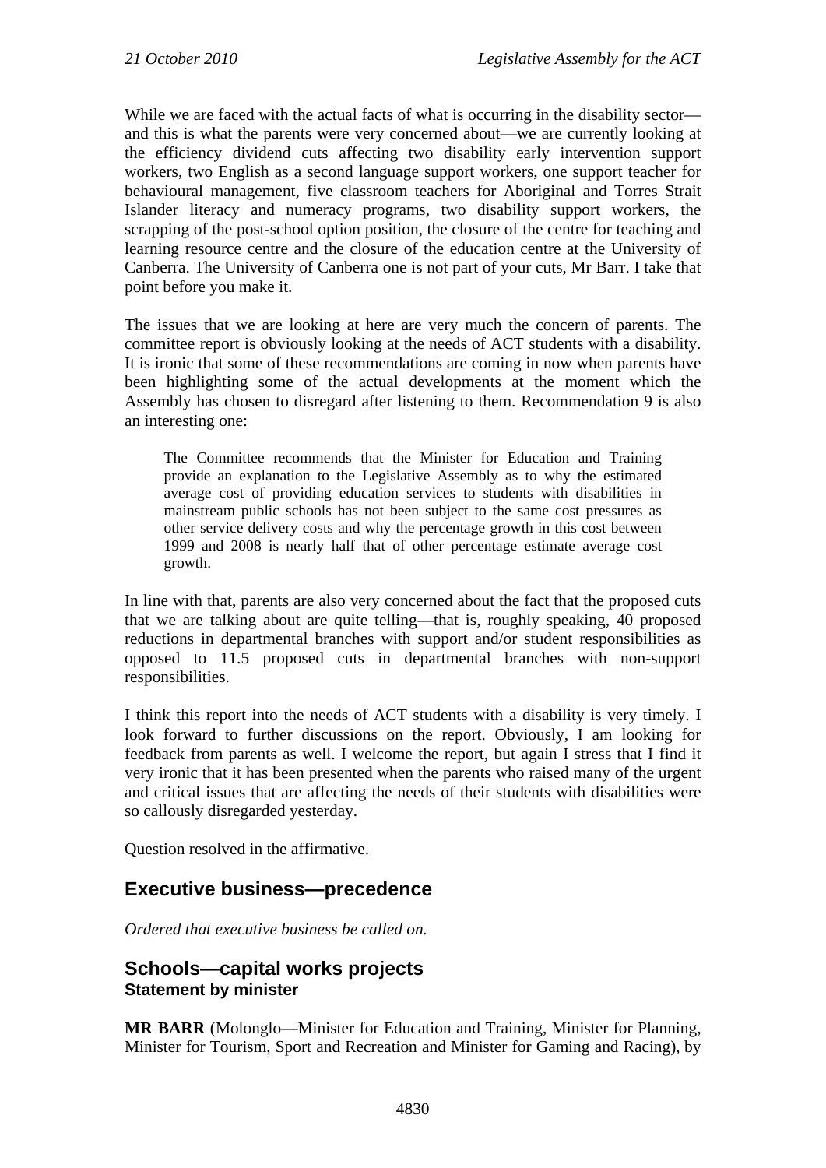While we are faced with the actual facts of what is occurring in the disability sector and this is what the parents were very concerned about—we are currently looking at the efficiency dividend cuts affecting two disability early intervention support workers, two English as a second language support workers, one support teacher for behavioural management, five classroom teachers for Aboriginal and Torres Strait Islander literacy and numeracy programs, two disability support workers, the scrapping of the post-school option position, the closure of the centre for teaching and learning resource centre and the closure of the education centre at the University of Canberra. The University of Canberra one is not part of your cuts, Mr Barr. I take that point before you make it.

The issues that we are looking at here are very much the concern of parents. The committee report is obviously looking at the needs of ACT students with a disability. It is ironic that some of these recommendations are coming in now when parents have been highlighting some of the actual developments at the moment which the Assembly has chosen to disregard after listening to them. Recommendation 9 is also an interesting one:

The Committee recommends that the Minister for Education and Training provide an explanation to the Legislative Assembly as to why the estimated average cost of providing education services to students with disabilities in mainstream public schools has not been subject to the same cost pressures as other service delivery costs and why the percentage growth in this cost between 1999 and 2008 is nearly half that of other percentage estimate average cost growth.

In line with that, parents are also very concerned about the fact that the proposed cuts that we are talking about are quite telling—that is, roughly speaking, 40 proposed reductions in departmental branches with support and/or student responsibilities as opposed to 11.5 proposed cuts in departmental branches with non-support responsibilities.

I think this report into the needs of ACT students with a disability is very timely. I look forward to further discussions on the report. Obviously, I am looking for feedback from parents as well. I welcome the report, but again I stress that I find it very ironic that it has been presented when the parents who raised many of the urgent and critical issues that are affecting the needs of their students with disabilities were so callously disregarded yesterday.

Question resolved in the affirmative.

## <span id="page-11-0"></span>**Executive business—precedence**

*Ordered that executive business be called on.*

## <span id="page-11-1"></span>**Schools—capital works projects Statement by minister**

**MR BARR** (Molonglo—Minister for Education and Training, Minister for Planning, Minister for Tourism, Sport and Recreation and Minister for Gaming and Racing), by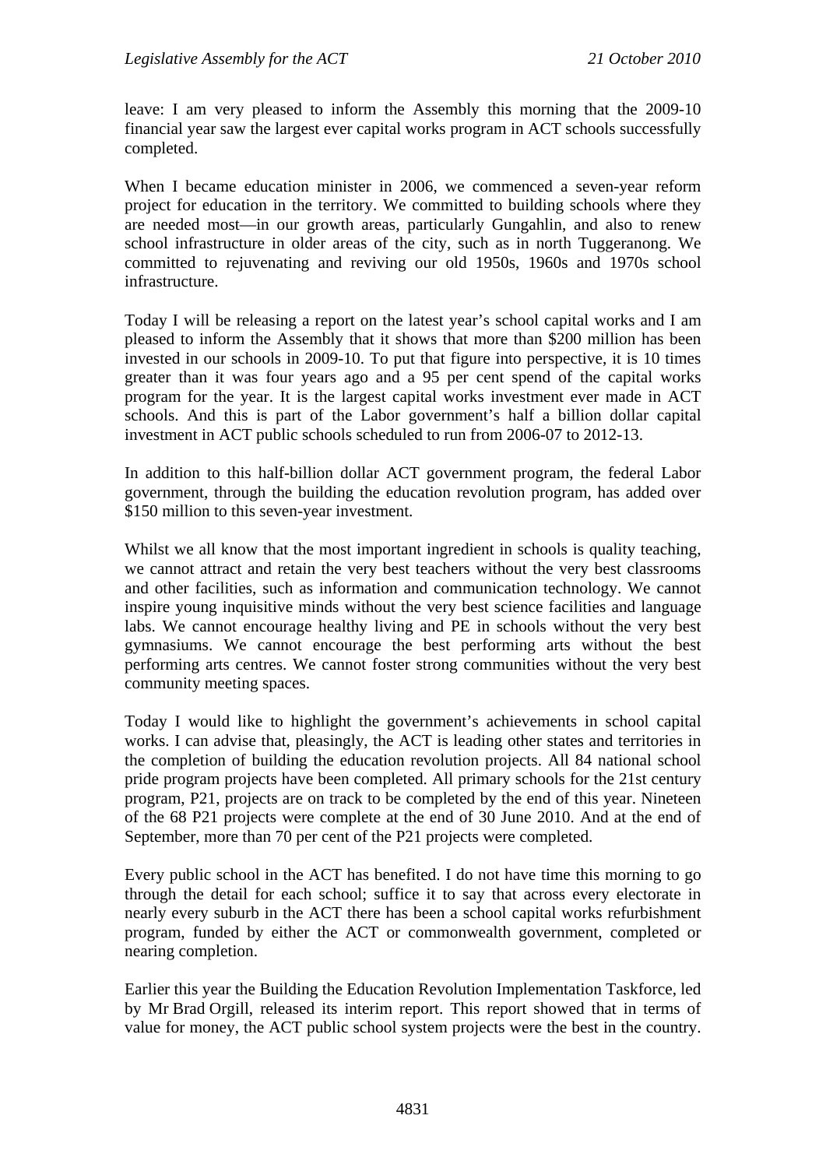leave: I am very pleased to inform the Assembly this morning that the 2009-10 financial year saw the largest ever capital works program in ACT schools successfully completed.

When I became education minister in 2006, we commenced a seven-year reform project for education in the territory. We committed to building schools where they are needed most—in our growth areas, particularly Gungahlin, and also to renew school infrastructure in older areas of the city, such as in north Tuggeranong. We committed to rejuvenating and reviving our old 1950s, 1960s and 1970s school infrastructure.

Today I will be releasing a report on the latest year's school capital works and I am pleased to inform the Assembly that it shows that more than \$200 million has been invested in our schools in 2009-10. To put that figure into perspective, it is 10 times greater than it was four years ago and a 95 per cent spend of the capital works program for the year. It is the largest capital works investment ever made in ACT schools. And this is part of the Labor government's half a billion dollar capital investment in ACT public schools scheduled to run from 2006-07 to 2012-13.

In addition to this half-billion dollar ACT government program, the federal Labor government, through the building the education revolution program, has added over \$150 million to this seven-year investment.

Whilst we all know that the most important ingredient in schools is quality teaching, we cannot attract and retain the very best teachers without the very best classrooms and other facilities, such as information and communication technology. We cannot inspire young inquisitive minds without the very best science facilities and language labs. We cannot encourage healthy living and PE in schools without the very best gymnasiums. We cannot encourage the best performing arts without the best performing arts centres. We cannot foster strong communities without the very best community meeting spaces.

Today I would like to highlight the government's achievements in school capital works. I can advise that, pleasingly, the ACT is leading other states and territories in the completion of building the education revolution projects. All 84 national school pride program projects have been completed. All primary schools for the 21st century program, P21, projects are on track to be completed by the end of this year. Nineteen of the 68 P21 projects were complete at the end of 30 June 2010. And at the end of September, more than 70 per cent of the P21 projects were completed.

Every public school in the ACT has benefited. I do not have time this morning to go through the detail for each school; suffice it to say that across every electorate in nearly every suburb in the ACT there has been a school capital works refurbishment program, funded by either the ACT or commonwealth government, completed or nearing completion.

Earlier this year the Building the Education Revolution Implementation Taskforce, led by Mr Brad Orgill, released its interim report. This report showed that in terms of value for money, the ACT public school system projects were the best in the country.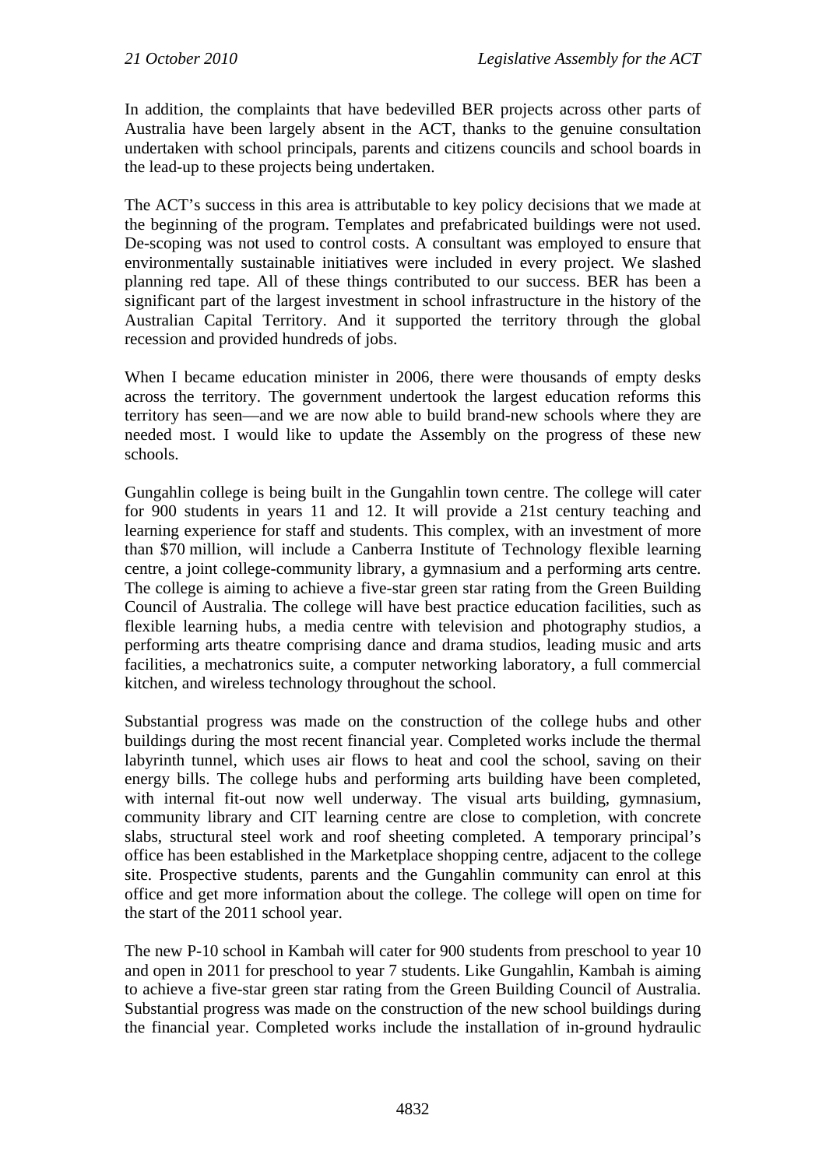In addition, the complaints that have bedevilled BER projects across other parts of Australia have been largely absent in the ACT, thanks to the genuine consultation undertaken with school principals, parents and citizens councils and school boards in the lead-up to these projects being undertaken.

The ACT's success in this area is attributable to key policy decisions that we made at the beginning of the program. Templates and prefabricated buildings were not used. De-scoping was not used to control costs. A consultant was employed to ensure that environmentally sustainable initiatives were included in every project. We slashed planning red tape. All of these things contributed to our success. BER has been a significant part of the largest investment in school infrastructure in the history of the Australian Capital Territory. And it supported the territory through the global recession and provided hundreds of jobs.

When I became education minister in 2006, there were thousands of empty desks across the territory. The government undertook the largest education reforms this territory has seen—and we are now able to build brand-new schools where they are needed most. I would like to update the Assembly on the progress of these new schools.

Gungahlin college is being built in the Gungahlin town centre. The college will cater for 900 students in years 11 and 12. It will provide a 21st century teaching and learning experience for staff and students. This complex, with an investment of more than \$70 million, will include a Canberra Institute of Technology flexible learning centre, a joint college-community library, a gymnasium and a performing arts centre. The college is aiming to achieve a five-star green star rating from the Green Building Council of Australia. The college will have best practice education facilities, such as flexible learning hubs, a media centre with television and photography studios, a performing arts theatre comprising dance and drama studios, leading music and arts facilities, a mechatronics suite, a computer networking laboratory, a full commercial kitchen, and wireless technology throughout the school.

Substantial progress was made on the construction of the college hubs and other buildings during the most recent financial year. Completed works include the thermal labyrinth tunnel, which uses air flows to heat and cool the school, saving on their energy bills. The college hubs and performing arts building have been completed, with internal fit-out now well underway. The visual arts building, gymnasium, community library and CIT learning centre are close to completion, with concrete slabs, structural steel work and roof sheeting completed. A temporary principal's office has been established in the Marketplace shopping centre, adjacent to the college site. Prospective students, parents and the Gungahlin community can enrol at this office and get more information about the college. The college will open on time for the start of the 2011 school year.

The new P-10 school in Kambah will cater for 900 students from preschool to year 10 and open in 2011 for preschool to year 7 students. Like Gungahlin, Kambah is aiming to achieve a five-star green star rating from the Green Building Council of Australia. Substantial progress was made on the construction of the new school buildings during the financial year. Completed works include the installation of in-ground hydraulic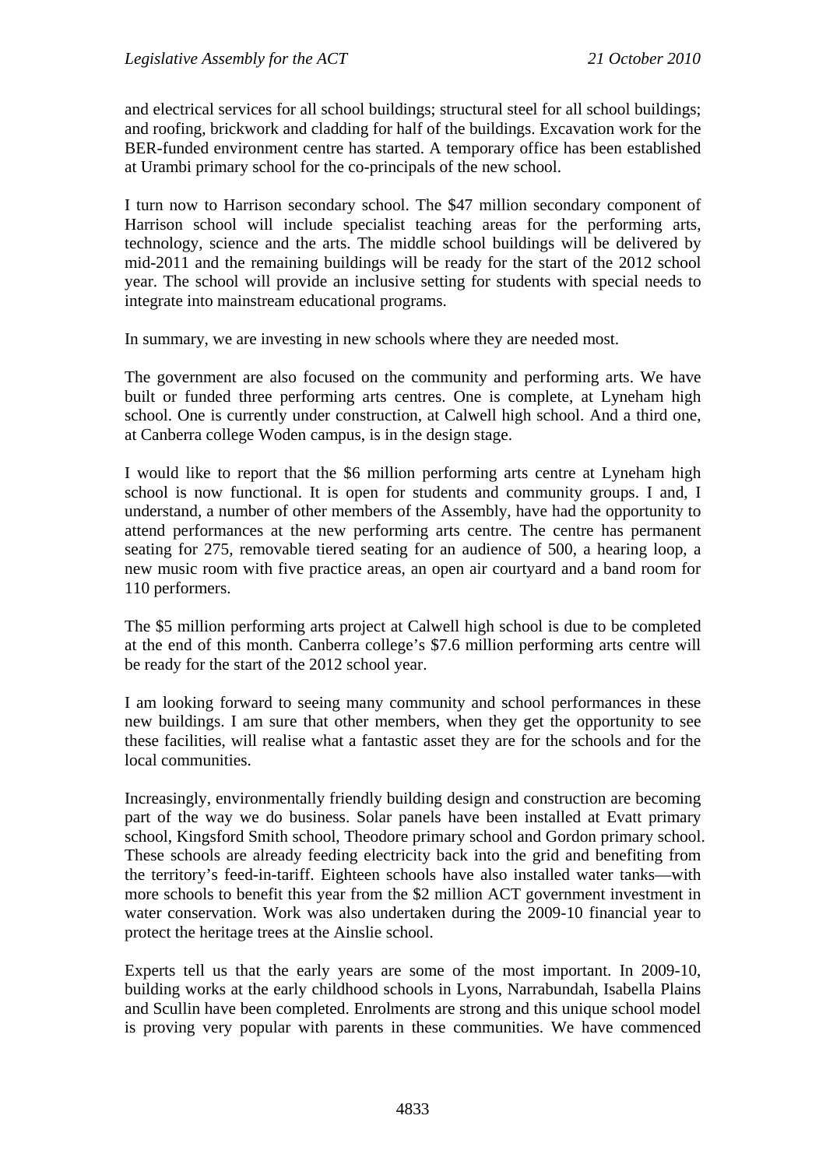and electrical services for all school buildings; structural steel for all school buildings; and roofing, brickwork and cladding for half of the buildings. Excavation work for the BER-funded environment centre has started. A temporary office has been established at Urambi primary school for the co-principals of the new school.

I turn now to Harrison secondary school. The \$47 million secondary component of Harrison school will include specialist teaching areas for the performing arts, technology, science and the arts. The middle school buildings will be delivered by mid-2011 and the remaining buildings will be ready for the start of the 2012 school year. The school will provide an inclusive setting for students with special needs to integrate into mainstream educational programs.

In summary, we are investing in new schools where they are needed most.

The government are also focused on the community and performing arts. We have built or funded three performing arts centres. One is complete, at Lyneham high school. One is currently under construction, at Calwell high school. And a third one, at Canberra college Woden campus, is in the design stage.

I would like to report that the \$6 million performing arts centre at Lyneham high school is now functional. It is open for students and community groups. I and, I understand, a number of other members of the Assembly, have had the opportunity to attend performances at the new performing arts centre. The centre has permanent seating for 275, removable tiered seating for an audience of 500, a hearing loop, a new music room with five practice areas, an open air courtyard and a band room for 110 performers.

The \$5 million performing arts project at Calwell high school is due to be completed at the end of this month. Canberra college's \$7.6 million performing arts centre will be ready for the start of the 2012 school year.

I am looking forward to seeing many community and school performances in these new buildings. I am sure that other members, when they get the opportunity to see these facilities, will realise what a fantastic asset they are for the schools and for the local communities.

Increasingly, environmentally friendly building design and construction are becoming part of the way we do business. Solar panels have been installed at Evatt primary school, Kingsford Smith school, Theodore primary school and Gordon primary school. These schools are already feeding electricity back into the grid and benefiting from the territory's feed-in-tariff. Eighteen schools have also installed water tanks—with more schools to benefit this year from the \$2 million ACT government investment in water conservation. Work was also undertaken during the 2009-10 financial year to protect the heritage trees at the Ainslie school.

Experts tell us that the early years are some of the most important. In 2009-10, building works at the early childhood schools in Lyons, Narrabundah, Isabella Plains and Scullin have been completed. Enrolments are strong and this unique school model is proving very popular with parents in these communities. We have commenced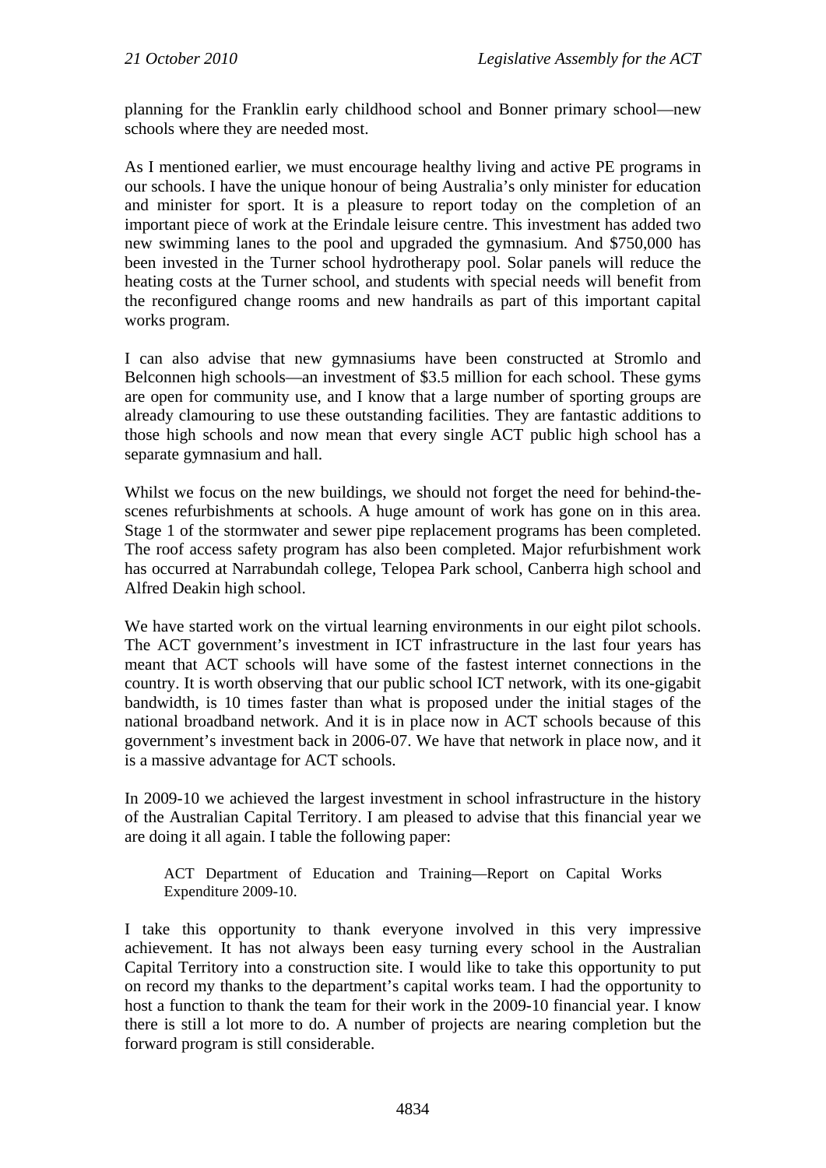planning for the Franklin early childhood school and Bonner primary school—new schools where they are needed most.

As I mentioned earlier, we must encourage healthy living and active PE programs in our schools. I have the unique honour of being Australia's only minister for education and minister for sport. It is a pleasure to report today on the completion of an important piece of work at the Erindale leisure centre. This investment has added two new swimming lanes to the pool and upgraded the gymnasium. And \$750,000 has been invested in the Turner school hydrotherapy pool. Solar panels will reduce the heating costs at the Turner school, and students with special needs will benefit from the reconfigured change rooms and new handrails as part of this important capital works program.

I can also advise that new gymnasiums have been constructed at Stromlo and Belconnen high schools—an investment of \$3.5 million for each school. These gyms are open for community use, and I know that a large number of sporting groups are already clamouring to use these outstanding facilities. They are fantastic additions to those high schools and now mean that every single ACT public high school has a separate gymnasium and hall.

Whilst we focus on the new buildings, we should not forget the need for behind-thescenes refurbishments at schools. A huge amount of work has gone on in this area. Stage 1 of the stormwater and sewer pipe replacement programs has been completed. The roof access safety program has also been completed. Major refurbishment work has occurred at Narrabundah college, Telopea Park school, Canberra high school and Alfred Deakin high school.

We have started work on the virtual learning environments in our eight pilot schools. The ACT government's investment in ICT infrastructure in the last four years has meant that ACT schools will have some of the fastest internet connections in the country. It is worth observing that our public school ICT network, with its one-gigabit bandwidth, is 10 times faster than what is proposed under the initial stages of the national broadband network. And it is in place now in ACT schools because of this government's investment back in 2006-07. We have that network in place now, and it is a massive advantage for ACT schools.

In 2009-10 we achieved the largest investment in school infrastructure in the history of the Australian Capital Territory. I am pleased to advise that this financial year we are doing it all again. I table the following paper:

ACT Department of Education and Training—Report on Capital Works Expenditure 2009-10.

I take this opportunity to thank everyone involved in this very impressive achievement. It has not always been easy turning every school in the Australian Capital Territory into a construction site. I would like to take this opportunity to put on record my thanks to the department's capital works team. I had the opportunity to host a function to thank the team for their work in the 2009-10 financial year. I know there is still a lot more to do. A number of projects are nearing completion but the forward program is still considerable.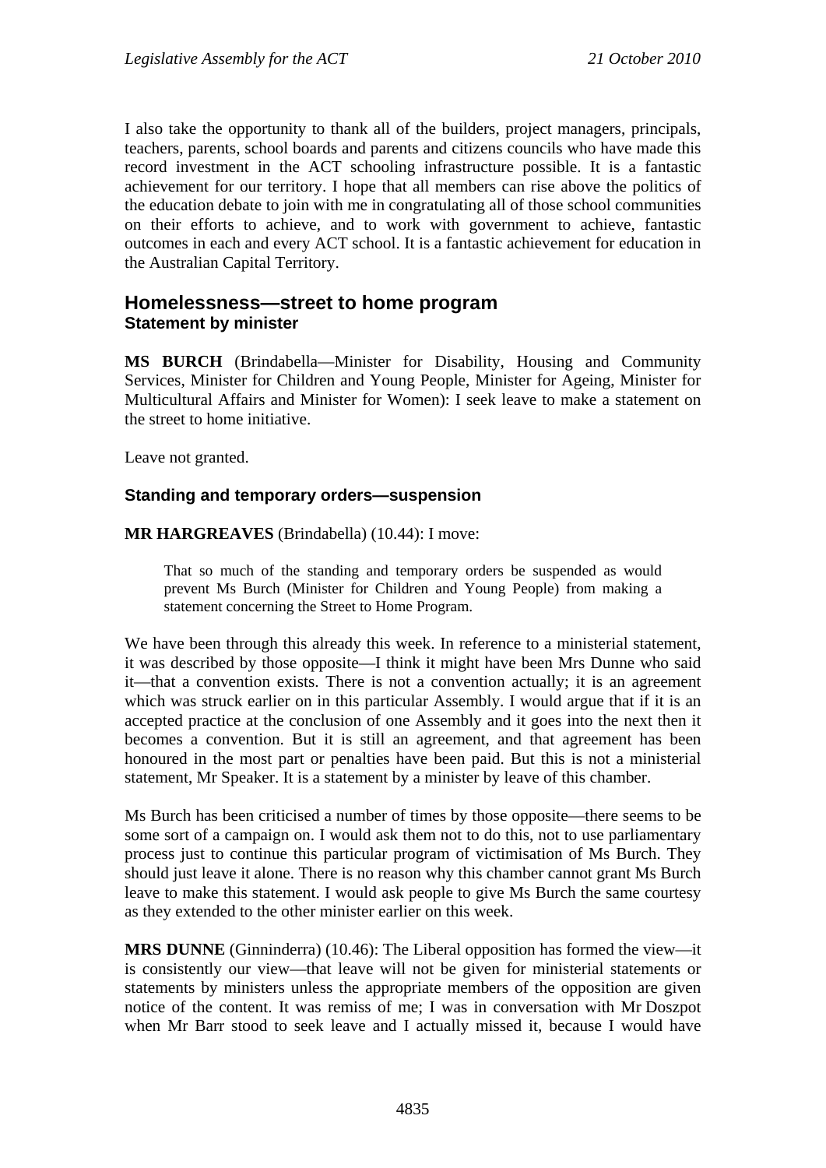I also take the opportunity to thank all of the builders, project managers, principals, teachers, parents, school boards and parents and citizens councils who have made this record investment in the ACT schooling infrastructure possible. It is a fantastic achievement for our territory. I hope that all members can rise above the politics of the education debate to join with me in congratulating all of those school communities on their efforts to achieve, and to work with government to achieve, fantastic outcomes in each and every ACT school. It is a fantastic achievement for education in the Australian Capital Territory.

## <span id="page-16-0"></span>**Homelessness—street to home program Statement by minister**

**MS BURCH** (Brindabella—Minister for Disability, Housing and Community Services, Minister for Children and Young People, Minister for Ageing, Minister for Multicultural Affairs and Minister for Women): I seek leave to make a statement on the street to home initiative.

Leave not granted.

#### **Standing and temporary orders—suspension**

**MR HARGREAVES** (Brindabella) (10.44): I move:

That so much of the standing and temporary orders be suspended as would prevent Ms Burch (Minister for Children and Young People) from making a statement concerning the Street to Home Program.

We have been through this already this week. In reference to a ministerial statement, it was described by those opposite—I think it might have been Mrs Dunne who said it—that a convention exists. There is not a convention actually; it is an agreement which was struck earlier on in this particular Assembly. I would argue that if it is an accepted practice at the conclusion of one Assembly and it goes into the next then it becomes a convention. But it is still an agreement, and that agreement has been honoured in the most part or penalties have been paid. But this is not a ministerial statement, Mr Speaker. It is a statement by a minister by leave of this chamber.

Ms Burch has been criticised a number of times by those opposite—there seems to be some sort of a campaign on. I would ask them not to do this, not to use parliamentary process just to continue this particular program of victimisation of Ms Burch. They should just leave it alone. There is no reason why this chamber cannot grant Ms Burch leave to make this statement. I would ask people to give Ms Burch the same courtesy as they extended to the other minister earlier on this week.

**MRS DUNNE** (Ginninderra) (10.46): The Liberal opposition has formed the view—it is consistently our view—that leave will not be given for ministerial statements or statements by ministers unless the appropriate members of the opposition are given notice of the content. It was remiss of me; I was in conversation with Mr Doszpot when Mr Barr stood to seek leave and I actually missed it, because I would have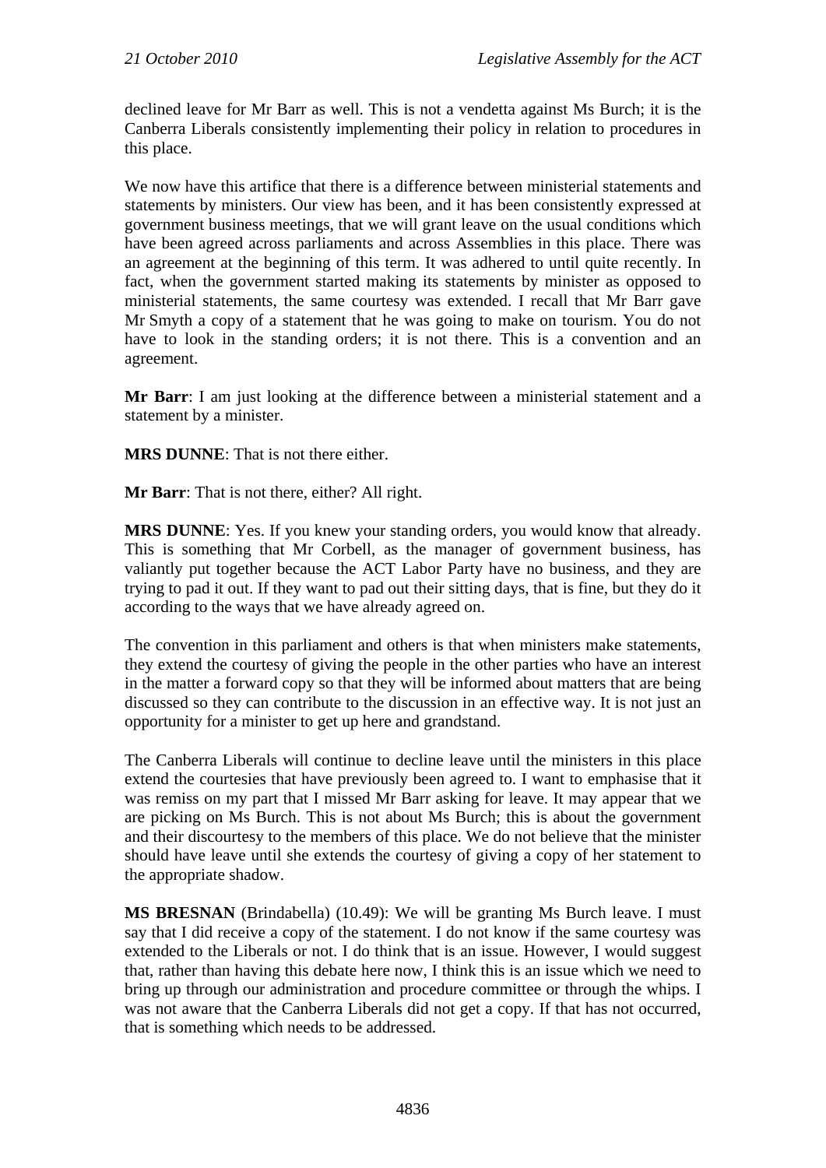declined leave for Mr Barr as well. This is not a vendetta against Ms Burch; it is the Canberra Liberals consistently implementing their policy in relation to procedures in this place.

We now have this artifice that there is a difference between ministerial statements and statements by ministers. Our view has been, and it has been consistently expressed at government business meetings, that we will grant leave on the usual conditions which have been agreed across parliaments and across Assemblies in this place. There was an agreement at the beginning of this term. It was adhered to until quite recently. In fact, when the government started making its statements by minister as opposed to ministerial statements, the same courtesy was extended. I recall that Mr Barr gave Mr Smyth a copy of a statement that he was going to make on tourism. You do not have to look in the standing orders; it is not there. This is a convention and an agreement.

**Mr Barr**: I am just looking at the difference between a ministerial statement and a statement by a minister.

**MRS DUNNE**: That is not there either.

**Mr Barr**: That is not there, either? All right.

**MRS DUNNE**: Yes. If you knew your standing orders, you would know that already. This is something that Mr Corbell, as the manager of government business, has valiantly put together because the ACT Labor Party have no business, and they are trying to pad it out. If they want to pad out their sitting days, that is fine, but they do it according to the ways that we have already agreed on.

The convention in this parliament and others is that when ministers make statements, they extend the courtesy of giving the people in the other parties who have an interest in the matter a forward copy so that they will be informed about matters that are being discussed so they can contribute to the discussion in an effective way. It is not just an opportunity for a minister to get up here and grandstand.

The Canberra Liberals will continue to decline leave until the ministers in this place extend the courtesies that have previously been agreed to. I want to emphasise that it was remiss on my part that I missed Mr Barr asking for leave. It may appear that we are picking on Ms Burch. This is not about Ms Burch; this is about the government and their discourtesy to the members of this place. We do not believe that the minister should have leave until she extends the courtesy of giving a copy of her statement to the appropriate shadow.

**MS BRESNAN** (Brindabella) (10.49): We will be granting Ms Burch leave. I must say that I did receive a copy of the statement. I do not know if the same courtesy was extended to the Liberals or not. I do think that is an issue. However, I would suggest that, rather than having this debate here now, I think this is an issue which we need to bring up through our administration and procedure committee or through the whips. I was not aware that the Canberra Liberals did not get a copy. If that has not occurred, that is something which needs to be addressed.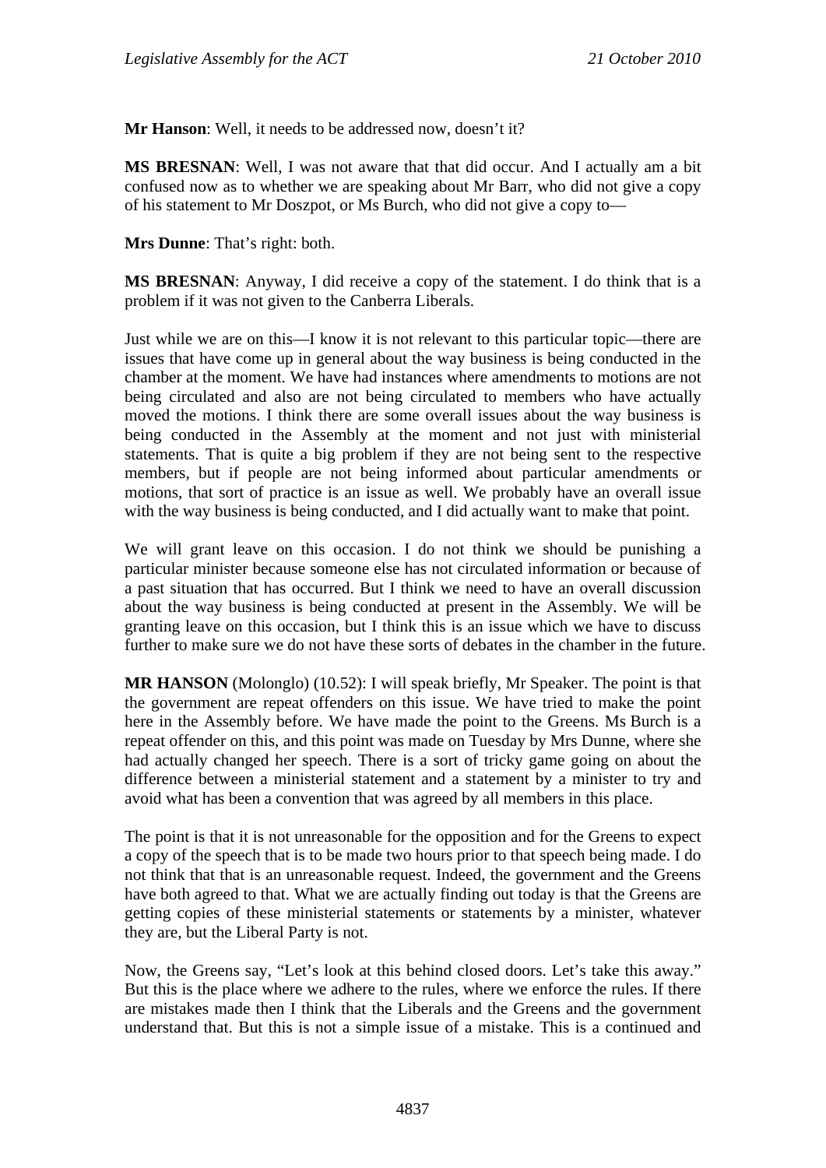**Mr Hanson**: Well, it needs to be addressed now, doesn't it?

**MS BRESNAN**: Well, I was not aware that that did occur. And I actually am a bit confused now as to whether we are speaking about Mr Barr, who did not give a copy of his statement to Mr Doszpot, or Ms Burch, who did not give a copy to—

**Mrs Dunne**: That's right: both.

**MS BRESNAN**: Anyway, I did receive a copy of the statement. I do think that is a problem if it was not given to the Canberra Liberals.

Just while we are on this—I know it is not relevant to this particular topic—there are issues that have come up in general about the way business is being conducted in the chamber at the moment. We have had instances where amendments to motions are not being circulated and also are not being circulated to members who have actually moved the motions. I think there are some overall issues about the way business is being conducted in the Assembly at the moment and not just with ministerial statements. That is quite a big problem if they are not being sent to the respective members, but if people are not being informed about particular amendments or motions, that sort of practice is an issue as well. We probably have an overall issue with the way business is being conducted, and I did actually want to make that point.

We will grant leave on this occasion. I do not think we should be punishing a particular minister because someone else has not circulated information or because of a past situation that has occurred. But I think we need to have an overall discussion about the way business is being conducted at present in the Assembly. We will be granting leave on this occasion, but I think this is an issue which we have to discuss further to make sure we do not have these sorts of debates in the chamber in the future.

**MR HANSON** (Molonglo) (10.52): I will speak briefly, Mr Speaker. The point is that the government are repeat offenders on this issue. We have tried to make the point here in the Assembly before. We have made the point to the Greens. Ms Burch is a repeat offender on this, and this point was made on Tuesday by Mrs Dunne, where she had actually changed her speech. There is a sort of tricky game going on about the difference between a ministerial statement and a statement by a minister to try and avoid what has been a convention that was agreed by all members in this place.

The point is that it is not unreasonable for the opposition and for the Greens to expect a copy of the speech that is to be made two hours prior to that speech being made. I do not think that that is an unreasonable request. Indeed, the government and the Greens have both agreed to that. What we are actually finding out today is that the Greens are getting copies of these ministerial statements or statements by a minister, whatever they are, but the Liberal Party is not.

Now, the Greens say, "Let's look at this behind closed doors. Let's take this away." But this is the place where we adhere to the rules, where we enforce the rules. If there are mistakes made then I think that the Liberals and the Greens and the government understand that. But this is not a simple issue of a mistake. This is a continued and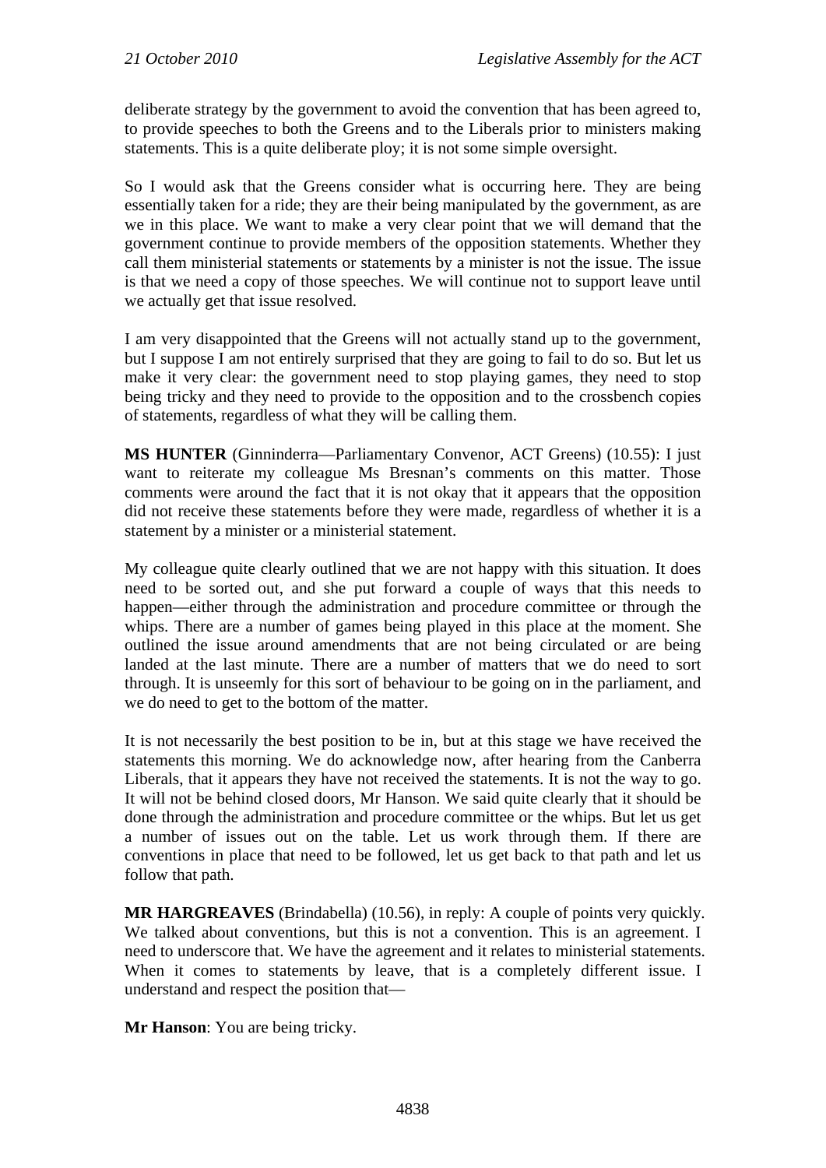deliberate strategy by the government to avoid the convention that has been agreed to, to provide speeches to both the Greens and to the Liberals prior to ministers making statements. This is a quite deliberate ploy; it is not some simple oversight.

So I would ask that the Greens consider what is occurring here. They are being essentially taken for a ride; they are their being manipulated by the government, as are we in this place. We want to make a very clear point that we will demand that the government continue to provide members of the opposition statements. Whether they call them ministerial statements or statements by a minister is not the issue. The issue is that we need a copy of those speeches. We will continue not to support leave until we actually get that issue resolved.

I am very disappointed that the Greens will not actually stand up to the government, but I suppose I am not entirely surprised that they are going to fail to do so. But let us make it very clear: the government need to stop playing games, they need to stop being tricky and they need to provide to the opposition and to the crossbench copies of statements, regardless of what they will be calling them.

**MS HUNTER** (Ginninderra—Parliamentary Convenor, ACT Greens) (10.55): I just want to reiterate my colleague Ms Bresnan's comments on this matter. Those comments were around the fact that it is not okay that it appears that the opposition did not receive these statements before they were made, regardless of whether it is a statement by a minister or a ministerial statement.

My colleague quite clearly outlined that we are not happy with this situation. It does need to be sorted out, and she put forward a couple of ways that this needs to happen—either through the administration and procedure committee or through the whips. There are a number of games being played in this place at the moment. She outlined the issue around amendments that are not being circulated or are being landed at the last minute. There are a number of matters that we do need to sort through. It is unseemly for this sort of behaviour to be going on in the parliament, and we do need to get to the bottom of the matter.

It is not necessarily the best position to be in, but at this stage we have received the statements this morning. We do acknowledge now, after hearing from the Canberra Liberals, that it appears they have not received the statements. It is not the way to go. It will not be behind closed doors, Mr Hanson. We said quite clearly that it should be done through the administration and procedure committee or the whips. But let us get a number of issues out on the table. Let us work through them. If there are conventions in place that need to be followed, let us get back to that path and let us follow that path.

**MR HARGREAVES** (Brindabella) (10.56), in reply: A couple of points very quickly. We talked about conventions, but this is not a convention. This is an agreement. I need to underscore that. We have the agreement and it relates to ministerial statements. When it comes to statements by leave, that is a completely different issue. I understand and respect the position that—

**Mr Hanson**: You are being tricky.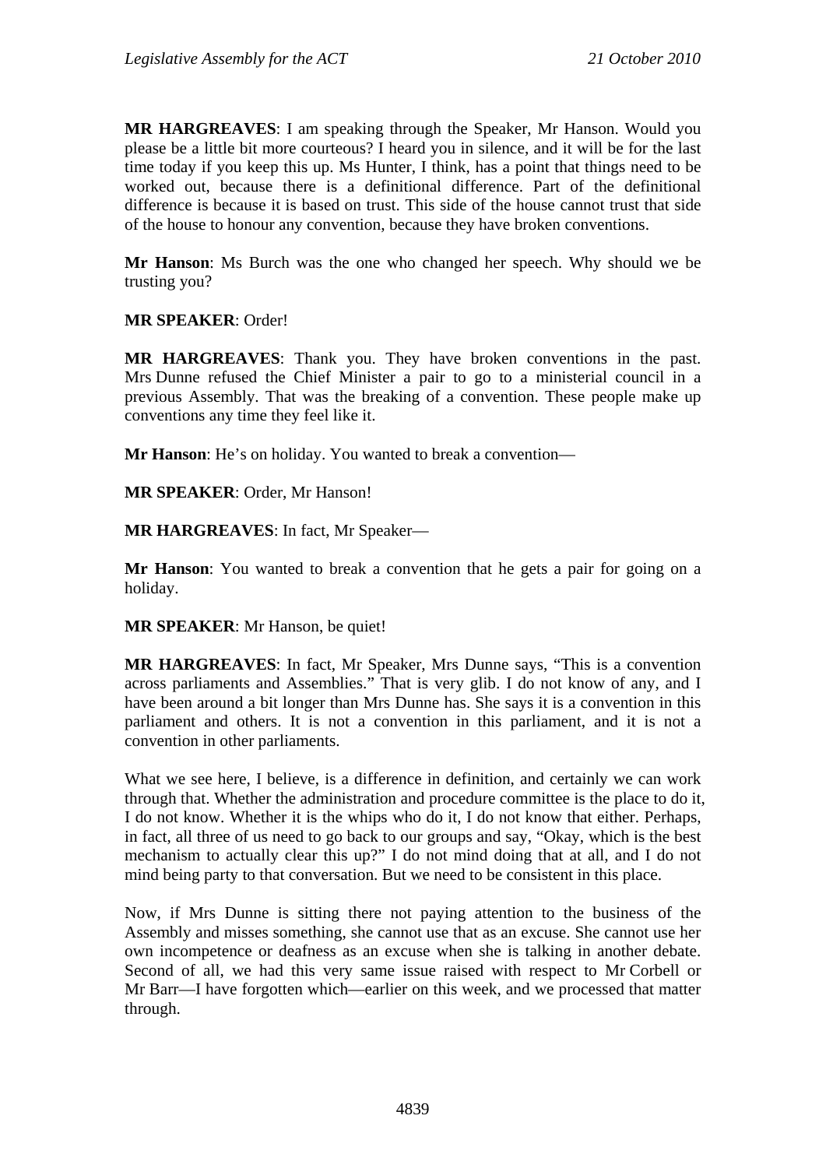**MR HARGREAVES**: I am speaking through the Speaker, Mr Hanson. Would you please be a little bit more courteous? I heard you in silence, and it will be for the last time today if you keep this up. Ms Hunter, I think, has a point that things need to be worked out, because there is a definitional difference. Part of the definitional difference is because it is based on trust. This side of the house cannot trust that side of the house to honour any convention, because they have broken conventions.

**Mr Hanson**: Ms Burch was the one who changed her speech. Why should we be trusting you?

**MR SPEAKER**: Order!

**MR HARGREAVES**: Thank you. They have broken conventions in the past. Mrs Dunne refused the Chief Minister a pair to go to a ministerial council in a previous Assembly. That was the breaking of a convention. These people make up conventions any time they feel like it.

**Mr Hanson**: He's on holiday. You wanted to break a convention—

**MR SPEAKER**: Order, Mr Hanson!

**MR HARGREAVES**: In fact, Mr Speaker—

**Mr Hanson**: You wanted to break a convention that he gets a pair for going on a holiday.

**MR SPEAKER**: Mr Hanson, be quiet!

**MR HARGREAVES**: In fact, Mr Speaker, Mrs Dunne says, "This is a convention across parliaments and Assemblies." That is very glib. I do not know of any, and I have been around a bit longer than Mrs Dunne has. She says it is a convention in this parliament and others. It is not a convention in this parliament, and it is not a convention in other parliaments.

What we see here, I believe, is a difference in definition, and certainly we can work through that. Whether the administration and procedure committee is the place to do it, I do not know. Whether it is the whips who do it, I do not know that either. Perhaps, in fact, all three of us need to go back to our groups and say, "Okay, which is the best mechanism to actually clear this up?" I do not mind doing that at all, and I do not mind being party to that conversation. But we need to be consistent in this place.

Now, if Mrs Dunne is sitting there not paying attention to the business of the Assembly and misses something, she cannot use that as an excuse. She cannot use her own incompetence or deafness as an excuse when she is talking in another debate. Second of all, we had this very same issue raised with respect to Mr Corbell or Mr Barr—I have forgotten which—earlier on this week, and we processed that matter through.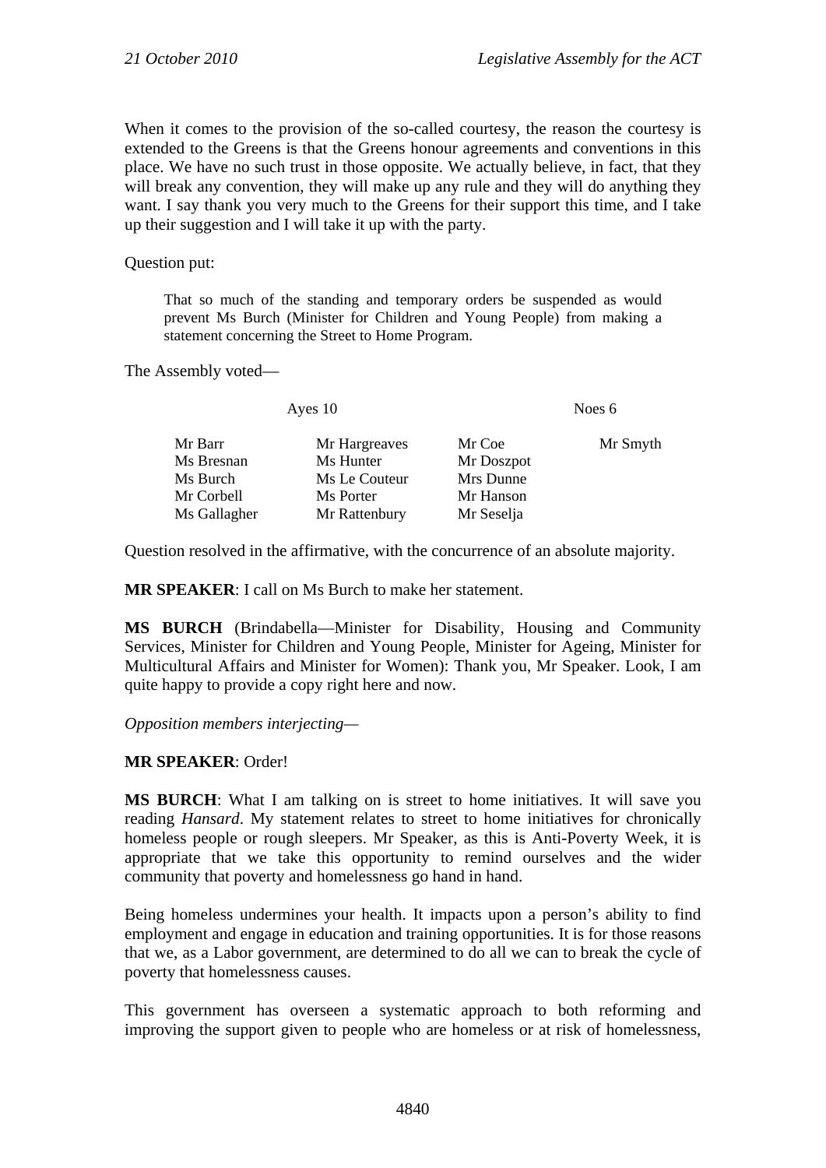When it comes to the provision of the so-called courtesy, the reason the courtesy is extended to the Greens is that the Greens honour agreements and conventions in this place. We have no such trust in those opposite. We actually believe, in fact, that they will break any convention, they will make up any rule and they will do anything they want. I say thank you very much to the Greens for their support this time, and I take up their suggestion and I will take it up with the party.

Question put:

That so much of the standing and temporary orders be suspended as would prevent Ms Burch (Minister for Children and Young People) from making a statement concerning the Street to Home Program.

The Assembly voted—

| Ayes 10       |            | Noes 6   |  |
|---------------|------------|----------|--|
| Mr Hargreaves | Mr Coe     | Mr Smyth |  |
| Ms Hunter     | Mr Doszpot |          |  |
| Ms Le Couteur | Mrs Dunne  |          |  |
| Ms Porter     | Mr Hanson  |          |  |
| Mr Rattenbury | Mr Seselja |          |  |
|               |            |          |  |

Question resolved in the affirmative, with the concurrence of an absolute majority.

**MR SPEAKER**: I call on Ms Burch to make her statement.

**MS BURCH** (Brindabella—Minister for Disability, Housing and Community Services, Minister for Children and Young People, Minister for Ageing, Minister for Multicultural Affairs and Minister for Women): Thank you, Mr Speaker. Look, I am quite happy to provide a copy right here and now.

*Opposition members interjecting—*

#### **MR SPEAKER**: Order!

**MS BURCH**: What I am talking on is street to home initiatives. It will save you reading *Hansard*. My statement relates to street to home initiatives for chronically homeless people or rough sleepers. Mr Speaker, as this is Anti-Poverty Week, it is appropriate that we take this opportunity to remind ourselves and the wider community that poverty and homelessness go hand in hand.

Being homeless undermines your health. It impacts upon a person's ability to find employment and engage in education and training opportunities. It is for those reasons that we, as a Labor government, are determined to do all we can to break the cycle of poverty that homelessness causes.

This government has overseen a systematic approach to both reforming and improving the support given to people who are homeless or at risk of homelessness,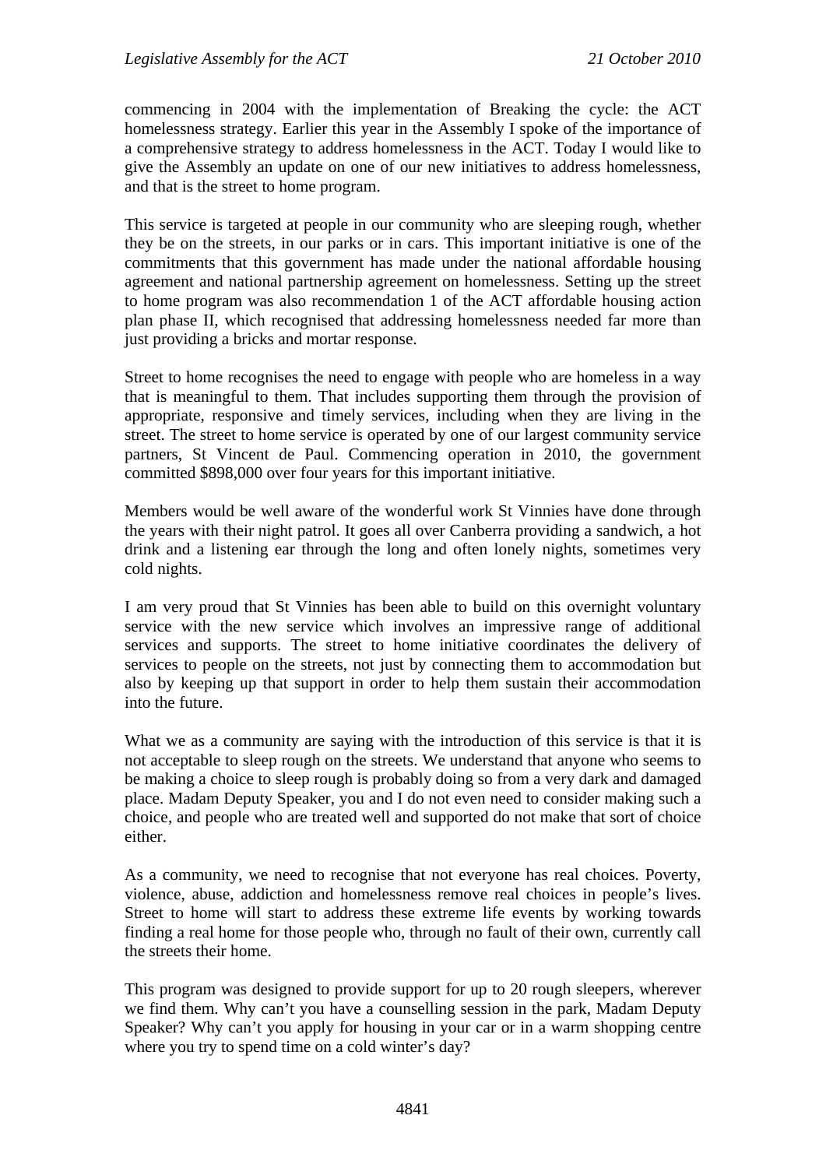commencing in 2004 with the implementation of Breaking the cycle: the ACT homelessness strategy. Earlier this year in the Assembly I spoke of the importance of a comprehensive strategy to address homelessness in the ACT. Today I would like to give the Assembly an update on one of our new initiatives to address homelessness, and that is the street to home program.

This service is targeted at people in our community who are sleeping rough, whether they be on the streets, in our parks or in cars. This important initiative is one of the commitments that this government has made under the national affordable housing agreement and national partnership agreement on homelessness. Setting up the street to home program was also recommendation 1 of the ACT affordable housing action plan phase II, which recognised that addressing homelessness needed far more than just providing a bricks and mortar response.

Street to home recognises the need to engage with people who are homeless in a way that is meaningful to them. That includes supporting them through the provision of appropriate, responsive and timely services, including when they are living in the street. The street to home service is operated by one of our largest community service partners, St Vincent de Paul. Commencing operation in 2010, the government committed \$898,000 over four years for this important initiative.

Members would be well aware of the wonderful work St Vinnies have done through the years with their night patrol. It goes all over Canberra providing a sandwich, a hot drink and a listening ear through the long and often lonely nights, sometimes very cold nights.

I am very proud that St Vinnies has been able to build on this overnight voluntary service with the new service which involves an impressive range of additional services and supports. The street to home initiative coordinates the delivery of services to people on the streets, not just by connecting them to accommodation but also by keeping up that support in order to help them sustain their accommodation into the future.

What we as a community are saying with the introduction of this service is that it is not acceptable to sleep rough on the streets. We understand that anyone who seems to be making a choice to sleep rough is probably doing so from a very dark and damaged place. Madam Deputy Speaker, you and I do not even need to consider making such a choice, and people who are treated well and supported do not make that sort of choice either.

As a community, we need to recognise that not everyone has real choices. Poverty, violence, abuse, addiction and homelessness remove real choices in people's lives. Street to home will start to address these extreme life events by working towards finding a real home for those people who, through no fault of their own, currently call the streets their home.

This program was designed to provide support for up to 20 rough sleepers, wherever we find them. Why can't you have a counselling session in the park, Madam Deputy Speaker? Why can't you apply for housing in your car or in a warm shopping centre where you try to spend time on a cold winter's day?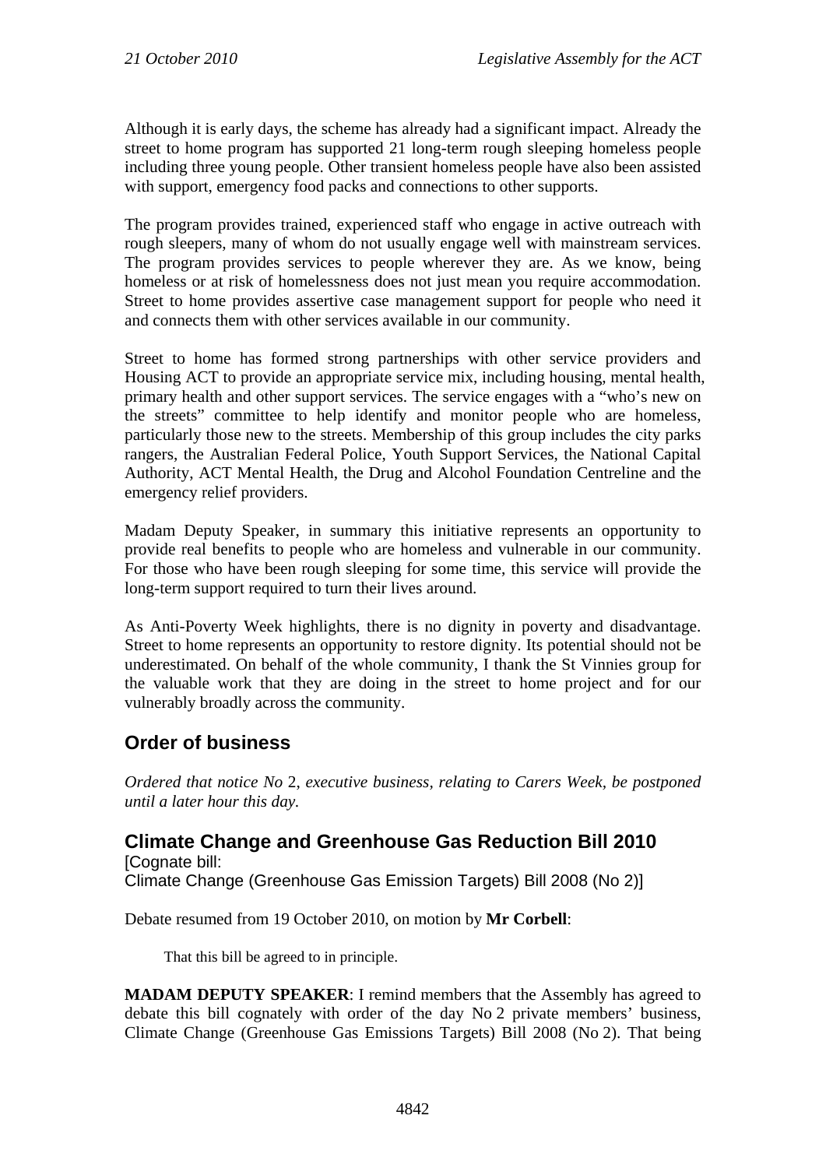Although it is early days, the scheme has already had a significant impact. Already the street to home program has supported 21 long-term rough sleeping homeless people including three young people. Other transient homeless people have also been assisted with support, emergency food packs and connections to other supports.

The program provides trained, experienced staff who engage in active outreach with rough sleepers, many of whom do not usually engage well with mainstream services. The program provides services to people wherever they are. As we know, being homeless or at risk of homelessness does not just mean you require accommodation. Street to home provides assertive case management support for people who need it and connects them with other services available in our community.

Street to home has formed strong partnerships with other service providers and Housing ACT to provide an appropriate service mix, including housing, mental health, primary health and other support services. The service engages with a "who's new on the streets" committee to help identify and monitor people who are homeless, particularly those new to the streets. Membership of this group includes the city parks rangers, the Australian Federal Police, Youth Support Services, the National Capital Authority, ACT Mental Health, the Drug and Alcohol Foundation Centreline and the emergency relief providers.

Madam Deputy Speaker, in summary this initiative represents an opportunity to provide real benefits to people who are homeless and vulnerable in our community. For those who have been rough sleeping for some time, this service will provide the long-term support required to turn their lives around.

As Anti-Poverty Week highlights, there is no dignity in poverty and disadvantage. Street to home represents an opportunity to restore dignity. Its potential should not be underestimated. On behalf of the whole community, I thank the St Vinnies group for the valuable work that they are doing in the street to home project and for our vulnerably broadly across the community.

# <span id="page-23-0"></span>**Order of business**

*Ordered that notice No* 2, *executive business, relating to Carers Week, be postponed until a later hour this day.*

# <span id="page-23-1"></span>**Climate Change and Greenhouse Gas Reduction Bill 2010**

[Cognate bill: Climate Change (Greenhouse Gas Emission Targets) Bill 2008 (No 2)]

Debate resumed from 19 October 2010, on motion by **Mr Corbell**:

That this bill be agreed to in principle.

**MADAM DEPUTY SPEAKER**: I remind members that the Assembly has agreed to debate this bill cognately with order of the day No 2 private members' business, Climate Change (Greenhouse Gas Emissions Targets) Bill 2008 (No 2). That being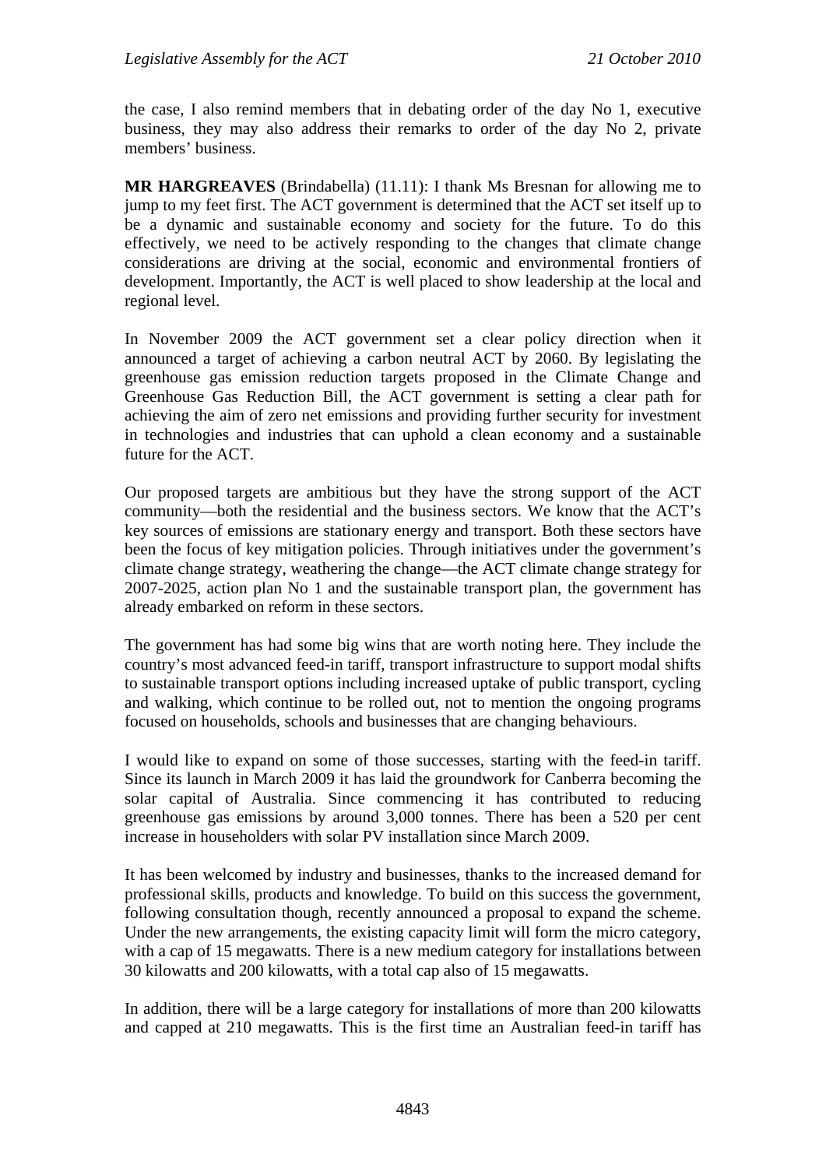the case, I also remind members that in debating order of the day No 1, executive business, they may also address their remarks to order of the day No 2, private members' business.

**MR HARGREAVES** (Brindabella) (11.11): I thank Ms Bresnan for allowing me to jump to my feet first. The ACT government is determined that the ACT set itself up to be a dynamic and sustainable economy and society for the future. To do this effectively, we need to be actively responding to the changes that climate change considerations are driving at the social, economic and environmental frontiers of development. Importantly, the ACT is well placed to show leadership at the local and regional level.

In November 2009 the ACT government set a clear policy direction when it announced a target of achieving a carbon neutral ACT by 2060. By legislating the greenhouse gas emission reduction targets proposed in the Climate Change and Greenhouse Gas Reduction Bill, the ACT government is setting a clear path for achieving the aim of zero net emissions and providing further security for investment in technologies and industries that can uphold a clean economy and a sustainable future for the ACT.

Our proposed targets are ambitious but they have the strong support of the ACT community—both the residential and the business sectors. We know that the ACT's key sources of emissions are stationary energy and transport. Both these sectors have been the focus of key mitigation policies. Through initiatives under the government's climate change strategy, weathering the change—the ACT climate change strategy for 2007-2025*,* action plan No 1 and the sustainable transport plan, the government has already embarked on reform in these sectors.

The government has had some big wins that are worth noting here. They include the country's most advanced feed-in tariff, transport infrastructure to support modal shifts to sustainable transport options including increased uptake of public transport, cycling and walking, which continue to be rolled out, not to mention the ongoing programs focused on households, schools and businesses that are changing behaviours.

I would like to expand on some of those successes, starting with the feed-in tariff. Since its launch in March 2009 it has laid the groundwork for Canberra becoming the solar capital of Australia. Since commencing it has contributed to reducing greenhouse gas emissions by around 3,000 tonnes. There has been a 520 per cent increase in householders with solar PV installation since March 2009.

It has been welcomed by industry and businesses, thanks to the increased demand for professional skills, products and knowledge. To build on this success the government, following consultation though, recently announced a proposal to expand the scheme. Under the new arrangements, the existing capacity limit will form the micro category, with a cap of 15 megawatts. There is a new medium category for installations between 30 kilowatts and 200 kilowatts, with a total cap also of 15 megawatts.

In addition, there will be a large category for installations of more than 200 kilowatts and capped at 210 megawatts. This is the first time an Australian feed-in tariff has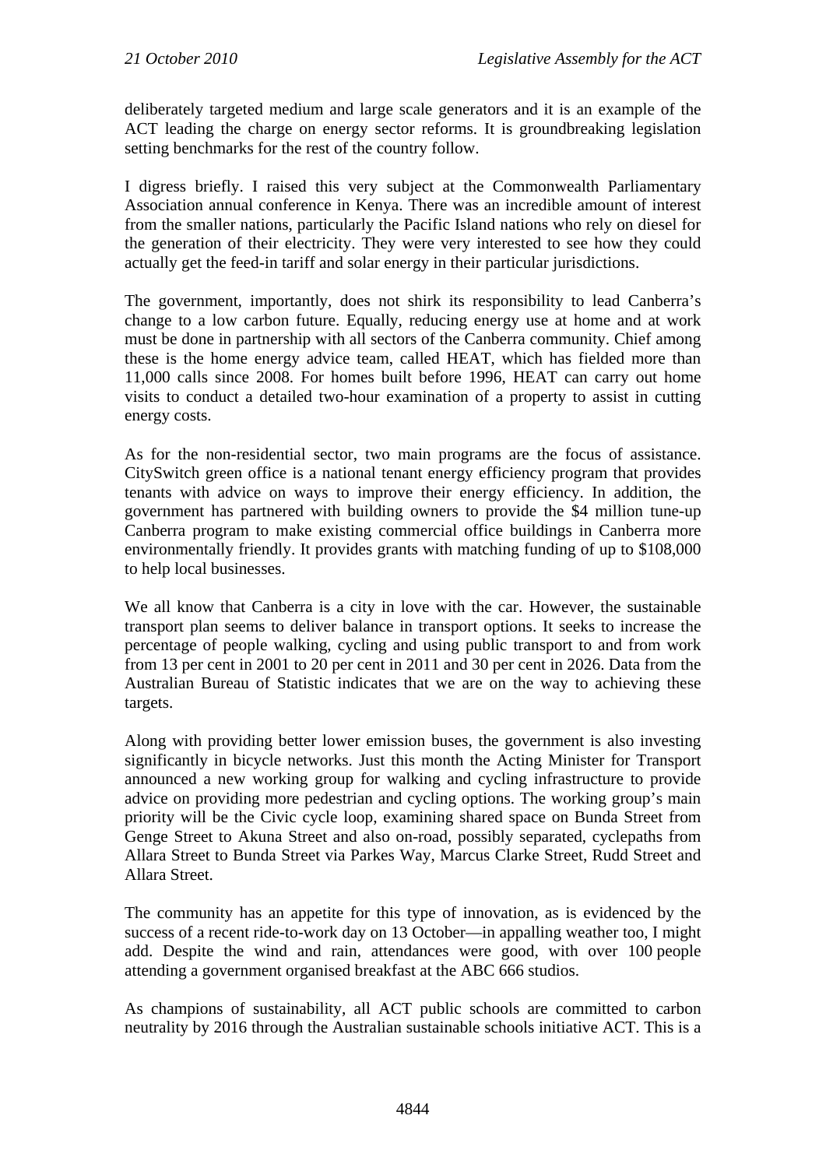deliberately targeted medium and large scale generators and it is an example of the ACT leading the charge on energy sector reforms. It is groundbreaking legislation setting benchmarks for the rest of the country follow.

I digress briefly. I raised this very subject at the Commonwealth Parliamentary Association annual conference in Kenya. There was an incredible amount of interest from the smaller nations, particularly the Pacific Island nations who rely on diesel for the generation of their electricity. They were very interested to see how they could actually get the feed-in tariff and solar energy in their particular jurisdictions.

The government, importantly, does not shirk its responsibility to lead Canberra's change to a low carbon future. Equally, reducing energy use at home and at work must be done in partnership with all sectors of the Canberra community. Chief among these is the home energy advice team, called HEAT, which has fielded more than 11,000 calls since 2008. For homes built before 1996, HEAT can carry out home visits to conduct a detailed two-hour examination of a property to assist in cutting energy costs.

As for the non-residential sector, two main programs are the focus of assistance. CitySwitch green office is a national tenant energy efficiency program that provides tenants with advice on ways to improve their energy efficiency. In addition, the government has partnered with building owners to provide the \$4 million tune-up Canberra program to make existing commercial office buildings in Canberra more environmentally friendly. It provides grants with matching funding of up to \$108,000 to help local businesses.

We all know that Canberra is a city in love with the car. However, the sustainable transport plan seems to deliver balance in transport options. It seeks to increase the percentage of people walking, cycling and using public transport to and from work from 13 per cent in 2001 to 20 per cent in 2011 and 30 per cent in 2026. Data from the Australian Bureau of Statistic indicates that we are on the way to achieving these targets.

Along with providing better lower emission buses, the government is also investing significantly in bicycle networks. Just this month the Acting Minister for Transport announced a new working group for walking and cycling infrastructure to provide advice on providing more pedestrian and cycling options. The working group's main priority will be the Civic cycle loop, examining shared space on Bunda Street from Genge Street to Akuna Street and also on-road, possibly separated, cyclepaths from Allara Street to Bunda Street via Parkes Way, Marcus Clarke Street, Rudd Street and Allara Street.

The community has an appetite for this type of innovation, as is evidenced by the success of a recent ride-to-work day on 13 October—in appalling weather too, I might add. Despite the wind and rain, attendances were good, with over 100 people attending a government organised breakfast at the ABC 666 studios.

As champions of sustainability, all ACT public schools are committed to carbon neutrality by 2016 through the Australian sustainable schools initiative ACT. This is a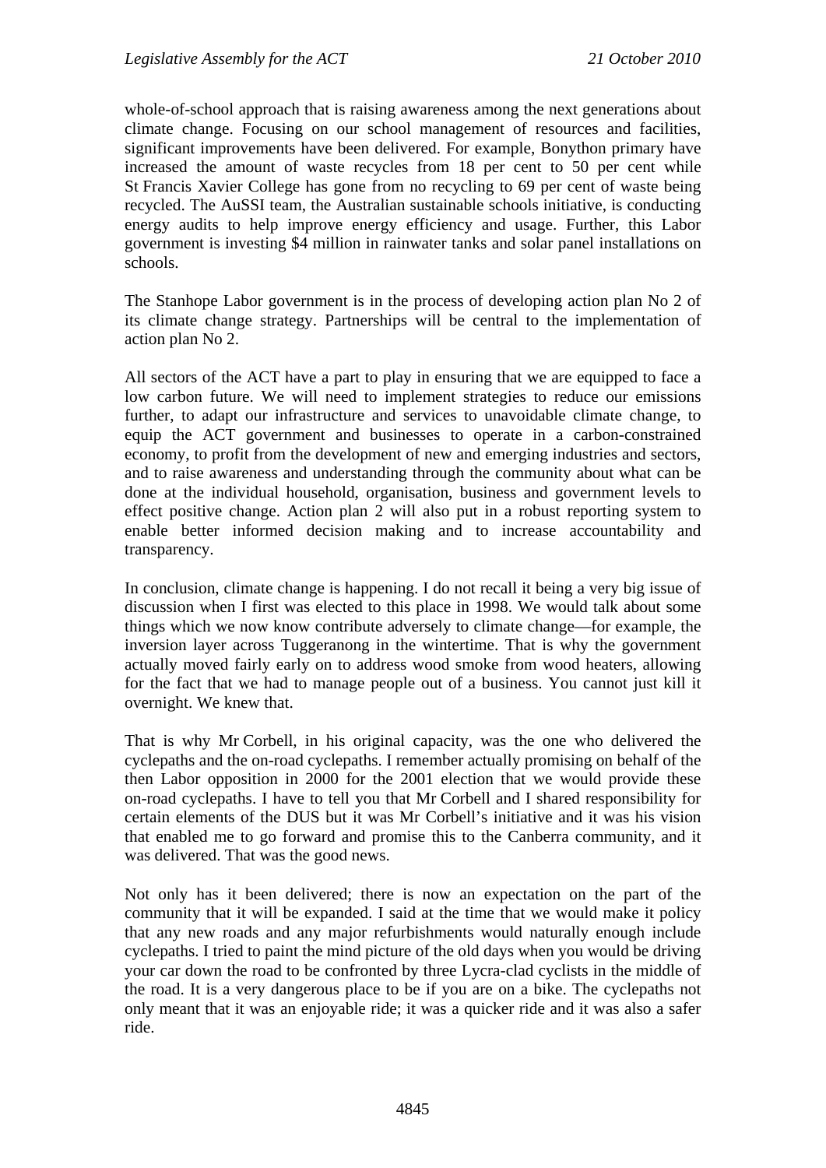whole-of-school approach that is raising awareness among the next generations about climate change. Focusing on our school management of resources and facilities, significant improvements have been delivered. For example, Bonython primary have increased the amount of waste recycles from 18 per cent to 50 per cent while St Francis Xavier College has gone from no recycling to 69 per cent of waste being recycled. The AuSSI team, the Australian sustainable schools initiative, is conducting energy audits to help improve energy efficiency and usage. Further, this Labor government is investing \$4 million in rainwater tanks and solar panel installations on schools.

The Stanhope Labor government is in the process of developing action plan No 2 of its climate change strategy. Partnerships will be central to the implementation of action plan No 2.

All sectors of the ACT have a part to play in ensuring that we are equipped to face a low carbon future. We will need to implement strategies to reduce our emissions further, to adapt our infrastructure and services to unavoidable climate change, to equip the ACT government and businesses to operate in a carbon-constrained economy, to profit from the development of new and emerging industries and sectors, and to raise awareness and understanding through the community about what can be done at the individual household, organisation, business and government levels to effect positive change. Action plan 2 will also put in a robust reporting system to enable better informed decision making and to increase accountability and transparency.

In conclusion, climate change is happening. I do not recall it being a very big issue of discussion when I first was elected to this place in 1998. We would talk about some things which we now know contribute adversely to climate change—for example, the inversion layer across Tuggeranong in the wintertime. That is why the government actually moved fairly early on to address wood smoke from wood heaters, allowing for the fact that we had to manage people out of a business. You cannot just kill it overnight. We knew that.

That is why Mr Corbell, in his original capacity, was the one who delivered the cyclepaths and the on-road cyclepaths. I remember actually promising on behalf of the then Labor opposition in 2000 for the 2001 election that we would provide these on-road cyclepaths. I have to tell you that Mr Corbell and I shared responsibility for certain elements of the DUS but it was Mr Corbell's initiative and it was his vision that enabled me to go forward and promise this to the Canberra community, and it was delivered. That was the good news.

Not only has it been delivered; there is now an expectation on the part of the community that it will be expanded. I said at the time that we would make it policy that any new roads and any major refurbishments would naturally enough include cyclepaths. I tried to paint the mind picture of the old days when you would be driving your car down the road to be confronted by three Lycra-clad cyclists in the middle of the road. It is a very dangerous place to be if you are on a bike. The cyclepaths not only meant that it was an enjoyable ride; it was a quicker ride and it was also a safer ride.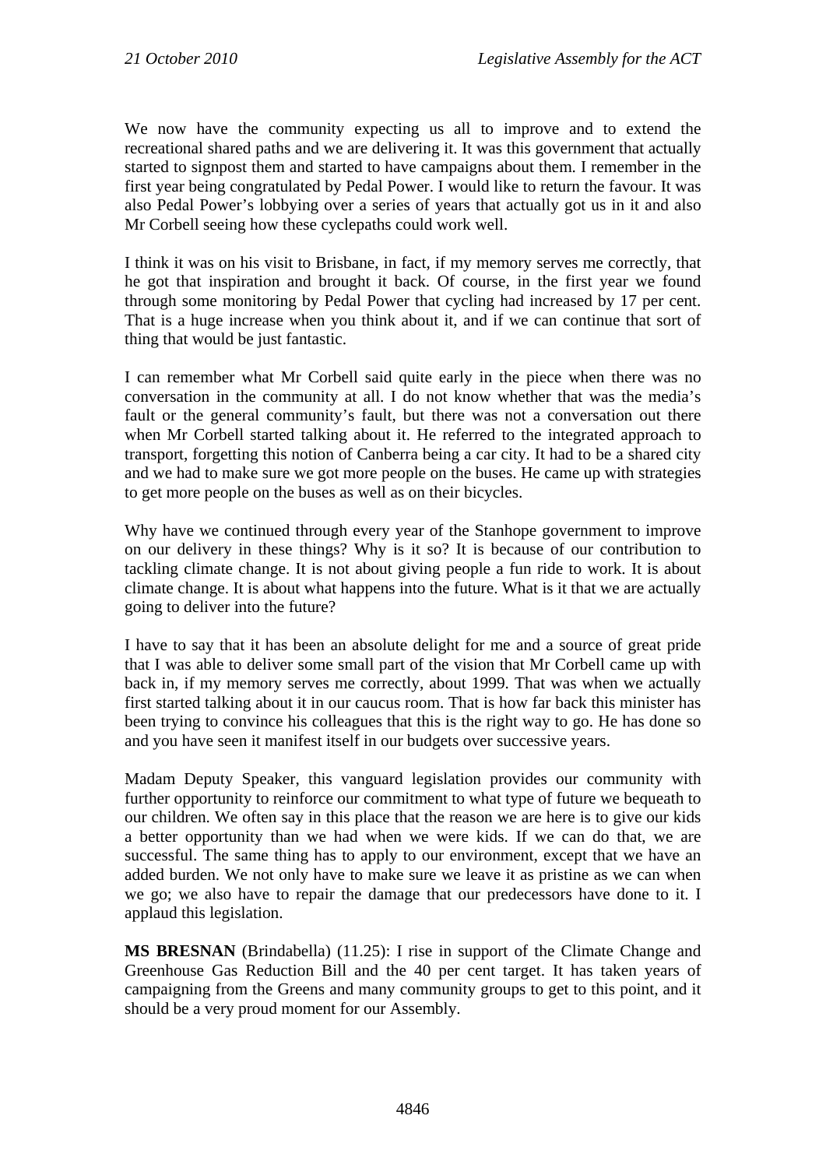We now have the community expecting us all to improve and to extend the recreational shared paths and we are delivering it. It was this government that actually started to signpost them and started to have campaigns about them. I remember in the first year being congratulated by Pedal Power. I would like to return the favour. It was also Pedal Power's lobbying over a series of years that actually got us in it and also Mr Corbell seeing how these cyclepaths could work well.

I think it was on his visit to Brisbane, in fact, if my memory serves me correctly, that he got that inspiration and brought it back. Of course, in the first year we found through some monitoring by Pedal Power that cycling had increased by 17 per cent. That is a huge increase when you think about it, and if we can continue that sort of thing that would be just fantastic.

I can remember what Mr Corbell said quite early in the piece when there was no conversation in the community at all. I do not know whether that was the media's fault or the general community's fault, but there was not a conversation out there when Mr Corbell started talking about it. He referred to the integrated approach to transport, forgetting this notion of Canberra being a car city. It had to be a shared city and we had to make sure we got more people on the buses. He came up with strategies to get more people on the buses as well as on their bicycles.

Why have we continued through every year of the Stanhope government to improve on our delivery in these things? Why is it so? It is because of our contribution to tackling climate change. It is not about giving people a fun ride to work. It is about climate change. It is about what happens into the future. What is it that we are actually going to deliver into the future?

I have to say that it has been an absolute delight for me and a source of great pride that I was able to deliver some small part of the vision that Mr Corbell came up with back in, if my memory serves me correctly, about 1999. That was when we actually first started talking about it in our caucus room. That is how far back this minister has been trying to convince his colleagues that this is the right way to go. He has done so and you have seen it manifest itself in our budgets over successive years.

Madam Deputy Speaker, this vanguard legislation provides our community with further opportunity to reinforce our commitment to what type of future we bequeath to our children. We often say in this place that the reason we are here is to give our kids a better opportunity than we had when we were kids. If we can do that, we are successful. The same thing has to apply to our environment, except that we have an added burden. We not only have to make sure we leave it as pristine as we can when we go; we also have to repair the damage that our predecessors have done to it. I applaud this legislation.

**MS BRESNAN** (Brindabella) (11.25): I rise in support of the Climate Change and Greenhouse Gas Reduction Bill and the 40 per cent target. It has taken years of campaigning from the Greens and many community groups to get to this point, and it should be a very proud moment for our Assembly.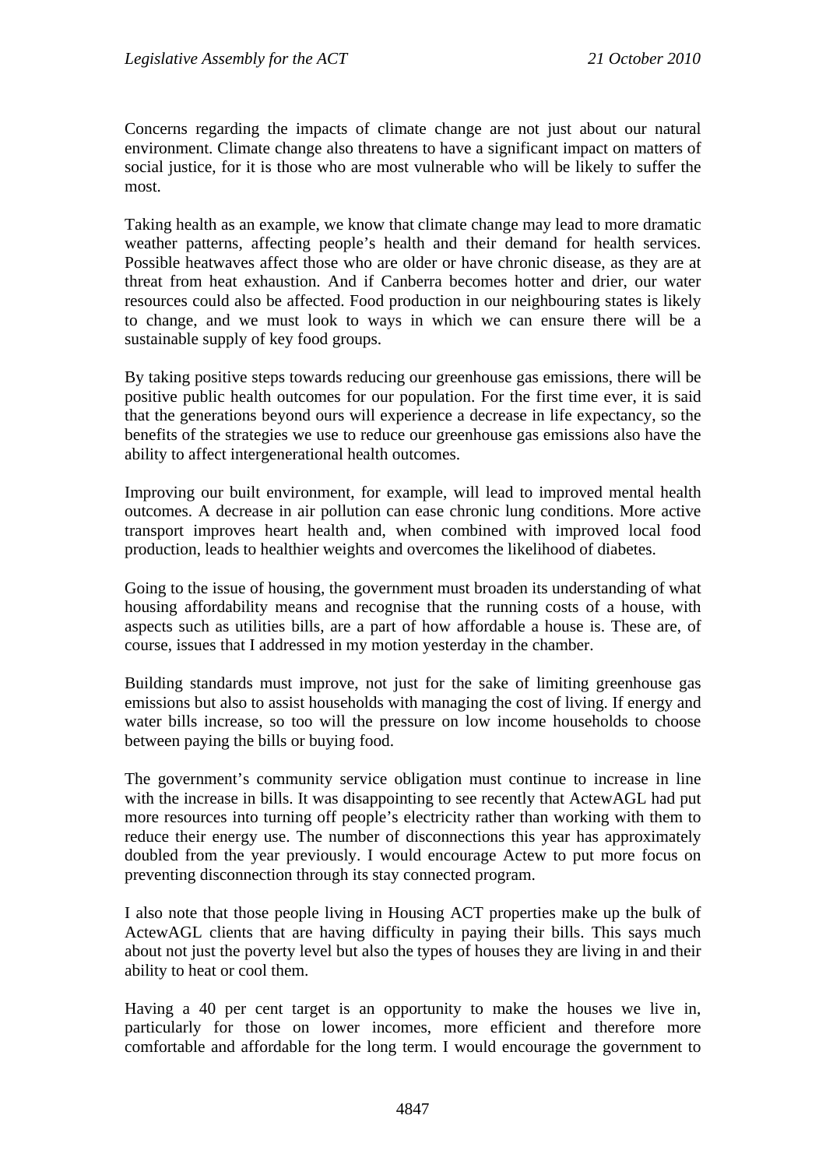Concerns regarding the impacts of climate change are not just about our natural environment. Climate change also threatens to have a significant impact on matters of social justice, for it is those who are most vulnerable who will be likely to suffer the most.

Taking health as an example, we know that climate change may lead to more dramatic weather patterns, affecting people's health and their demand for health services. Possible heatwaves affect those who are older or have chronic disease, as they are at threat from heat exhaustion. And if Canberra becomes hotter and drier, our water resources could also be affected. Food production in our neighbouring states is likely to change, and we must look to ways in which we can ensure there will be a sustainable supply of key food groups.

By taking positive steps towards reducing our greenhouse gas emissions, there will be positive public health outcomes for our population. For the first time ever, it is said that the generations beyond ours will experience a decrease in life expectancy, so the benefits of the strategies we use to reduce our greenhouse gas emissions also have the ability to affect intergenerational health outcomes.

Improving our built environment, for example, will lead to improved mental health outcomes. A decrease in air pollution can ease chronic lung conditions. More active transport improves heart health and, when combined with improved local food production, leads to healthier weights and overcomes the likelihood of diabetes.

Going to the issue of housing, the government must broaden its understanding of what housing affordability means and recognise that the running costs of a house, with aspects such as utilities bills, are a part of how affordable a house is. These are, of course, issues that I addressed in my motion yesterday in the chamber.

Building standards must improve, not just for the sake of limiting greenhouse gas emissions but also to assist households with managing the cost of living. If energy and water bills increase, so too will the pressure on low income households to choose between paying the bills or buying food.

The government's community service obligation must continue to increase in line with the increase in bills. It was disappointing to see recently that ActewAGL had put more resources into turning off people's electricity rather than working with them to reduce their energy use. The number of disconnections this year has approximately doubled from the year previously. I would encourage Actew to put more focus on preventing disconnection through its stay connected program.

I also note that those people living in Housing ACT properties make up the bulk of ActewAGL clients that are having difficulty in paying their bills. This says much about not just the poverty level but also the types of houses they are living in and their ability to heat or cool them.

Having a 40 per cent target is an opportunity to make the houses we live in, particularly for those on lower incomes, more efficient and therefore more comfortable and affordable for the long term. I would encourage the government to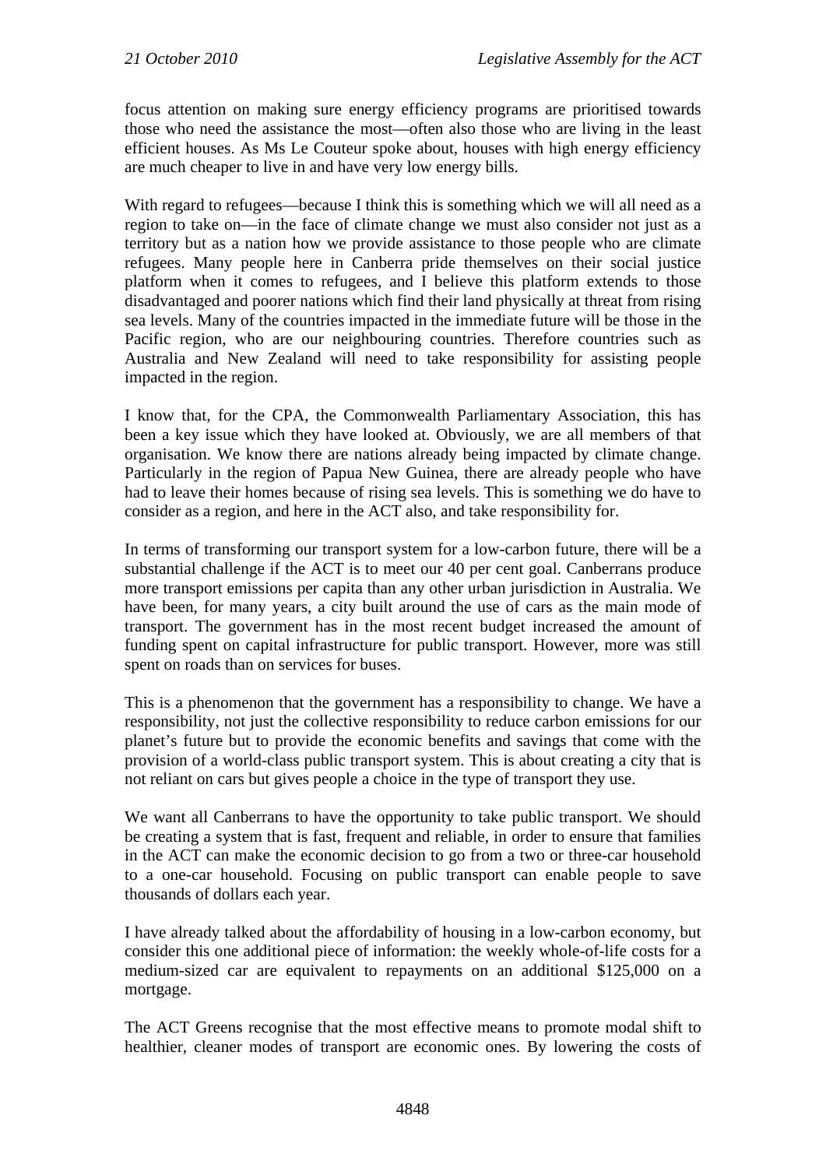focus attention on making sure energy efficiency programs are prioritised towards those who need the assistance the most—often also those who are living in the least efficient houses. As Ms Le Couteur spoke about, houses with high energy efficiency are much cheaper to live in and have very low energy bills.

With regard to refugees—because I think this is something which we will all need as a region to take on—in the face of climate change we must also consider not just as a territory but as a nation how we provide assistance to those people who are climate refugees. Many people here in Canberra pride themselves on their social justice platform when it comes to refugees, and I believe this platform extends to those disadvantaged and poorer nations which find their land physically at threat from rising sea levels. Many of the countries impacted in the immediate future will be those in the Pacific region, who are our neighbouring countries. Therefore countries such as Australia and New Zealand will need to take responsibility for assisting people impacted in the region.

I know that, for the CPA, the Commonwealth Parliamentary Association, this has been a key issue which they have looked at. Obviously, we are all members of that organisation. We know there are nations already being impacted by climate change. Particularly in the region of Papua New Guinea, there are already people who have had to leave their homes because of rising sea levels. This is something we do have to consider as a region, and here in the ACT also, and take responsibility for.

In terms of transforming our transport system for a low-carbon future, there will be a substantial challenge if the ACT is to meet our 40 per cent goal. Canberrans produce more transport emissions per capita than any other urban jurisdiction in Australia. We have been, for many years, a city built around the use of cars as the main mode of transport. The government has in the most recent budget increased the amount of funding spent on capital infrastructure for public transport. However, more was still spent on roads than on services for buses.

This is a phenomenon that the government has a responsibility to change. We have a responsibility, not just the collective responsibility to reduce carbon emissions for our planet's future but to provide the economic benefits and savings that come with the provision of a world-class public transport system. This is about creating a city that is not reliant on cars but gives people a choice in the type of transport they use.

We want all Canberrans to have the opportunity to take public transport. We should be creating a system that is fast, frequent and reliable, in order to ensure that families in the ACT can make the economic decision to go from a two or three-car household to a one-car household. Focusing on public transport can enable people to save thousands of dollars each year.

I have already talked about the affordability of housing in a low-carbon economy, but consider this one additional piece of information: the weekly whole-of-life costs for a medium-sized car are equivalent to repayments on an additional \$125,000 on a mortgage.

The ACT Greens recognise that the most effective means to promote modal shift to healthier, cleaner modes of transport are economic ones. By lowering the costs of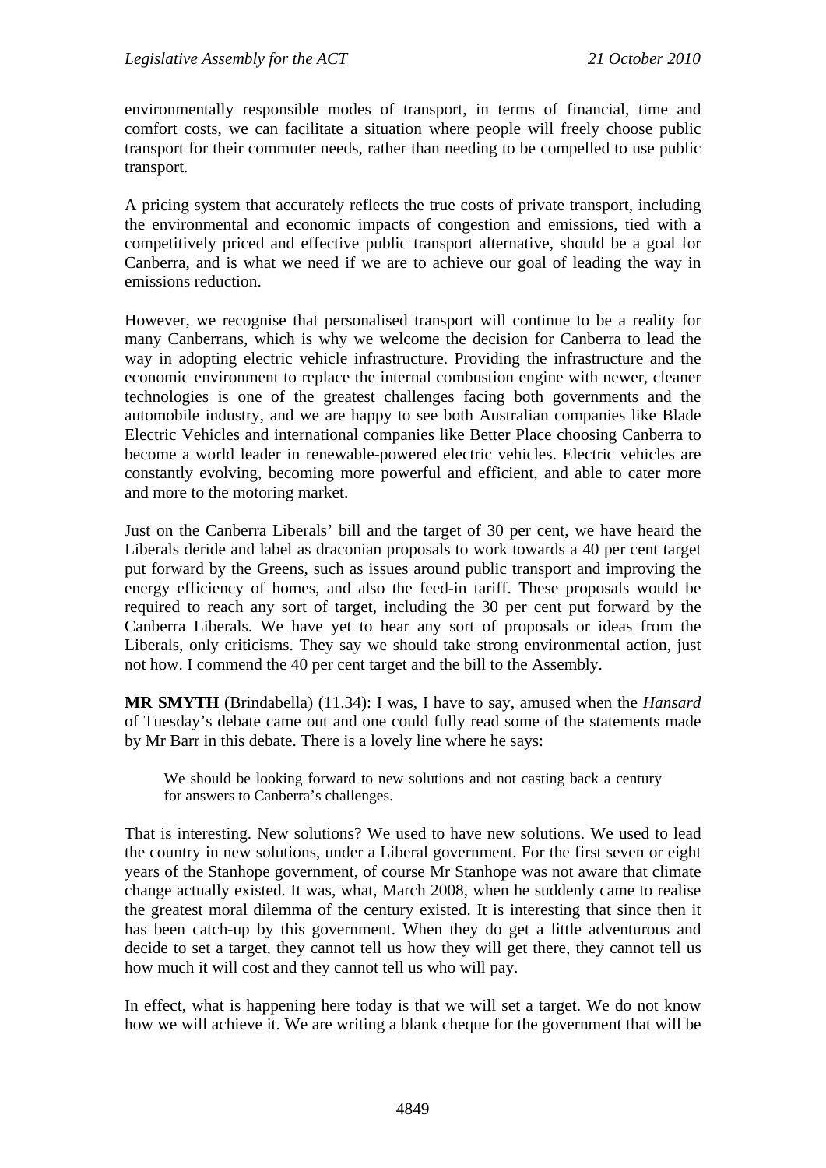environmentally responsible modes of transport, in terms of financial, time and comfort costs, we can facilitate a situation where people will freely choose public transport for their commuter needs, rather than needing to be compelled to use public transport.

A pricing system that accurately reflects the true costs of private transport, including the environmental and economic impacts of congestion and emissions, tied with a competitively priced and effective public transport alternative, should be a goal for Canberra, and is what we need if we are to achieve our goal of leading the way in emissions reduction.

However, we recognise that personalised transport will continue to be a reality for many Canberrans, which is why we welcome the decision for Canberra to lead the way in adopting electric vehicle infrastructure. Providing the infrastructure and the economic environment to replace the internal combustion engine with newer, cleaner technologies is one of the greatest challenges facing both governments and the automobile industry, and we are happy to see both Australian companies like Blade Electric Vehicles and international companies like Better Place choosing Canberra to become a world leader in renewable-powered electric vehicles. Electric vehicles are constantly evolving, becoming more powerful and efficient, and able to cater more and more to the motoring market.

Just on the Canberra Liberals' bill and the target of 30 per cent, we have heard the Liberals deride and label as draconian proposals to work towards a 40 per cent target put forward by the Greens, such as issues around public transport and improving the energy efficiency of homes, and also the feed-in tariff. These proposals would be required to reach any sort of target, including the 30 per cent put forward by the Canberra Liberals. We have yet to hear any sort of proposals or ideas from the Liberals, only criticisms. They say we should take strong environmental action, just not how. I commend the 40 per cent target and the bill to the Assembly.

**MR SMYTH** (Brindabella) (11.34): I was, I have to say, amused when the *Hansard* of Tuesday's debate came out and one could fully read some of the statements made by Mr Barr in this debate. There is a lovely line where he says:

We should be looking forward to new solutions and not casting back a century for answers to Canberra's challenges.

That is interesting. New solutions? We used to have new solutions. We used to lead the country in new solutions, under a Liberal government. For the first seven or eight years of the Stanhope government, of course Mr Stanhope was not aware that climate change actually existed. It was, what, March 2008, when he suddenly came to realise the greatest moral dilemma of the century existed. It is interesting that since then it has been catch-up by this government. When they do get a little adventurous and decide to set a target, they cannot tell us how they will get there, they cannot tell us how much it will cost and they cannot tell us who will pay.

In effect, what is happening here today is that we will set a target. We do not know how we will achieve it. We are writing a blank cheque for the government that will be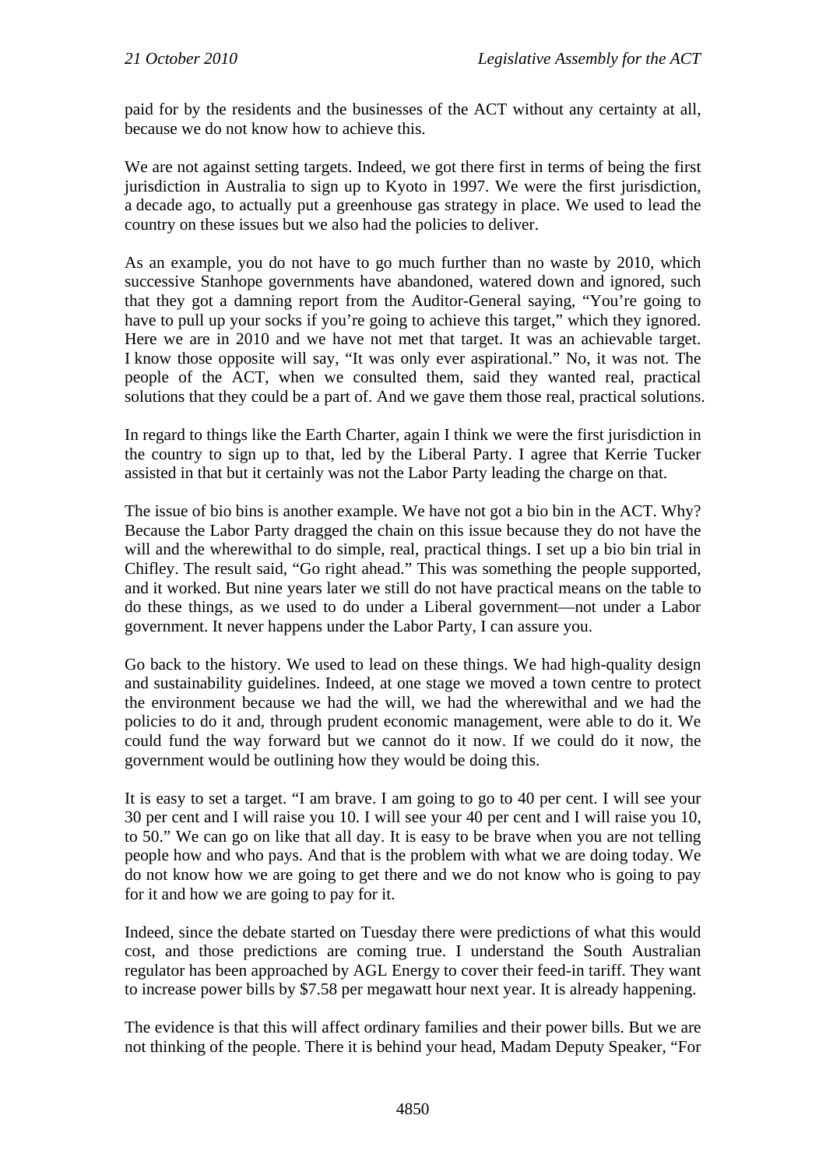paid for by the residents and the businesses of the ACT without any certainty at all, because we do not know how to achieve this.

We are not against setting targets. Indeed, we got there first in terms of being the first jurisdiction in Australia to sign up to Kyoto in 1997. We were the first jurisdiction, a decade ago, to actually put a greenhouse gas strategy in place. We used to lead the country on these issues but we also had the policies to deliver.

As an example, you do not have to go much further than no waste by 2010, which successive Stanhope governments have abandoned, watered down and ignored, such that they got a damning report from the Auditor-General saying, "You're going to have to pull up your socks if you're going to achieve this target," which they ignored. Here we are in 2010 and we have not met that target. It was an achievable target. I know those opposite will say, "It was only ever aspirational." No, it was not. The people of the ACT, when we consulted them, said they wanted real, practical solutions that they could be a part of. And we gave them those real, practical solutions.

In regard to things like the Earth Charter, again I think we were the first jurisdiction in the country to sign up to that, led by the Liberal Party. I agree that Kerrie Tucker assisted in that but it certainly was not the Labor Party leading the charge on that.

The issue of bio bins is another example. We have not got a bio bin in the ACT. Why? Because the Labor Party dragged the chain on this issue because they do not have the will and the wherewithal to do simple, real, practical things. I set up a bio bin trial in Chifley. The result said, "Go right ahead." This was something the people supported, and it worked. But nine years later we still do not have practical means on the table to do these things, as we used to do under a Liberal government—not under a Labor government. It never happens under the Labor Party, I can assure you.

Go back to the history. We used to lead on these things. We had high-quality design and sustainability guidelines. Indeed, at one stage we moved a town centre to protect the environment because we had the will, we had the wherewithal and we had the policies to do it and, through prudent economic management, were able to do it. We could fund the way forward but we cannot do it now. If we could do it now, the government would be outlining how they would be doing this.

It is easy to set a target. "I am brave. I am going to go to 40 per cent. I will see your 30 per cent and I will raise you 10. I will see your 40 per cent and I will raise you 10, to 50." We can go on like that all day. It is easy to be brave when you are not telling people how and who pays. And that is the problem with what we are doing today. We do not know how we are going to get there and we do not know who is going to pay for it and how we are going to pay for it.

Indeed, since the debate started on Tuesday there were predictions of what this would cost, and those predictions are coming true. I understand the South Australian regulator has been approached by AGL Energy to cover their feed-in tariff. They want to increase power bills by \$7.58 per megawatt hour next year. It is already happening.

The evidence is that this will affect ordinary families and their power bills. But we are not thinking of the people. There it is behind your head, Madam Deputy Speaker, "For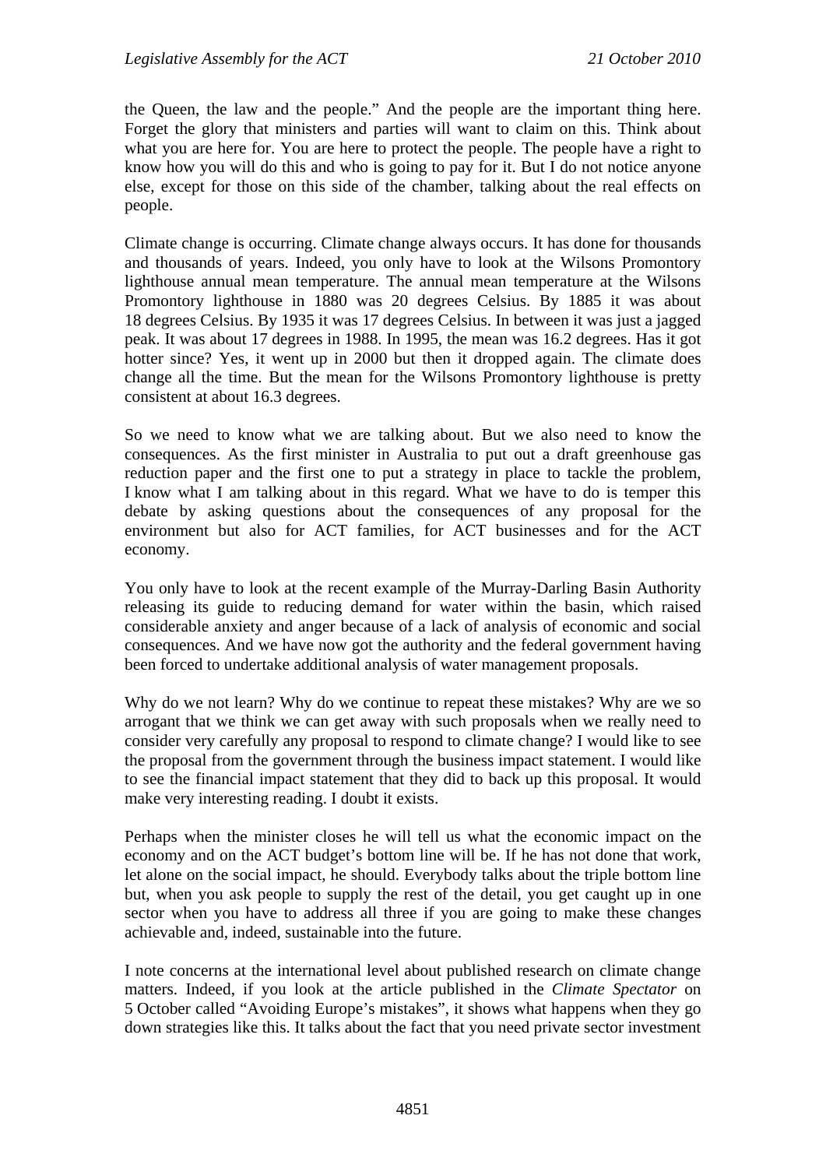the Queen, the law and the people." And the people are the important thing here. Forget the glory that ministers and parties will want to claim on this. Think about what you are here for. You are here to protect the people. The people have a right to know how you will do this and who is going to pay for it. But I do not notice anyone else, except for those on this side of the chamber, talking about the real effects on people.

Climate change is occurring. Climate change always occurs. It has done for thousands and thousands of years. Indeed, you only have to look at the Wilsons Promontory lighthouse annual mean temperature. The annual mean temperature at the Wilsons Promontory lighthouse in 1880 was 20 degrees Celsius. By 1885 it was about 18 degrees Celsius. By 1935 it was 17 degrees Celsius. In between it was just a jagged peak. It was about 17 degrees in 1988. In 1995, the mean was 16.2 degrees. Has it got hotter since? Yes, it went up in 2000 but then it dropped again. The climate does change all the time. But the mean for the Wilsons Promontory lighthouse is pretty consistent at about 16.3 degrees.

So we need to know what we are talking about. But we also need to know the consequences. As the first minister in Australia to put out a draft greenhouse gas reduction paper and the first one to put a strategy in place to tackle the problem, I know what I am talking about in this regard. What we have to do is temper this debate by asking questions about the consequences of any proposal for the environment but also for ACT families, for ACT businesses and for the ACT economy.

You only have to look at the recent example of the Murray-Darling Basin Authority releasing its guide to reducing demand for water within the basin, which raised considerable anxiety and anger because of a lack of analysis of economic and social consequences. And we have now got the authority and the federal government having been forced to undertake additional analysis of water management proposals.

Why do we not learn? Why do we continue to repeat these mistakes? Why are we so arrogant that we think we can get away with such proposals when we really need to consider very carefully any proposal to respond to climate change? I would like to see the proposal from the government through the business impact statement. I would like to see the financial impact statement that they did to back up this proposal. It would make very interesting reading. I doubt it exists.

Perhaps when the minister closes he will tell us what the economic impact on the economy and on the ACT budget's bottom line will be. If he has not done that work, let alone on the social impact, he should. Everybody talks about the triple bottom line but, when you ask people to supply the rest of the detail, you get caught up in one sector when you have to address all three if you are going to make these changes achievable and, indeed, sustainable into the future.

I note concerns at the international level about published research on climate change matters. Indeed, if you look at the article published in the *Climate Spectator* on 5 October called "Avoiding Europe's mistakes", it shows what happens when they go down strategies like this. It talks about the fact that you need private sector investment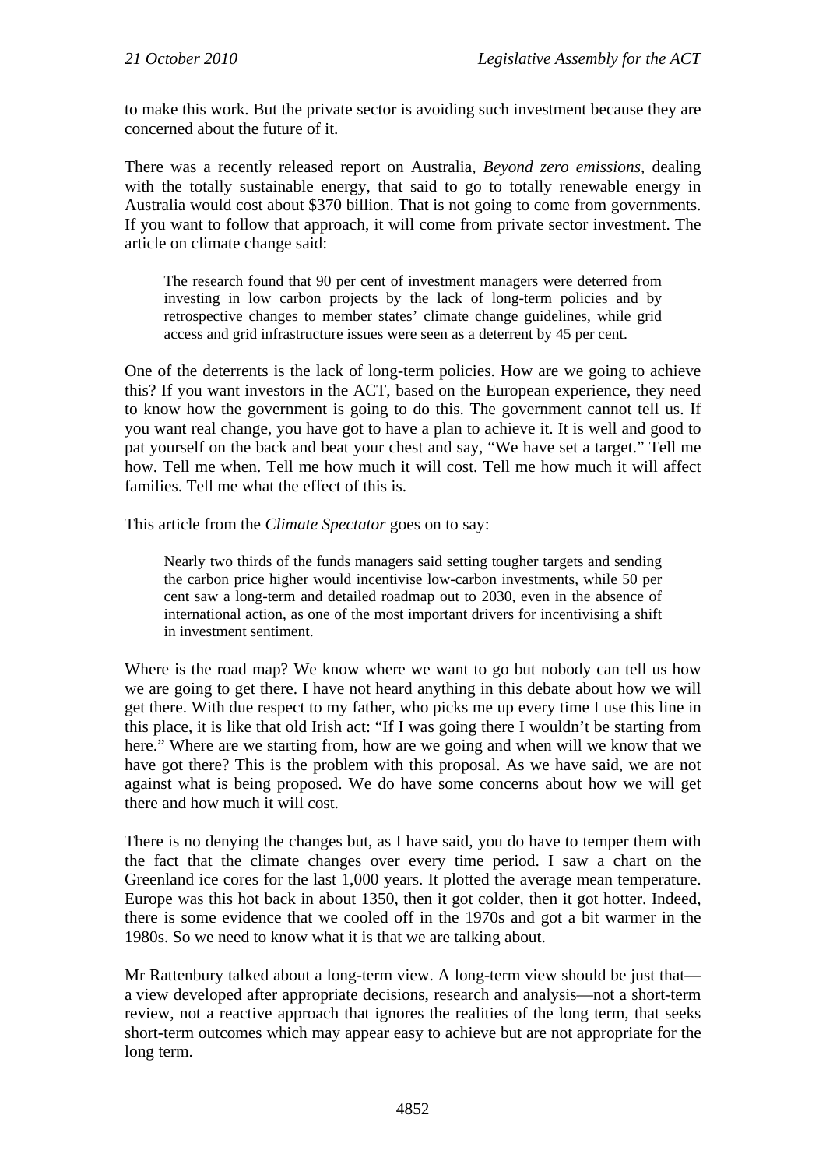to make this work. But the private sector is avoiding such investment because they are concerned about the future of it.

There was a recently released report on Australia, *Beyond zero emissions*, dealing with the totally sustainable energy, that said to go to totally renewable energy in Australia would cost about \$370 billion. That is not going to come from governments. If you want to follow that approach, it will come from private sector investment. The article on climate change said:

The research found that 90 per cent of investment managers were deterred from investing in low carbon projects by the lack of long-term policies and by retrospective changes to member states' climate change guidelines, while grid access and grid infrastructure issues were seen as a deterrent by 45 per cent.

One of the deterrents is the lack of long-term policies. How are we going to achieve this? If you want investors in the ACT, based on the European experience, they need to know how the government is going to do this. The government cannot tell us. If you want real change, you have got to have a plan to achieve it. It is well and good to pat yourself on the back and beat your chest and say, "We have set a target." Tell me how. Tell me when. Tell me how much it will cost. Tell me how much it will affect families. Tell me what the effect of this is.

This article from the *Climate Spectator* goes on to say:

Nearly two thirds of the funds managers said setting tougher targets and sending the carbon price higher would incentivise low-carbon investments, while 50 per cent saw a long-term and detailed roadmap out to 2030, even in the absence of international action, as one of the most important drivers for incentivising a shift in investment sentiment.

Where is the road map? We know where we want to go but nobody can tell us how we are going to get there. I have not heard anything in this debate about how we will get there. With due respect to my father, who picks me up every time I use this line in this place, it is like that old Irish act: "If I was going there I wouldn't be starting from here." Where are we starting from, how are we going and when will we know that we have got there? This is the problem with this proposal. As we have said, we are not against what is being proposed. We do have some concerns about how we will get there and how much it will cost.

There is no denying the changes but, as I have said, you do have to temper them with the fact that the climate changes over every time period. I saw a chart on the Greenland ice cores for the last 1,000 years. It plotted the average mean temperature. Europe was this hot back in about 1350, then it got colder, then it got hotter. Indeed, there is some evidence that we cooled off in the 1970s and got a bit warmer in the 1980s. So we need to know what it is that we are talking about.

Mr Rattenbury talked about a long-term view. A long-term view should be just that a view developed after appropriate decisions, research and analysis—not a short-term review, not a reactive approach that ignores the realities of the long term, that seeks short-term outcomes which may appear easy to achieve but are not appropriate for the long term.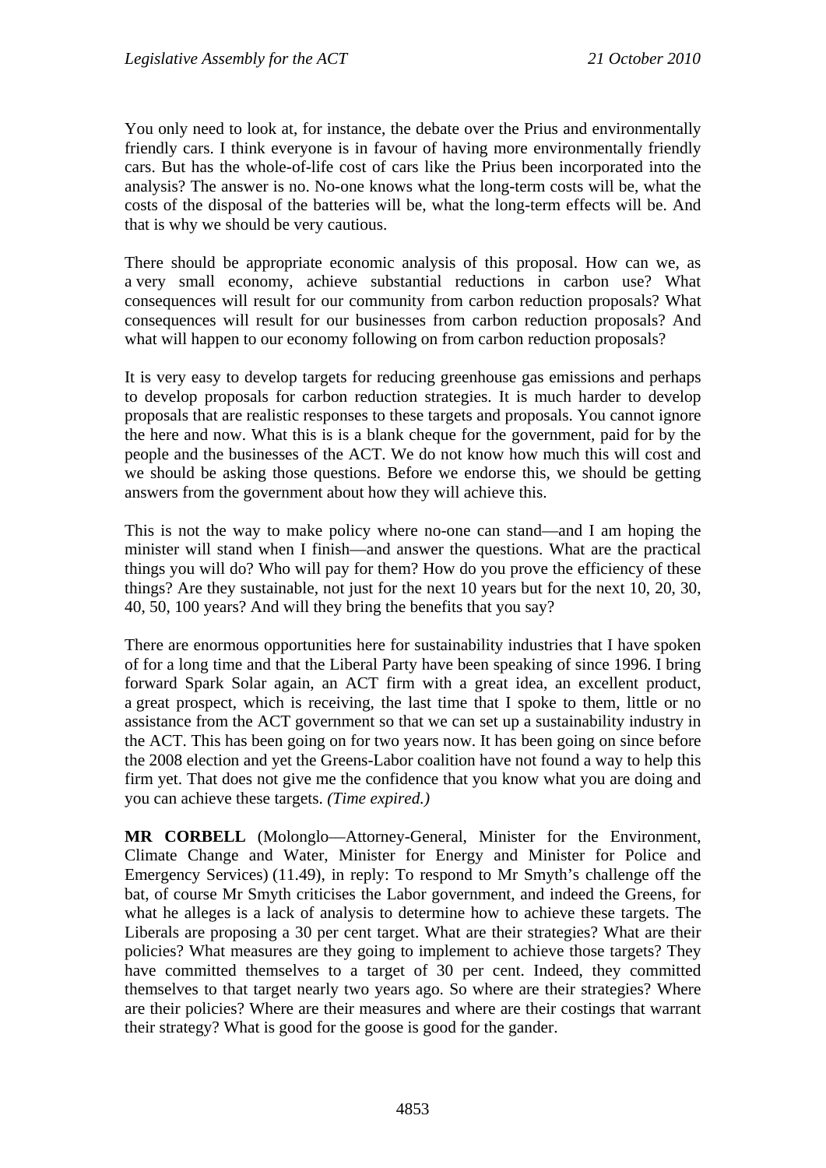You only need to look at, for instance, the debate over the Prius and environmentally friendly cars. I think everyone is in favour of having more environmentally friendly cars. But has the whole-of-life cost of cars like the Prius been incorporated into the analysis? The answer is no. No-one knows what the long-term costs will be, what the costs of the disposal of the batteries will be, what the long-term effects will be. And that is why we should be very cautious.

There should be appropriate economic analysis of this proposal. How can we, as a very small economy, achieve substantial reductions in carbon use? What consequences will result for our community from carbon reduction proposals? What consequences will result for our businesses from carbon reduction proposals? And what will happen to our economy following on from carbon reduction proposals?

It is very easy to develop targets for reducing greenhouse gas emissions and perhaps to develop proposals for carbon reduction strategies. It is much harder to develop proposals that are realistic responses to these targets and proposals. You cannot ignore the here and now. What this is is a blank cheque for the government, paid for by the people and the businesses of the ACT. We do not know how much this will cost and we should be asking those questions. Before we endorse this, we should be getting answers from the government about how they will achieve this.

This is not the way to make policy where no-one can stand—and I am hoping the minister will stand when I finish—and answer the questions. What are the practical things you will do? Who will pay for them? How do you prove the efficiency of these things? Are they sustainable, not just for the next 10 years but for the next 10, 20, 30, 40, 50, 100 years? And will they bring the benefits that you say?

There are enormous opportunities here for sustainability industries that I have spoken of for a long time and that the Liberal Party have been speaking of since 1996. I bring forward Spark Solar again, an ACT firm with a great idea, an excellent product, a great prospect, which is receiving, the last time that I spoke to them, little or no assistance from the ACT government so that we can set up a sustainability industry in the ACT. This has been going on for two years now. It has been going on since before the 2008 election and yet the Greens-Labor coalition have not found a way to help this firm yet. That does not give me the confidence that you know what you are doing and you can achieve these targets. *(Time expired.)* 

**MR CORBELL** (Molonglo—Attorney-General, Minister for the Environment, Climate Change and Water, Minister for Energy and Minister for Police and Emergency Services) (11.49), in reply: To respond to Mr Smyth's challenge off the bat, of course Mr Smyth criticises the Labor government, and indeed the Greens, for what he alleges is a lack of analysis to determine how to achieve these targets. The Liberals are proposing a 30 per cent target. What are their strategies? What are their policies? What measures are they going to implement to achieve those targets? They have committed themselves to a target of 30 per cent. Indeed, they committed themselves to that target nearly two years ago. So where are their strategies? Where are their policies? Where are their measures and where are their costings that warrant their strategy? What is good for the goose is good for the gander.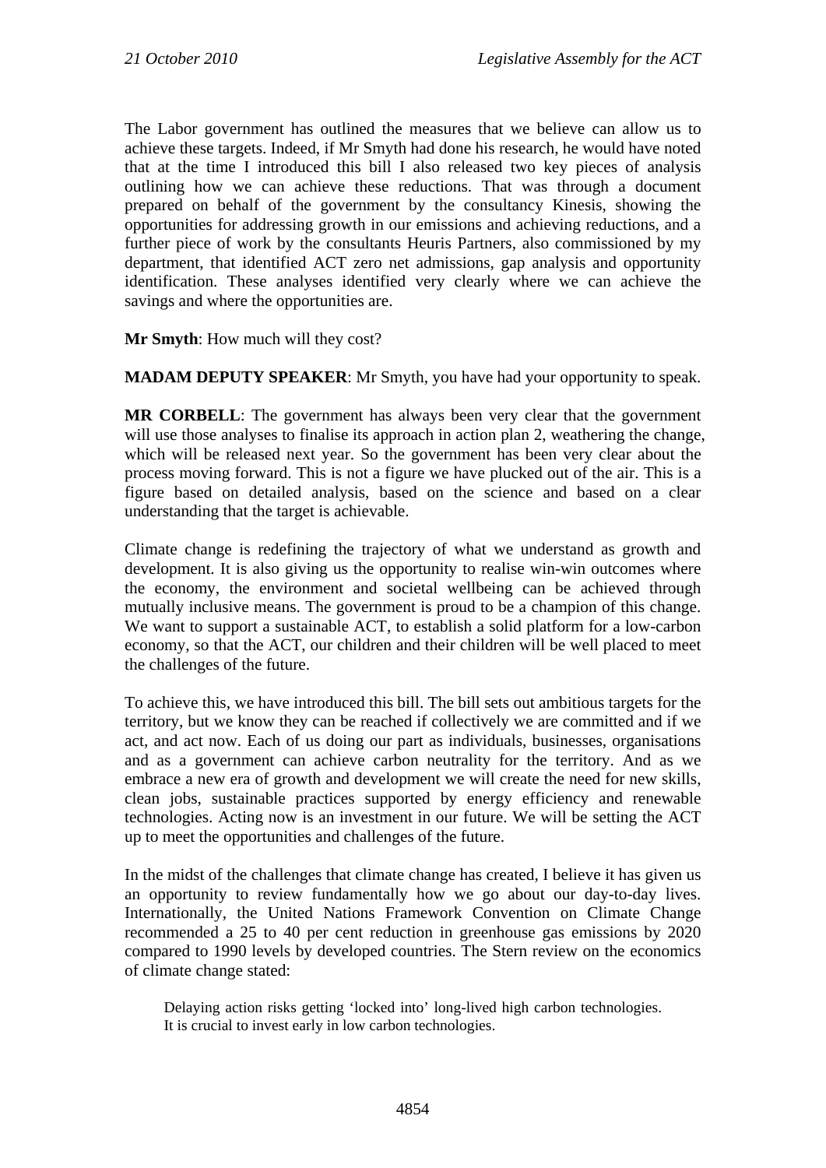The Labor government has outlined the measures that we believe can allow us to achieve these targets. Indeed, if Mr Smyth had done his research, he would have noted that at the time I introduced this bill I also released two key pieces of analysis outlining how we can achieve these reductions. That was through a document prepared on behalf of the government by the consultancy Kinesis, showing the opportunities for addressing growth in our emissions and achieving reductions, and a further piece of work by the consultants Heuris Partners, also commissioned by my department, that identified ACT zero net admissions, gap analysis and opportunity identification. These analyses identified very clearly where we can achieve the savings and where the opportunities are.

**Mr Smyth**: How much will they cost?

**MADAM DEPUTY SPEAKER**: Mr Smyth, you have had your opportunity to speak.

**MR CORBELL**: The government has always been very clear that the government will use those analyses to finalise its approach in action plan 2, weathering the change, which will be released next year. So the government has been very clear about the process moving forward. This is not a figure we have plucked out of the air. This is a figure based on detailed analysis, based on the science and based on a clear understanding that the target is achievable.

Climate change is redefining the trajectory of what we understand as growth and development. It is also giving us the opportunity to realise win-win outcomes where the economy, the environment and societal wellbeing can be achieved through mutually inclusive means. The government is proud to be a champion of this change. We want to support a sustainable ACT, to establish a solid platform for a low-carbon economy, so that the ACT, our children and their children will be well placed to meet the challenges of the future.

To achieve this, we have introduced this bill. The bill sets out ambitious targets for the territory, but we know they can be reached if collectively we are committed and if we act, and act now. Each of us doing our part as individuals, businesses, organisations and as a government can achieve carbon neutrality for the territory. And as we embrace a new era of growth and development we will create the need for new skills, clean jobs, sustainable practices supported by energy efficiency and renewable technologies. Acting now is an investment in our future. We will be setting the ACT up to meet the opportunities and challenges of the future.

In the midst of the challenges that climate change has created, I believe it has given us an opportunity to review fundamentally how we go about our day-to-day lives. Internationally, the United Nations Framework Convention on Climate Change recommended a 25 to 40 per cent reduction in greenhouse gas emissions by 2020 compared to 1990 levels by developed countries. The Stern review on the economics of climate change stated:

Delaying action risks getting 'locked into' long-lived high carbon technologies. It is crucial to invest early in low carbon technologies.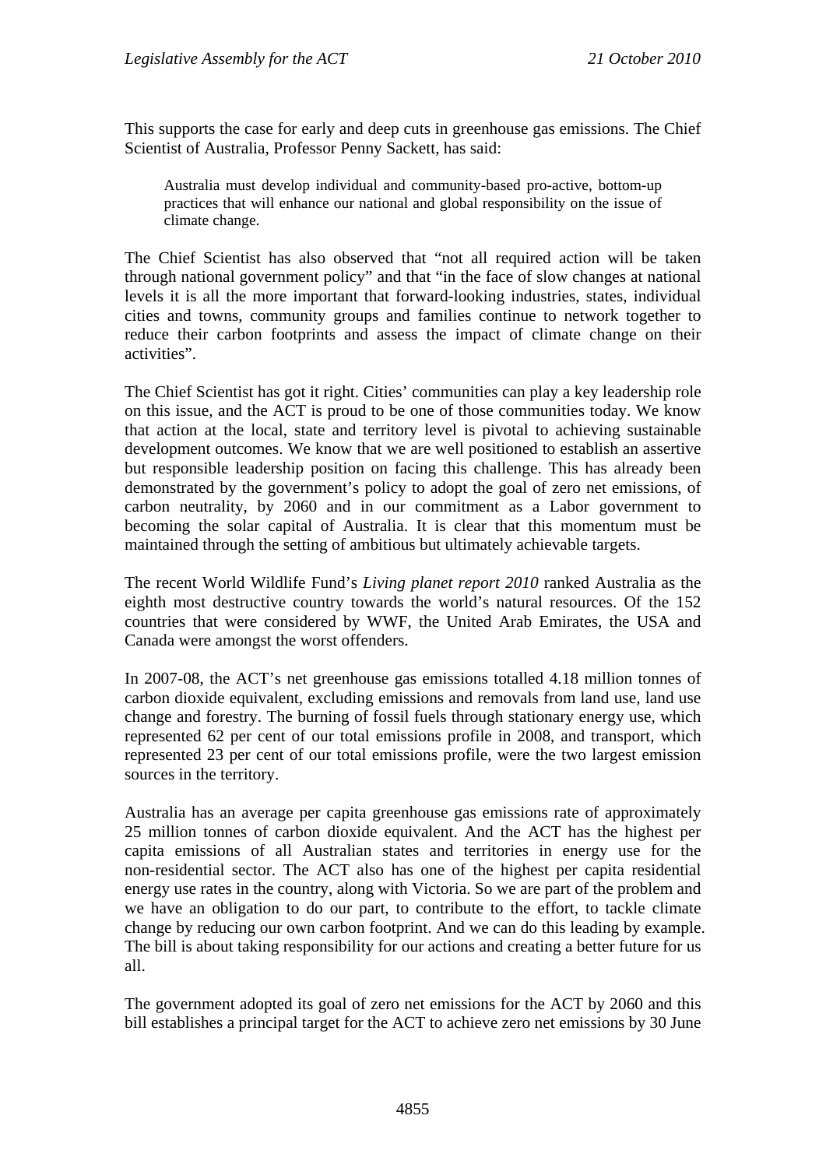This supports the case for early and deep cuts in greenhouse gas emissions. The Chief Scientist of Australia, Professor Penny Sackett, has said:

Australia must develop individual and community-based pro-active, bottom-up practices that will enhance our national and global responsibility on the issue of climate change.

The Chief Scientist has also observed that "not all required action will be taken through national government policy" and that "in the face of slow changes at national levels it is all the more important that forward-looking industries, states, individual cities and towns, community groups and families continue to network together to reduce their carbon footprints and assess the impact of climate change on their activities".

The Chief Scientist has got it right. Cities' communities can play a key leadership role on this issue, and the ACT is proud to be one of those communities today. We know that action at the local, state and territory level is pivotal to achieving sustainable development outcomes. We know that we are well positioned to establish an assertive but responsible leadership position on facing this challenge. This has already been demonstrated by the government's policy to adopt the goal of zero net emissions, of carbon neutrality, by 2060 and in our commitment as a Labor government to becoming the solar capital of Australia. It is clear that this momentum must be maintained through the setting of ambitious but ultimately achievable targets.

The recent World Wildlife Fund's *Living planet report 2010* ranked Australia as the eighth most destructive country towards the world's natural resources. Of the 152 countries that were considered by WWF, the United Arab Emirates, the USA and Canada were amongst the worst offenders.

In 2007-08, the ACT's net greenhouse gas emissions totalled 4.18 million tonnes of carbon dioxide equivalent, excluding emissions and removals from land use, land use change and forestry. The burning of fossil fuels through stationary energy use, which represented 62 per cent of our total emissions profile in 2008, and transport, which represented 23 per cent of our total emissions profile, were the two largest emission sources in the territory.

Australia has an average per capita greenhouse gas emissions rate of approximately 25 million tonnes of carbon dioxide equivalent. And the ACT has the highest per capita emissions of all Australian states and territories in energy use for the non-residential sector. The ACT also has one of the highest per capita residential energy use rates in the country, along with Victoria. So we are part of the problem and we have an obligation to do our part, to contribute to the effort, to tackle climate change by reducing our own carbon footprint. And we can do this leading by example. The bill is about taking responsibility for our actions and creating a better future for us all.

The government adopted its goal of zero net emissions for the ACT by 2060 and this bill establishes a principal target for the ACT to achieve zero net emissions by 30 June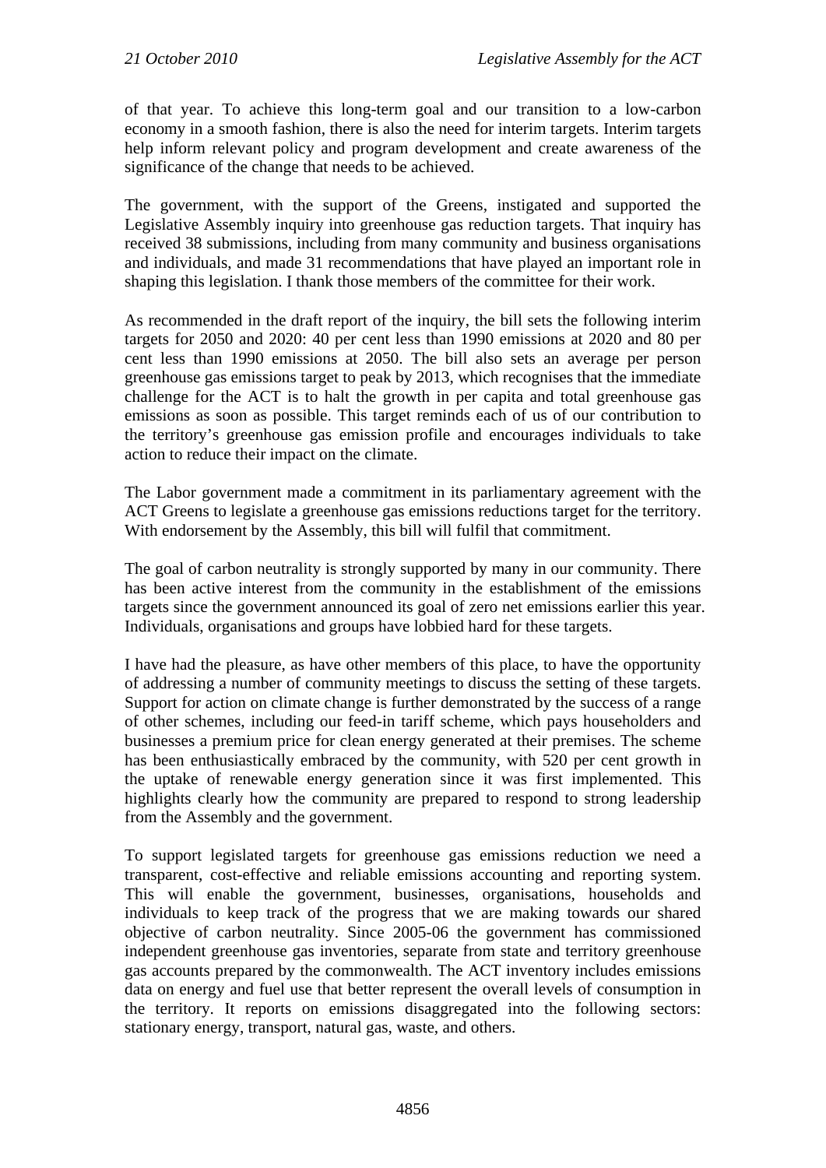of that year. To achieve this long-term goal and our transition to a low-carbon economy in a smooth fashion, there is also the need for interim targets. Interim targets help inform relevant policy and program development and create awareness of the significance of the change that needs to be achieved.

The government, with the support of the Greens, instigated and supported the Legislative Assembly inquiry into greenhouse gas reduction targets. That inquiry has received 38 submissions, including from many community and business organisations and individuals, and made 31 recommendations that have played an important role in shaping this legislation. I thank those members of the committee for their work.

As recommended in the draft report of the inquiry, the bill sets the following interim targets for 2050 and 2020: 40 per cent less than 1990 emissions at 2020 and 80 per cent less than 1990 emissions at 2050. The bill also sets an average per person greenhouse gas emissions target to peak by 2013, which recognises that the immediate challenge for the ACT is to halt the growth in per capita and total greenhouse gas emissions as soon as possible. This target reminds each of us of our contribution to the territory's greenhouse gas emission profile and encourages individuals to take action to reduce their impact on the climate.

The Labor government made a commitment in its parliamentary agreement with the ACT Greens to legislate a greenhouse gas emissions reductions target for the territory. With endorsement by the Assembly, this bill will fulfil that commitment.

The goal of carbon neutrality is strongly supported by many in our community. There has been active interest from the community in the establishment of the emissions targets since the government announced its goal of zero net emissions earlier this year. Individuals, organisations and groups have lobbied hard for these targets.

I have had the pleasure, as have other members of this place, to have the opportunity of addressing a number of community meetings to discuss the setting of these targets. Support for action on climate change is further demonstrated by the success of a range of other schemes, including our feed-in tariff scheme, which pays householders and businesses a premium price for clean energy generated at their premises. The scheme has been enthusiastically embraced by the community, with 520 per cent growth in the uptake of renewable energy generation since it was first implemented. This highlights clearly how the community are prepared to respond to strong leadership from the Assembly and the government.

To support legislated targets for greenhouse gas emissions reduction we need a transparent, cost-effective and reliable emissions accounting and reporting system. This will enable the government, businesses, organisations, households and individuals to keep track of the progress that we are making towards our shared objective of carbon neutrality. Since 2005-06 the government has commissioned independent greenhouse gas inventories, separate from state and territory greenhouse gas accounts prepared by the commonwealth. The ACT inventory includes emissions data on energy and fuel use that better represent the overall levels of consumption in the territory. It reports on emissions disaggregated into the following sectors: stationary energy, transport, natural gas, waste, and others.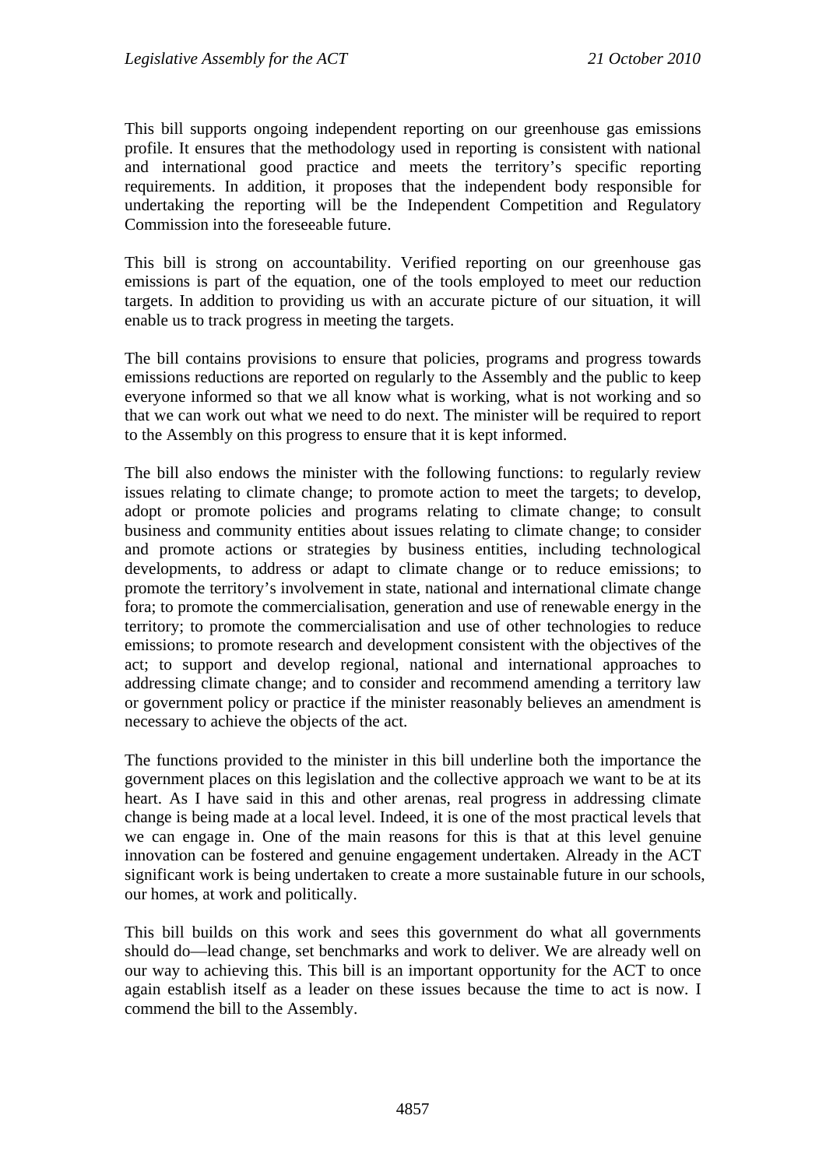This bill supports ongoing independent reporting on our greenhouse gas emissions profile. It ensures that the methodology used in reporting is consistent with national and international good practice and meets the territory's specific reporting requirements. In addition, it proposes that the independent body responsible for undertaking the reporting will be the Independent Competition and Regulatory Commission into the foreseeable future.

This bill is strong on accountability. Verified reporting on our greenhouse gas emissions is part of the equation, one of the tools employed to meet our reduction targets. In addition to providing us with an accurate picture of our situation, it will enable us to track progress in meeting the targets.

The bill contains provisions to ensure that policies, programs and progress towards emissions reductions are reported on regularly to the Assembly and the public to keep everyone informed so that we all know what is working, what is not working and so that we can work out what we need to do next. The minister will be required to report to the Assembly on this progress to ensure that it is kept informed.

The bill also endows the minister with the following functions: to regularly review issues relating to climate change; to promote action to meet the targets; to develop, adopt or promote policies and programs relating to climate change; to consult business and community entities about issues relating to climate change; to consider and promote actions or strategies by business entities, including technological developments, to address or adapt to climate change or to reduce emissions; to promote the territory's involvement in state, national and international climate change fora; to promote the commercialisation, generation and use of renewable energy in the territory; to promote the commercialisation and use of other technologies to reduce emissions; to promote research and development consistent with the objectives of the act; to support and develop regional, national and international approaches to addressing climate change; and to consider and recommend amending a territory law or government policy or practice if the minister reasonably believes an amendment is necessary to achieve the objects of the act.

The functions provided to the minister in this bill underline both the importance the government places on this legislation and the collective approach we want to be at its heart. As I have said in this and other arenas, real progress in addressing climate change is being made at a local level. Indeed, it is one of the most practical levels that we can engage in. One of the main reasons for this is that at this level genuine innovation can be fostered and genuine engagement undertaken. Already in the ACT significant work is being undertaken to create a more sustainable future in our schools, our homes, at work and politically.

This bill builds on this work and sees this government do what all governments should do—lead change, set benchmarks and work to deliver. We are already well on our way to achieving this. This bill is an important opportunity for the ACT to once again establish itself as a leader on these issues because the time to act is now. I commend the bill to the Assembly.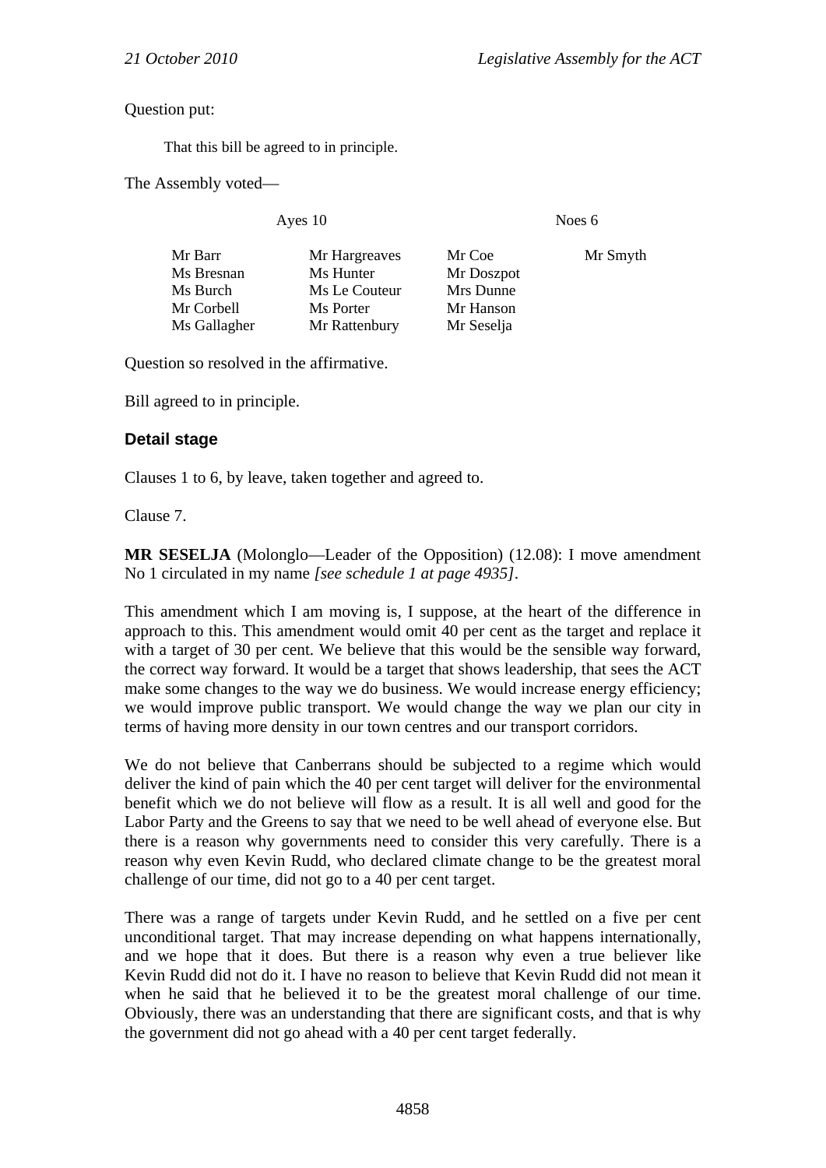Question put:

That this bill be agreed to in principle.

The Assembly voted—

Ayes 10 Noes 6

| Mr Barr      | Mr Hargreaves | Mr Coe     | Mr Smyth |
|--------------|---------------|------------|----------|
| Ms Bresnan   | Ms Hunter     | Mr Doszpot |          |
| Ms Burch     | Ms Le Couteur | Mrs Dunne  |          |
| Mr Corbell   | Ms Porter     | Mr Hanson  |          |
| Ms Gallagher | Mr Rattenbury | Mr Seselja |          |

Question so resolved in the affirmative.

Bill agreed to in principle.

## **Detail stage**

Clauses 1 to 6, by leave, taken together and agreed to.

Clause 7.

**MR SESELJA** (Molonglo—Leader of the Opposition) (12.08): I move amendment No 1 circulated in my name *[see schedule 1 at page 4935]*.

This amendment which I am moving is, I suppose, at the heart of the difference in approach to this. This amendment would omit 40 per cent as the target and replace it with a target of 30 per cent. We believe that this would be the sensible way forward, the correct way forward. It would be a target that shows leadership, that sees the ACT make some changes to the way we do business. We would increase energy efficiency; we would improve public transport. We would change the way we plan our city in terms of having more density in our town centres and our transport corridors.

We do not believe that Canberrans should be subjected to a regime which would deliver the kind of pain which the 40 per cent target will deliver for the environmental benefit which we do not believe will flow as a result. It is all well and good for the Labor Party and the Greens to say that we need to be well ahead of everyone else. But there is a reason why governments need to consider this very carefully. There is a reason why even Kevin Rudd, who declared climate change to be the greatest moral challenge of our time, did not go to a 40 per cent target.

There was a range of targets under Kevin Rudd, and he settled on a five per cent unconditional target. That may increase depending on what happens internationally, and we hope that it does. But there is a reason why even a true believer like Kevin Rudd did not do it. I have no reason to believe that Kevin Rudd did not mean it when he said that he believed it to be the greatest moral challenge of our time. Obviously, there was an understanding that there are significant costs, and that is why the government did not go ahead with a 40 per cent target federally.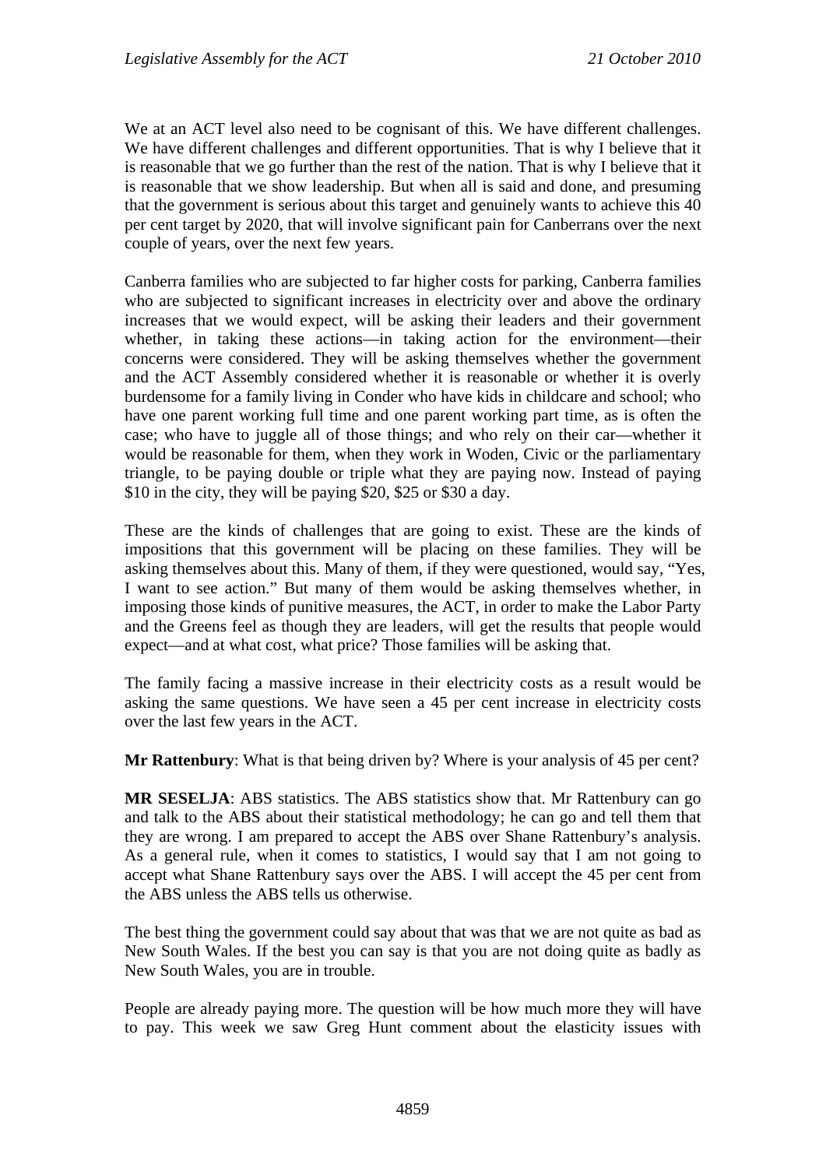We at an ACT level also need to be cognisant of this. We have different challenges. We have different challenges and different opportunities. That is why I believe that it is reasonable that we go further than the rest of the nation. That is why I believe that it is reasonable that we show leadership. But when all is said and done, and presuming that the government is serious about this target and genuinely wants to achieve this 40 per cent target by 2020, that will involve significant pain for Canberrans over the next couple of years, over the next few years.

Canberra families who are subjected to far higher costs for parking, Canberra families who are subjected to significant increases in electricity over and above the ordinary increases that we would expect, will be asking their leaders and their government whether, in taking these actions—in taking action for the environment—their concerns were considered. They will be asking themselves whether the government and the ACT Assembly considered whether it is reasonable or whether it is overly burdensome for a family living in Conder who have kids in childcare and school; who have one parent working full time and one parent working part time, as is often the case; who have to juggle all of those things; and who rely on their car—whether it would be reasonable for them, when they work in Woden, Civic or the parliamentary triangle, to be paying double or triple what they are paying now. Instead of paying \$10 in the city, they will be paying \$20, \$25 or \$30 a day.

These are the kinds of challenges that are going to exist. These are the kinds of impositions that this government will be placing on these families. They will be asking themselves about this. Many of them, if they were questioned, would say, "Yes, I want to see action." But many of them would be asking themselves whether, in imposing those kinds of punitive measures, the ACT, in order to make the Labor Party and the Greens feel as though they are leaders, will get the results that people would expect—and at what cost, what price? Those families will be asking that.

The family facing a massive increase in their electricity costs as a result would be asking the same questions. We have seen a 45 per cent increase in electricity costs over the last few years in the ACT.

**Mr Rattenbury**: What is that being driven by? Where is your analysis of 45 per cent?

**MR SESELJA**: ABS statistics. The ABS statistics show that. Mr Rattenbury can go and talk to the ABS about their statistical methodology; he can go and tell them that they are wrong. I am prepared to accept the ABS over Shane Rattenbury's analysis. As a general rule, when it comes to statistics, I would say that I am not going to accept what Shane Rattenbury says over the ABS. I will accept the 45 per cent from the ABS unless the ABS tells us otherwise.

The best thing the government could say about that was that we are not quite as bad as New South Wales. If the best you can say is that you are not doing quite as badly as New South Wales, you are in trouble.

People are already paying more. The question will be how much more they will have to pay. This week we saw Greg Hunt comment about the elasticity issues with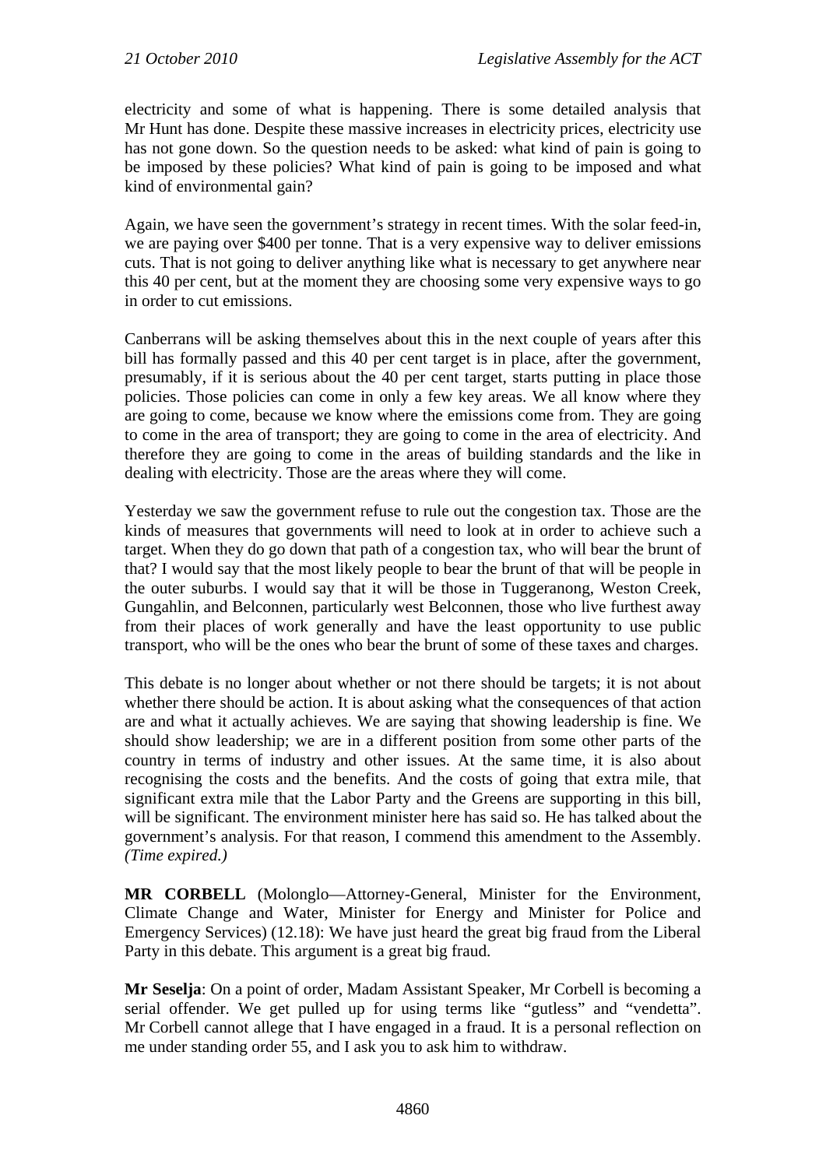electricity and some of what is happening. There is some detailed analysis that Mr Hunt has done. Despite these massive increases in electricity prices, electricity use has not gone down. So the question needs to be asked: what kind of pain is going to be imposed by these policies? What kind of pain is going to be imposed and what kind of environmental gain?

Again, we have seen the government's strategy in recent times. With the solar feed-in, we are paying over \$400 per tonne. That is a very expensive way to deliver emissions cuts. That is not going to deliver anything like what is necessary to get anywhere near this 40 per cent, but at the moment they are choosing some very expensive ways to go in order to cut emissions.

Canberrans will be asking themselves about this in the next couple of years after this bill has formally passed and this 40 per cent target is in place, after the government, presumably, if it is serious about the 40 per cent target, starts putting in place those policies. Those policies can come in only a few key areas. We all know where they are going to come, because we know where the emissions come from. They are going to come in the area of transport; they are going to come in the area of electricity. And therefore they are going to come in the areas of building standards and the like in dealing with electricity. Those are the areas where they will come.

Yesterday we saw the government refuse to rule out the congestion tax. Those are the kinds of measures that governments will need to look at in order to achieve such a target. When they do go down that path of a congestion tax, who will bear the brunt of that? I would say that the most likely people to bear the brunt of that will be people in the outer suburbs. I would say that it will be those in Tuggeranong, Weston Creek, Gungahlin, and Belconnen, particularly west Belconnen, those who live furthest away from their places of work generally and have the least opportunity to use public transport, who will be the ones who bear the brunt of some of these taxes and charges.

This debate is no longer about whether or not there should be targets; it is not about whether there should be action. It is about asking what the consequences of that action are and what it actually achieves. We are saying that showing leadership is fine. We should show leadership; we are in a different position from some other parts of the country in terms of industry and other issues. At the same time, it is also about recognising the costs and the benefits. And the costs of going that extra mile, that significant extra mile that the Labor Party and the Greens are supporting in this bill, will be significant. The environment minister here has said so. He has talked about the government's analysis. For that reason, I commend this amendment to the Assembly. *(Time expired.)*

**MR CORBELL** (Molonglo—Attorney-General, Minister for the Environment, Climate Change and Water, Minister for Energy and Minister for Police and Emergency Services) (12.18): We have just heard the great big fraud from the Liberal Party in this debate. This argument is a great big fraud.

**Mr Seselja**: On a point of order, Madam Assistant Speaker, Mr Corbell is becoming a serial offender. We get pulled up for using terms like "gutless" and "vendetta". Mr Corbell cannot allege that I have engaged in a fraud. It is a personal reflection on me under standing order 55, and I ask you to ask him to withdraw.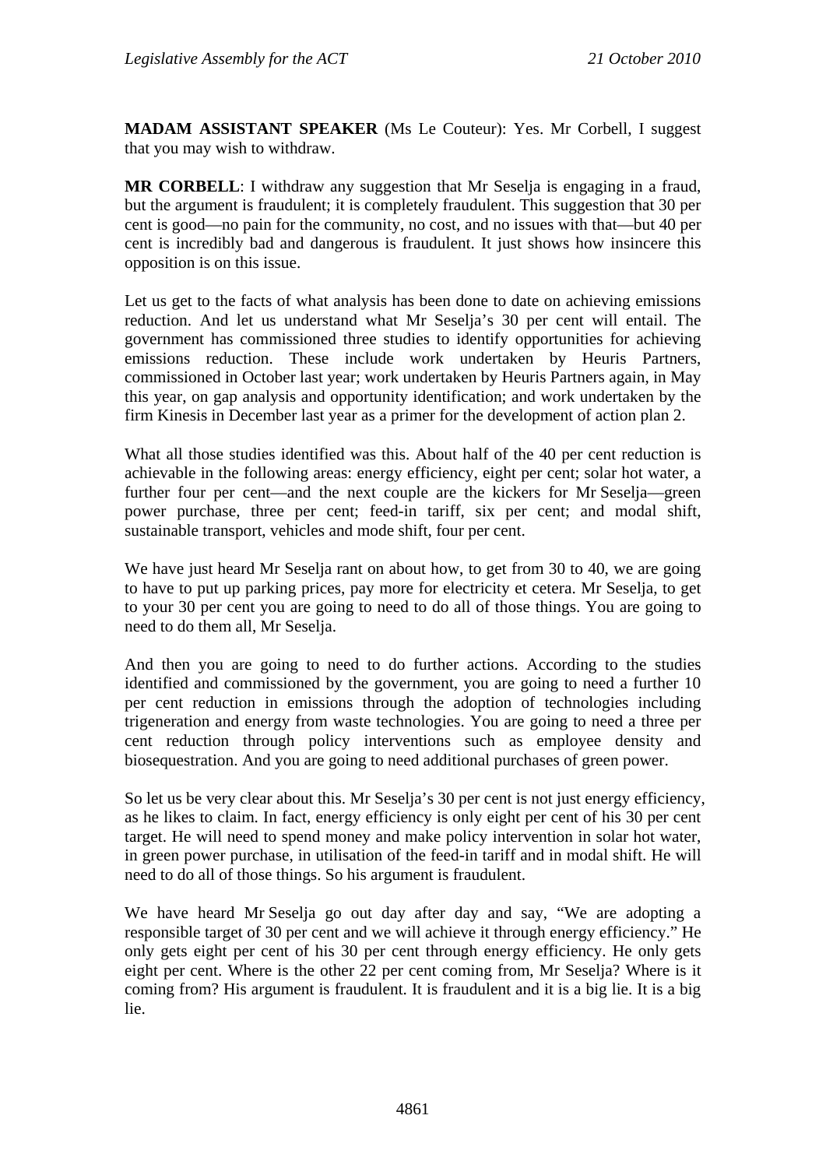**MADAM ASSISTANT SPEAKER** (Ms Le Couteur): Yes. Mr Corbell, I suggest that you may wish to withdraw.

**MR CORBELL**: I withdraw any suggestion that Mr Seselja is engaging in a fraud, but the argument is fraudulent; it is completely fraudulent. This suggestion that 30 per cent is good—no pain for the community, no cost, and no issues with that—but 40 per cent is incredibly bad and dangerous is fraudulent. It just shows how insincere this opposition is on this issue.

Let us get to the facts of what analysis has been done to date on achieving emissions reduction. And let us understand what Mr Seselja's 30 per cent will entail. The government has commissioned three studies to identify opportunities for achieving emissions reduction. These include work undertaken by Heuris Partners, commissioned in October last year; work undertaken by Heuris Partners again, in May this year, on gap analysis and opportunity identification; and work undertaken by the firm Kinesis in December last year as a primer for the development of action plan 2.

What all those studies identified was this. About half of the 40 per cent reduction is achievable in the following areas: energy efficiency, eight per cent; solar hot water, a further four per cent—and the next couple are the kickers for Mr Seselja—green power purchase, three per cent; feed-in tariff, six per cent; and modal shift, sustainable transport, vehicles and mode shift, four per cent.

We have just heard Mr Seselja rant on about how, to get from 30 to 40, we are going to have to put up parking prices, pay more for electricity et cetera. Mr Seselja, to get to your 30 per cent you are going to need to do all of those things. You are going to need to do them all, Mr Seselja.

And then you are going to need to do further actions. According to the studies identified and commissioned by the government, you are going to need a further 10 per cent reduction in emissions through the adoption of technologies including trigeneration and energy from waste technologies. You are going to need a three per cent reduction through policy interventions such as employee density and biosequestration. And you are going to need additional purchases of green power.

So let us be very clear about this. Mr Seselja's 30 per cent is not just energy efficiency, as he likes to claim. In fact, energy efficiency is only eight per cent of his 30 per cent target. He will need to spend money and make policy intervention in solar hot water, in green power purchase, in utilisation of the feed-in tariff and in modal shift. He will need to do all of those things. So his argument is fraudulent.

We have heard Mr Seselja go out day after day and say, "We are adopting a responsible target of 30 per cent and we will achieve it through energy efficiency." He only gets eight per cent of his 30 per cent through energy efficiency. He only gets eight per cent. Where is the other 22 per cent coming from, Mr Seselja? Where is it coming from? His argument is fraudulent. It is fraudulent and it is a big lie. It is a big lie.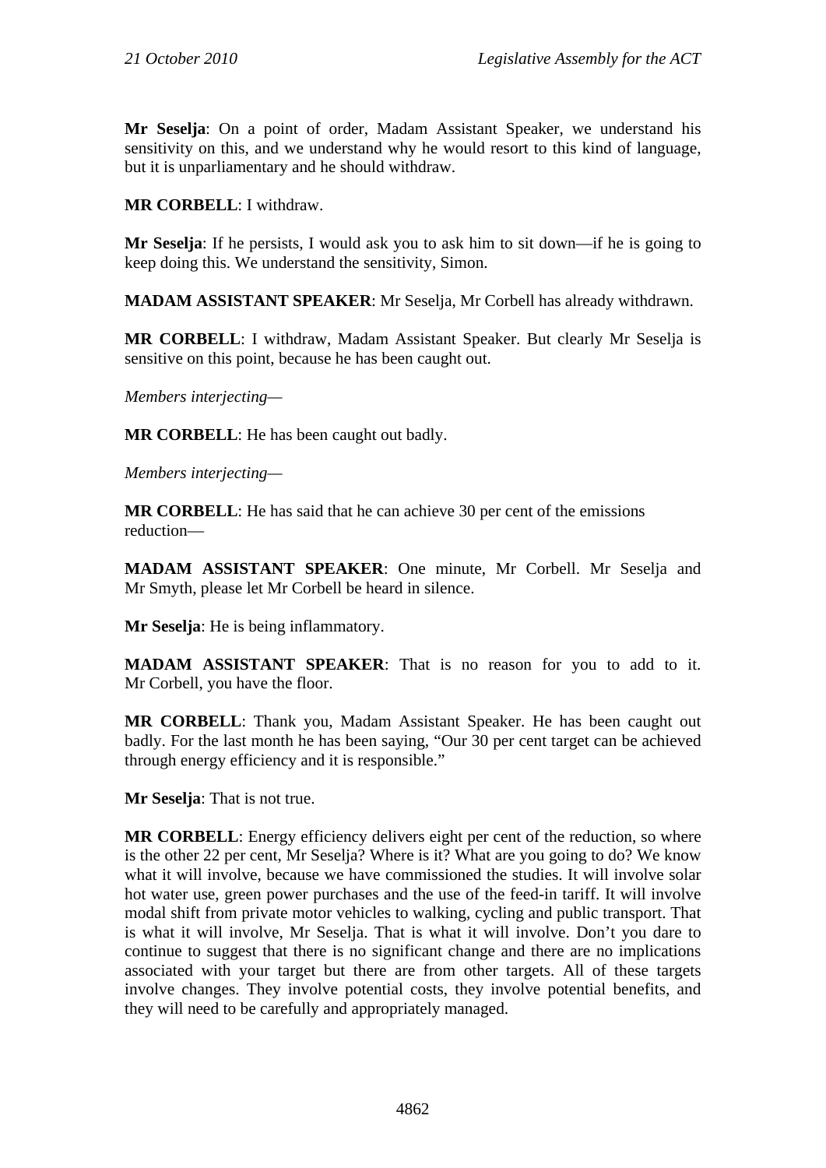**Mr Seselja**: On a point of order, Madam Assistant Speaker, we understand his sensitivity on this, and we understand why he would resort to this kind of language, but it is unparliamentary and he should withdraw.

# **MR CORBELL**: I withdraw.

**Mr Seselja**: If he persists, I would ask you to ask him to sit down—if he is going to keep doing this. We understand the sensitivity, Simon.

**MADAM ASSISTANT SPEAKER**: Mr Seselja, Mr Corbell has already withdrawn.

**MR CORBELL**: I withdraw, Madam Assistant Speaker. But clearly Mr Seselja is sensitive on this point, because he has been caught out.

*Members interjecting—* 

**MR CORBELL**: He has been caught out badly.

*Members interjecting—* 

**MR CORBELL**: He has said that he can achieve 30 per cent of the emissions reduction—

**MADAM ASSISTANT SPEAKER**: One minute, Mr Corbell. Mr Seselja and Mr Smyth, please let Mr Corbell be heard in silence.

**Mr Seselja**: He is being inflammatory.

**MADAM ASSISTANT SPEAKER**: That is no reason for you to add to it. Mr Corbell, you have the floor.

**MR CORBELL**: Thank you, Madam Assistant Speaker. He has been caught out badly. For the last month he has been saying, "Our 30 per cent target can be achieved through energy efficiency and it is responsible."

**Mr Seselja**: That is not true.

**MR CORBELL:** Energy efficiency delivers eight per cent of the reduction, so where is the other 22 per cent, Mr Seselja? Where is it? What are you going to do? We know what it will involve, because we have commissioned the studies. It will involve solar hot water use, green power purchases and the use of the feed-in tariff. It will involve modal shift from private motor vehicles to walking, cycling and public transport. That is what it will involve, Mr Seselja. That is what it will involve. Don't you dare to continue to suggest that there is no significant change and there are no implications associated with your target but there are from other targets. All of these targets involve changes. They involve potential costs, they involve potential benefits, and they will need to be carefully and appropriately managed.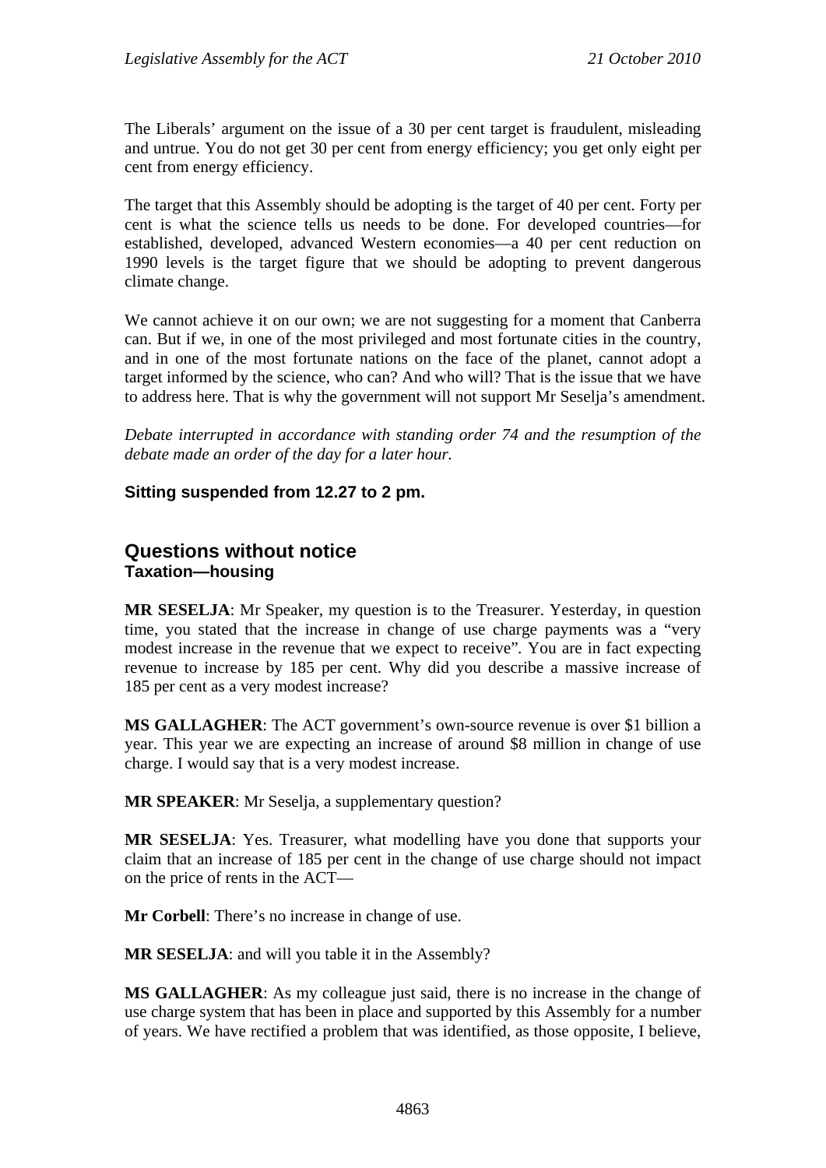The Liberals' argument on the issue of a 30 per cent target is fraudulent, misleading and untrue. You do not get 30 per cent from energy efficiency; you get only eight per cent from energy efficiency.

The target that this Assembly should be adopting is the target of 40 per cent. Forty per cent is what the science tells us needs to be done. For developed countries—for established, developed, advanced Western economies—a 40 per cent reduction on 1990 levels is the target figure that we should be adopting to prevent dangerous climate change.

We cannot achieve it on our own; we are not suggesting for a moment that Canberra can. But if we, in one of the most privileged and most fortunate cities in the country, and in one of the most fortunate nations on the face of the planet, cannot adopt a target informed by the science, who can? And who will? That is the issue that we have to address here. That is why the government will not support Mr Seselja's amendment.

*Debate interrupted in accordance with standing order 74 and the resumption of the debate made an order of the day for a later hour.*

## **Sitting suspended from 12.27 to 2 pm.**

# **Questions without notice Taxation—housing**

**MR SESELJA**: Mr Speaker, my question is to the Treasurer. Yesterday, in question time, you stated that the increase in change of use charge payments was a "very modest increase in the revenue that we expect to receive"*.* You are in fact expecting revenue to increase by 185 per cent. Why did you describe a massive increase of 185 per cent as a very modest increase?

**MS GALLAGHER**: The ACT government's own-source revenue is over \$1 billion a year. This year we are expecting an increase of around \$8 million in change of use charge. I would say that is a very modest increase.

**MR SPEAKER**: Mr Seselja, a supplementary question?

**MR SESELJA**: Yes. Treasurer, what modelling have you done that supports your claim that an increase of 185 per cent in the change of use charge should not impact on the price of rents in the ACT—

**Mr Corbell**: There's no increase in change of use.

**MR SESELJA**: and will you table it in the Assembly?

**MS GALLAGHER**: As my colleague just said, there is no increase in the change of use charge system that has been in place and supported by this Assembly for a number of years. We have rectified a problem that was identified, as those opposite, I believe,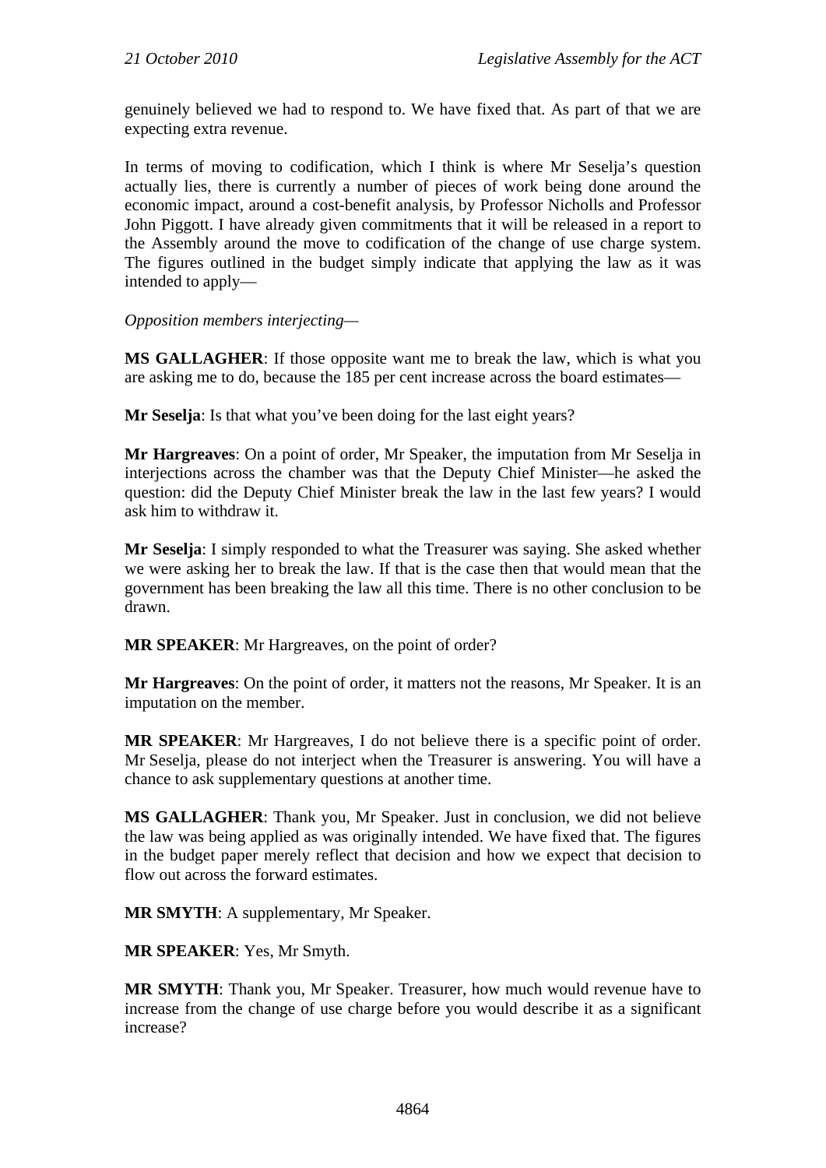genuinely believed we had to respond to. We have fixed that. As part of that we are expecting extra revenue.

In terms of moving to codification, which I think is where Mr Seselja's question actually lies, there is currently a number of pieces of work being done around the economic impact, around a cost-benefit analysis, by Professor Nicholls and Professor John Piggott. I have already given commitments that it will be released in a report to the Assembly around the move to codification of the change of use charge system. The figures outlined in the budget simply indicate that applying the law as it was intended to apply—

*Opposition members interjecting—* 

**MS GALLAGHER**: If those opposite want me to break the law, which is what you are asking me to do, because the 185 per cent increase across the board estimates—

**Mr Seselja**: Is that what you've been doing for the last eight years?

**Mr Hargreaves**: On a point of order, Mr Speaker, the imputation from Mr Seselja in interjections across the chamber was that the Deputy Chief Minister—he asked the question: did the Deputy Chief Minister break the law in the last few years? I would ask him to withdraw it.

**Mr Seselja**: I simply responded to what the Treasurer was saying. She asked whether we were asking her to break the law. If that is the case then that would mean that the government has been breaking the law all this time. There is no other conclusion to be drawn.

**MR SPEAKER**: Mr Hargreaves, on the point of order?

**Mr Hargreaves**: On the point of order, it matters not the reasons, Mr Speaker. It is an imputation on the member.

**MR SPEAKER**: Mr Hargreaves, I do not believe there is a specific point of order. Mr Seselja, please do not interject when the Treasurer is answering. You will have a chance to ask supplementary questions at another time.

**MS GALLAGHER**: Thank you, Mr Speaker. Just in conclusion, we did not believe the law was being applied as was originally intended. We have fixed that. The figures in the budget paper merely reflect that decision and how we expect that decision to flow out across the forward estimates.

**MR SMYTH**: A supplementary, Mr Speaker.

**MR SPEAKER**: Yes, Mr Smyth.

**MR SMYTH**: Thank you, Mr Speaker. Treasurer, how much would revenue have to increase from the change of use charge before you would describe it as a significant increase?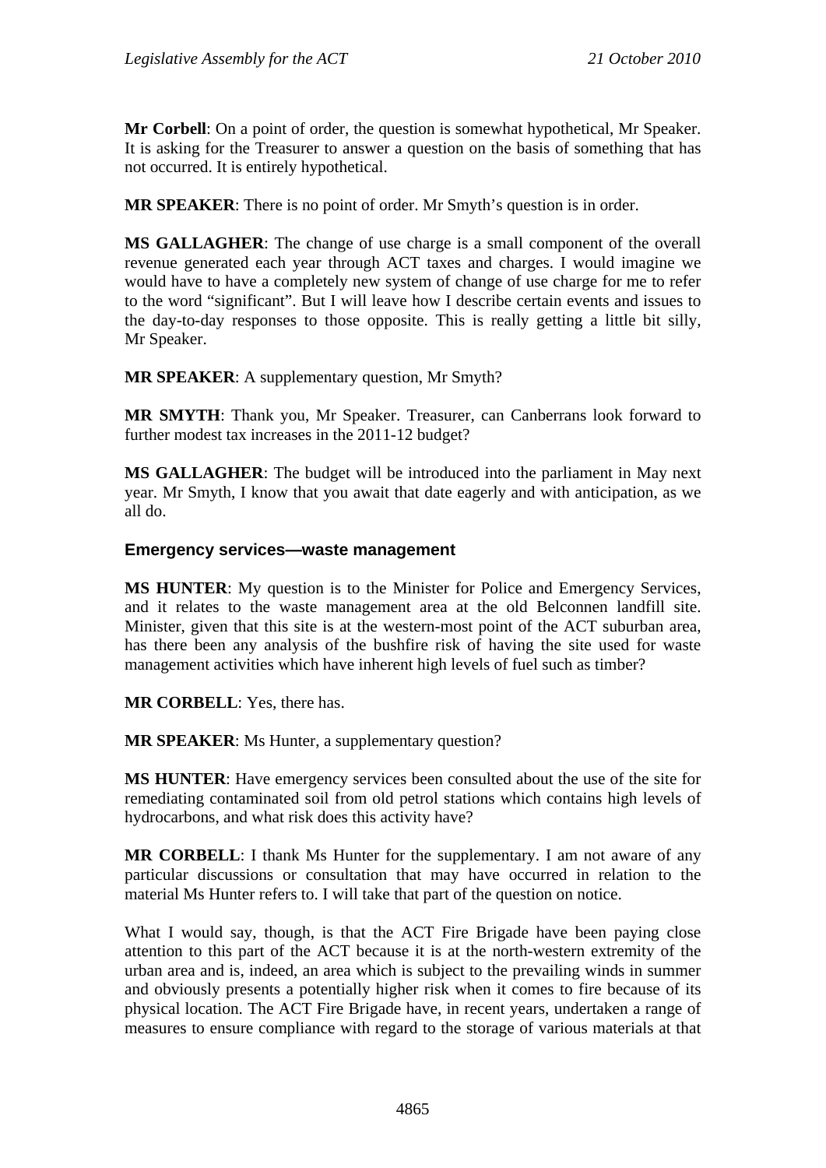**Mr Corbell**: On a point of order, the question is somewhat hypothetical, Mr Speaker. It is asking for the Treasurer to answer a question on the basis of something that has not occurred. It is entirely hypothetical.

**MR SPEAKER**: There is no point of order. Mr Smyth's question is in order.

**MS GALLAGHER**: The change of use charge is a small component of the overall revenue generated each year through ACT taxes and charges. I would imagine we would have to have a completely new system of change of use charge for me to refer to the word "significant". But I will leave how I describe certain events and issues to the day-to-day responses to those opposite. This is really getting a little bit silly, Mr Speaker.

**MR SPEAKER**: A supplementary question, Mr Smyth?

**MR SMYTH**: Thank you, Mr Speaker. Treasurer, can Canberrans look forward to further modest tax increases in the 2011-12 budget?

**MS GALLAGHER**: The budget will be introduced into the parliament in May next year. Mr Smyth, I know that you await that date eagerly and with anticipation, as we all do.

#### **Emergency services—waste management**

**MS HUNTER**: My question is to the Minister for Police and Emergency Services, and it relates to the waste management area at the old Belconnen landfill site. Minister, given that this site is at the western-most point of the ACT suburban area, has there been any analysis of the bushfire risk of having the site used for waste management activities which have inherent high levels of fuel such as timber?

**MR CORBELL**: Yes, there has.

**MR SPEAKER**: Ms Hunter, a supplementary question?

**MS HUNTER**: Have emergency services been consulted about the use of the site for remediating contaminated soil from old petrol stations which contains high levels of hydrocarbons, and what risk does this activity have?

**MR CORBELL**: I thank Ms Hunter for the supplementary. I am not aware of any particular discussions or consultation that may have occurred in relation to the material Ms Hunter refers to. I will take that part of the question on notice.

What I would say, though, is that the ACT Fire Brigade have been paying close attention to this part of the ACT because it is at the north-western extremity of the urban area and is, indeed, an area which is subject to the prevailing winds in summer and obviously presents a potentially higher risk when it comes to fire because of its physical location. The ACT Fire Brigade have, in recent years, undertaken a range of measures to ensure compliance with regard to the storage of various materials at that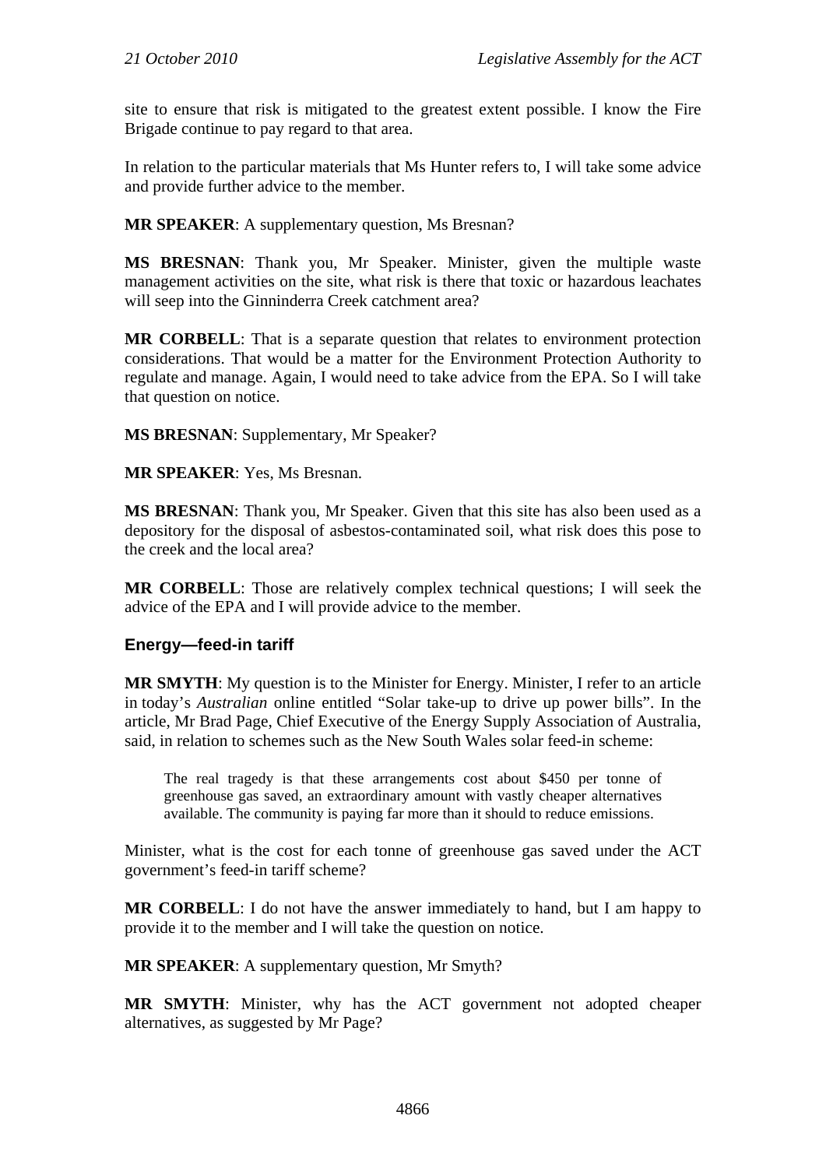site to ensure that risk is mitigated to the greatest extent possible. I know the Fire Brigade continue to pay regard to that area.

In relation to the particular materials that Ms Hunter refers to, I will take some advice and provide further advice to the member.

**MR SPEAKER:** A supplementary question, Ms Bresnan?

**MS BRESNAN**: Thank you, Mr Speaker. Minister, given the multiple waste management activities on the site, what risk is there that toxic or hazardous leachates will seep into the Ginninderra Creek catchment area?

**MR CORBELL**: That is a separate question that relates to environment protection considerations. That would be a matter for the Environment Protection Authority to regulate and manage. Again, I would need to take advice from the EPA. So I will take that question on notice.

**MS BRESNAN**: Supplementary, Mr Speaker?

**MR SPEAKER**: Yes, Ms Bresnan.

**MS BRESNAN**: Thank you, Mr Speaker. Given that this site has also been used as a depository for the disposal of asbestos-contaminated soil, what risk does this pose to the creek and the local area?

**MR CORBELL**: Those are relatively complex technical questions; I will seek the advice of the EPA and I will provide advice to the member.

#### **Energy—feed-in tariff**

**MR SMYTH**: My question is to the Minister for Energy. Minister, I refer to an article in today's *Australian* online entitled "Solar take-up to drive up power bills". In the article, Mr Brad Page, Chief Executive of the Energy Supply Association of Australia, said, in relation to schemes such as the New South Wales solar feed-in scheme:

The real tragedy is that these arrangements cost about \$450 per tonne of greenhouse gas saved, an extraordinary amount with vastly cheaper alternatives available. The community is paying far more than it should to reduce emissions.

Minister, what is the cost for each tonne of greenhouse gas saved under the ACT government's feed-in tariff scheme?

**MR CORBELL**: I do not have the answer immediately to hand, but I am happy to provide it to the member and I will take the question on notice.

**MR SPEAKER**: A supplementary question, Mr Smyth?

**MR SMYTH**: Minister, why has the ACT government not adopted cheaper alternatives, as suggested by Mr Page?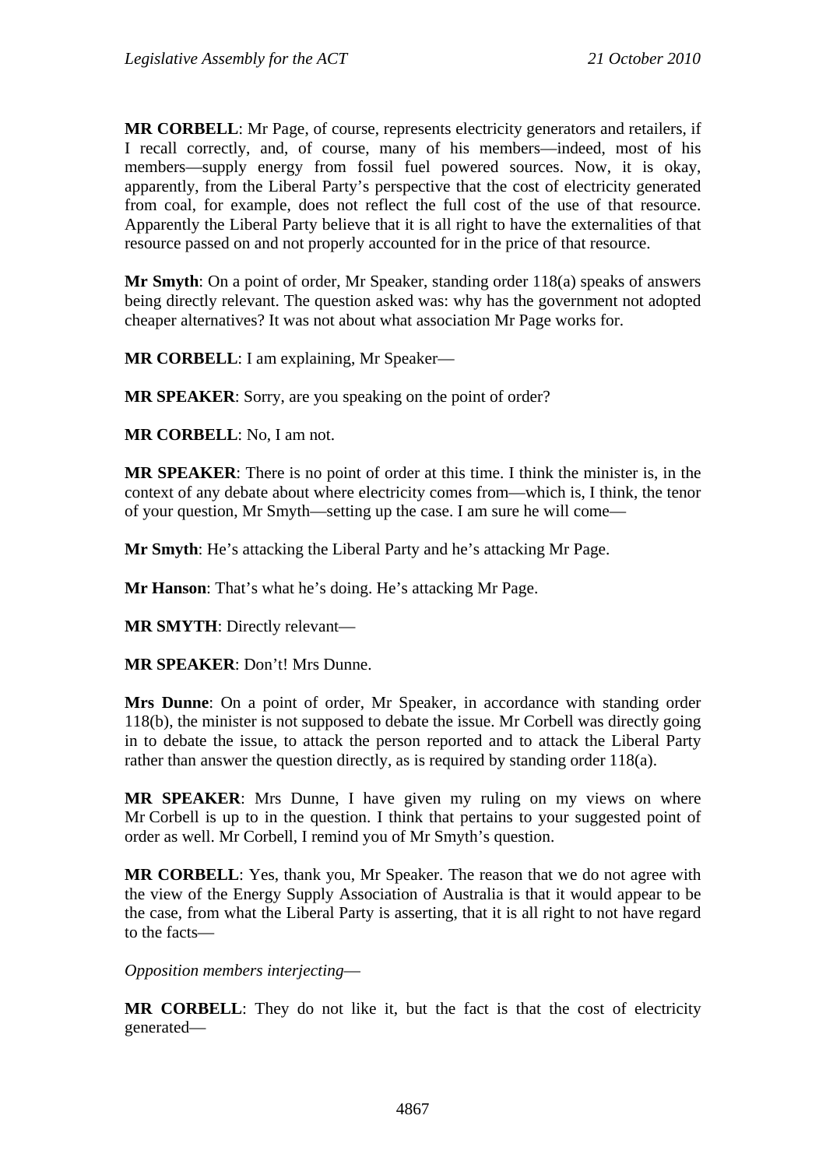**MR CORBELL**: Mr Page, of course, represents electricity generators and retailers, if I recall correctly, and, of course, many of his members—indeed, most of his members—supply energy from fossil fuel powered sources. Now, it is okay, apparently, from the Liberal Party's perspective that the cost of electricity generated from coal, for example, does not reflect the full cost of the use of that resource. Apparently the Liberal Party believe that it is all right to have the externalities of that resource passed on and not properly accounted for in the price of that resource.

**Mr Smyth**: On a point of order, Mr Speaker, standing order 118(a) speaks of answers being directly relevant. The question asked was: why has the government not adopted cheaper alternatives? It was not about what association Mr Page works for.

**MR CORBELL**: I am explaining, Mr Speaker—

**MR SPEAKER**: Sorry, are you speaking on the point of order?

**MR CORBELL**: No, I am not.

**MR SPEAKER**: There is no point of order at this time. I think the minister is, in the context of any debate about where electricity comes from—which is, I think, the tenor of your question, Mr Smyth—setting up the case. I am sure he will come—

**Mr Smyth**: He's attacking the Liberal Party and he's attacking Mr Page.

**Mr Hanson**: That's what he's doing. He's attacking Mr Page.

**MR SMYTH**: Directly relevant—

**MR SPEAKER**: Don't! Mrs Dunne.

**Mrs Dunne**: On a point of order, Mr Speaker, in accordance with standing order 118(b), the minister is not supposed to debate the issue. Mr Corbell was directly going in to debate the issue, to attack the person reported and to attack the Liberal Party rather than answer the question directly, as is required by standing order 118(a).

**MR SPEAKER**: Mrs Dunne, I have given my ruling on my views on where Mr Corbell is up to in the question. I think that pertains to your suggested point of order as well. Mr Corbell, I remind you of Mr Smyth's question.

**MR CORBELL**: Yes, thank you, Mr Speaker. The reason that we do not agree with the view of the Energy Supply Association of Australia is that it would appear to be the case, from what the Liberal Party is asserting, that it is all right to not have regard to the facts—

*Opposition members interjecting*—

**MR CORBELL**: They do not like it, but the fact is that the cost of electricity generated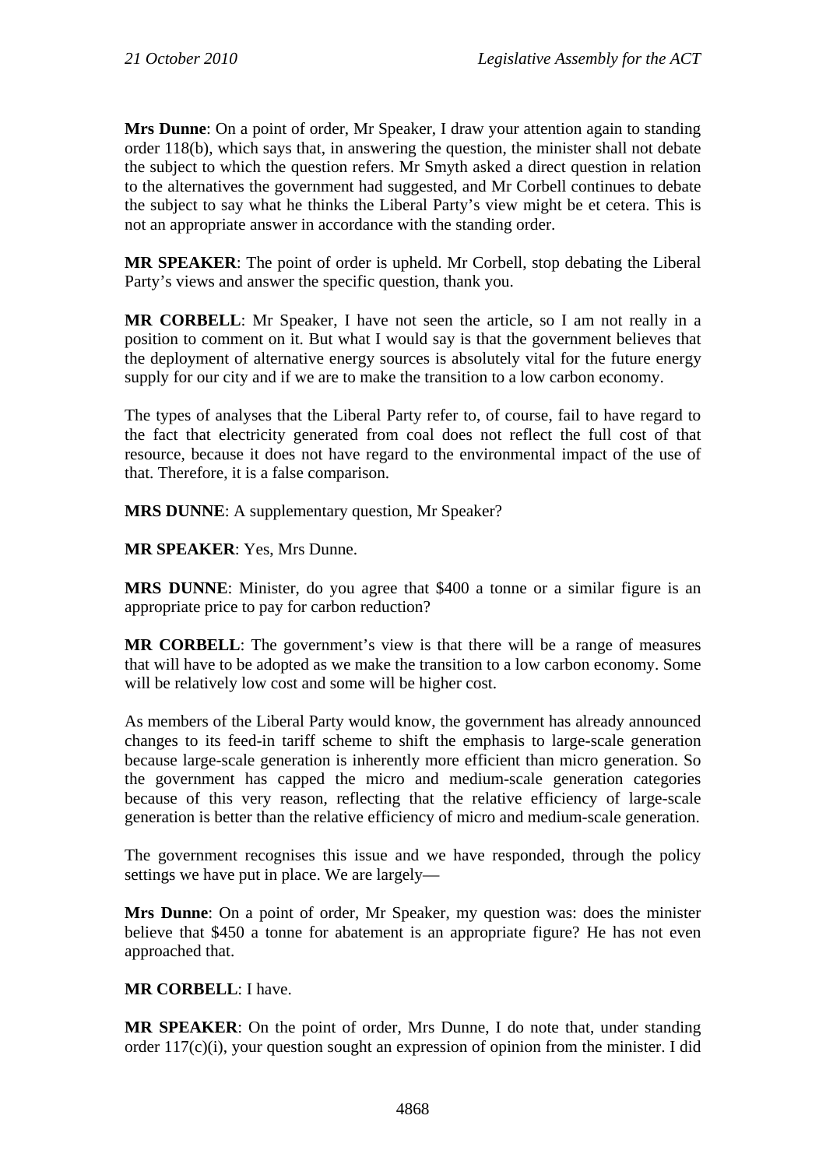**Mrs Dunne**: On a point of order, Mr Speaker, I draw your attention again to standing order 118(b), which says that, in answering the question, the minister shall not debate the subject to which the question refers. Mr Smyth asked a direct question in relation to the alternatives the government had suggested, and Mr Corbell continues to debate the subject to say what he thinks the Liberal Party's view might be et cetera. This is not an appropriate answer in accordance with the standing order.

**MR SPEAKER**: The point of order is upheld. Mr Corbell, stop debating the Liberal Party's views and answer the specific question, thank you.

**MR CORBELL**: Mr Speaker, I have not seen the article, so I am not really in a position to comment on it. But what I would say is that the government believes that the deployment of alternative energy sources is absolutely vital for the future energy supply for our city and if we are to make the transition to a low carbon economy.

The types of analyses that the Liberal Party refer to, of course, fail to have regard to the fact that electricity generated from coal does not reflect the full cost of that resource, because it does not have regard to the environmental impact of the use of that. Therefore, it is a false comparison.

**MRS DUNNE**: A supplementary question, Mr Speaker?

**MR SPEAKER**: Yes, Mrs Dunne.

**MRS DUNNE**: Minister, do you agree that \$400 a tonne or a similar figure is an appropriate price to pay for carbon reduction?

**MR CORBELL**: The government's view is that there will be a range of measures that will have to be adopted as we make the transition to a low carbon economy. Some will be relatively low cost and some will be higher cost.

As members of the Liberal Party would know, the government has already announced changes to its feed-in tariff scheme to shift the emphasis to large-scale generation because large-scale generation is inherently more efficient than micro generation. So the government has capped the micro and medium-scale generation categories because of this very reason, reflecting that the relative efficiency of large-scale generation is better than the relative efficiency of micro and medium-scale generation.

The government recognises this issue and we have responded, through the policy settings we have put in place. We are largely—

**Mrs Dunne**: On a point of order, Mr Speaker, my question was: does the minister believe that \$450 a tonne for abatement is an appropriate figure? He has not even approached that.

## **MR CORBELL**: I have.

**MR SPEAKER**: On the point of order, Mrs Dunne, I do note that, under standing order 117(c)(i), your question sought an expression of opinion from the minister. I did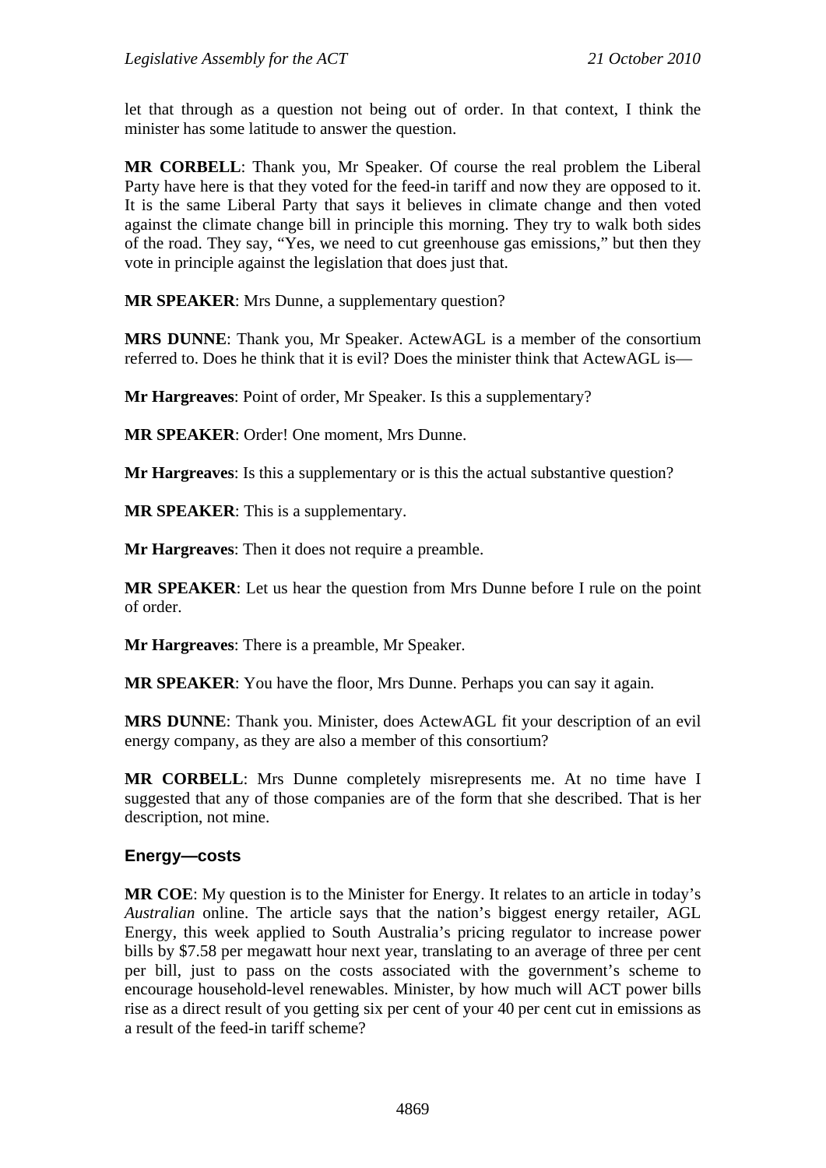let that through as a question not being out of order. In that context, I think the minister has some latitude to answer the question.

**MR CORBELL**: Thank you, Mr Speaker. Of course the real problem the Liberal Party have here is that they voted for the feed-in tariff and now they are opposed to it. It is the same Liberal Party that says it believes in climate change and then voted against the climate change bill in principle this morning. They try to walk both sides of the road. They say, "Yes, we need to cut greenhouse gas emissions," but then they vote in principle against the legislation that does just that.

**MR SPEAKER**: Mrs Dunne, a supplementary question?

**MRS DUNNE**: Thank you, Mr Speaker. ActewAGL is a member of the consortium referred to. Does he think that it is evil? Does the minister think that ActewAGL is—

**Mr Hargreaves**: Point of order, Mr Speaker. Is this a supplementary?

**MR SPEAKER**: Order! One moment, Mrs Dunne.

**Mr Hargreaves**: Is this a supplementary or is this the actual substantive question?

**MR SPEAKER**: This is a supplementary.

**Mr Hargreaves**: Then it does not require a preamble.

**MR SPEAKER**: Let us hear the question from Mrs Dunne before I rule on the point of order.

**Mr Hargreaves**: There is a preamble, Mr Speaker.

**MR SPEAKER**: You have the floor, Mrs Dunne. Perhaps you can say it again.

**MRS DUNNE**: Thank you. Minister, does ActewAGL fit your description of an evil energy company, as they are also a member of this consortium?

**MR CORBELL**: Mrs Dunne completely misrepresents me. At no time have I suggested that any of those companies are of the form that she described. That is her description, not mine.

## **Energy—costs**

**MR COE**: My question is to the Minister for Energy. It relates to an article in today's *Australian* online. The article says that the nation's biggest energy retailer, AGL Energy, this week applied to South Australia's pricing regulator to increase power bills by \$7.58 per megawatt hour next year, translating to an average of three per cent per bill, just to pass on the costs associated with the government's scheme to encourage household-level renewables. Minister, by how much will ACT power bills rise as a direct result of you getting six per cent of your 40 per cent cut in emissions as a result of the feed-in tariff scheme?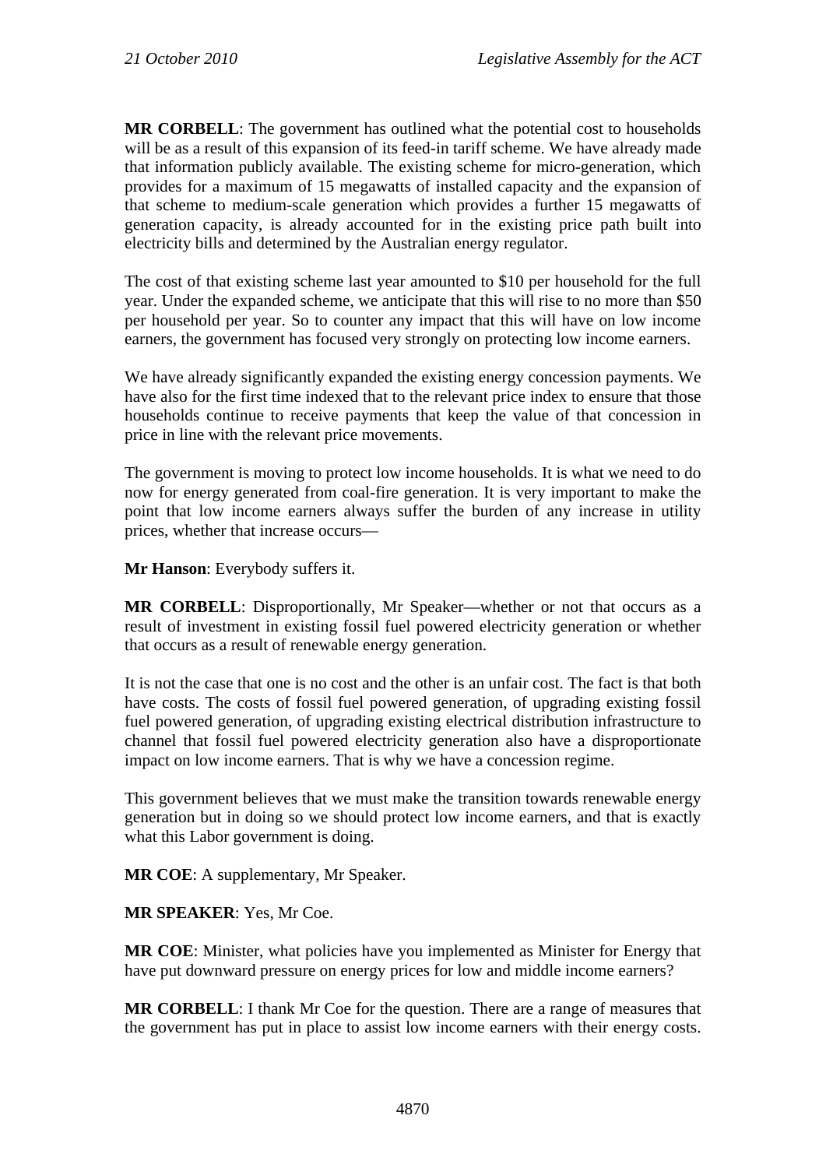**MR CORBELL**: The government has outlined what the potential cost to households will be as a result of this expansion of its feed-in tariff scheme. We have already made that information publicly available. The existing scheme for micro-generation, which provides for a maximum of 15 megawatts of installed capacity and the expansion of that scheme to medium-scale generation which provides a further 15 megawatts of generation capacity, is already accounted for in the existing price path built into electricity bills and determined by the Australian energy regulator.

The cost of that existing scheme last year amounted to \$10 per household for the full year. Under the expanded scheme, we anticipate that this will rise to no more than \$50 per household per year. So to counter any impact that this will have on low income earners, the government has focused very strongly on protecting low income earners.

We have already significantly expanded the existing energy concession payments. We have also for the first time indexed that to the relevant price index to ensure that those households continue to receive payments that keep the value of that concession in price in line with the relevant price movements.

The government is moving to protect low income households. It is what we need to do now for energy generated from coal-fire generation. It is very important to make the point that low income earners always suffer the burden of any increase in utility prices, whether that increase occurs—

**Mr Hanson**: Everybody suffers it.

**MR CORBELL**: Disproportionally, Mr Speaker—whether or not that occurs as a result of investment in existing fossil fuel powered electricity generation or whether that occurs as a result of renewable energy generation.

It is not the case that one is no cost and the other is an unfair cost. The fact is that both have costs. The costs of fossil fuel powered generation, of upgrading existing fossil fuel powered generation, of upgrading existing electrical distribution infrastructure to channel that fossil fuel powered electricity generation also have a disproportionate impact on low income earners. That is why we have a concession regime.

This government believes that we must make the transition towards renewable energy generation but in doing so we should protect low income earners, and that is exactly what this Labor government is doing.

**MR COE**: A supplementary, Mr Speaker.

**MR SPEAKER**: Yes, Mr Coe.

**MR COE**: Minister, what policies have you implemented as Minister for Energy that have put downward pressure on energy prices for low and middle income earners?

**MR CORBELL**: I thank Mr Coe for the question. There are a range of measures that the government has put in place to assist low income earners with their energy costs.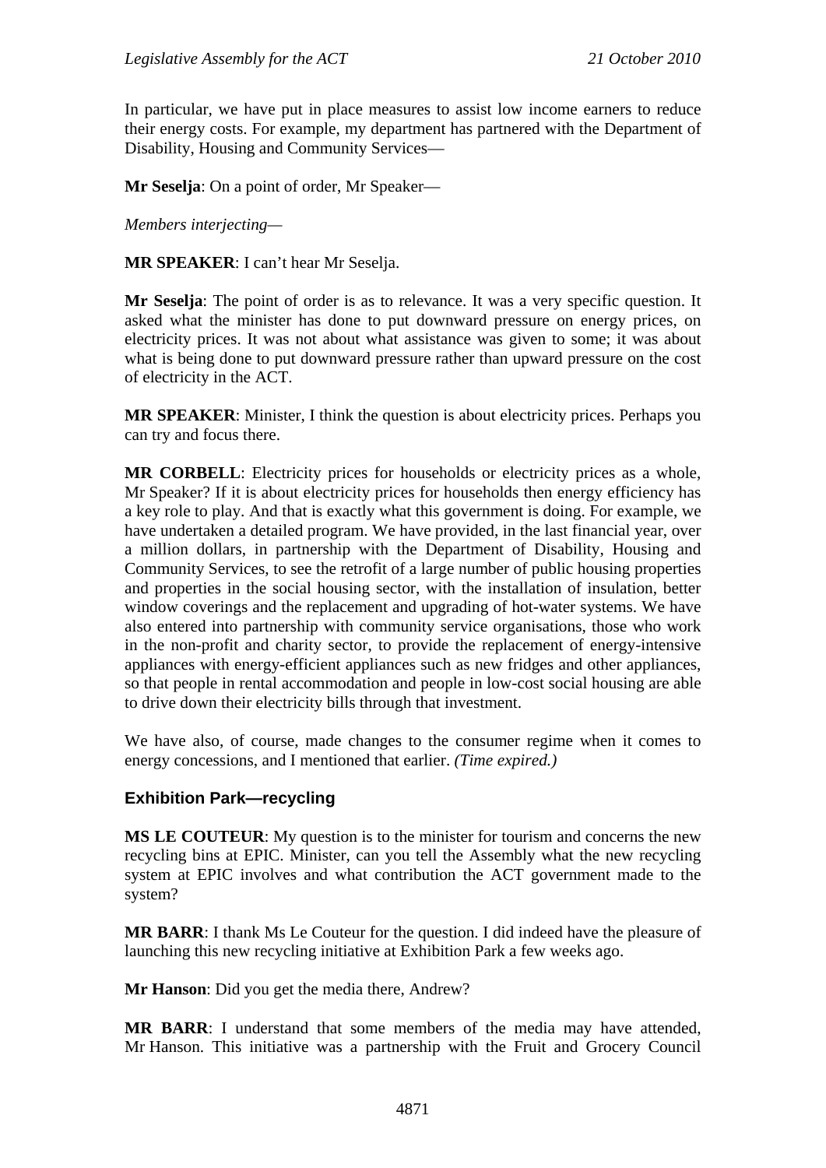In particular, we have put in place measures to assist low income earners to reduce their energy costs. For example, my department has partnered with the Department of Disability, Housing and Community Services—

**Mr Seselja**: On a point of order, Mr Speaker—

*Members interjecting—* 

**MR SPEAKER**: I can't hear Mr Seselja.

**Mr Seselja**: The point of order is as to relevance. It was a very specific question. It asked what the minister has done to put downward pressure on energy prices, on electricity prices. It was not about what assistance was given to some; it was about what is being done to put downward pressure rather than upward pressure on the cost of electricity in the ACT.

**MR SPEAKER**: Minister, I think the question is about electricity prices. Perhaps you can try and focus there.

**MR CORBELL**: Electricity prices for households or electricity prices as a whole, Mr Speaker? If it is about electricity prices for households then energy efficiency has a key role to play. And that is exactly what this government is doing. For example, we have undertaken a detailed program. We have provided, in the last financial year, over a million dollars, in partnership with the Department of Disability, Housing and Community Services, to see the retrofit of a large number of public housing properties and properties in the social housing sector, with the installation of insulation, better window coverings and the replacement and upgrading of hot-water systems. We have also entered into partnership with community service organisations, those who work in the non-profit and charity sector, to provide the replacement of energy-intensive appliances with energy-efficient appliances such as new fridges and other appliances, so that people in rental accommodation and people in low-cost social housing are able to drive down their electricity bills through that investment.

We have also, of course, made changes to the consumer regime when it comes to energy concessions, and I mentioned that earlier. *(Time expired.)*

## **Exhibition Park—recycling**

**MS LE COUTEUR**: My question is to the minister for tourism and concerns the new recycling bins at EPIC. Minister, can you tell the Assembly what the new recycling system at EPIC involves and what contribution the ACT government made to the system?

**MR BARR**: I thank Ms Le Couteur for the question. I did indeed have the pleasure of launching this new recycling initiative at Exhibition Park a few weeks ago.

**Mr Hanson**: Did you get the media there, Andrew?

**MR BARR**: I understand that some members of the media may have attended, Mr Hanson. This initiative was a partnership with the Fruit and Grocery Council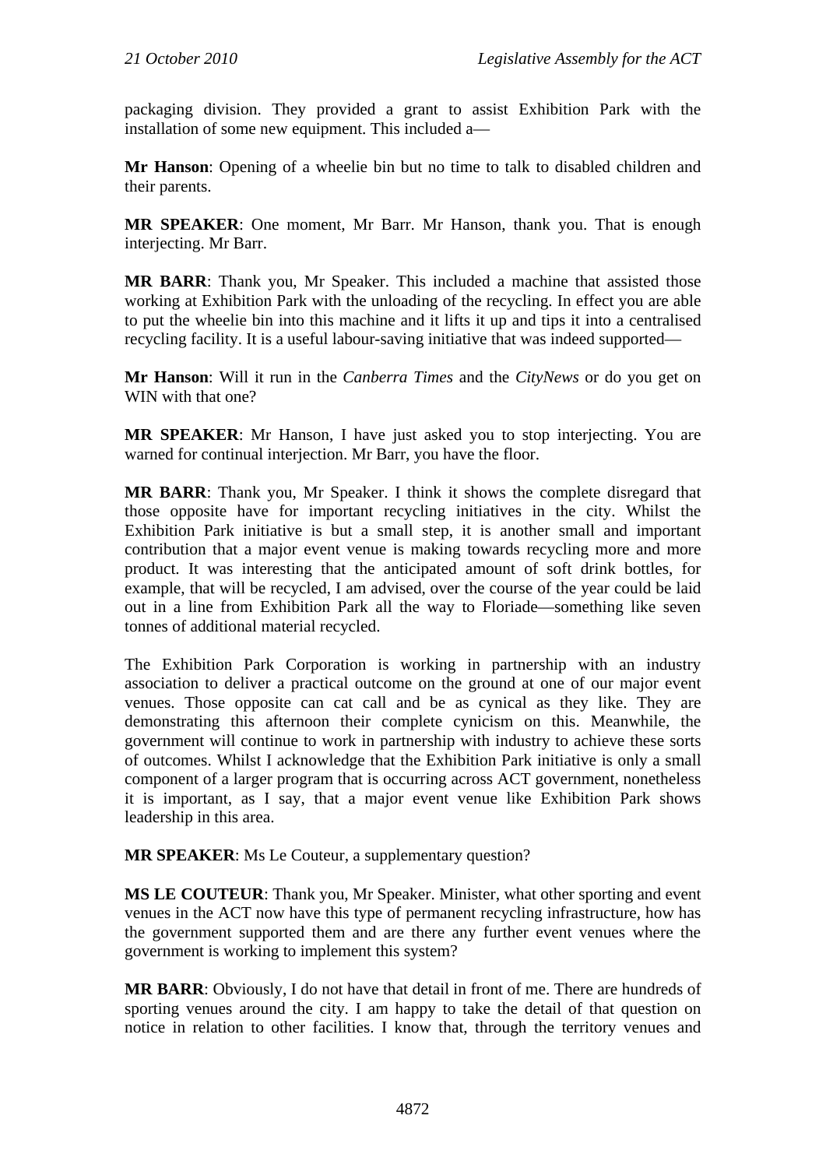packaging division. They provided a grant to assist Exhibition Park with the installation of some new equipment. This included a—

**Mr Hanson**: Opening of a wheelie bin but no time to talk to disabled children and their parents.

**MR SPEAKER**: One moment, Mr Barr. Mr Hanson, thank you. That is enough interjecting. Mr Barr.

**MR BARR**: Thank you, Mr Speaker. This included a machine that assisted those working at Exhibition Park with the unloading of the recycling. In effect you are able to put the wheelie bin into this machine and it lifts it up and tips it into a centralised recycling facility. It is a useful labour-saving initiative that was indeed supported—

**Mr Hanson**: Will it run in the *Canberra Times* and the *CityNews* or do you get on WIN with that one?

**MR SPEAKER**: Mr Hanson, I have just asked you to stop interjecting. You are warned for continual interjection. Mr Barr, you have the floor.

**MR BARR**: Thank you, Mr Speaker. I think it shows the complete disregard that those opposite have for important recycling initiatives in the city. Whilst the Exhibition Park initiative is but a small step, it is another small and important contribution that a major event venue is making towards recycling more and more product. It was interesting that the anticipated amount of soft drink bottles, for example, that will be recycled, I am advised, over the course of the year could be laid out in a line from Exhibition Park all the way to Floriade—something like seven tonnes of additional material recycled.

The Exhibition Park Corporation is working in partnership with an industry association to deliver a practical outcome on the ground at one of our major event venues. Those opposite can cat call and be as cynical as they like. They are demonstrating this afternoon their complete cynicism on this. Meanwhile, the government will continue to work in partnership with industry to achieve these sorts of outcomes. Whilst I acknowledge that the Exhibition Park initiative is only a small component of a larger program that is occurring across ACT government, nonetheless it is important, as I say, that a major event venue like Exhibition Park shows leadership in this area.

**MR SPEAKER**: Ms Le Couteur, a supplementary question?

**MS LE COUTEUR**: Thank you, Mr Speaker. Minister, what other sporting and event venues in the ACT now have this type of permanent recycling infrastructure, how has the government supported them and are there any further event venues where the government is working to implement this system?

**MR BARR**: Obviously, I do not have that detail in front of me. There are hundreds of sporting venues around the city. I am happy to take the detail of that question on notice in relation to other facilities. I know that, through the territory venues and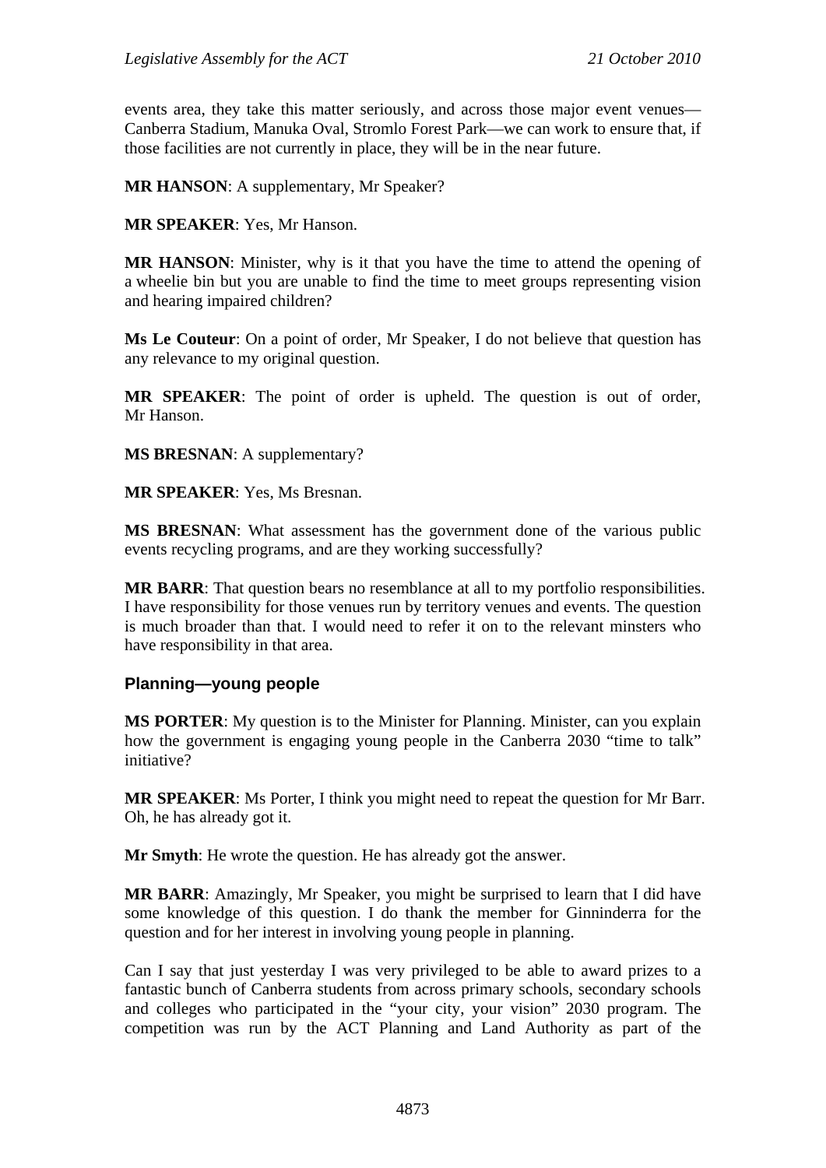events area, they take this matter seriously, and across those major event venues— Canberra Stadium, Manuka Oval, Stromlo Forest Park—we can work to ensure that, if those facilities are not currently in place, they will be in the near future.

**MR HANSON**: A supplementary, Mr Speaker?

**MR SPEAKER**: Yes, Mr Hanson.

**MR HANSON**: Minister, why is it that you have the time to attend the opening of a wheelie bin but you are unable to find the time to meet groups representing vision and hearing impaired children?

**Ms Le Couteur**: On a point of order, Mr Speaker, I do not believe that question has any relevance to my original question.

**MR SPEAKER**: The point of order is upheld. The question is out of order, Mr Hanson.

**MS BRESNAN**: A supplementary?

**MR SPEAKER**: Yes, Ms Bresnan.

**MS BRESNAN**: What assessment has the government done of the various public events recycling programs, and are they working successfully?

**MR BARR**: That question bears no resemblance at all to my portfolio responsibilities. I have responsibility for those venues run by territory venues and events. The question is much broader than that. I would need to refer it on to the relevant minsters who have responsibility in that area.

#### **Planning—young people**

**MS PORTER**: My question is to the Minister for Planning. Minister, can you explain how the government is engaging young people in the Canberra 2030 "time to talk" initiative?

**MR SPEAKER**: Ms Porter, I think you might need to repeat the question for Mr Barr. Oh, he has already got it.

**Mr Smyth**: He wrote the question. He has already got the answer.

**MR BARR**: Amazingly, Mr Speaker, you might be surprised to learn that I did have some knowledge of this question. I do thank the member for Ginninderra for the question and for her interest in involving young people in planning.

Can I say that just yesterday I was very privileged to be able to award prizes to a fantastic bunch of Canberra students from across primary schools, secondary schools and colleges who participated in the "your city, your vision" 2030 program. The competition was run by the ACT Planning and Land Authority as part of the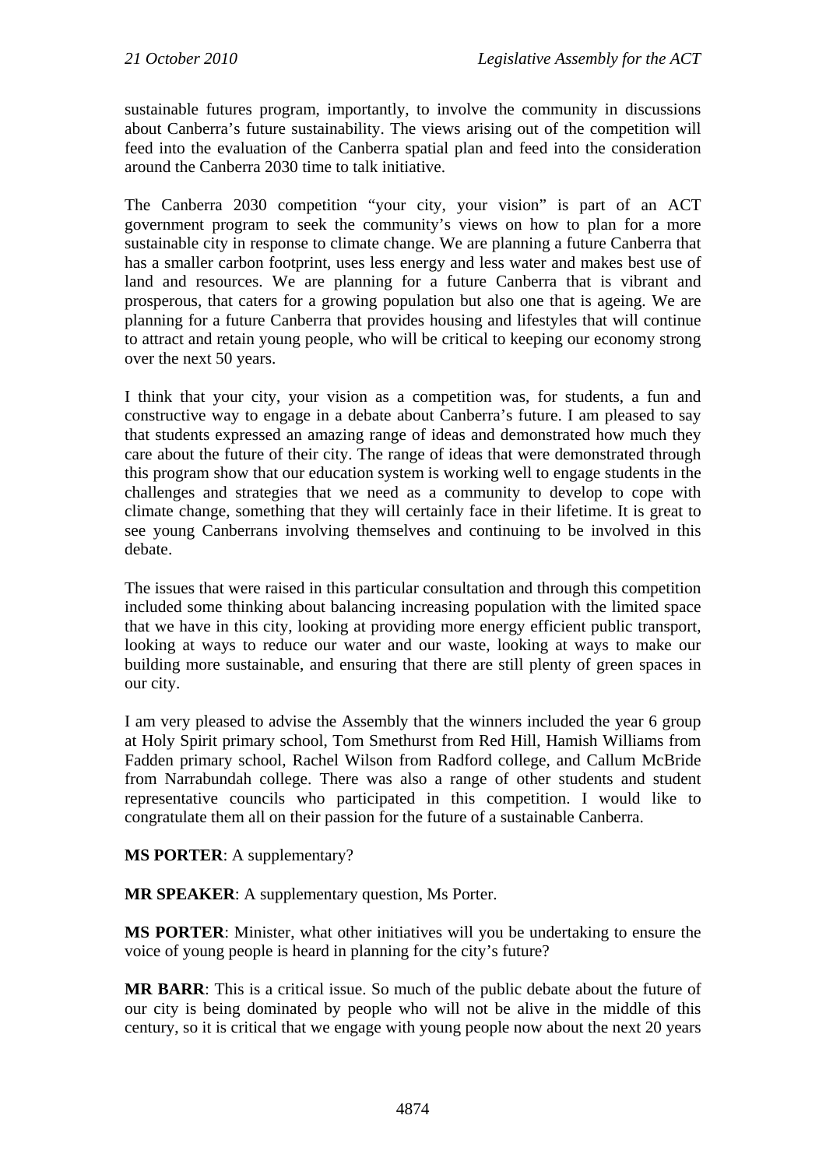sustainable futures program, importantly, to involve the community in discussions about Canberra's future sustainability. The views arising out of the competition will feed into the evaluation of the Canberra spatial plan and feed into the consideration around the Canberra 2030 time to talk initiative.

The Canberra 2030 competition "your city, your vision" is part of an ACT government program to seek the community's views on how to plan for a more sustainable city in response to climate change. We are planning a future Canberra that has a smaller carbon footprint, uses less energy and less water and makes best use of land and resources. We are planning for a future Canberra that is vibrant and prosperous, that caters for a growing population but also one that is ageing. We are planning for a future Canberra that provides housing and lifestyles that will continue to attract and retain young people, who will be critical to keeping our economy strong over the next 50 years.

I think that your city, your vision as a competition was, for students, a fun and constructive way to engage in a debate about Canberra's future. I am pleased to say that students expressed an amazing range of ideas and demonstrated how much they care about the future of their city. The range of ideas that were demonstrated through this program show that our education system is working well to engage students in the challenges and strategies that we need as a community to develop to cope with climate change, something that they will certainly face in their lifetime. It is great to see young Canberrans involving themselves and continuing to be involved in this debate.

The issues that were raised in this particular consultation and through this competition included some thinking about balancing increasing population with the limited space that we have in this city, looking at providing more energy efficient public transport, looking at ways to reduce our water and our waste, looking at ways to make our building more sustainable, and ensuring that there are still plenty of green spaces in our city.

I am very pleased to advise the Assembly that the winners included the year 6 group at Holy Spirit primary school, Tom Smethurst from Red Hill, Hamish Williams from Fadden primary school, Rachel Wilson from Radford college, and Callum McBride from Narrabundah college. There was also a range of other students and student representative councils who participated in this competition. I would like to congratulate them all on their passion for the future of a sustainable Canberra.

**MS PORTER**: A supplementary?

**MR SPEAKER**: A supplementary question, Ms Porter.

**MS PORTER**: Minister, what other initiatives will you be undertaking to ensure the voice of young people is heard in planning for the city's future?

**MR BARR**: This is a critical issue. So much of the public debate about the future of our city is being dominated by people who will not be alive in the middle of this century, so it is critical that we engage with young people now about the next 20 years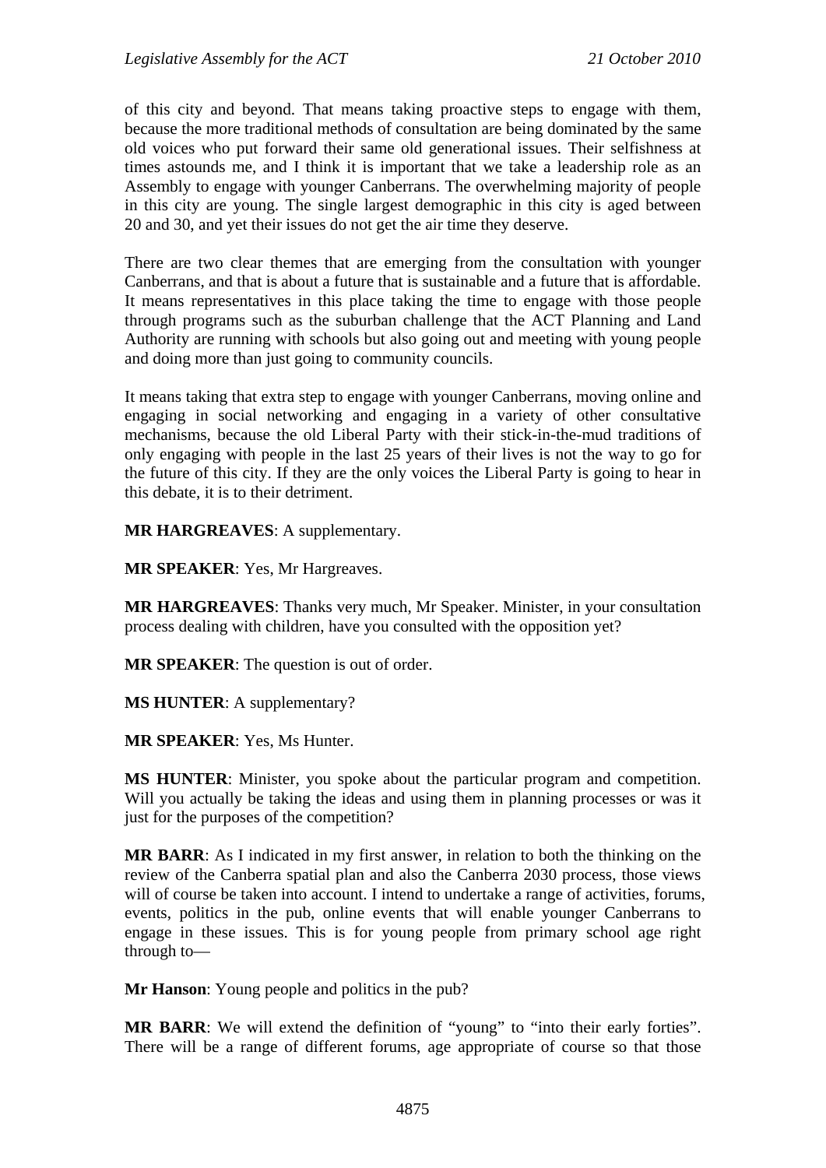of this city and beyond. That means taking proactive steps to engage with them, because the more traditional methods of consultation are being dominated by the same old voices who put forward their same old generational issues. Their selfishness at times astounds me, and I think it is important that we take a leadership role as an Assembly to engage with younger Canberrans. The overwhelming majority of people in this city are young. The single largest demographic in this city is aged between 20 and 30, and yet their issues do not get the air time they deserve.

There are two clear themes that are emerging from the consultation with younger Canberrans, and that is about a future that is sustainable and a future that is affordable. It means representatives in this place taking the time to engage with those people through programs such as the suburban challenge that the ACT Planning and Land Authority are running with schools but also going out and meeting with young people and doing more than just going to community councils.

It means taking that extra step to engage with younger Canberrans, moving online and engaging in social networking and engaging in a variety of other consultative mechanisms, because the old Liberal Party with their stick-in-the-mud traditions of only engaging with people in the last 25 years of their lives is not the way to go for the future of this city. If they are the only voices the Liberal Party is going to hear in this debate, it is to their detriment.

**MR HARGREAVES**: A supplementary.

**MR SPEAKER**: Yes, Mr Hargreaves.

**MR HARGREAVES**: Thanks very much, Mr Speaker. Minister, in your consultation process dealing with children, have you consulted with the opposition yet?

**MR SPEAKER**: The question is out of order.

**MS HUNTER**: A supplementary?

**MR SPEAKER**: Yes, Ms Hunter.

**MS HUNTER**: Minister, you spoke about the particular program and competition. Will you actually be taking the ideas and using them in planning processes or was it just for the purposes of the competition?

**MR BARR**: As I indicated in my first answer, in relation to both the thinking on the review of the Canberra spatial plan and also the Canberra 2030 process, those views will of course be taken into account. I intend to undertake a range of activities, forums, events, politics in the pub, online events that will enable younger Canberrans to engage in these issues. This is for young people from primary school age right through to—

**Mr Hanson**: Young people and politics in the pub?

**MR BARR**: We will extend the definition of "young" to "into their early forties". There will be a range of different forums, age appropriate of course so that those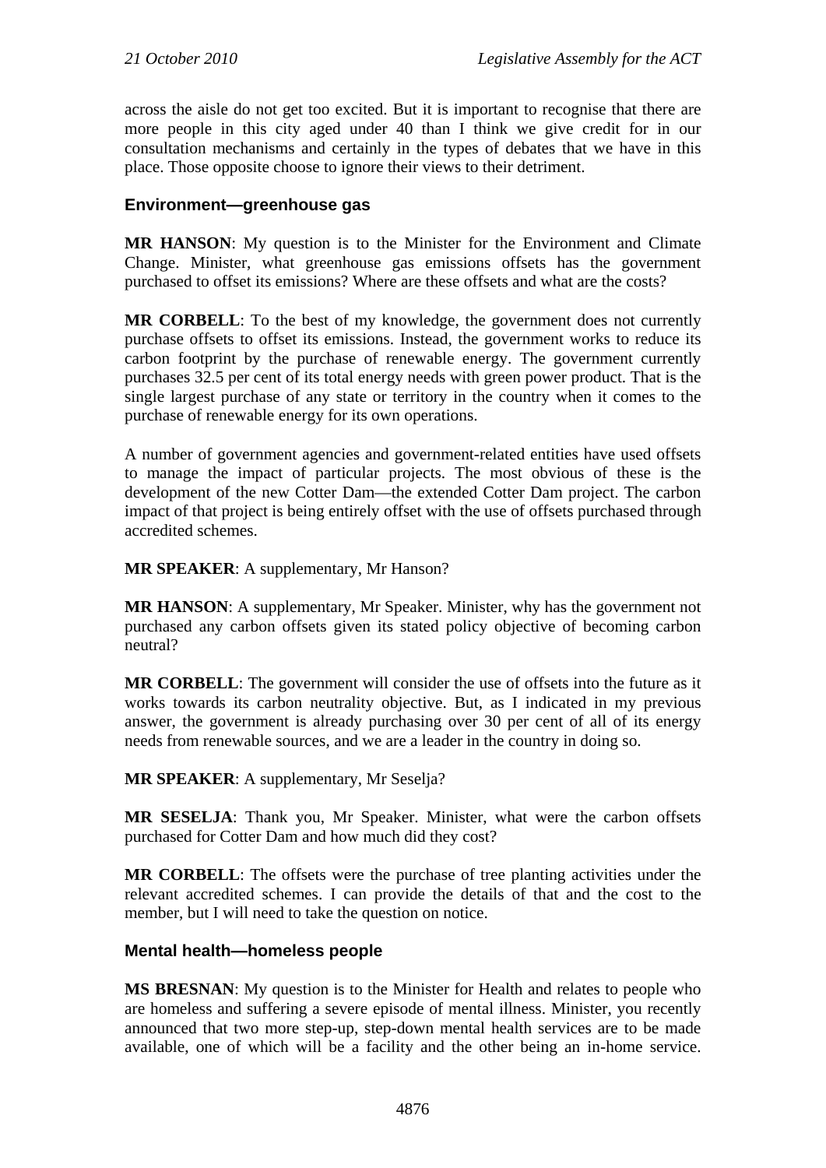across the aisle do not get too excited. But it is important to recognise that there are more people in this city aged under 40 than I think we give credit for in our consultation mechanisms and certainly in the types of debates that we have in this place. Those opposite choose to ignore their views to their detriment.

# **Environment—greenhouse gas**

**MR HANSON**: My question is to the Minister for the Environment and Climate Change. Minister, what greenhouse gas emissions offsets has the government purchased to offset its emissions? Where are these offsets and what are the costs?

**MR CORBELL**: To the best of my knowledge, the government does not currently purchase offsets to offset its emissions. Instead, the government works to reduce its carbon footprint by the purchase of renewable energy. The government currently purchases 32.5 per cent of its total energy needs with green power product. That is the single largest purchase of any state or territory in the country when it comes to the purchase of renewable energy for its own operations.

A number of government agencies and government-related entities have used offsets to manage the impact of particular projects. The most obvious of these is the development of the new Cotter Dam—the extended Cotter Dam project. The carbon impact of that project is being entirely offset with the use of offsets purchased through accredited schemes.

**MR SPEAKER**: A supplementary, Mr Hanson?

**MR HANSON**: A supplementary, Mr Speaker. Minister, why has the government not purchased any carbon offsets given its stated policy objective of becoming carbon neutral?

**MR CORBELL**: The government will consider the use of offsets into the future as it works towards its carbon neutrality objective. But, as I indicated in my previous answer, the government is already purchasing over 30 per cent of all of its energy needs from renewable sources, and we are a leader in the country in doing so.

**MR SPEAKER**: A supplementary, Mr Seselja?

**MR SESELJA**: Thank you, Mr Speaker. Minister, what were the carbon offsets purchased for Cotter Dam and how much did they cost?

**MR CORBELL**: The offsets were the purchase of tree planting activities under the relevant accredited schemes. I can provide the details of that and the cost to the member, but I will need to take the question on notice.

## **Mental health—homeless people**

**MS BRESNAN**: My question is to the Minister for Health and relates to people who are homeless and suffering a severe episode of mental illness. Minister, you recently announced that two more step-up, step-down mental health services are to be made available, one of which will be a facility and the other being an in-home service.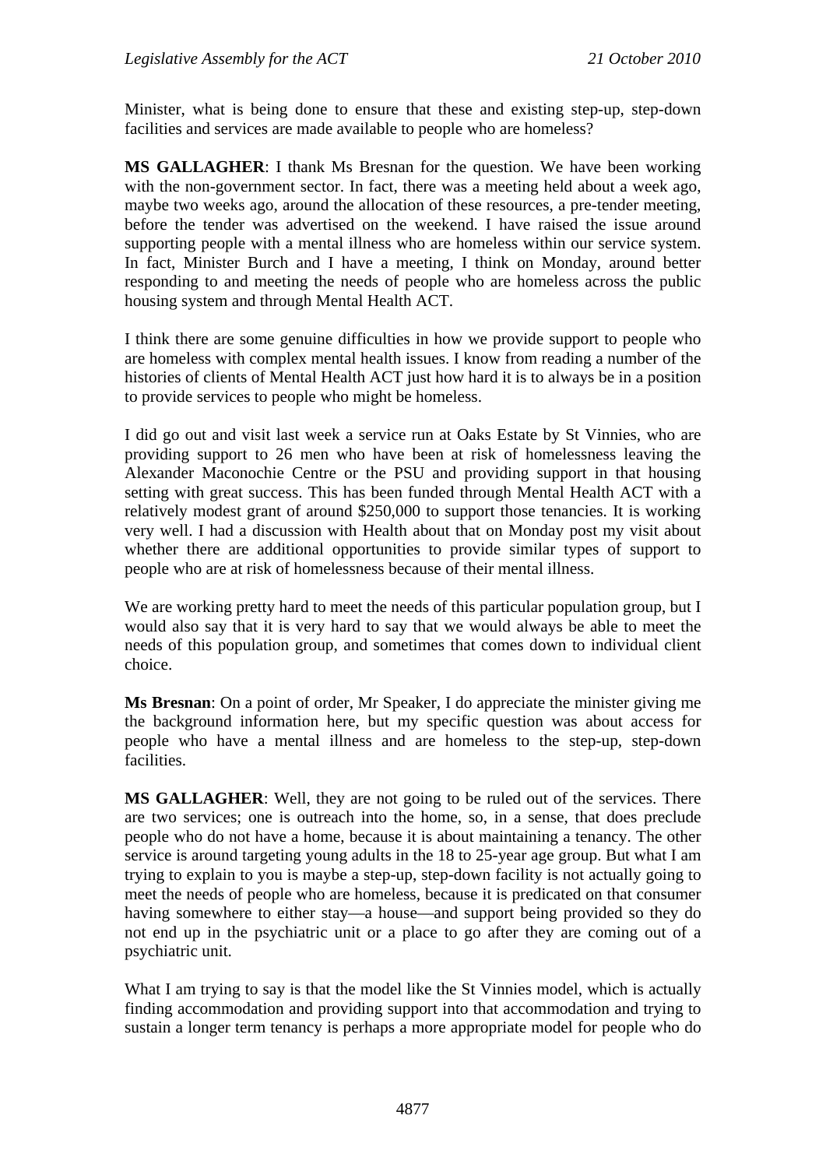Minister, what is being done to ensure that these and existing step-up, step-down facilities and services are made available to people who are homeless?

**MS GALLAGHER**: I thank Ms Bresnan for the question. We have been working with the non-government sector. In fact, there was a meeting held about a week ago, maybe two weeks ago, around the allocation of these resources, a pre-tender meeting, before the tender was advertised on the weekend. I have raised the issue around supporting people with a mental illness who are homeless within our service system. In fact, Minister Burch and I have a meeting, I think on Monday, around better responding to and meeting the needs of people who are homeless across the public housing system and through Mental Health ACT.

I think there are some genuine difficulties in how we provide support to people who are homeless with complex mental health issues. I know from reading a number of the histories of clients of Mental Health ACT just how hard it is to always be in a position to provide services to people who might be homeless.

I did go out and visit last week a service run at Oaks Estate by St Vinnies, who are providing support to 26 men who have been at risk of homelessness leaving the Alexander Maconochie Centre or the PSU and providing support in that housing setting with great success. This has been funded through Mental Health ACT with a relatively modest grant of around \$250,000 to support those tenancies. It is working very well. I had a discussion with Health about that on Monday post my visit about whether there are additional opportunities to provide similar types of support to people who are at risk of homelessness because of their mental illness.

We are working pretty hard to meet the needs of this particular population group, but I would also say that it is very hard to say that we would always be able to meet the needs of this population group, and sometimes that comes down to individual client choice.

**Ms Bresnan**: On a point of order, Mr Speaker, I do appreciate the minister giving me the background information here, but my specific question was about access for people who have a mental illness and are homeless to the step-up, step-down facilities.

**MS GALLAGHER**: Well, they are not going to be ruled out of the services. There are two services; one is outreach into the home, so, in a sense, that does preclude people who do not have a home, because it is about maintaining a tenancy. The other service is around targeting young adults in the 18 to 25-year age group. But what I am trying to explain to you is maybe a step-up, step-down facility is not actually going to meet the needs of people who are homeless, because it is predicated on that consumer having somewhere to either stay—a house—and support being provided so they do not end up in the psychiatric unit or a place to go after they are coming out of a psychiatric unit.

What I am trying to say is that the model like the St Vinnies model, which is actually finding accommodation and providing support into that accommodation and trying to sustain a longer term tenancy is perhaps a more appropriate model for people who do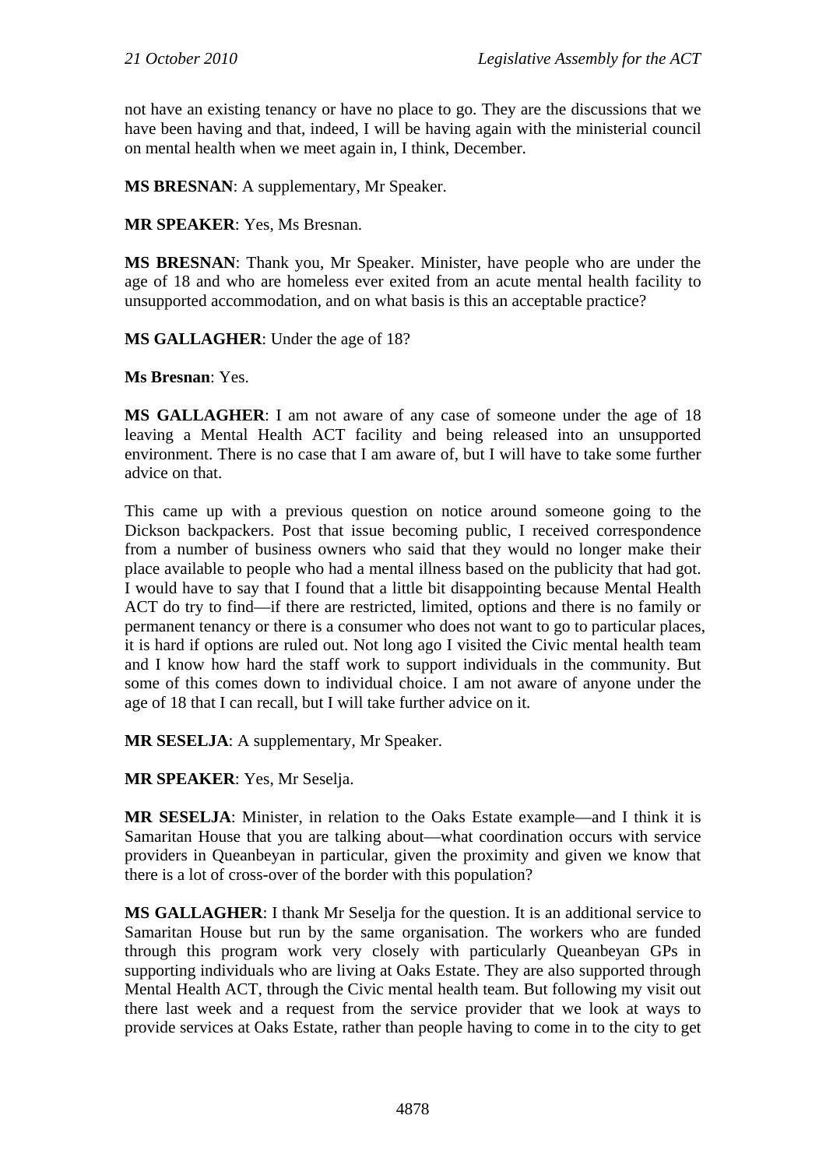not have an existing tenancy or have no place to go. They are the discussions that we have been having and that, indeed, I will be having again with the ministerial council on mental health when we meet again in, I think, December.

**MS BRESNAN**: A supplementary, Mr Speaker.

**MR SPEAKER**: Yes, Ms Bresnan.

**MS BRESNAN**: Thank you, Mr Speaker. Minister, have people who are under the age of 18 and who are homeless ever exited from an acute mental health facility to unsupported accommodation, and on what basis is this an acceptable practice?

**MS GALLAGHER**: Under the age of 18?

**Ms Bresnan**: Yes.

**MS GALLAGHER**: I am not aware of any case of someone under the age of 18 leaving a Mental Health ACT facility and being released into an unsupported environment. There is no case that I am aware of, but I will have to take some further advice on that.

This came up with a previous question on notice around someone going to the Dickson backpackers. Post that issue becoming public, I received correspondence from a number of business owners who said that they would no longer make their place available to people who had a mental illness based on the publicity that had got. I would have to say that I found that a little bit disappointing because Mental Health ACT do try to find—if there are restricted, limited, options and there is no family or permanent tenancy or there is a consumer who does not want to go to particular places, it is hard if options are ruled out. Not long ago I visited the Civic mental health team and I know how hard the staff work to support individuals in the community. But some of this comes down to individual choice. I am not aware of anyone under the age of 18 that I can recall, but I will take further advice on it.

**MR SESELJA**: A supplementary, Mr Speaker.

**MR SPEAKER**: Yes, Mr Seselja.

**MR SESELJA**: Minister, in relation to the Oaks Estate example—and I think it is Samaritan House that you are talking about—what coordination occurs with service providers in Queanbeyan in particular, given the proximity and given we know that there is a lot of cross-over of the border with this population?

**MS GALLAGHER**: I thank Mr Seselja for the question. It is an additional service to Samaritan House but run by the same organisation. The workers who are funded through this program work very closely with particularly Queanbeyan GPs in supporting individuals who are living at Oaks Estate. They are also supported through Mental Health ACT, through the Civic mental health team. But following my visit out there last week and a request from the service provider that we look at ways to provide services at Oaks Estate, rather than people having to come in to the city to get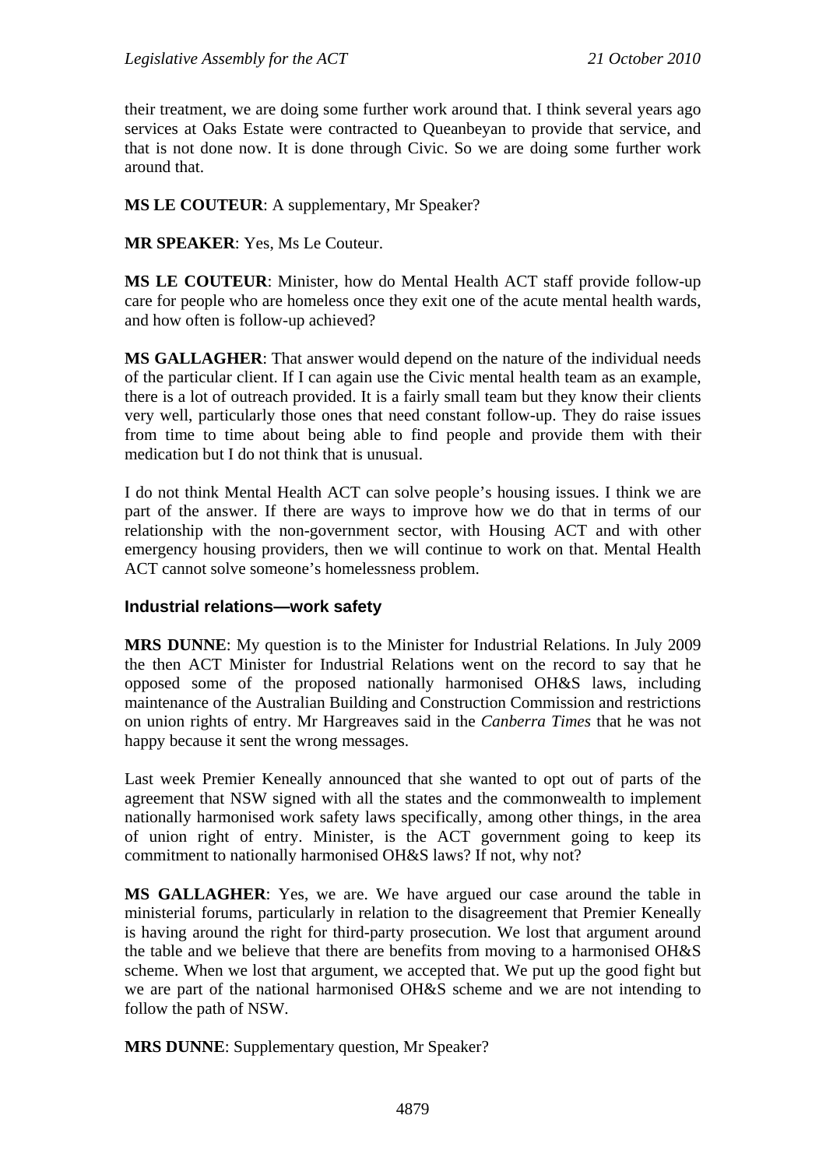their treatment, we are doing some further work around that. I think several years ago services at Oaks Estate were contracted to Queanbeyan to provide that service, and that is not done now. It is done through Civic. So we are doing some further work around that.

## **MS LE COUTEUR**: A supplementary, Mr Speaker?

**MR SPEAKER**: Yes, Ms Le Couteur.

**MS LE COUTEUR**: Minister, how do Mental Health ACT staff provide follow-up care for people who are homeless once they exit one of the acute mental health wards, and how often is follow-up achieved?

**MS GALLAGHER**: That answer would depend on the nature of the individual needs of the particular client. If I can again use the Civic mental health team as an example, there is a lot of outreach provided. It is a fairly small team but they know their clients very well, particularly those ones that need constant follow-up. They do raise issues from time to time about being able to find people and provide them with their medication but I do not think that is unusual.

I do not think Mental Health ACT can solve people's housing issues. I think we are part of the answer. If there are ways to improve how we do that in terms of our relationship with the non-government sector, with Housing ACT and with other emergency housing providers, then we will continue to work on that. Mental Health ACT cannot solve someone's homelessness problem.

## **Industrial relations—work safety**

**MRS DUNNE**: My question is to the Minister for Industrial Relations. In July 2009 the then ACT Minister for Industrial Relations went on the record to say that he opposed some of the proposed nationally harmonised OH&S laws, including maintenance of the Australian Building and Construction Commission and restrictions on union rights of entry. Mr Hargreaves said in the *Canberra Times* that he was not happy because it sent the wrong messages.

Last week Premier Keneally announced that she wanted to opt out of parts of the agreement that NSW signed with all the states and the commonwealth to implement nationally harmonised work safety laws specifically, among other things, in the area of union right of entry. Minister, is the ACT government going to keep its commitment to nationally harmonised OH&S laws? If not, why not?

**MS GALLAGHER**: Yes, we are. We have argued our case around the table in ministerial forums, particularly in relation to the disagreement that Premier Keneally is having around the right for third-party prosecution. We lost that argument around the table and we believe that there are benefits from moving to a harmonised OH&S scheme. When we lost that argument, we accepted that. We put up the good fight but we are part of the national harmonised OH&S scheme and we are not intending to follow the path of NSW.

**MRS DUNNE**: Supplementary question, Mr Speaker?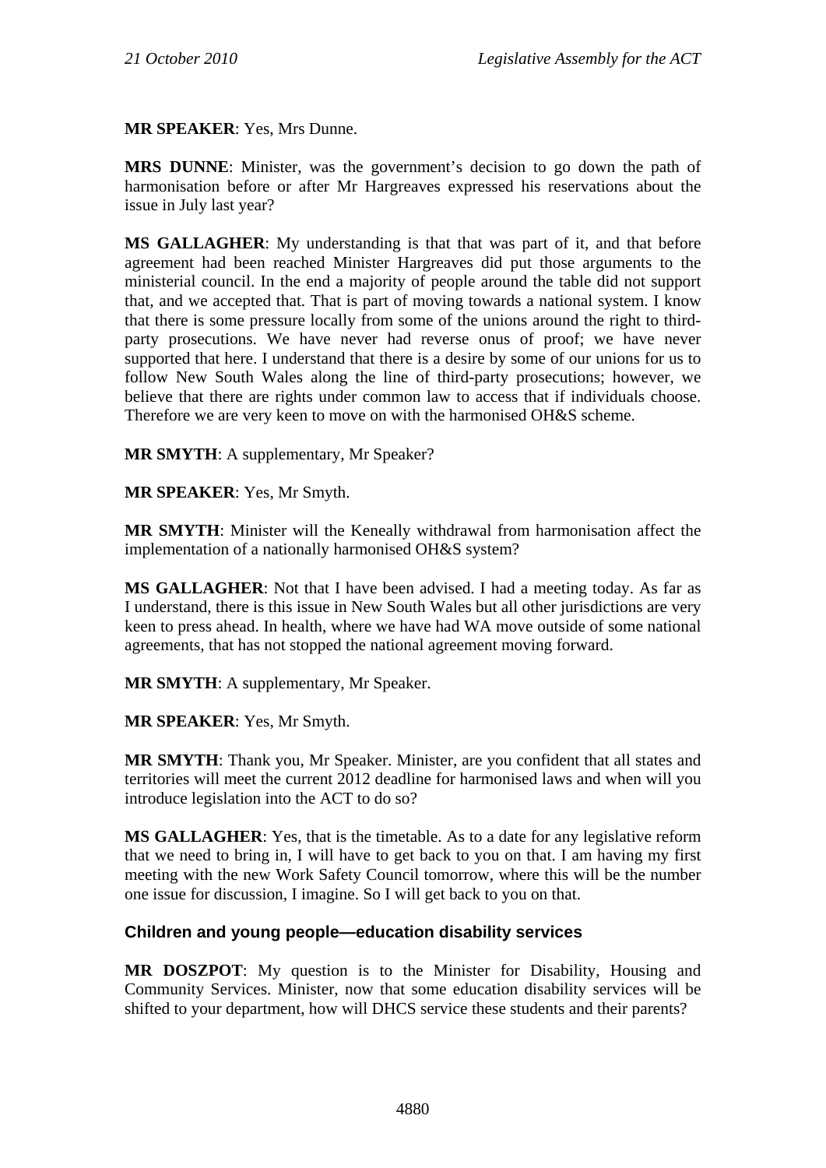**MR SPEAKER**: Yes, Mrs Dunne.

**MRS DUNNE**: Minister, was the government's decision to go down the path of harmonisation before or after Mr Hargreaves expressed his reservations about the issue in July last year?

**MS GALLAGHER**: My understanding is that that was part of it, and that before agreement had been reached Minister Hargreaves did put those arguments to the ministerial council. In the end a majority of people around the table did not support that, and we accepted that. That is part of moving towards a national system. I know that there is some pressure locally from some of the unions around the right to thirdparty prosecutions. We have never had reverse onus of proof; we have never supported that here. I understand that there is a desire by some of our unions for us to follow New South Wales along the line of third-party prosecutions; however, we believe that there are rights under common law to access that if individuals choose. Therefore we are very keen to move on with the harmonised OH&S scheme.

**MR SMYTH**: A supplementary, Mr Speaker?

**MR SPEAKER**: Yes, Mr Smyth.

**MR SMYTH**: Minister will the Keneally withdrawal from harmonisation affect the implementation of a nationally harmonised OH&S system?

**MS GALLAGHER**: Not that I have been advised. I had a meeting today. As far as I understand, there is this issue in New South Wales but all other jurisdictions are very keen to press ahead. In health, where we have had WA move outside of some national agreements, that has not stopped the national agreement moving forward.

**MR SMYTH**: A supplementary, Mr Speaker.

**MR SPEAKER**: Yes, Mr Smyth.

**MR SMYTH**: Thank you, Mr Speaker. Minister, are you confident that all states and territories will meet the current 2012 deadline for harmonised laws and when will you introduce legislation into the ACT to do so?

**MS GALLAGHER**: Yes, that is the timetable. As to a date for any legislative reform that we need to bring in, I will have to get back to you on that. I am having my first meeting with the new Work Safety Council tomorrow, where this will be the number one issue for discussion, I imagine. So I will get back to you on that.

## **Children and young people—education disability services**

**MR DOSZPOT**: My question is to the Minister for Disability, Housing and Community Services. Minister, now that some education disability services will be shifted to your department, how will DHCS service these students and their parents?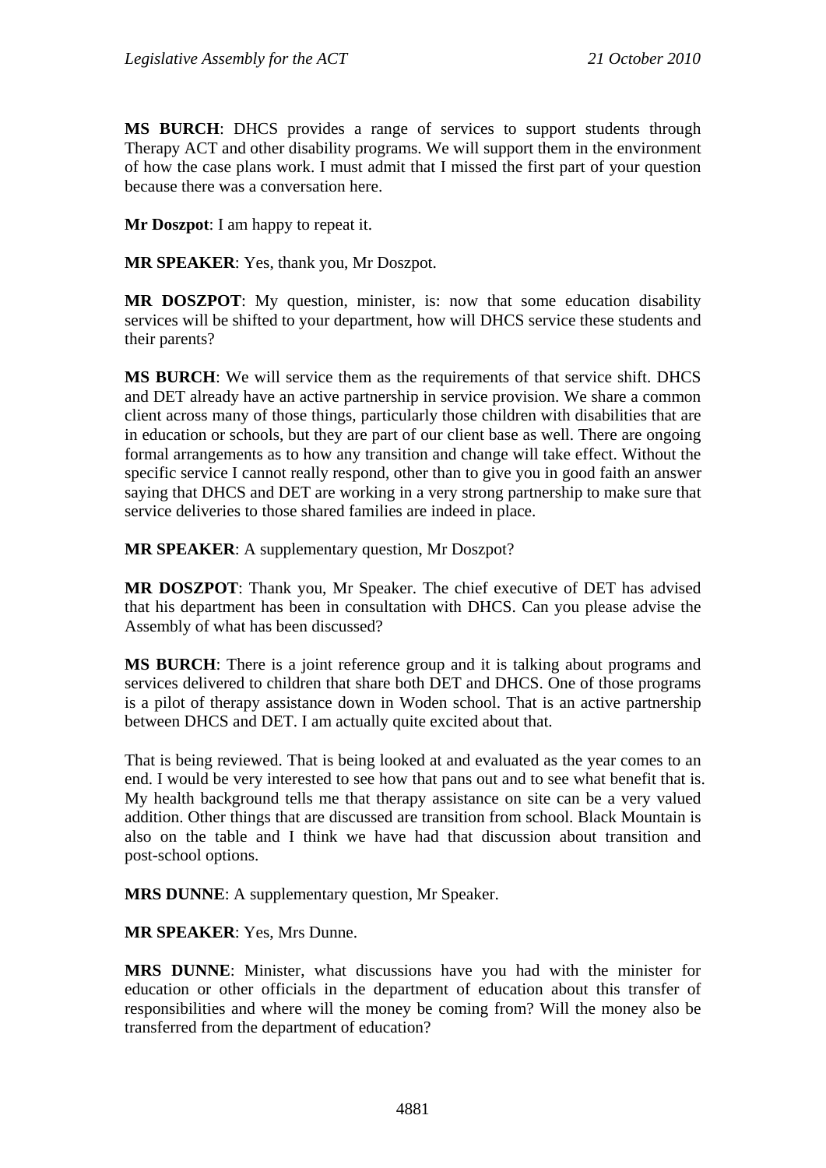**MS BURCH**: DHCS provides a range of services to support students through Therapy ACT and other disability programs. We will support them in the environment of how the case plans work. I must admit that I missed the first part of your question because there was a conversation here.

**Mr Doszpot**: I am happy to repeat it.

**MR SPEAKER**: Yes, thank you, Mr Doszpot.

**MR DOSZPOT**: My question, minister, is: now that some education disability services will be shifted to your department, how will DHCS service these students and their parents?

**MS BURCH**: We will service them as the requirements of that service shift. DHCS and DET already have an active partnership in service provision. We share a common client across many of those things, particularly those children with disabilities that are in education or schools, but they are part of our client base as well. There are ongoing formal arrangements as to how any transition and change will take effect. Without the specific service I cannot really respond, other than to give you in good faith an answer saying that DHCS and DET are working in a very strong partnership to make sure that service deliveries to those shared families are indeed in place.

**MR SPEAKER**: A supplementary question, Mr Doszpot?

**MR DOSZPOT**: Thank you, Mr Speaker. The chief executive of DET has advised that his department has been in consultation with DHCS. Can you please advise the Assembly of what has been discussed?

**MS BURCH**: There is a joint reference group and it is talking about programs and services delivered to children that share both DET and DHCS. One of those programs is a pilot of therapy assistance down in Woden school. That is an active partnership between DHCS and DET. I am actually quite excited about that.

That is being reviewed. That is being looked at and evaluated as the year comes to an end. I would be very interested to see how that pans out and to see what benefit that is. My health background tells me that therapy assistance on site can be a very valued addition. Other things that are discussed are transition from school. Black Mountain is also on the table and I think we have had that discussion about transition and post-school options.

**MRS DUNNE**: A supplementary question, Mr Speaker.

**MR SPEAKER**: Yes, Mrs Dunne.

**MRS DUNNE**: Minister, what discussions have you had with the minister for education or other officials in the department of education about this transfer of responsibilities and where will the money be coming from? Will the money also be transferred from the department of education?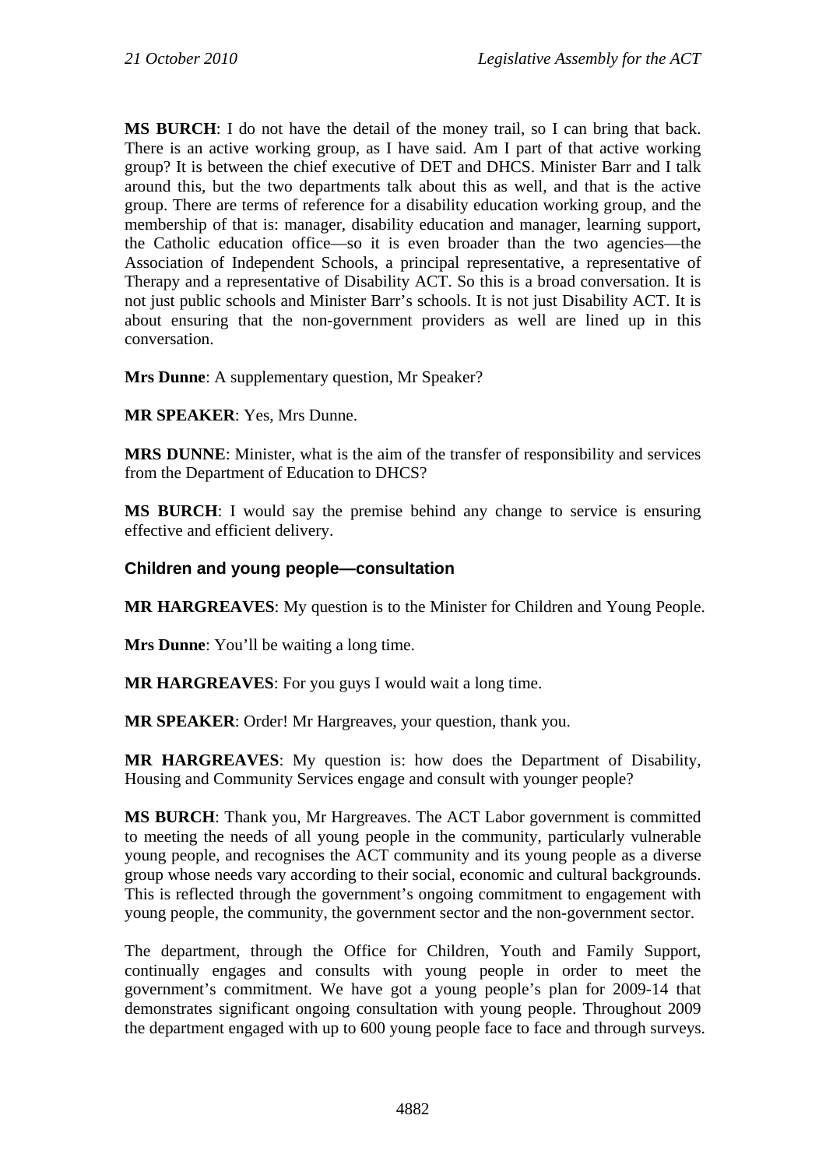**MS BURCH**: I do not have the detail of the money trail, so I can bring that back. There is an active working group, as I have said. Am I part of that active working group? It is between the chief executive of DET and DHCS. Minister Barr and I talk around this, but the two departments talk about this as well, and that is the active group. There are terms of reference for a disability education working group, and the membership of that is: manager, disability education and manager, learning support, the Catholic education office—so it is even broader than the two agencies—the Association of Independent Schools, a principal representative, a representative of Therapy and a representative of Disability ACT. So this is a broad conversation. It is not just public schools and Minister Barr's schools. It is not just Disability ACT. It is about ensuring that the non-government providers as well are lined up in this conversation.

**Mrs Dunne**: A supplementary question, Mr Speaker?

**MR SPEAKER**: Yes, Mrs Dunne.

**MRS DUNNE**: Minister, what is the aim of the transfer of responsibility and services from the Department of Education to DHCS?

**MS BURCH**: I would say the premise behind any change to service is ensuring effective and efficient delivery.

# **Children and young people—consultation**

**MR HARGREAVES**: My question is to the Minister for Children and Young People.

**Mrs Dunne**: You'll be waiting a long time.

**MR HARGREAVES**: For you guys I would wait a long time.

**MR SPEAKER**: Order! Mr Hargreaves, your question, thank you.

**MR HARGREAVES**: My question is: how does the Department of Disability, Housing and Community Services engage and consult with younger people?

**MS BURCH**: Thank you, Mr Hargreaves. The ACT Labor government is committed to meeting the needs of all young people in the community, particularly vulnerable young people, and recognises the ACT community and its young people as a diverse group whose needs vary according to their social, economic and cultural backgrounds. This is reflected through the government's ongoing commitment to engagement with young people, the community, the government sector and the non-government sector.

The department, through the Office for Children, Youth and Family Support, continually engages and consults with young people in order to meet the government's commitment. We have got a young people's plan for 2009-14 that demonstrates significant ongoing consultation with young people. Throughout 2009 the department engaged with up to 600 young people face to face and through surveys.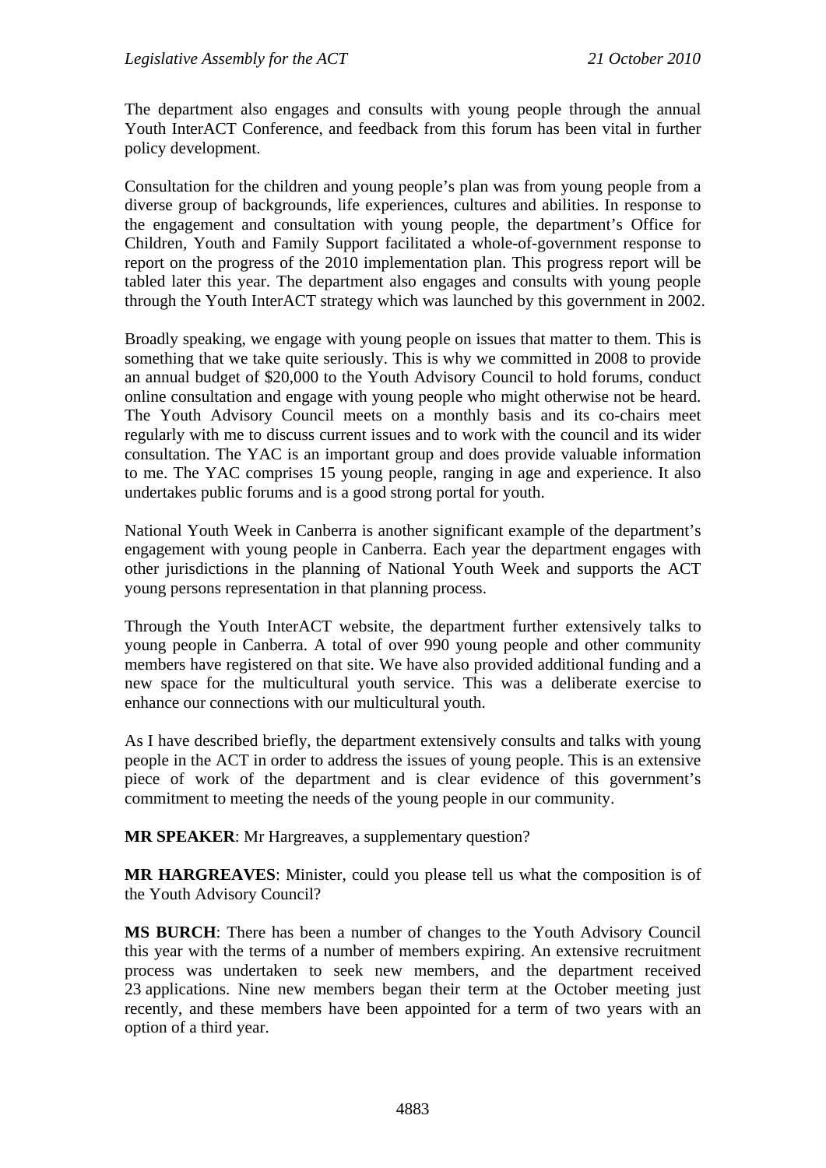The department also engages and consults with young people through the annual Youth InterACT Conference, and feedback from this forum has been vital in further policy development.

Consultation for the children and young people's plan was from young people from a diverse group of backgrounds, life experiences, cultures and abilities. In response to the engagement and consultation with young people, the department's Office for Children, Youth and Family Support facilitated a whole-of-government response to report on the progress of the 2010 implementation plan. This progress report will be tabled later this year. The department also engages and consults with young people through the Youth InterACT strategy which was launched by this government in 2002.

Broadly speaking, we engage with young people on issues that matter to them. This is something that we take quite seriously. This is why we committed in 2008 to provide an annual budget of \$20,000 to the Youth Advisory Council to hold forums, conduct online consultation and engage with young people who might otherwise not be heard. The Youth Advisory Council meets on a monthly basis and its co-chairs meet regularly with me to discuss current issues and to work with the council and its wider consultation. The YAC is an important group and does provide valuable information to me. The YAC comprises 15 young people, ranging in age and experience. It also undertakes public forums and is a good strong portal for youth.

National Youth Week in Canberra is another significant example of the department's engagement with young people in Canberra. Each year the department engages with other jurisdictions in the planning of National Youth Week and supports the ACT young persons representation in that planning process.

Through the Youth InterACT website, the department further extensively talks to young people in Canberra. A total of over 990 young people and other community members have registered on that site. We have also provided additional funding and a new space for the multicultural youth service. This was a deliberate exercise to enhance our connections with our multicultural youth.

As I have described briefly, the department extensively consults and talks with young people in the ACT in order to address the issues of young people. This is an extensive piece of work of the department and is clear evidence of this government's commitment to meeting the needs of the young people in our community.

**MR SPEAKER**: Mr Hargreaves, a supplementary question?

**MR HARGREAVES**: Minister, could you please tell us what the composition is of the Youth Advisory Council?

**MS BURCH**: There has been a number of changes to the Youth Advisory Council this year with the terms of a number of members expiring. An extensive recruitment process was undertaken to seek new members, and the department received 23 applications. Nine new members began their term at the October meeting just recently, and these members have been appointed for a term of two years with an option of a third year.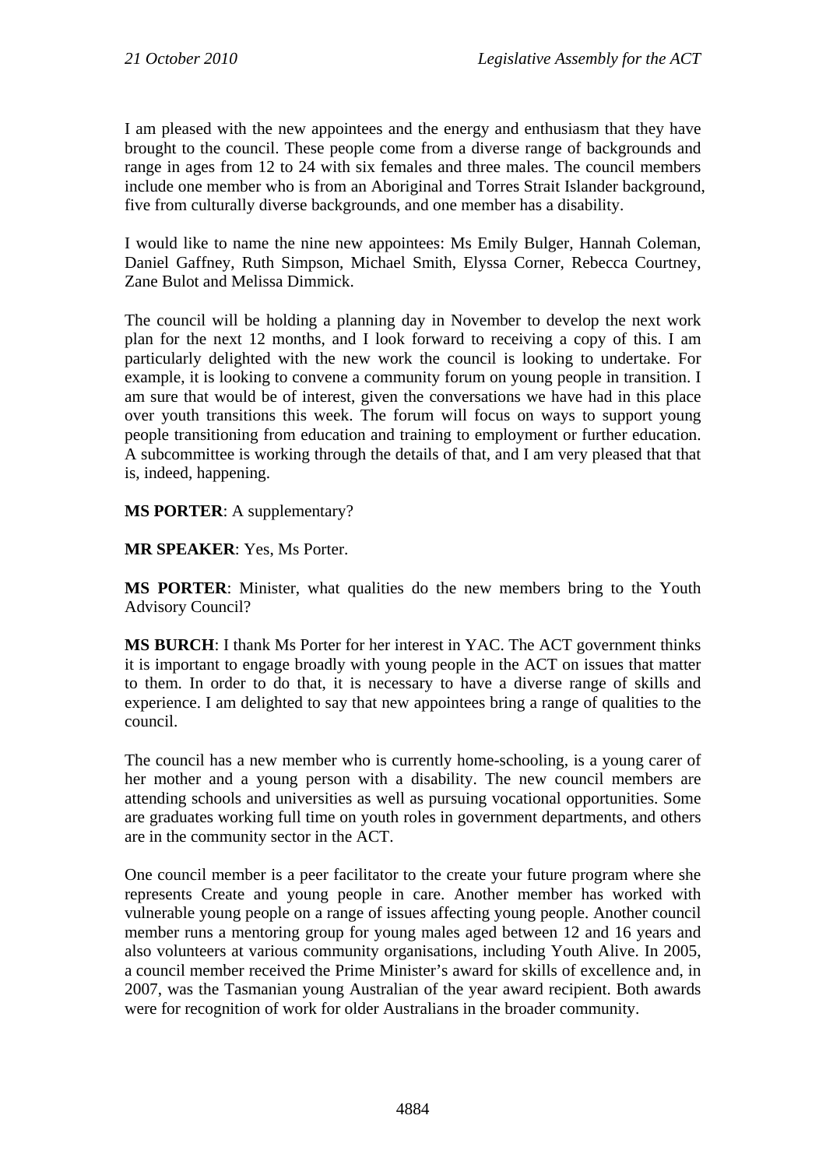I am pleased with the new appointees and the energy and enthusiasm that they have brought to the council. These people come from a diverse range of backgrounds and range in ages from 12 to 24 with six females and three males. The council members include one member who is from an Aboriginal and Torres Strait Islander background, five from culturally diverse backgrounds, and one member has a disability.

I would like to name the nine new appointees: Ms Emily Bulger, Hannah Coleman, Daniel Gaffney, Ruth Simpson, Michael Smith, Elyssa Corner, Rebecca Courtney, Zane Bulot and Melissa Dimmick.

The council will be holding a planning day in November to develop the next work plan for the next 12 months, and I look forward to receiving a copy of this. I am particularly delighted with the new work the council is looking to undertake. For example, it is looking to convene a community forum on young people in transition. I am sure that would be of interest, given the conversations we have had in this place over youth transitions this week. The forum will focus on ways to support young people transitioning from education and training to employment or further education. A subcommittee is working through the details of that, and I am very pleased that that is, indeed, happening.

**MS PORTER**: A supplementary?

**MR SPEAKER**: Yes, Ms Porter.

**MS PORTER**: Minister, what qualities do the new members bring to the Youth Advisory Council?

**MS BURCH**: I thank Ms Porter for her interest in YAC. The ACT government thinks it is important to engage broadly with young people in the ACT on issues that matter to them. In order to do that, it is necessary to have a diverse range of skills and experience. I am delighted to say that new appointees bring a range of qualities to the council.

The council has a new member who is currently home-schooling, is a young carer of her mother and a young person with a disability. The new council members are attending schools and universities as well as pursuing vocational opportunities. Some are graduates working full time on youth roles in government departments, and others are in the community sector in the ACT.

One council member is a peer facilitator to the create your future program where she represents Create and young people in care. Another member has worked with vulnerable young people on a range of issues affecting young people. Another council member runs a mentoring group for young males aged between 12 and 16 years and also volunteers at various community organisations, including Youth Alive. In 2005, a council member received the Prime Minister's award for skills of excellence and, in 2007, was the Tasmanian young Australian of the year award recipient. Both awards were for recognition of work for older Australians in the broader community.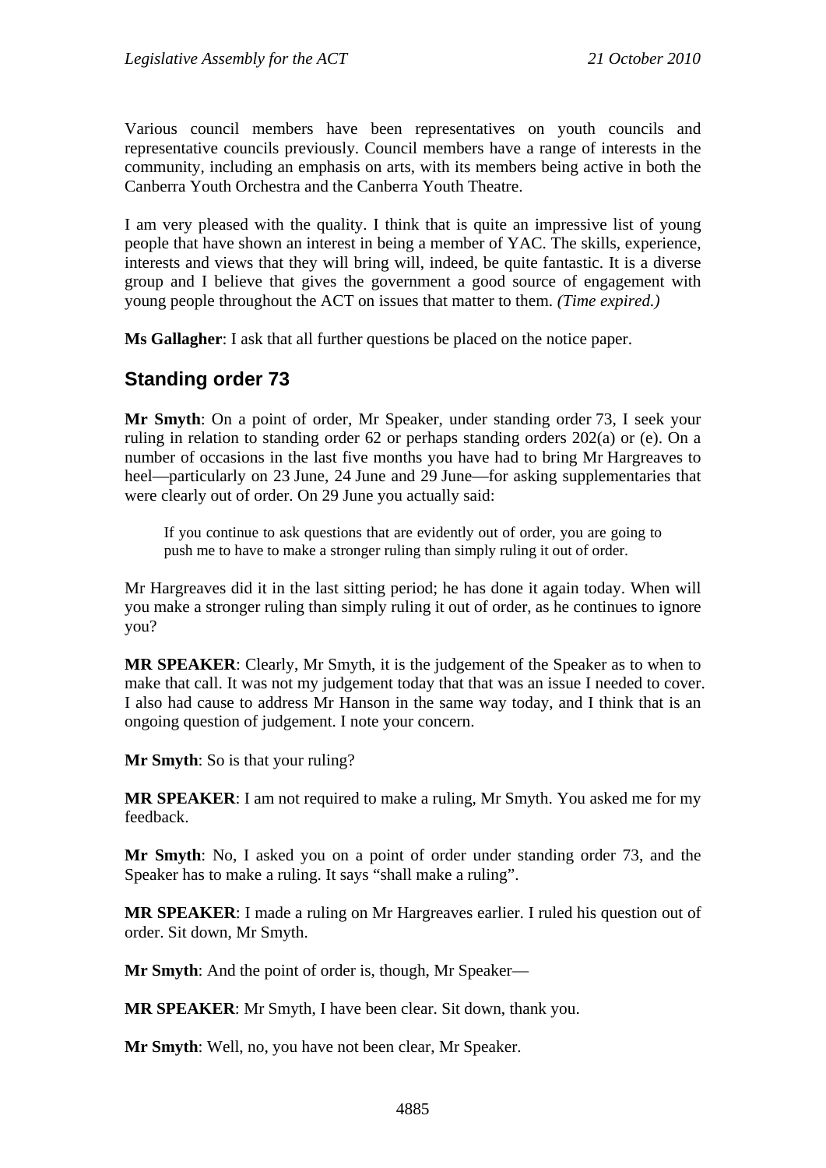Various council members have been representatives on youth councils and representative councils previously. Council members have a range of interests in the community, including an emphasis on arts, with its members being active in both the Canberra Youth Orchestra and the Canberra Youth Theatre.

I am very pleased with the quality. I think that is quite an impressive list of young people that have shown an interest in being a member of YAC. The skills, experience, interests and views that they will bring will, indeed, be quite fantastic. It is a diverse group and I believe that gives the government a good source of engagement with young people throughout the ACT on issues that matter to them. *(Time expired.)* 

**Ms Gallagher**: I ask that all further questions be placed on the notice paper.

# **Standing order 73**

**Mr Smyth**: On a point of order, Mr Speaker, under standing order 73, I seek your ruling in relation to standing order 62 or perhaps standing orders 202(a) or (e). On a number of occasions in the last five months you have had to bring Mr Hargreaves to heel—particularly on 23 June, 24 June and 29 June—for asking supplementaries that were clearly out of order. On 29 June you actually said:

If you continue to ask questions that are evidently out of order, you are going to push me to have to make a stronger ruling than simply ruling it out of order.

Mr Hargreaves did it in the last sitting period; he has done it again today. When will you make a stronger ruling than simply ruling it out of order, as he continues to ignore you?

**MR SPEAKER**: Clearly, Mr Smyth, it is the judgement of the Speaker as to when to make that call. It was not my judgement today that that was an issue I needed to cover. I also had cause to address Mr Hanson in the same way today, and I think that is an ongoing question of judgement. I note your concern.

**Mr Smyth**: So is that your ruling?

**MR SPEAKER**: I am not required to make a ruling, Mr Smyth. You asked me for my feedback.

**Mr Smyth**: No, I asked you on a point of order under standing order 73, and the Speaker has to make a ruling. It says "shall make a ruling".

**MR SPEAKER**: I made a ruling on Mr Hargreaves earlier. I ruled his question out of order. Sit down, Mr Smyth.

**Mr Smyth**: And the point of order is, though, Mr Speaker—

**MR SPEAKER**: Mr Smyth, I have been clear. Sit down, thank you.

**Mr Smyth**: Well, no, you have not been clear, Mr Speaker.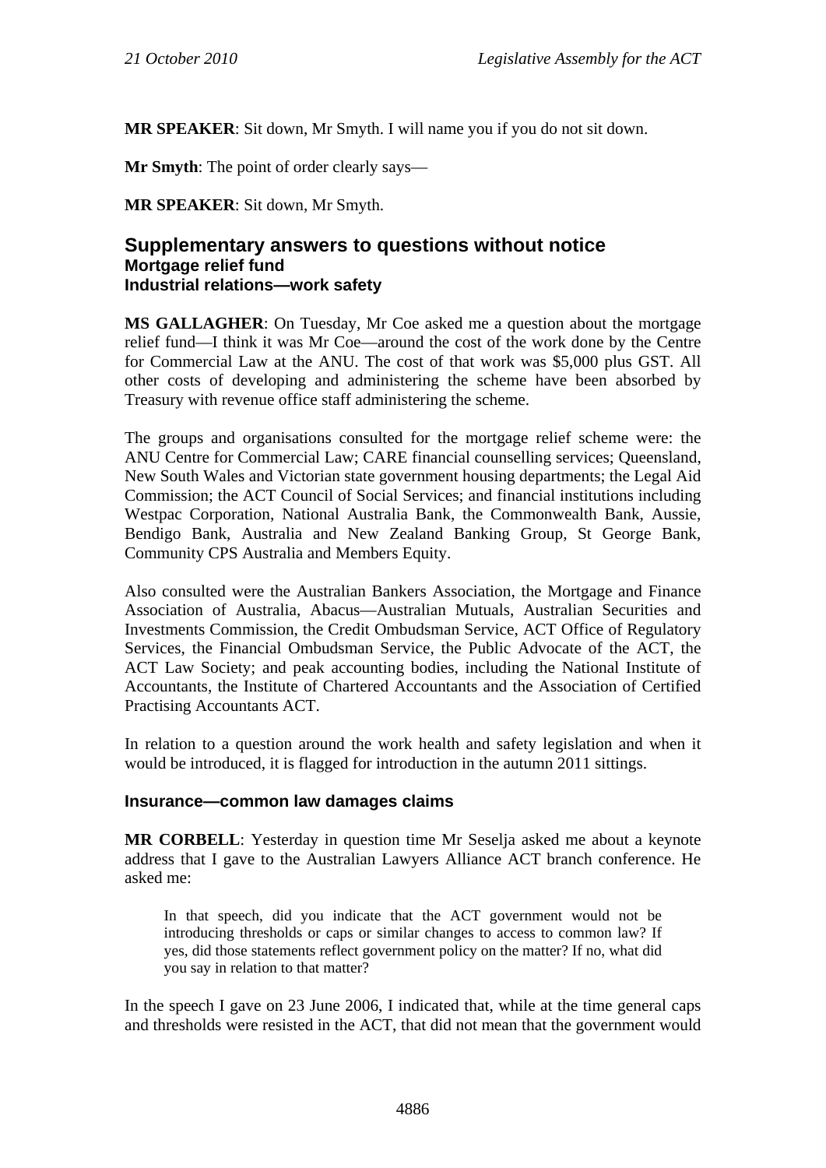**MR SPEAKER**: Sit down, Mr Smyth. I will name you if you do not sit down.

**Mr Smyth**: The point of order clearly says—

**MR SPEAKER**: Sit down, Mr Smyth.

## **Supplementary answers to questions without notice Mortgage relief fund Industrial relations—work safety**

**MS GALLAGHER**: On Tuesday, Mr Coe asked me a question about the mortgage relief fund—I think it was Mr Coe—around the cost of the work done by the Centre for Commercial Law at the ANU. The cost of that work was \$5,000 plus GST. All other costs of developing and administering the scheme have been absorbed by Treasury with revenue office staff administering the scheme.

The groups and organisations consulted for the mortgage relief scheme were: the ANU Centre for Commercial Law; CARE financial counselling services; Queensland, New South Wales and Victorian state government housing departments; the Legal Aid Commission; the ACT Council of Social Services; and financial institutions including Westpac Corporation, National Australia Bank, the Commonwealth Bank, Aussie, Bendigo Bank, Australia and New Zealand Banking Group, St George Bank, Community CPS Australia and Members Equity.

Also consulted were the Australian Bankers Association, the Mortgage and Finance Association of Australia, Abacus—Australian Mutuals, Australian Securities and Investments Commission, the Credit Ombudsman Service, ACT Office of Regulatory Services, the Financial Ombudsman Service, the Public Advocate of the ACT, the ACT Law Society; and peak accounting bodies, including the National Institute of Accountants, the Institute of Chartered Accountants and the Association of Certified Practising Accountants ACT.

In relation to a question around the work health and safety legislation and when it would be introduced, it is flagged for introduction in the autumn 2011 sittings.

#### **Insurance—common law damages claims**

**MR CORBELL**: Yesterday in question time Mr Seselja asked me about a keynote address that I gave to the Australian Lawyers Alliance ACT branch conference. He asked me:

In that speech, did you indicate that the ACT government would not be introducing thresholds or caps or similar changes to access to common law? If yes, did those statements reflect government policy on the matter? If no, what did you say in relation to that matter?

In the speech I gave on 23 June 2006, I indicated that, while at the time general caps and thresholds were resisted in the ACT, that did not mean that the government would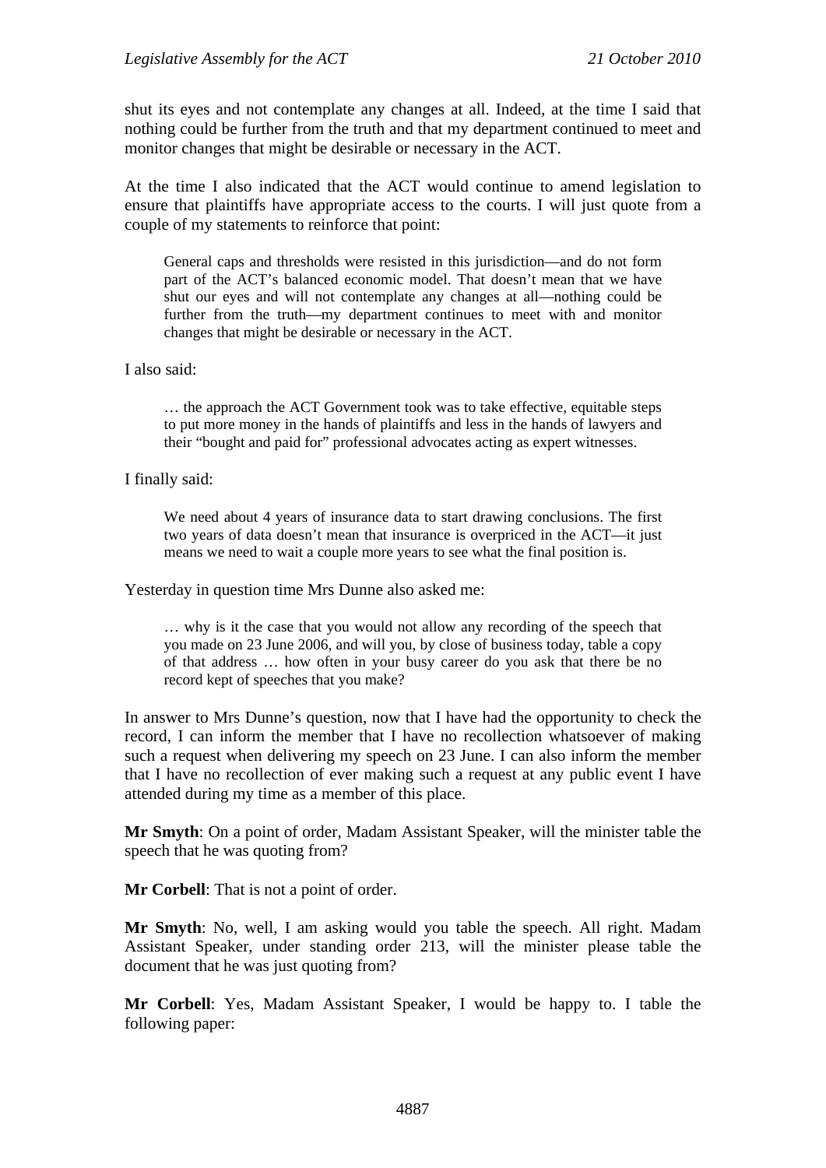shut its eyes and not contemplate any changes at all. Indeed, at the time I said that nothing could be further from the truth and that my department continued to meet and monitor changes that might be desirable or necessary in the ACT.

At the time I also indicated that the ACT would continue to amend legislation to ensure that plaintiffs have appropriate access to the courts. I will just quote from a couple of my statements to reinforce that point:

General caps and thresholds were resisted in this jurisdiction—and do not form part of the ACT's balanced economic model. That doesn't mean that we have shut our eyes and will not contemplate any changes at all—nothing could be further from the truth—my department continues to meet with and monitor changes that might be desirable or necessary in the ACT.

#### I also said:

… the approach the ACT Government took was to take effective, equitable steps to put more money in the hands of plaintiffs and less in the hands of lawyers and their "bought and paid for" professional advocates acting as expert witnesses.

#### I finally said:

We need about 4 years of insurance data to start drawing conclusions. The first two years of data doesn't mean that insurance is overpriced in the ACT—it just means we need to wait a couple more years to see what the final position is.

Yesterday in question time Mrs Dunne also asked me:

… why is it the case that you would not allow any recording of the speech that you made on 23 June 2006, and will you, by close of business today, table a copy of that address … how often in your busy career do you ask that there be no record kept of speeches that you make?

In answer to Mrs Dunne's question, now that I have had the opportunity to check the record, I can inform the member that I have no recollection whatsoever of making such a request when delivering my speech on 23 June. I can also inform the member that I have no recollection of ever making such a request at any public event I have attended during my time as a member of this place.

**Mr Smyth**: On a point of order, Madam Assistant Speaker, will the minister table the speech that he was quoting from?

**Mr Corbell**: That is not a point of order.

**Mr Smyth**: No, well, I am asking would you table the speech. All right. Madam Assistant Speaker, under standing order 213, will the minister please table the document that he was just quoting from?

**Mr Corbell**: Yes, Madam Assistant Speaker, I would be happy to. I table the following paper: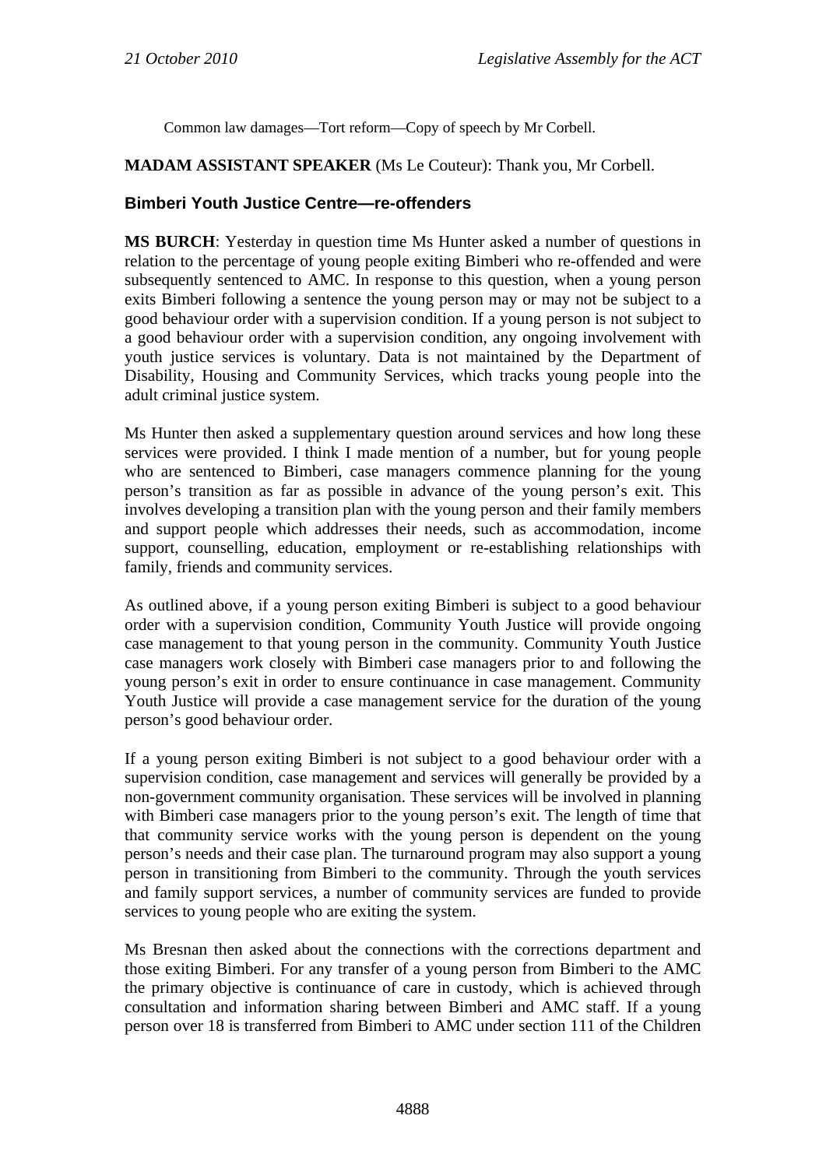Common law damages—Tort reform—Copy of speech by Mr Corbell.

## **MADAM ASSISTANT SPEAKER** (Ms Le Couteur): Thank you, Mr Corbell.

## **Bimberi Youth Justice Centre—re-offenders**

**MS BURCH**: Yesterday in question time Ms Hunter asked a number of questions in relation to the percentage of young people exiting Bimberi who re-offended and were subsequently sentenced to AMC. In response to this question, when a young person exits Bimberi following a sentence the young person may or may not be subject to a good behaviour order with a supervision condition. If a young person is not subject to a good behaviour order with a supervision condition, any ongoing involvement with youth justice services is voluntary. Data is not maintained by the Department of Disability, Housing and Community Services, which tracks young people into the adult criminal justice system.

Ms Hunter then asked a supplementary question around services and how long these services were provided. I think I made mention of a number, but for young people who are sentenced to Bimberi, case managers commence planning for the young person's transition as far as possible in advance of the young person's exit. This involves developing a transition plan with the young person and their family members and support people which addresses their needs, such as accommodation, income support, counselling, education, employment or re-establishing relationships with family, friends and community services.

As outlined above, if a young person exiting Bimberi is subject to a good behaviour order with a supervision condition, Community Youth Justice will provide ongoing case management to that young person in the community. Community Youth Justice case managers work closely with Bimberi case managers prior to and following the young person's exit in order to ensure continuance in case management. Community Youth Justice will provide a case management service for the duration of the young person's good behaviour order.

If a young person exiting Bimberi is not subject to a good behaviour order with a supervision condition, case management and services will generally be provided by a non-government community organisation. These services will be involved in planning with Bimberi case managers prior to the young person's exit. The length of time that that community service works with the young person is dependent on the young person's needs and their case plan. The turnaround program may also support a young person in transitioning from Bimberi to the community. Through the youth services and family support services, a number of community services are funded to provide services to young people who are exiting the system.

Ms Bresnan then asked about the connections with the corrections department and those exiting Bimberi. For any transfer of a young person from Bimberi to the AMC the primary objective is continuance of care in custody, which is achieved through consultation and information sharing between Bimberi and AMC staff. If a young person over 18 is transferred from Bimberi to AMC under section 111 of the Children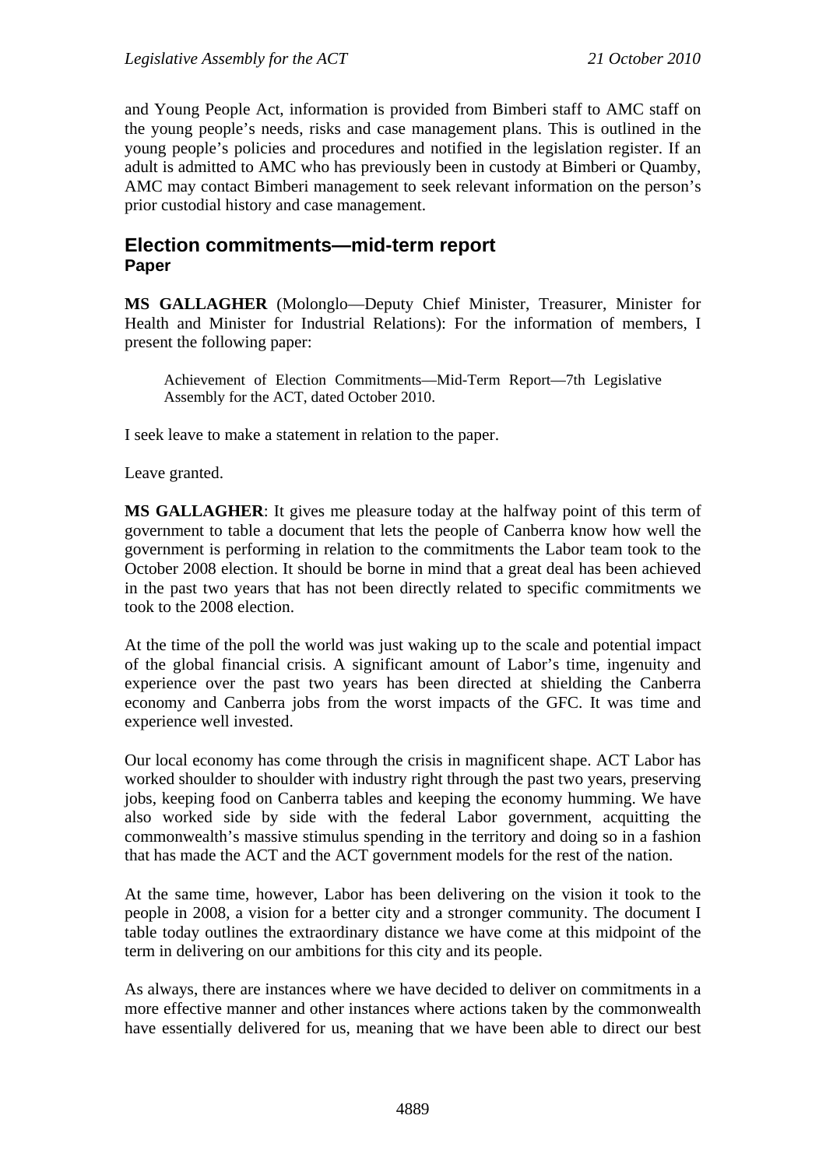and Young People Act, information is provided from Bimberi staff to AMC staff on the young people's needs, risks and case management plans. This is outlined in the young people's policies and procedures and notified in the legislation register. If an adult is admitted to AMC who has previously been in custody at Bimberi or Quamby, AMC may contact Bimberi management to seek relevant information on the person's prior custodial history and case management.

# **Election commitments—mid-term report Paper**

**MS GALLAGHER** (Molonglo—Deputy Chief Minister, Treasurer, Minister for Health and Minister for Industrial Relations): For the information of members, I present the following paper:

Achievement of Election Commitments—Mid-Term Report—7th Legislative Assembly for the ACT, dated October 2010.

I seek leave to make a statement in relation to the paper.

Leave granted.

**MS GALLAGHER**: It gives me pleasure today at the halfway point of this term of government to table a document that lets the people of Canberra know how well the government is performing in relation to the commitments the Labor team took to the October 2008 election. It should be borne in mind that a great deal has been achieved in the past two years that has not been directly related to specific commitments we took to the 2008 election.

At the time of the poll the world was just waking up to the scale and potential impact of the global financial crisis. A significant amount of Labor's time, ingenuity and experience over the past two years has been directed at shielding the Canberra economy and Canberra jobs from the worst impacts of the GFC. It was time and experience well invested.

Our local economy has come through the crisis in magnificent shape. ACT Labor has worked shoulder to shoulder with industry right through the past two years, preserving jobs, keeping food on Canberra tables and keeping the economy humming. We have also worked side by side with the federal Labor government, acquitting the commonwealth's massive stimulus spending in the territory and doing so in a fashion that has made the ACT and the ACT government models for the rest of the nation.

At the same time, however, Labor has been delivering on the vision it took to the people in 2008, a vision for a better city and a stronger community. The document I table today outlines the extraordinary distance we have come at this midpoint of the term in delivering on our ambitions for this city and its people.

As always, there are instances where we have decided to deliver on commitments in a more effective manner and other instances where actions taken by the commonwealth have essentially delivered for us, meaning that we have been able to direct our best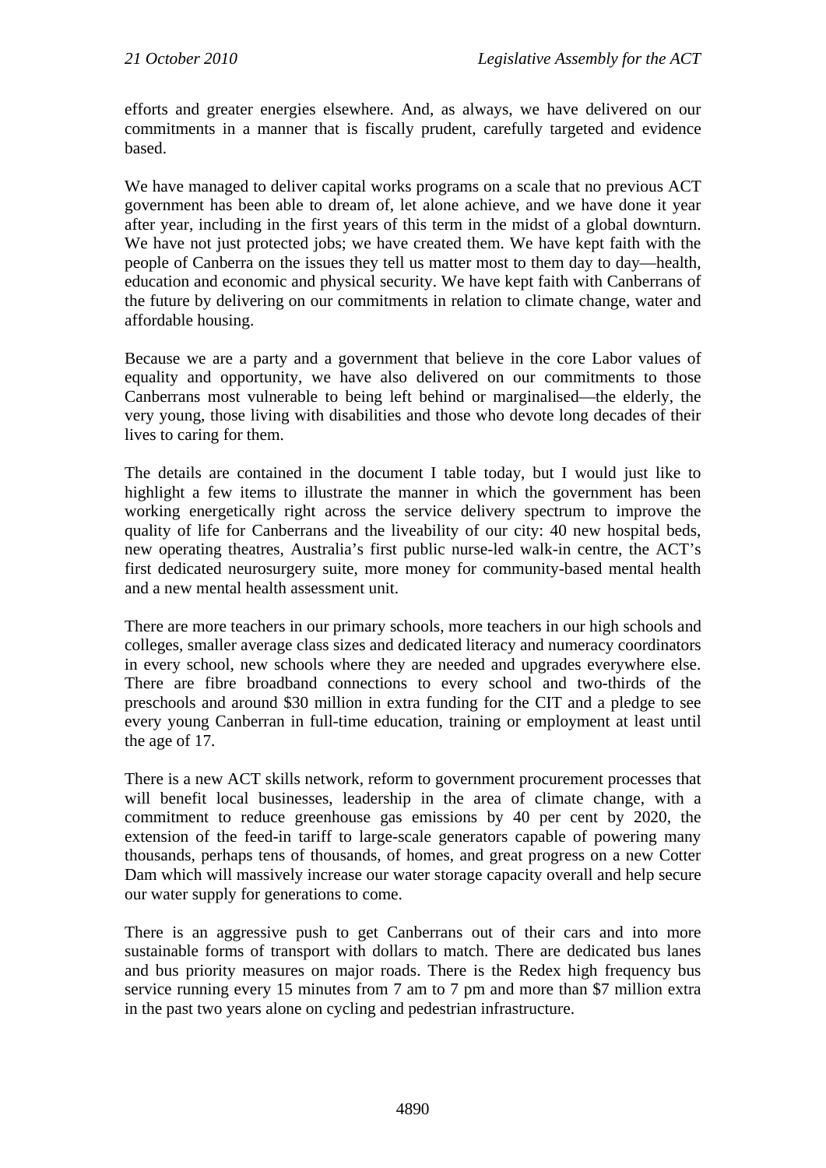efforts and greater energies elsewhere. And, as always, we have delivered on our commitments in a manner that is fiscally prudent, carefully targeted and evidence based.

We have managed to deliver capital works programs on a scale that no previous ACT government has been able to dream of, let alone achieve, and we have done it year after year, including in the first years of this term in the midst of a global downturn. We have not just protected jobs; we have created them. We have kept faith with the people of Canberra on the issues they tell us matter most to them day to day—health, education and economic and physical security. We have kept faith with Canberrans of the future by delivering on our commitments in relation to climate change, water and affordable housing.

Because we are a party and a government that believe in the core Labor values of equality and opportunity, we have also delivered on our commitments to those Canberrans most vulnerable to being left behind or marginalised—the elderly, the very young, those living with disabilities and those who devote long decades of their lives to caring for them.

The details are contained in the document I table today, but I would just like to highlight a few items to illustrate the manner in which the government has been working energetically right across the service delivery spectrum to improve the quality of life for Canberrans and the liveability of our city: 40 new hospital beds, new operating theatres, Australia's first public nurse-led walk-in centre, the ACT's first dedicated neurosurgery suite, more money for community-based mental health and a new mental health assessment unit.

There are more teachers in our primary schools, more teachers in our high schools and colleges, smaller average class sizes and dedicated literacy and numeracy coordinators in every school, new schools where they are needed and upgrades everywhere else. There are fibre broadband connections to every school and two-thirds of the preschools and around \$30 million in extra funding for the CIT and a pledge to see every young Canberran in full-time education, training or employment at least until the age of 17.

There is a new ACT skills network, reform to government procurement processes that will benefit local businesses, leadership in the area of climate change, with a commitment to reduce greenhouse gas emissions by 40 per cent by 2020, the extension of the feed-in tariff to large-scale generators capable of powering many thousands, perhaps tens of thousands, of homes, and great progress on a new Cotter Dam which will massively increase our water storage capacity overall and help secure our water supply for generations to come.

There is an aggressive push to get Canberrans out of their cars and into more sustainable forms of transport with dollars to match. There are dedicated bus lanes and bus priority measures on major roads. There is the Redex high frequency bus service running every 15 minutes from 7 am to 7 pm and more than \$7 million extra in the past two years alone on cycling and pedestrian infrastructure.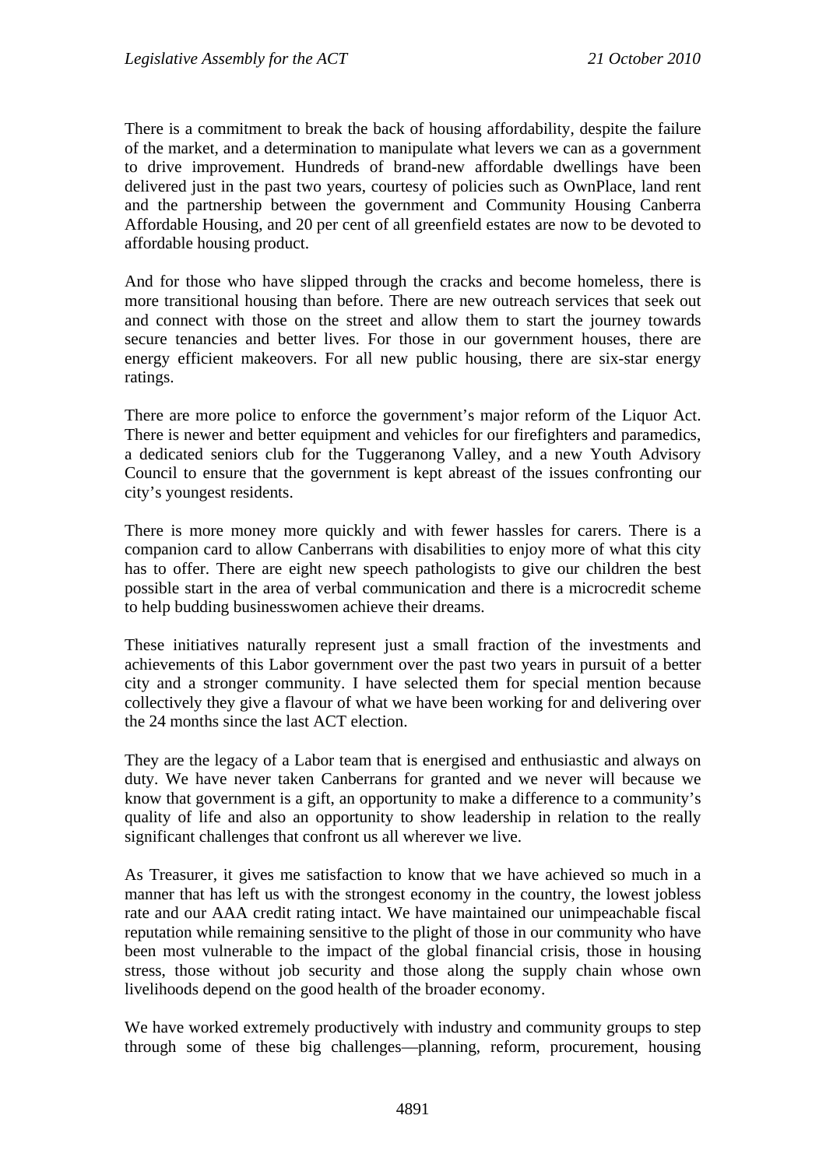There is a commitment to break the back of housing affordability, despite the failure of the market, and a determination to manipulate what levers we can as a government to drive improvement. Hundreds of brand-new affordable dwellings have been delivered just in the past two years, courtesy of policies such as OwnPlace, land rent and the partnership between the government and Community Housing Canberra Affordable Housing, and 20 per cent of all greenfield estates are now to be devoted to affordable housing product.

And for those who have slipped through the cracks and become homeless, there is more transitional housing than before. There are new outreach services that seek out and connect with those on the street and allow them to start the journey towards secure tenancies and better lives. For those in our government houses, there are energy efficient makeovers. For all new public housing, there are six-star energy ratings.

There are more police to enforce the government's major reform of the Liquor Act. There is newer and better equipment and vehicles for our firefighters and paramedics, a dedicated seniors club for the Tuggeranong Valley, and a new Youth Advisory Council to ensure that the government is kept abreast of the issues confronting our city's youngest residents.

There is more money more quickly and with fewer hassles for carers. There is a companion card to allow Canberrans with disabilities to enjoy more of what this city has to offer. There are eight new speech pathologists to give our children the best possible start in the area of verbal communication and there is a microcredit scheme to help budding businesswomen achieve their dreams.

These initiatives naturally represent just a small fraction of the investments and achievements of this Labor government over the past two years in pursuit of a better city and a stronger community. I have selected them for special mention because collectively they give a flavour of what we have been working for and delivering over the 24 months since the last ACT election.

They are the legacy of a Labor team that is energised and enthusiastic and always on duty. We have never taken Canberrans for granted and we never will because we know that government is a gift, an opportunity to make a difference to a community's quality of life and also an opportunity to show leadership in relation to the really significant challenges that confront us all wherever we live.

As Treasurer, it gives me satisfaction to know that we have achieved so much in a manner that has left us with the strongest economy in the country, the lowest jobless rate and our AAA credit rating intact. We have maintained our unimpeachable fiscal reputation while remaining sensitive to the plight of those in our community who have been most vulnerable to the impact of the global financial crisis, those in housing stress, those without job security and those along the supply chain whose own livelihoods depend on the good health of the broader economy.

We have worked extremely productively with industry and community groups to step through some of these big challenges—planning, reform, procurement, housing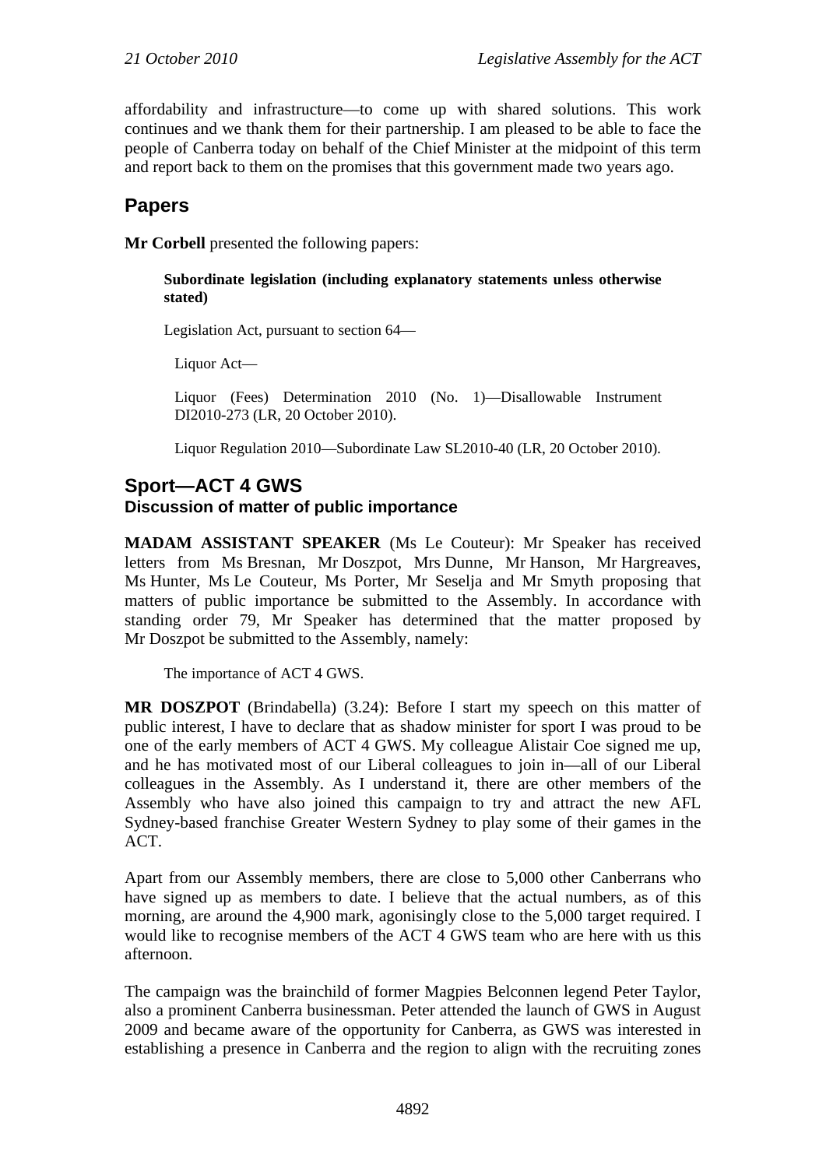affordability and infrastructure—to come up with shared solutions. This work continues and we thank them for their partnership. I am pleased to be able to face the people of Canberra today on behalf of the Chief Minister at the midpoint of this term and report back to them on the promises that this government made two years ago.

# **Papers**

**Mr Corbell** presented the following papers:

#### **Subordinate legislation (including explanatory statements unless otherwise stated)**

Legislation Act, pursuant to section 64—

Liquor Act—

Liquor (Fees) Determination 2010 (No. 1)—Disallowable Instrument DI2010-273 (LR, 20 October 2010).

Liquor Regulation 2010—Subordinate Law SL2010-40 (LR, 20 October 2010).

## **Sport—ACT 4 GWS Discussion of matter of public importance**

**MADAM ASSISTANT SPEAKER** (Ms Le Couteur): Mr Speaker has received letters from Ms Bresnan, Mr Doszpot, Mrs Dunne, Mr Hanson, Mr Hargreaves, Ms Hunter, Ms Le Couteur, Ms Porter, Mr Seselja and Mr Smyth proposing that matters of public importance be submitted to the Assembly. In accordance with standing order 79, Mr Speaker has determined that the matter proposed by Mr Doszpot be submitted to the Assembly, namely:

The importance of ACT 4 GWS.

**MR DOSZPOT** (Brindabella) (3.24): Before I start my speech on this matter of public interest, I have to declare that as shadow minister for sport I was proud to be one of the early members of ACT 4 GWS. My colleague Alistair Coe signed me up, and he has motivated most of our Liberal colleagues to join in—all of our Liberal colleagues in the Assembly. As I understand it, there are other members of the Assembly who have also joined this campaign to try and attract the new AFL Sydney-based franchise Greater Western Sydney to play some of their games in the ACT.

Apart from our Assembly members, there are close to 5,000 other Canberrans who have signed up as members to date. I believe that the actual numbers, as of this morning, are around the 4,900 mark, agonisingly close to the 5,000 target required. I would like to recognise members of the ACT 4 GWS team who are here with us this afternoon.

The campaign was the brainchild of former Magpies Belconnen legend Peter Taylor, also a prominent Canberra businessman. Peter attended the launch of GWS in August 2009 and became aware of the opportunity for Canberra, as GWS was interested in establishing a presence in Canberra and the region to align with the recruiting zones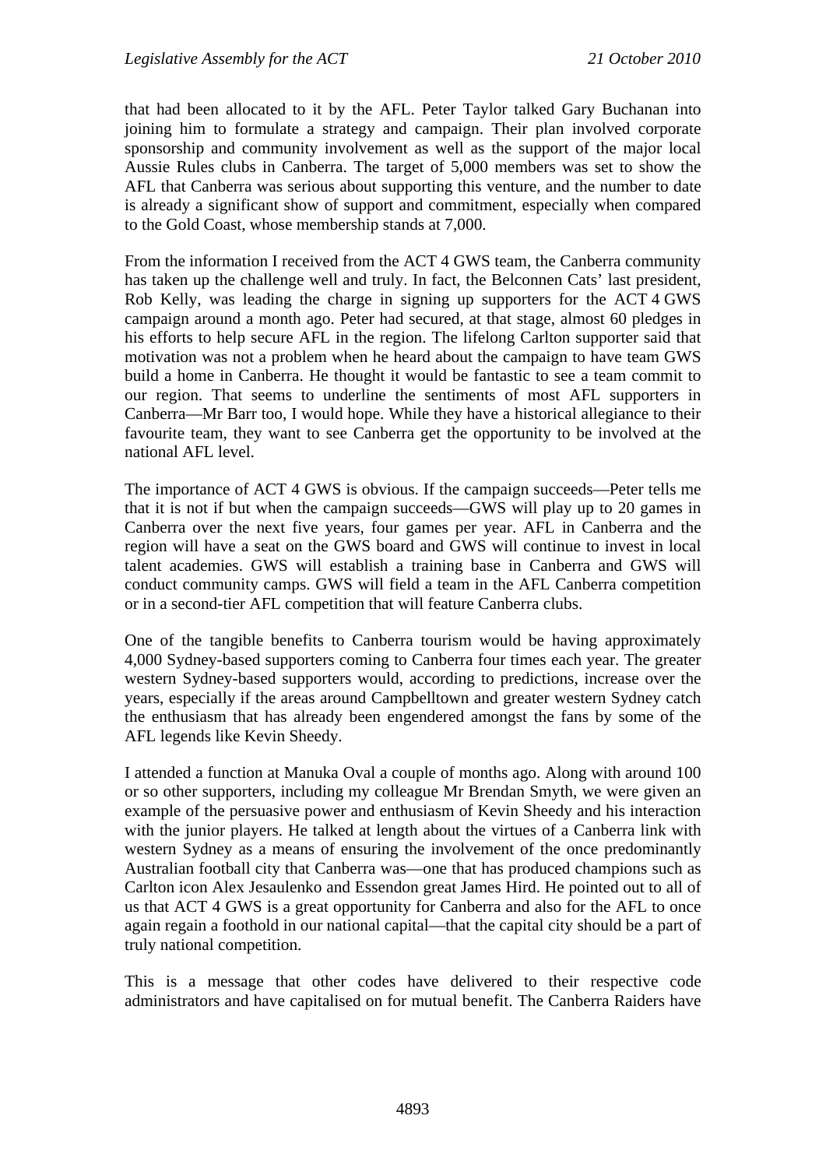that had been allocated to it by the AFL. Peter Taylor talked Gary Buchanan into joining him to formulate a strategy and campaign. Their plan involved corporate sponsorship and community involvement as well as the support of the major local Aussie Rules clubs in Canberra. The target of 5,000 members was set to show the AFL that Canberra was serious about supporting this venture, and the number to date is already a significant show of support and commitment, especially when compared to the Gold Coast, whose membership stands at 7,000.

From the information I received from the ACT 4 GWS team, the Canberra community has taken up the challenge well and truly. In fact, the Belconnen Cats' last president, Rob Kelly, was leading the charge in signing up supporters for the ACT 4 GWS campaign around a month ago. Peter had secured, at that stage, almost 60 pledges in his efforts to help secure AFL in the region. The lifelong Carlton supporter said that motivation was not a problem when he heard about the campaign to have team GWS build a home in Canberra. He thought it would be fantastic to see a team commit to our region. That seems to underline the sentiments of most AFL supporters in Canberra—Mr Barr too, I would hope. While they have a historical allegiance to their favourite team, they want to see Canberra get the opportunity to be involved at the national AFL level.

The importance of ACT 4 GWS is obvious. If the campaign succeeds—Peter tells me that it is not if but when the campaign succeeds—GWS will play up to 20 games in Canberra over the next five years, four games per year. AFL in Canberra and the region will have a seat on the GWS board and GWS will continue to invest in local talent academies. GWS will establish a training base in Canberra and GWS will conduct community camps. GWS will field a team in the AFL Canberra competition or in a second-tier AFL competition that will feature Canberra clubs.

One of the tangible benefits to Canberra tourism would be having approximately 4,000 Sydney-based supporters coming to Canberra four times each year. The greater western Sydney-based supporters would, according to predictions, increase over the years, especially if the areas around Campbelltown and greater western Sydney catch the enthusiasm that has already been engendered amongst the fans by some of the AFL legends like Kevin Sheedy.

I attended a function at Manuka Oval a couple of months ago. Along with around 100 or so other supporters, including my colleague Mr Brendan Smyth, we were given an example of the persuasive power and enthusiasm of Kevin Sheedy and his interaction with the junior players. He talked at length about the virtues of a Canberra link with western Sydney as a means of ensuring the involvement of the once predominantly Australian football city that Canberra was—one that has produced champions such as Carlton icon Alex Jesaulenko and Essendon great James Hird. He pointed out to all of us that ACT 4 GWS is a great opportunity for Canberra and also for the AFL to once again regain a foothold in our national capital—that the capital city should be a part of truly national competition.

This is a message that other codes have delivered to their respective code administrators and have capitalised on for mutual benefit. The Canberra Raiders have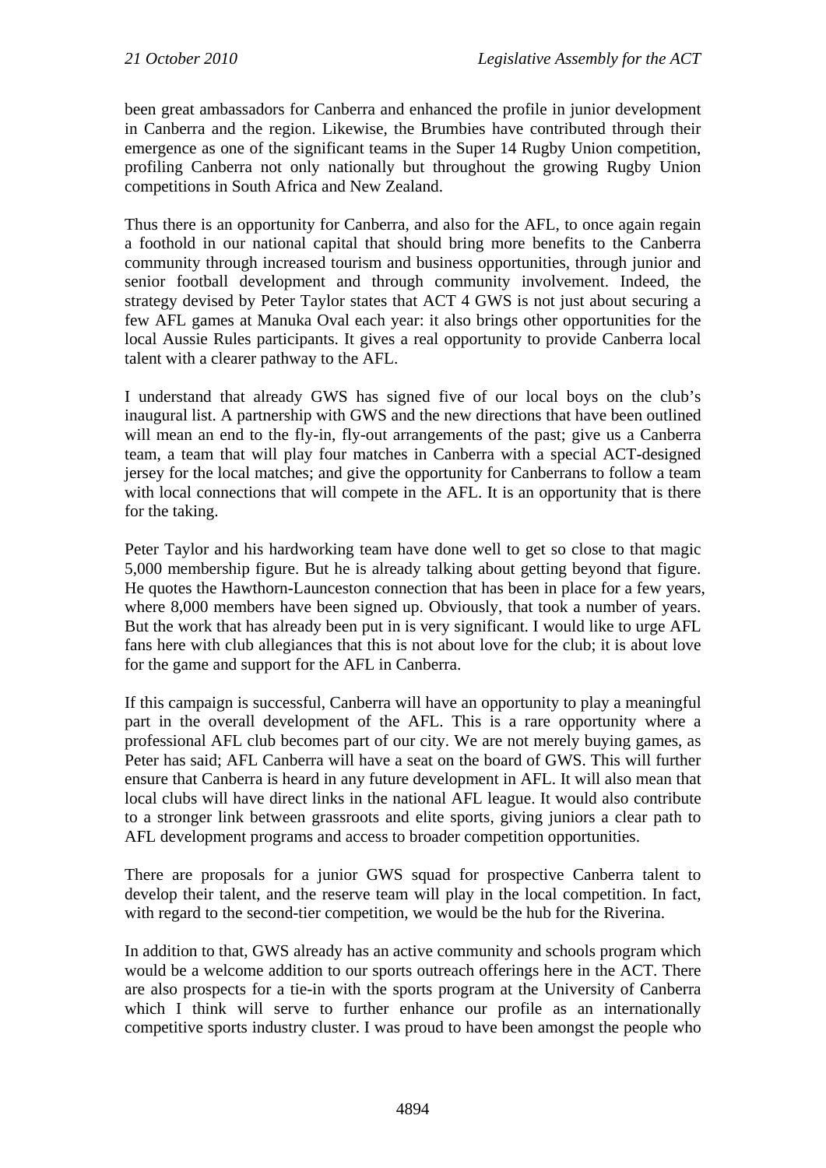been great ambassadors for Canberra and enhanced the profile in junior development in Canberra and the region. Likewise, the Brumbies have contributed through their emergence as one of the significant teams in the Super 14 Rugby Union competition, profiling Canberra not only nationally but throughout the growing Rugby Union competitions in South Africa and New Zealand.

Thus there is an opportunity for Canberra, and also for the AFL, to once again regain a foothold in our national capital that should bring more benefits to the Canberra community through increased tourism and business opportunities, through junior and senior football development and through community involvement. Indeed, the strategy devised by Peter Taylor states that ACT 4 GWS is not just about securing a few AFL games at Manuka Oval each year: it also brings other opportunities for the local Aussie Rules participants. It gives a real opportunity to provide Canberra local talent with a clearer pathway to the AFL.

I understand that already GWS has signed five of our local boys on the club's inaugural list. A partnership with GWS and the new directions that have been outlined will mean an end to the fly-in, fly-out arrangements of the past; give us a Canberra team, a team that will play four matches in Canberra with a special ACT-designed jersey for the local matches; and give the opportunity for Canberrans to follow a team with local connections that will compete in the AFL. It is an opportunity that is there for the taking.

Peter Taylor and his hardworking team have done well to get so close to that magic 5,000 membership figure. But he is already talking about getting beyond that figure. He quotes the Hawthorn-Launceston connection that has been in place for a few years, where 8,000 members have been signed up. Obviously, that took a number of years. But the work that has already been put in is very significant. I would like to urge AFL fans here with club allegiances that this is not about love for the club; it is about love for the game and support for the AFL in Canberra.

If this campaign is successful, Canberra will have an opportunity to play a meaningful part in the overall development of the AFL. This is a rare opportunity where a professional AFL club becomes part of our city. We are not merely buying games, as Peter has said; AFL Canberra will have a seat on the board of GWS. This will further ensure that Canberra is heard in any future development in AFL. It will also mean that local clubs will have direct links in the national AFL league. It would also contribute to a stronger link between grassroots and elite sports, giving juniors a clear path to AFL development programs and access to broader competition opportunities.

There are proposals for a junior GWS squad for prospective Canberra talent to develop their talent, and the reserve team will play in the local competition. In fact, with regard to the second-tier competition, we would be the hub for the Riverina.

In addition to that, GWS already has an active community and schools program which would be a welcome addition to our sports outreach offerings here in the ACT. There are also prospects for a tie-in with the sports program at the University of Canberra which I think will serve to further enhance our profile as an internationally competitive sports industry cluster. I was proud to have been amongst the people who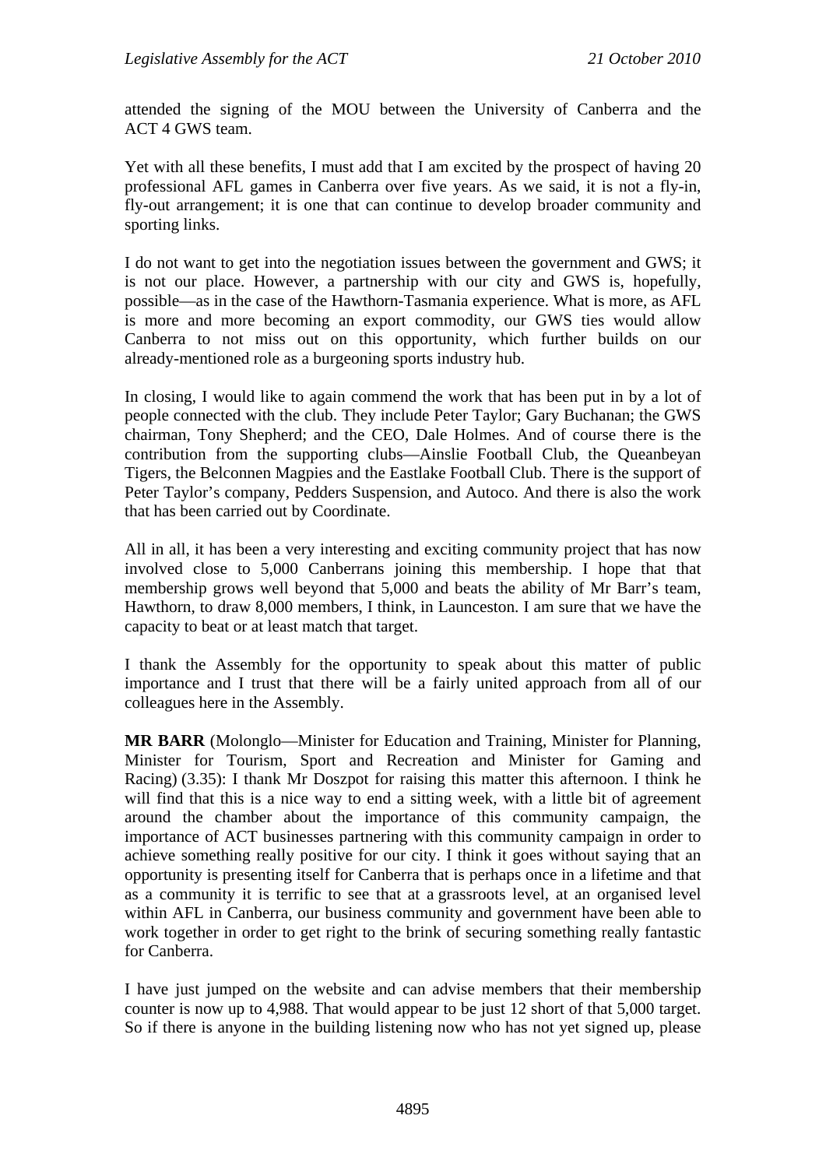attended the signing of the MOU between the University of Canberra and the ACT 4 GWS team.

Yet with all these benefits, I must add that I am excited by the prospect of having 20 professional AFL games in Canberra over five years. As we said, it is not a fly-in, fly-out arrangement; it is one that can continue to develop broader community and sporting links.

I do not want to get into the negotiation issues between the government and GWS; it is not our place. However, a partnership with our city and GWS is, hopefully, possible—as in the case of the Hawthorn-Tasmania experience. What is more, as AFL is more and more becoming an export commodity, our GWS ties would allow Canberra to not miss out on this opportunity, which further builds on our already-mentioned role as a burgeoning sports industry hub.

In closing, I would like to again commend the work that has been put in by a lot of people connected with the club. They include Peter Taylor; Gary Buchanan; the GWS chairman, Tony Shepherd; and the CEO, Dale Holmes. And of course there is the contribution from the supporting clubs—Ainslie Football Club, the Queanbeyan Tigers, the Belconnen Magpies and the Eastlake Football Club. There is the support of Peter Taylor's company, Pedders Suspension, and Autoco. And there is also the work that has been carried out by Coordinate.

All in all, it has been a very interesting and exciting community project that has now involved close to 5,000 Canberrans joining this membership. I hope that that membership grows well beyond that 5,000 and beats the ability of Mr Barr's team, Hawthorn, to draw 8,000 members, I think, in Launceston. I am sure that we have the capacity to beat or at least match that target.

I thank the Assembly for the opportunity to speak about this matter of public importance and I trust that there will be a fairly united approach from all of our colleagues here in the Assembly.

**MR BARR** (Molonglo—Minister for Education and Training, Minister for Planning, Minister for Tourism, Sport and Recreation and Minister for Gaming and Racing) (3.35): I thank Mr Doszpot for raising this matter this afternoon. I think he will find that this is a nice way to end a sitting week, with a little bit of agreement around the chamber about the importance of this community campaign, the importance of ACT businesses partnering with this community campaign in order to achieve something really positive for our city. I think it goes without saying that an opportunity is presenting itself for Canberra that is perhaps once in a lifetime and that as a community it is terrific to see that at a grassroots level, at an organised level within AFL in Canberra, our business community and government have been able to work together in order to get right to the brink of securing something really fantastic for Canberra.

I have just jumped on the website and can advise members that their membership counter is now up to 4,988. That would appear to be just 12 short of that 5,000 target. So if there is anyone in the building listening now who has not yet signed up, please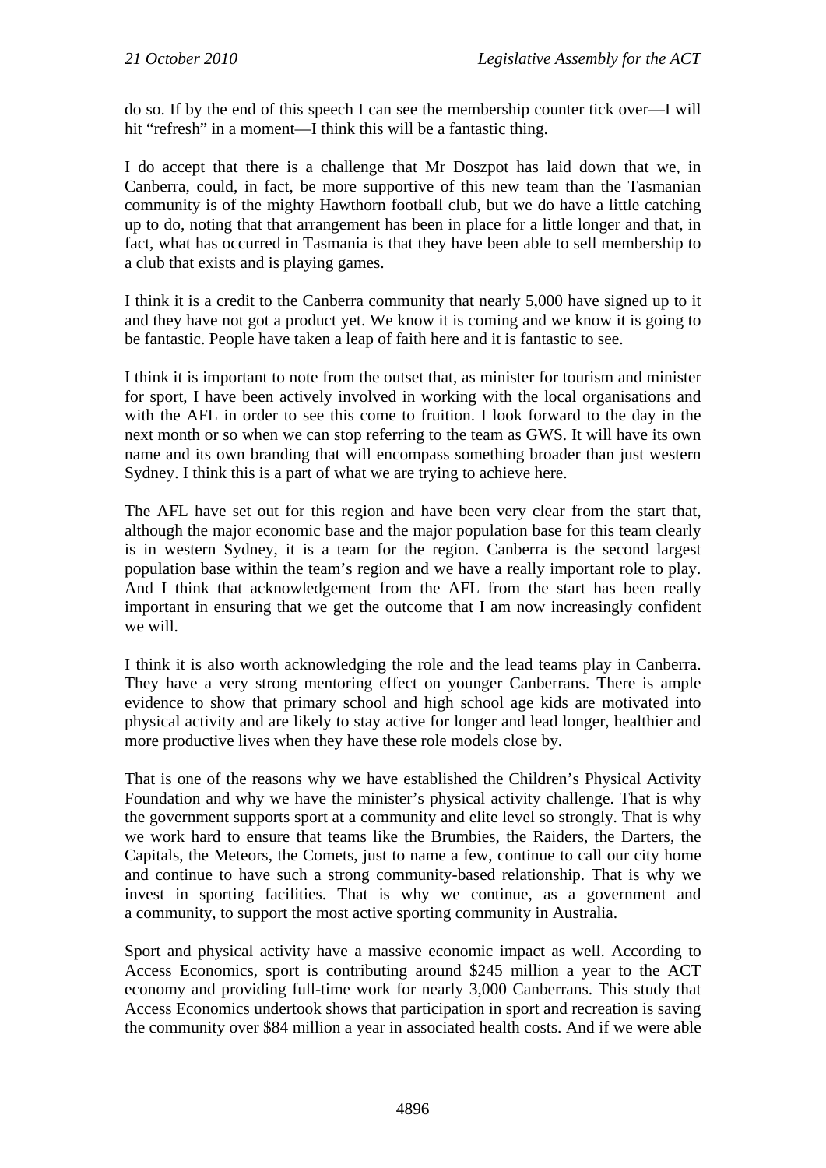do so. If by the end of this speech I can see the membership counter tick over—I will hit "refresh" in a moment—I think this will be a fantastic thing.

I do accept that there is a challenge that Mr Doszpot has laid down that we, in Canberra, could, in fact, be more supportive of this new team than the Tasmanian community is of the mighty Hawthorn football club, but we do have a little catching up to do, noting that that arrangement has been in place for a little longer and that, in fact, what has occurred in Tasmania is that they have been able to sell membership to a club that exists and is playing games.

I think it is a credit to the Canberra community that nearly 5,000 have signed up to it and they have not got a product yet. We know it is coming and we know it is going to be fantastic. People have taken a leap of faith here and it is fantastic to see.

I think it is important to note from the outset that, as minister for tourism and minister for sport, I have been actively involved in working with the local organisations and with the AFL in order to see this come to fruition. I look forward to the day in the next month or so when we can stop referring to the team as GWS. It will have its own name and its own branding that will encompass something broader than just western Sydney. I think this is a part of what we are trying to achieve here.

The AFL have set out for this region and have been very clear from the start that, although the major economic base and the major population base for this team clearly is in western Sydney, it is a team for the region. Canberra is the second largest population base within the team's region and we have a really important role to play. And I think that acknowledgement from the AFL from the start has been really important in ensuring that we get the outcome that I am now increasingly confident we will.

I think it is also worth acknowledging the role and the lead teams play in Canberra. They have a very strong mentoring effect on younger Canberrans. There is ample evidence to show that primary school and high school age kids are motivated into physical activity and are likely to stay active for longer and lead longer, healthier and more productive lives when they have these role models close by.

That is one of the reasons why we have established the Children's Physical Activity Foundation and why we have the minister's physical activity challenge. That is why the government supports sport at a community and elite level so strongly. That is why we work hard to ensure that teams like the Brumbies, the Raiders, the Darters, the Capitals, the Meteors, the Comets, just to name a few, continue to call our city home and continue to have such a strong community-based relationship. That is why we invest in sporting facilities. That is why we continue, as a government and a community, to support the most active sporting community in Australia.

Sport and physical activity have a massive economic impact as well. According to Access Economics, sport is contributing around \$245 million a year to the ACT economy and providing full-time work for nearly 3,000 Canberrans. This study that Access Economics undertook shows that participation in sport and recreation is saving the community over \$84 million a year in associated health costs. And if we were able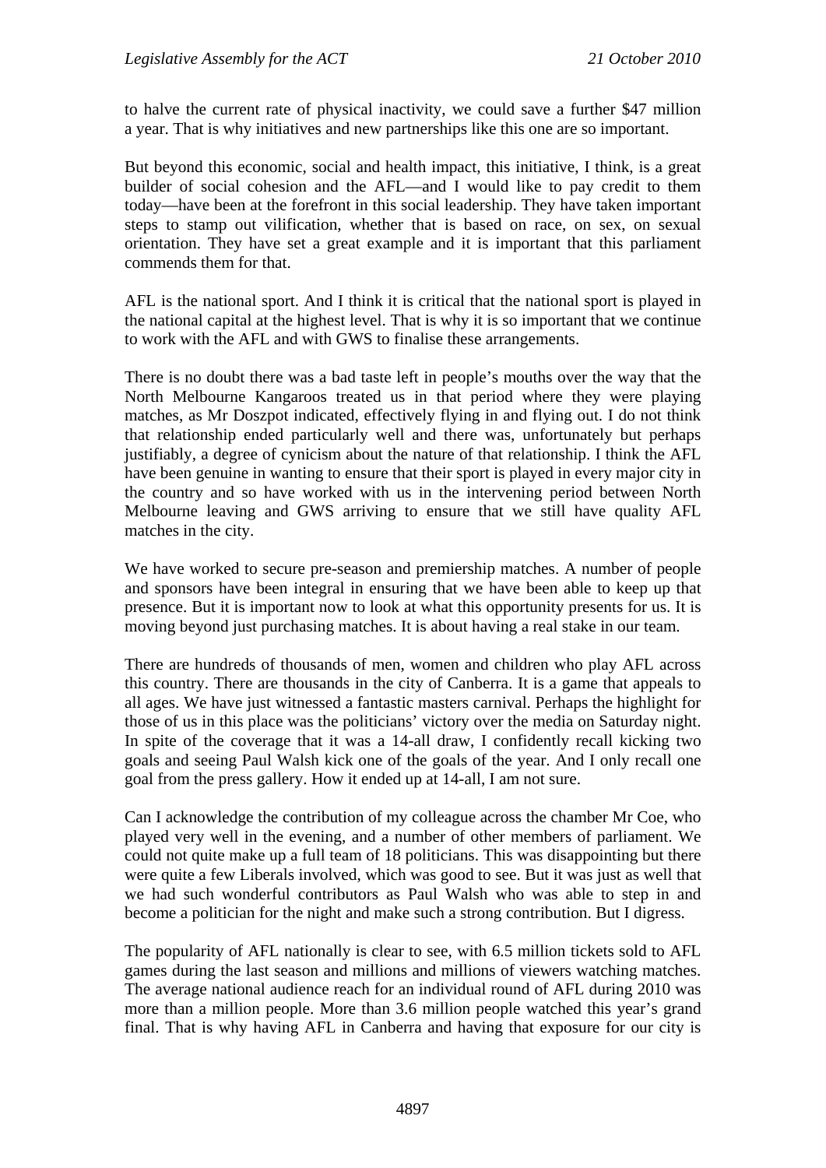to halve the current rate of physical inactivity, we could save a further \$47 million a year. That is why initiatives and new partnerships like this one are so important.

But beyond this economic, social and health impact, this initiative, I think, is a great builder of social cohesion and the AFL—and I would like to pay credit to them today—have been at the forefront in this social leadership. They have taken important steps to stamp out vilification, whether that is based on race, on sex, on sexual orientation. They have set a great example and it is important that this parliament commends them for that.

AFL is the national sport. And I think it is critical that the national sport is played in the national capital at the highest level. That is why it is so important that we continue to work with the AFL and with GWS to finalise these arrangements.

There is no doubt there was a bad taste left in people's mouths over the way that the North Melbourne Kangaroos treated us in that period where they were playing matches, as Mr Doszpot indicated, effectively flying in and flying out. I do not think that relationship ended particularly well and there was, unfortunately but perhaps justifiably, a degree of cynicism about the nature of that relationship. I think the AFL have been genuine in wanting to ensure that their sport is played in every major city in the country and so have worked with us in the intervening period between North Melbourne leaving and GWS arriving to ensure that we still have quality AFL matches in the city.

We have worked to secure pre-season and premiership matches. A number of people and sponsors have been integral in ensuring that we have been able to keep up that presence. But it is important now to look at what this opportunity presents for us. It is moving beyond just purchasing matches. It is about having a real stake in our team.

There are hundreds of thousands of men, women and children who play AFL across this country. There are thousands in the city of Canberra. It is a game that appeals to all ages. We have just witnessed a fantastic masters carnival. Perhaps the highlight for those of us in this place was the politicians' victory over the media on Saturday night. In spite of the coverage that it was a 14-all draw, I confidently recall kicking two goals and seeing Paul Walsh kick one of the goals of the year. And I only recall one goal from the press gallery. How it ended up at 14-all, I am not sure.

Can I acknowledge the contribution of my colleague across the chamber Mr Coe, who played very well in the evening, and a number of other members of parliament. We could not quite make up a full team of 18 politicians. This was disappointing but there were quite a few Liberals involved, which was good to see. But it was just as well that we had such wonderful contributors as Paul Walsh who was able to step in and become a politician for the night and make such a strong contribution. But I digress.

The popularity of AFL nationally is clear to see, with 6.5 million tickets sold to AFL games during the last season and millions and millions of viewers watching matches. The average national audience reach for an individual round of AFL during 2010 was more than a million people. More than 3.6 million people watched this year's grand final. That is why having AFL in Canberra and having that exposure for our city is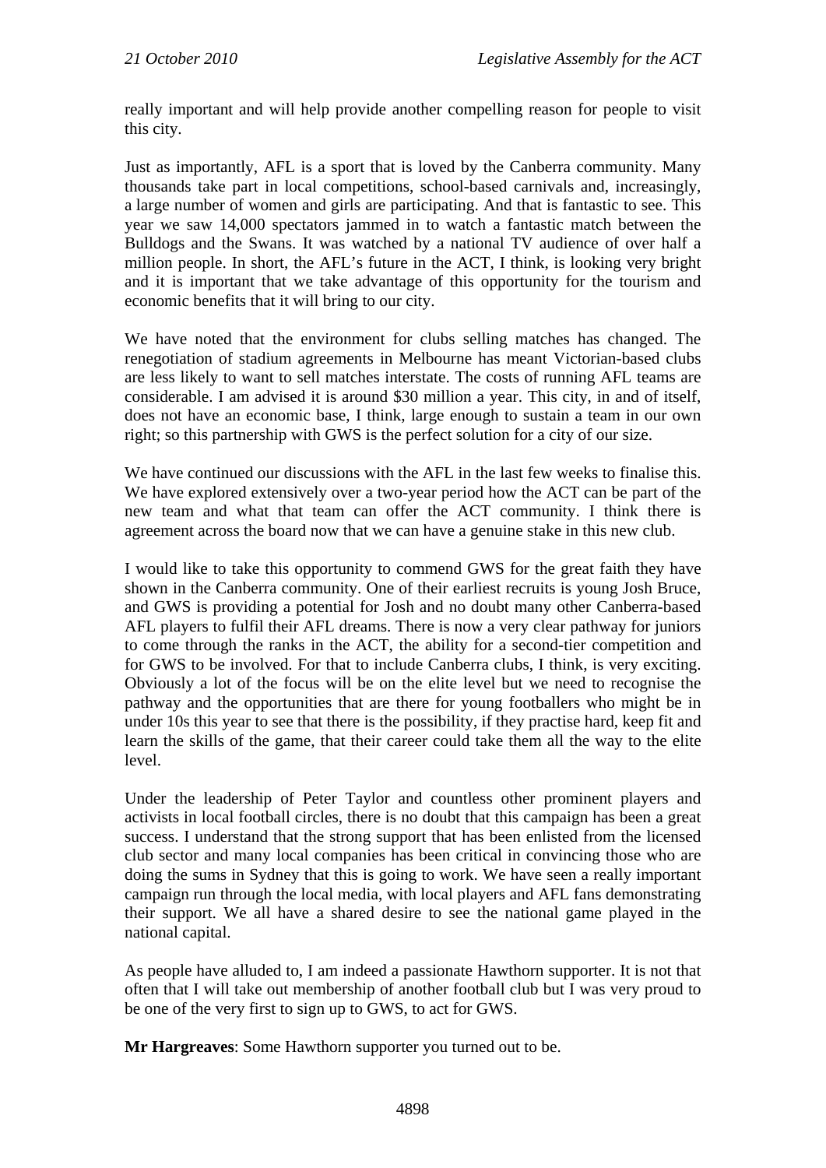really important and will help provide another compelling reason for people to visit this city.

Just as importantly, AFL is a sport that is loved by the Canberra community. Many thousands take part in local competitions, school-based carnivals and, increasingly, a large number of women and girls are participating. And that is fantastic to see. This year we saw 14,000 spectators jammed in to watch a fantastic match between the Bulldogs and the Swans. It was watched by a national TV audience of over half a million people. In short, the AFL's future in the ACT, I think, is looking very bright and it is important that we take advantage of this opportunity for the tourism and economic benefits that it will bring to our city.

We have noted that the environment for clubs selling matches has changed. The renegotiation of stadium agreements in Melbourne has meant Victorian-based clubs are less likely to want to sell matches interstate. The costs of running AFL teams are considerable. I am advised it is around \$30 million a year. This city, in and of itself, does not have an economic base, I think, large enough to sustain a team in our own right; so this partnership with GWS is the perfect solution for a city of our size.

We have continued our discussions with the AFL in the last few weeks to finalise this. We have explored extensively over a two-year period how the ACT can be part of the new team and what that team can offer the ACT community. I think there is agreement across the board now that we can have a genuine stake in this new club.

I would like to take this opportunity to commend GWS for the great faith they have shown in the Canberra community. One of their earliest recruits is young Josh Bruce, and GWS is providing a potential for Josh and no doubt many other Canberra-based AFL players to fulfil their AFL dreams. There is now a very clear pathway for juniors to come through the ranks in the ACT, the ability for a second-tier competition and for GWS to be involved. For that to include Canberra clubs, I think, is very exciting. Obviously a lot of the focus will be on the elite level but we need to recognise the pathway and the opportunities that are there for young footballers who might be in under 10s this year to see that there is the possibility, if they practise hard, keep fit and learn the skills of the game, that their career could take them all the way to the elite level.

Under the leadership of Peter Taylor and countless other prominent players and activists in local football circles, there is no doubt that this campaign has been a great success. I understand that the strong support that has been enlisted from the licensed club sector and many local companies has been critical in convincing those who are doing the sums in Sydney that this is going to work. We have seen a really important campaign run through the local media, with local players and AFL fans demonstrating their support. We all have a shared desire to see the national game played in the national capital.

As people have alluded to, I am indeed a passionate Hawthorn supporter. It is not that often that I will take out membership of another football club but I was very proud to be one of the very first to sign up to GWS, to act for GWS.

**Mr Hargreaves**: Some Hawthorn supporter you turned out to be.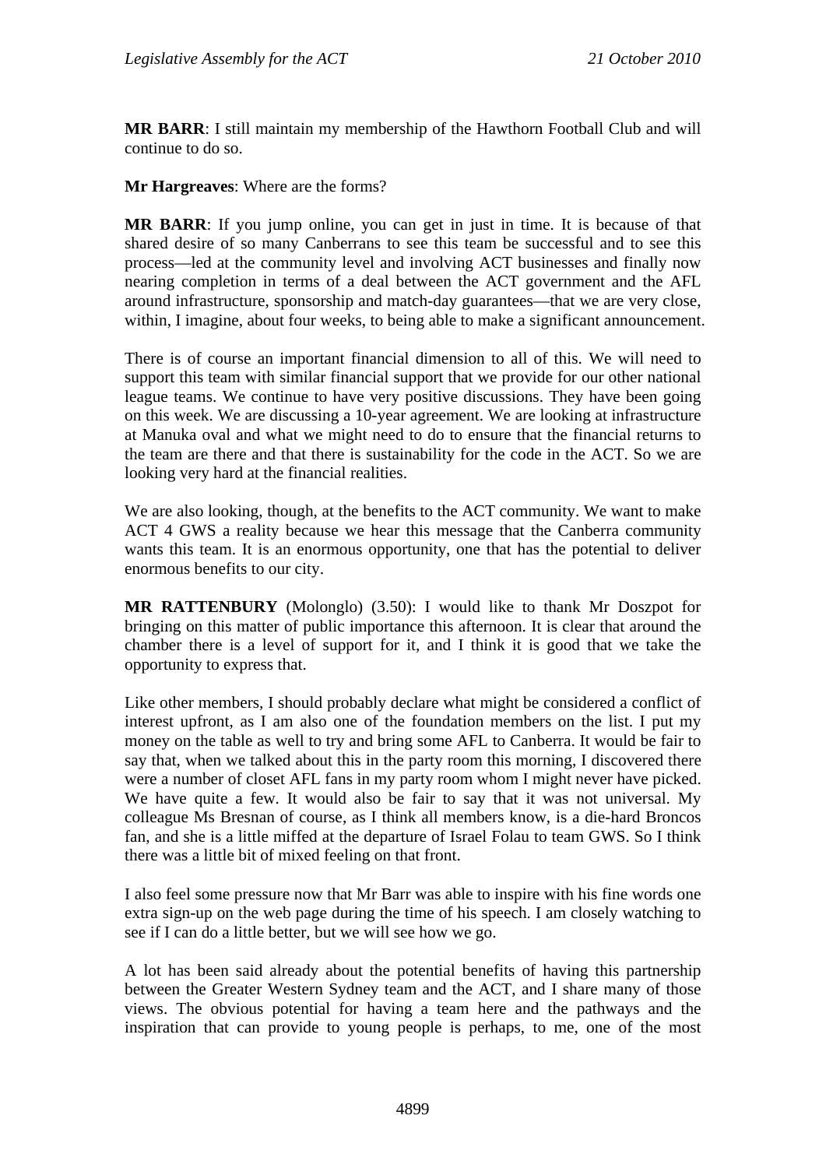**MR BARR**: I still maintain my membership of the Hawthorn Football Club and will continue to do so.

**Mr Hargreaves**: Where are the forms?

**MR BARR**: If you jump online, you can get in just in time. It is because of that shared desire of so many Canberrans to see this team be successful and to see this process—led at the community level and involving ACT businesses and finally now nearing completion in terms of a deal between the ACT government and the AFL around infrastructure, sponsorship and match-day guarantees—that we are very close, within, I imagine, about four weeks, to being able to make a significant announcement.

There is of course an important financial dimension to all of this. We will need to support this team with similar financial support that we provide for our other national league teams. We continue to have very positive discussions. They have been going on this week. We are discussing a 10-year agreement. We are looking at infrastructure at Manuka oval and what we might need to do to ensure that the financial returns to the team are there and that there is sustainability for the code in the ACT. So we are looking very hard at the financial realities.

We are also looking, though, at the benefits to the ACT community. We want to make ACT 4 GWS a reality because we hear this message that the Canberra community wants this team. It is an enormous opportunity, one that has the potential to deliver enormous benefits to our city.

**MR RATTENBURY** (Molonglo) (3.50): I would like to thank Mr Doszpot for bringing on this matter of public importance this afternoon. It is clear that around the chamber there is a level of support for it, and I think it is good that we take the opportunity to express that.

Like other members, I should probably declare what might be considered a conflict of interest upfront, as I am also one of the foundation members on the list. I put my money on the table as well to try and bring some AFL to Canberra. It would be fair to say that, when we talked about this in the party room this morning, I discovered there were a number of closet AFL fans in my party room whom I might never have picked. We have quite a few. It would also be fair to say that it was not universal. My colleague Ms Bresnan of course, as I think all members know, is a die-hard Broncos fan, and she is a little miffed at the departure of Israel Folau to team GWS. So I think there was a little bit of mixed feeling on that front.

I also feel some pressure now that Mr Barr was able to inspire with his fine words one extra sign-up on the web page during the time of his speech. I am closely watching to see if I can do a little better, but we will see how we go.

A lot has been said already about the potential benefits of having this partnership between the Greater Western Sydney team and the ACT, and I share many of those views. The obvious potential for having a team here and the pathways and the inspiration that can provide to young people is perhaps, to me, one of the most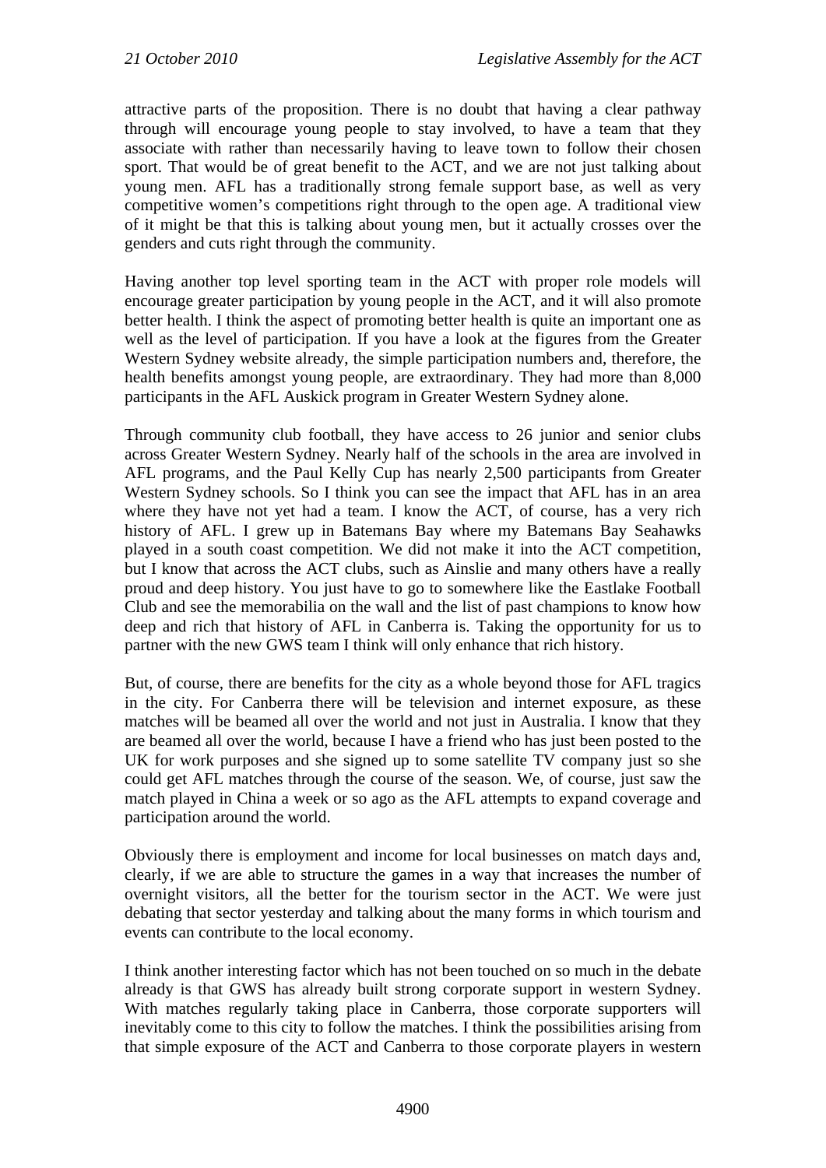attractive parts of the proposition. There is no doubt that having a clear pathway through will encourage young people to stay involved, to have a team that they associate with rather than necessarily having to leave town to follow their chosen sport. That would be of great benefit to the ACT, and we are not just talking about young men. AFL has a traditionally strong female support base, as well as very competitive women's competitions right through to the open age. A traditional view of it might be that this is talking about young men, but it actually crosses over the genders and cuts right through the community.

Having another top level sporting team in the ACT with proper role models will encourage greater participation by young people in the ACT, and it will also promote better health. I think the aspect of promoting better health is quite an important one as well as the level of participation. If you have a look at the figures from the Greater Western Sydney website already, the simple participation numbers and, therefore, the health benefits amongst young people, are extraordinary. They had more than 8,000 participants in the AFL Auskick program in Greater Western Sydney alone.

Through community club football, they have access to 26 junior and senior clubs across Greater Western Sydney. Nearly half of the schools in the area are involved in AFL programs, and the Paul Kelly Cup has nearly 2,500 participants from Greater Western Sydney schools. So I think you can see the impact that AFL has in an area where they have not yet had a team. I know the ACT, of course, has a very rich history of AFL. I grew up in Batemans Bay where my Batemans Bay Seahawks played in a south coast competition. We did not make it into the ACT competition, but I know that across the ACT clubs, such as Ainslie and many others have a really proud and deep history. You just have to go to somewhere like the Eastlake Football Club and see the memorabilia on the wall and the list of past champions to know how deep and rich that history of AFL in Canberra is. Taking the opportunity for us to partner with the new GWS team I think will only enhance that rich history.

But, of course, there are benefits for the city as a whole beyond those for AFL tragics in the city. For Canberra there will be television and internet exposure, as these matches will be beamed all over the world and not just in Australia. I know that they are beamed all over the world, because I have a friend who has just been posted to the UK for work purposes and she signed up to some satellite TV company just so she could get AFL matches through the course of the season. We, of course, just saw the match played in China a week or so ago as the AFL attempts to expand coverage and participation around the world.

Obviously there is employment and income for local businesses on match days and, clearly, if we are able to structure the games in a way that increases the number of overnight visitors, all the better for the tourism sector in the ACT. We were just debating that sector yesterday and talking about the many forms in which tourism and events can contribute to the local economy.

I think another interesting factor which has not been touched on so much in the debate already is that GWS has already built strong corporate support in western Sydney. With matches regularly taking place in Canberra, those corporate supporters will inevitably come to this city to follow the matches. I think the possibilities arising from that simple exposure of the ACT and Canberra to those corporate players in western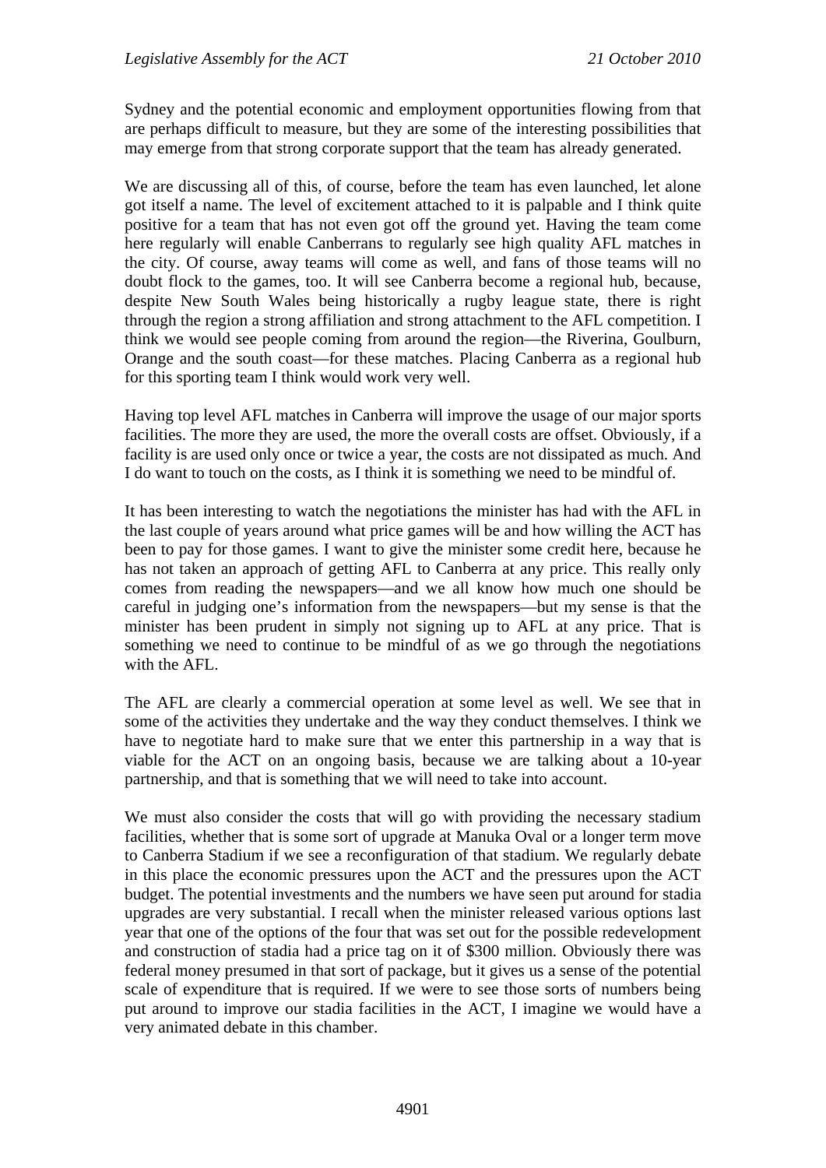Sydney and the potential economic and employment opportunities flowing from that are perhaps difficult to measure, but they are some of the interesting possibilities that may emerge from that strong corporate support that the team has already generated.

We are discussing all of this, of course, before the team has even launched, let alone got itself a name. The level of excitement attached to it is palpable and I think quite positive for a team that has not even got off the ground yet. Having the team come here regularly will enable Canberrans to regularly see high quality AFL matches in the city. Of course, away teams will come as well, and fans of those teams will no doubt flock to the games, too. It will see Canberra become a regional hub, because, despite New South Wales being historically a rugby league state, there is right through the region a strong affiliation and strong attachment to the AFL competition. I think we would see people coming from around the region—the Riverina, Goulburn, Orange and the south coast—for these matches. Placing Canberra as a regional hub for this sporting team I think would work very well.

Having top level AFL matches in Canberra will improve the usage of our major sports facilities. The more they are used, the more the overall costs are offset. Obviously, if a facility is are used only once or twice a year, the costs are not dissipated as much. And I do want to touch on the costs, as I think it is something we need to be mindful of.

It has been interesting to watch the negotiations the minister has had with the AFL in the last couple of years around what price games will be and how willing the ACT has been to pay for those games. I want to give the minister some credit here, because he has not taken an approach of getting AFL to Canberra at any price. This really only comes from reading the newspapers—and we all know how much one should be careful in judging one's information from the newspapers—but my sense is that the minister has been prudent in simply not signing up to AFL at any price. That is something we need to continue to be mindful of as we go through the negotiations with the AFL.

The AFL are clearly a commercial operation at some level as well. We see that in some of the activities they undertake and the way they conduct themselves. I think we have to negotiate hard to make sure that we enter this partnership in a way that is viable for the ACT on an ongoing basis, because we are talking about a 10-year partnership, and that is something that we will need to take into account.

We must also consider the costs that will go with providing the necessary stadium facilities, whether that is some sort of upgrade at Manuka Oval or a longer term move to Canberra Stadium if we see a reconfiguration of that stadium. We regularly debate in this place the economic pressures upon the ACT and the pressures upon the ACT budget. The potential investments and the numbers we have seen put around for stadia upgrades are very substantial. I recall when the minister released various options last year that one of the options of the four that was set out for the possible redevelopment and construction of stadia had a price tag on it of \$300 million. Obviously there was federal money presumed in that sort of package, but it gives us a sense of the potential scale of expenditure that is required. If we were to see those sorts of numbers being put around to improve our stadia facilities in the ACT, I imagine we would have a very animated debate in this chamber.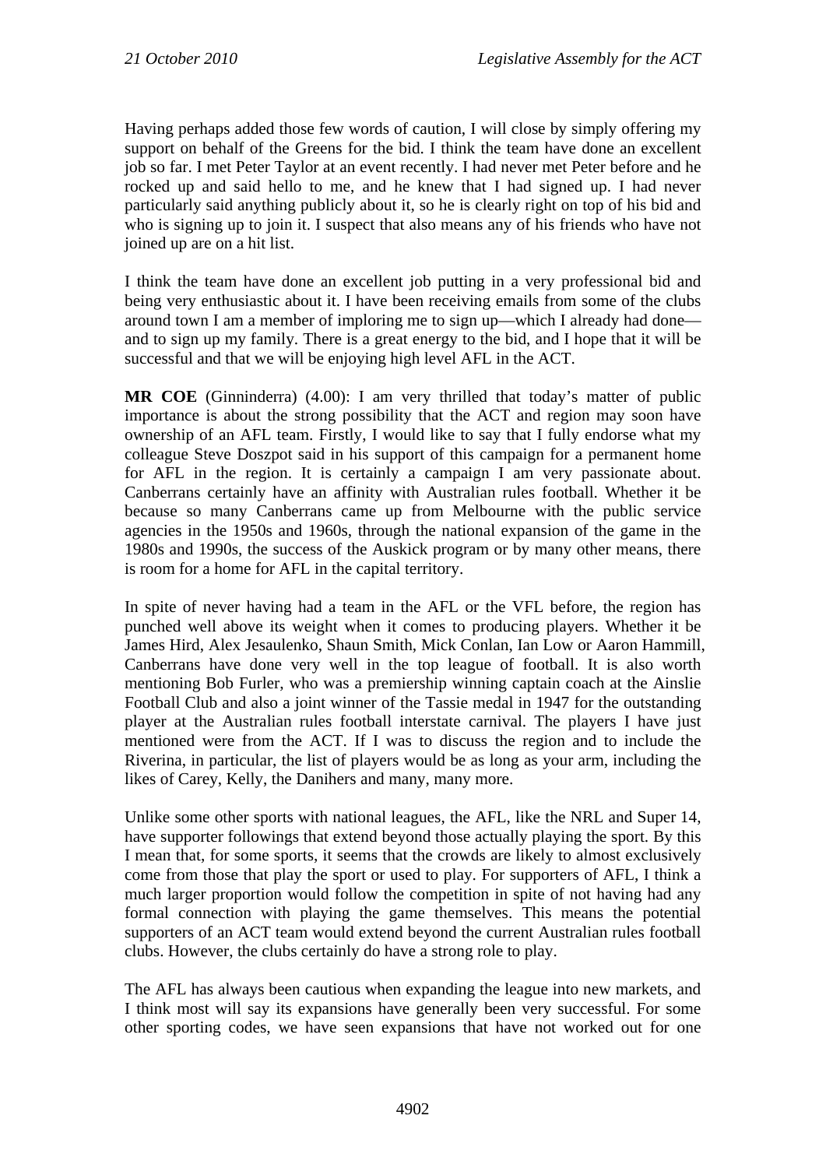Having perhaps added those few words of caution, I will close by simply offering my support on behalf of the Greens for the bid. I think the team have done an excellent job so far. I met Peter Taylor at an event recently. I had never met Peter before and he rocked up and said hello to me, and he knew that I had signed up. I had never particularly said anything publicly about it, so he is clearly right on top of his bid and who is signing up to join it. I suspect that also means any of his friends who have not joined up are on a hit list.

I think the team have done an excellent job putting in a very professional bid and being very enthusiastic about it. I have been receiving emails from some of the clubs around town I am a member of imploring me to sign up—which I already had done and to sign up my family. There is a great energy to the bid, and I hope that it will be successful and that we will be enjoying high level AFL in the ACT.

**MR COE** (Ginninderra) (4.00): I am very thrilled that today's matter of public importance is about the strong possibility that the ACT and region may soon have ownership of an AFL team. Firstly, I would like to say that I fully endorse what my colleague Steve Doszpot said in his support of this campaign for a permanent home for AFL in the region. It is certainly a campaign I am very passionate about. Canberrans certainly have an affinity with Australian rules football. Whether it be because so many Canberrans came up from Melbourne with the public service agencies in the 1950s and 1960s, through the national expansion of the game in the 1980s and 1990s, the success of the Auskick program or by many other means, there is room for a home for AFL in the capital territory.

In spite of never having had a team in the AFL or the VFL before, the region has punched well above its weight when it comes to producing players. Whether it be James Hird, Alex Jesaulenko, Shaun Smith, Mick Conlan, Ian Low or Aaron Hammill, Canberrans have done very well in the top league of football. It is also worth mentioning Bob Furler, who was a premiership winning captain coach at the Ainslie Football Club and also a joint winner of the Tassie medal in 1947 for the outstanding player at the Australian rules football interstate carnival. The players I have just mentioned were from the ACT. If I was to discuss the region and to include the Riverina, in particular, the list of players would be as long as your arm, including the likes of Carey, Kelly, the Danihers and many, many more.

Unlike some other sports with national leagues, the AFL, like the NRL and Super 14, have supporter followings that extend beyond those actually playing the sport. By this I mean that, for some sports, it seems that the crowds are likely to almost exclusively come from those that play the sport or used to play. For supporters of AFL, I think a much larger proportion would follow the competition in spite of not having had any formal connection with playing the game themselves. This means the potential supporters of an ACT team would extend beyond the current Australian rules football clubs. However, the clubs certainly do have a strong role to play.

The AFL has always been cautious when expanding the league into new markets, and I think most will say its expansions have generally been very successful. For some other sporting codes, we have seen expansions that have not worked out for one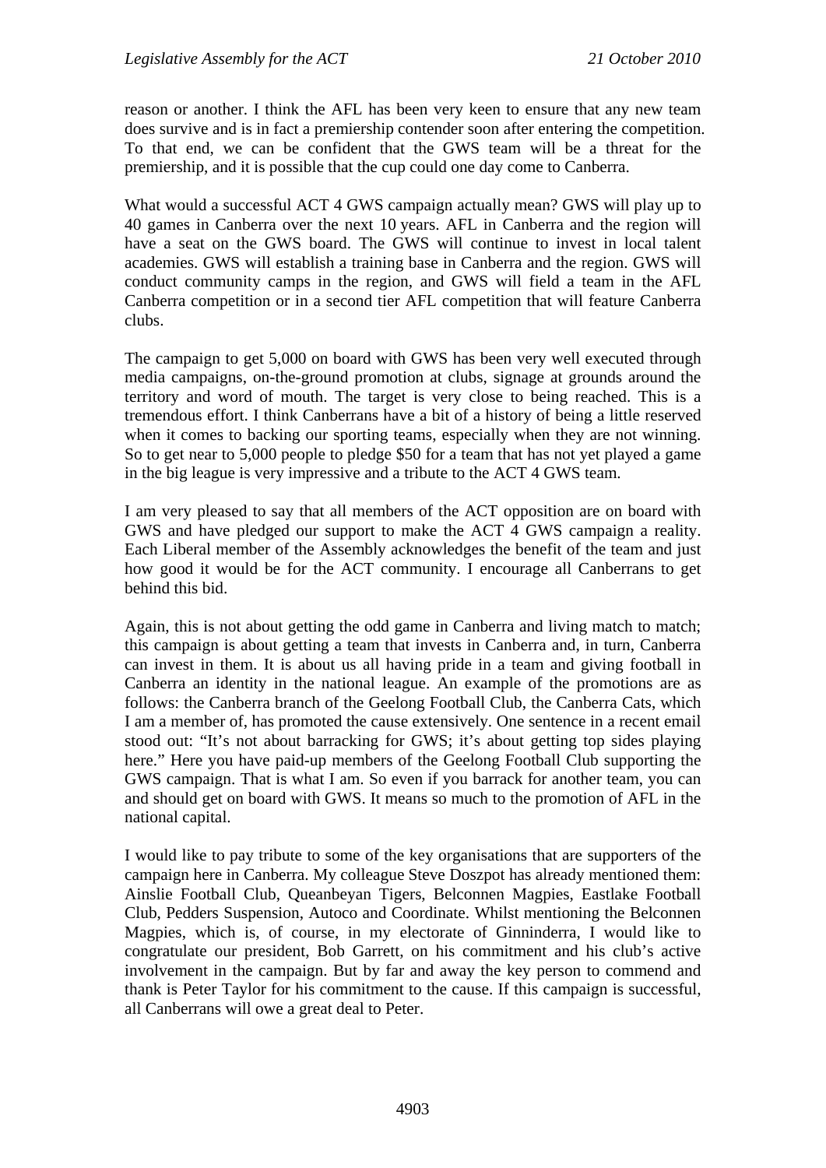reason or another. I think the AFL has been very keen to ensure that any new team does survive and is in fact a premiership contender soon after entering the competition. To that end, we can be confident that the GWS team will be a threat for the premiership, and it is possible that the cup could one day come to Canberra.

What would a successful ACT 4 GWS campaign actually mean? GWS will play up to 40 games in Canberra over the next 10 years. AFL in Canberra and the region will have a seat on the GWS board. The GWS will continue to invest in local talent academies. GWS will establish a training base in Canberra and the region. GWS will conduct community camps in the region, and GWS will field a team in the AFL Canberra competition or in a second tier AFL competition that will feature Canberra clubs.

The campaign to get 5,000 on board with GWS has been very well executed through media campaigns, on-the-ground promotion at clubs, signage at grounds around the territory and word of mouth. The target is very close to being reached. This is a tremendous effort. I think Canberrans have a bit of a history of being a little reserved when it comes to backing our sporting teams, especially when they are not winning. So to get near to 5,000 people to pledge \$50 for a team that has not yet played a game in the big league is very impressive and a tribute to the ACT 4 GWS team.

I am very pleased to say that all members of the ACT opposition are on board with GWS and have pledged our support to make the ACT 4 GWS campaign a reality. Each Liberal member of the Assembly acknowledges the benefit of the team and just how good it would be for the ACT community. I encourage all Canberrans to get behind this bid.

Again, this is not about getting the odd game in Canberra and living match to match; this campaign is about getting a team that invests in Canberra and, in turn, Canberra can invest in them. It is about us all having pride in a team and giving football in Canberra an identity in the national league. An example of the promotions are as follows: the Canberra branch of the Geelong Football Club, the Canberra Cats, which I am a member of, has promoted the cause extensively. One sentence in a recent email stood out: "It's not about barracking for GWS; it's about getting top sides playing here." Here you have paid-up members of the Geelong Football Club supporting the GWS campaign. That is what I am. So even if you barrack for another team, you can and should get on board with GWS. It means so much to the promotion of AFL in the national capital.

I would like to pay tribute to some of the key organisations that are supporters of the campaign here in Canberra. My colleague Steve Doszpot has already mentioned them: Ainslie Football Club, Queanbeyan Tigers, Belconnen Magpies, Eastlake Football Club, Pedders Suspension, Autoco and Coordinate. Whilst mentioning the Belconnen Magpies, which is, of course, in my electorate of Ginninderra, I would like to congratulate our president, Bob Garrett, on his commitment and his club's active involvement in the campaign. But by far and away the key person to commend and thank is Peter Taylor for his commitment to the cause. If this campaign is successful, all Canberrans will owe a great deal to Peter.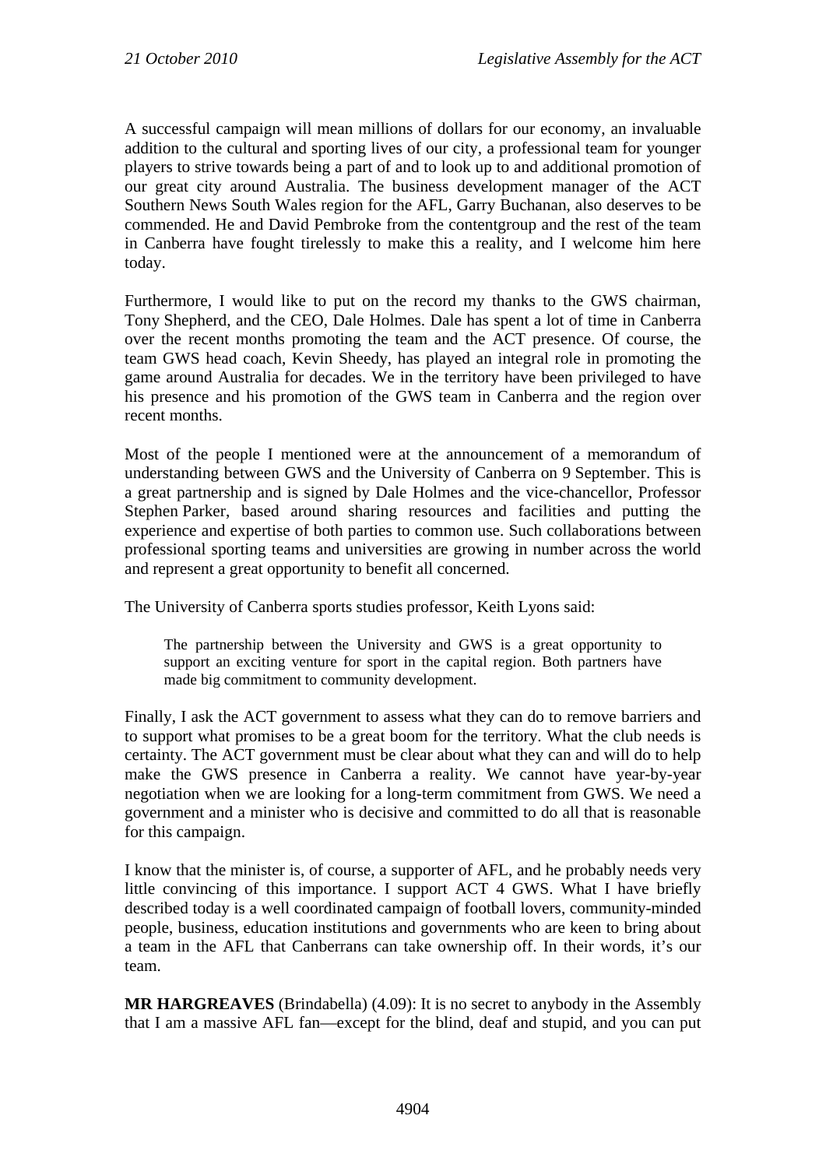A successful campaign will mean millions of dollars for our economy, an invaluable addition to the cultural and sporting lives of our city, a professional team for younger players to strive towards being a part of and to look up to and additional promotion of our great city around Australia. The business development manager of the ACT Southern News South Wales region for the AFL, Garry Buchanan, also deserves to be commended. He and David Pembroke from the contentgroup and the rest of the team in Canberra have fought tirelessly to make this a reality, and I welcome him here today.

Furthermore, I would like to put on the record my thanks to the GWS chairman, Tony Shepherd, and the CEO, Dale Holmes. Dale has spent a lot of time in Canberra over the recent months promoting the team and the ACT presence. Of course, the team GWS head coach, Kevin Sheedy, has played an integral role in promoting the game around Australia for decades. We in the territory have been privileged to have his presence and his promotion of the GWS team in Canberra and the region over recent months.

Most of the people I mentioned were at the announcement of a memorandum of understanding between GWS and the University of Canberra on 9 September. This is a great partnership and is signed by Dale Holmes and the vice-chancellor, Professor Stephen Parker, based around sharing resources and facilities and putting the experience and expertise of both parties to common use. Such collaborations between professional sporting teams and universities are growing in number across the world and represent a great opportunity to benefit all concerned.

The University of Canberra sports studies professor, Keith Lyons said:

The partnership between the University and GWS is a great opportunity to support an exciting venture for sport in the capital region. Both partners have made big commitment to community development.

Finally, I ask the ACT government to assess what they can do to remove barriers and to support what promises to be a great boom for the territory. What the club needs is certainty. The ACT government must be clear about what they can and will do to help make the GWS presence in Canberra a reality. We cannot have year-by-year negotiation when we are looking for a long-term commitment from GWS. We need a government and a minister who is decisive and committed to do all that is reasonable for this campaign.

I know that the minister is, of course, a supporter of AFL, and he probably needs very little convincing of this importance. I support ACT 4 GWS. What I have briefly described today is a well coordinated campaign of football lovers, community-minded people, business, education institutions and governments who are keen to bring about a team in the AFL that Canberrans can take ownership off. In their words, it's our team.

**MR HARGREAVES** (Brindabella) (4.09): It is no secret to anybody in the Assembly that I am a massive AFL fan—except for the blind, deaf and stupid, and you can put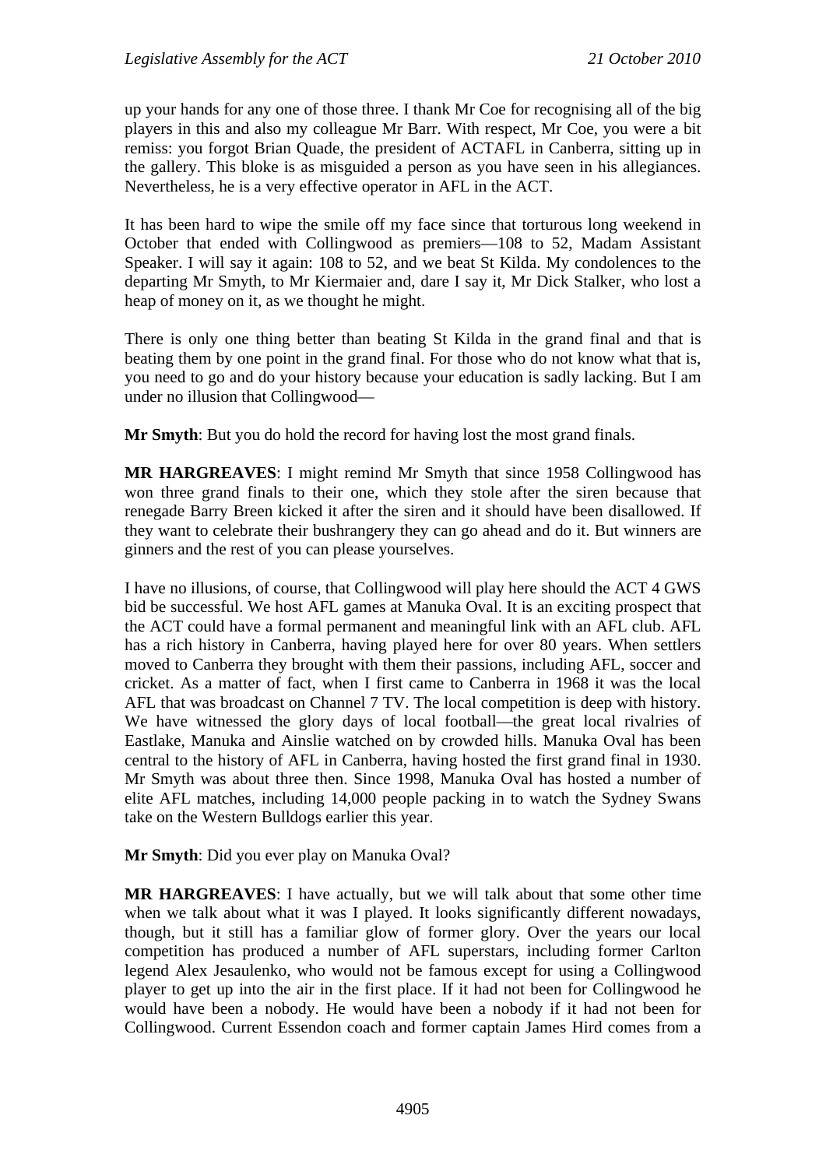up your hands for any one of those three. I thank Mr Coe for recognising all of the big players in this and also my colleague Mr Barr. With respect, Mr Coe, you were a bit remiss: you forgot Brian Quade, the president of ACTAFL in Canberra, sitting up in the gallery. This bloke is as misguided a person as you have seen in his allegiances. Nevertheless, he is a very effective operator in AFL in the ACT.

It has been hard to wipe the smile off my face since that torturous long weekend in October that ended with Collingwood as premiers—108 to 52, Madam Assistant Speaker. I will say it again: 108 to 52, and we beat St Kilda. My condolences to the departing Mr Smyth, to Mr Kiermaier and, dare I say it, Mr Dick Stalker, who lost a heap of money on it, as we thought he might.

There is only one thing better than beating St Kilda in the grand final and that is beating them by one point in the grand final. For those who do not know what that is, you need to go and do your history because your education is sadly lacking. But I am under no illusion that Collingwood—

**Mr Smyth**: But you do hold the record for having lost the most grand finals.

**MR HARGREAVES**: I might remind Mr Smyth that since 1958 Collingwood has won three grand finals to their one, which they stole after the siren because that renegade Barry Breen kicked it after the siren and it should have been disallowed. If they want to celebrate their bushrangery they can go ahead and do it. But winners are ginners and the rest of you can please yourselves.

I have no illusions, of course, that Collingwood will play here should the ACT 4 GWS bid be successful. We host AFL games at Manuka Oval. It is an exciting prospect that the ACT could have a formal permanent and meaningful link with an AFL club. AFL has a rich history in Canberra, having played here for over 80 years. When settlers moved to Canberra they brought with them their passions, including AFL, soccer and cricket. As a matter of fact, when I first came to Canberra in 1968 it was the local AFL that was broadcast on Channel 7 TV. The local competition is deep with history. We have witnessed the glory days of local football—the great local rivalries of Eastlake, Manuka and Ainslie watched on by crowded hills. Manuka Oval has been central to the history of AFL in Canberra, having hosted the first grand final in 1930. Mr Smyth was about three then. Since 1998, Manuka Oval has hosted a number of elite AFL matches, including 14,000 people packing in to watch the Sydney Swans take on the Western Bulldogs earlier this year.

**Mr Smyth**: Did you ever play on Manuka Oval?

**MR HARGREAVES**: I have actually, but we will talk about that some other time when we talk about what it was I played. It looks significantly different nowadays, though, but it still has a familiar glow of former glory. Over the years our local competition has produced a number of AFL superstars, including former Carlton legend Alex Jesaulenko, who would not be famous except for using a Collingwood player to get up into the air in the first place. If it had not been for Collingwood he would have been a nobody. He would have been a nobody if it had not been for Collingwood. Current Essendon coach and former captain James Hird comes from a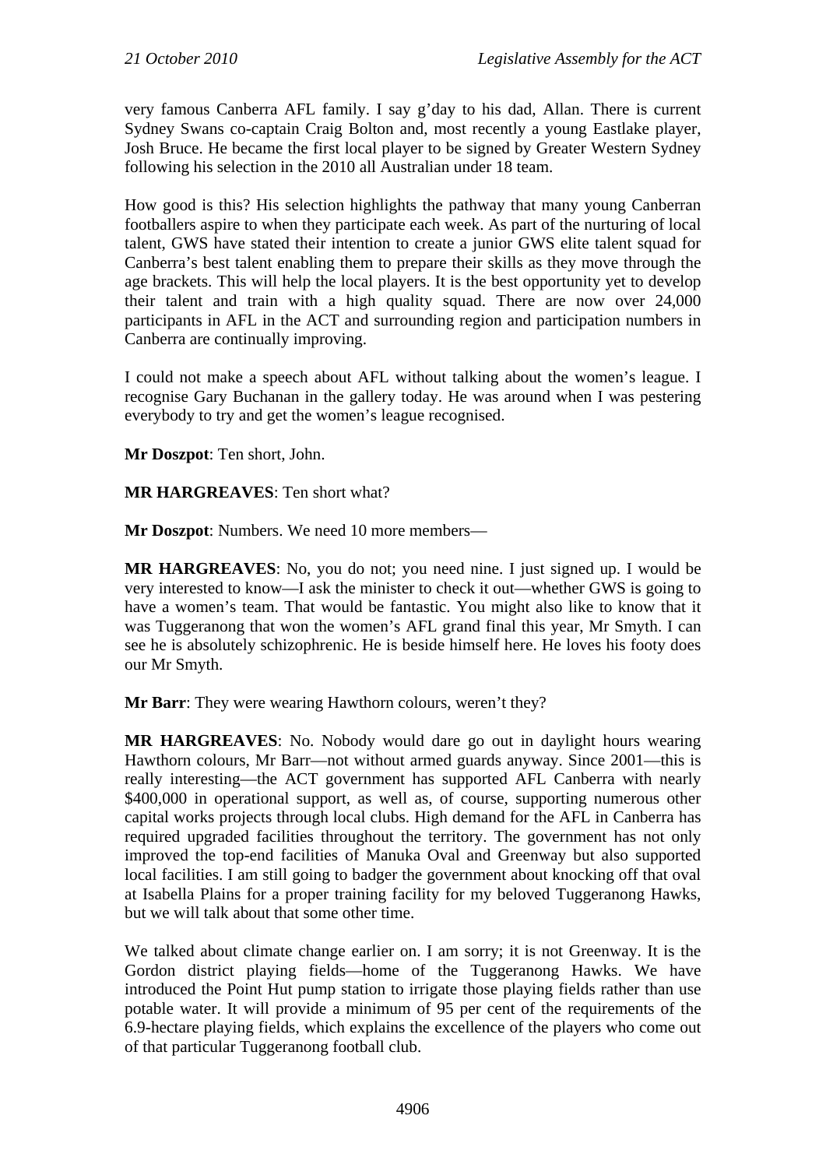very famous Canberra AFL family. I say g'day to his dad, Allan. There is current Sydney Swans co-captain Craig Bolton and, most recently a young Eastlake player, Josh Bruce. He became the first local player to be signed by Greater Western Sydney following his selection in the 2010 all Australian under 18 team.

How good is this? His selection highlights the pathway that many young Canberran footballers aspire to when they participate each week. As part of the nurturing of local talent, GWS have stated their intention to create a junior GWS elite talent squad for Canberra's best talent enabling them to prepare their skills as they move through the age brackets. This will help the local players. It is the best opportunity yet to develop their talent and train with a high quality squad. There are now over 24,000 participants in AFL in the ACT and surrounding region and participation numbers in Canberra are continually improving.

I could not make a speech about AFL without talking about the women's league. I recognise Gary Buchanan in the gallery today. He was around when I was pestering everybody to try and get the women's league recognised.

**Mr Doszpot**: Ten short, John.

**MR HARGREAVES**: Ten short what?

**Mr Doszpot**: Numbers. We need 10 more members—

**MR HARGREAVES**: No, you do not; you need nine. I just signed up. I would be very interested to know—I ask the minister to check it out—whether GWS is going to have a women's team. That would be fantastic. You might also like to know that it was Tuggeranong that won the women's AFL grand final this year, Mr Smyth. I can see he is absolutely schizophrenic. He is beside himself here. He loves his footy does our Mr Smyth.

**Mr Barr**: They were wearing Hawthorn colours, weren't they?

**MR HARGREAVES**: No. Nobody would dare go out in daylight hours wearing Hawthorn colours, Mr Barr—not without armed guards anyway. Since 2001—this is really interesting—the ACT government has supported AFL Canberra with nearly \$400,000 in operational support, as well as, of course, supporting numerous other capital works projects through local clubs. High demand for the AFL in Canberra has required upgraded facilities throughout the territory. The government has not only improved the top-end facilities of Manuka Oval and Greenway but also supported local facilities. I am still going to badger the government about knocking off that oval at Isabella Plains for a proper training facility for my beloved Tuggeranong Hawks, but we will talk about that some other time.

We talked about climate change earlier on. I am sorry; it is not Greenway. It is the Gordon district playing fields—home of the Tuggeranong Hawks. We have introduced the Point Hut pump station to irrigate those playing fields rather than use potable water. It will provide a minimum of 95 per cent of the requirements of the 6.9-hectare playing fields, which explains the excellence of the players who come out of that particular Tuggeranong football club.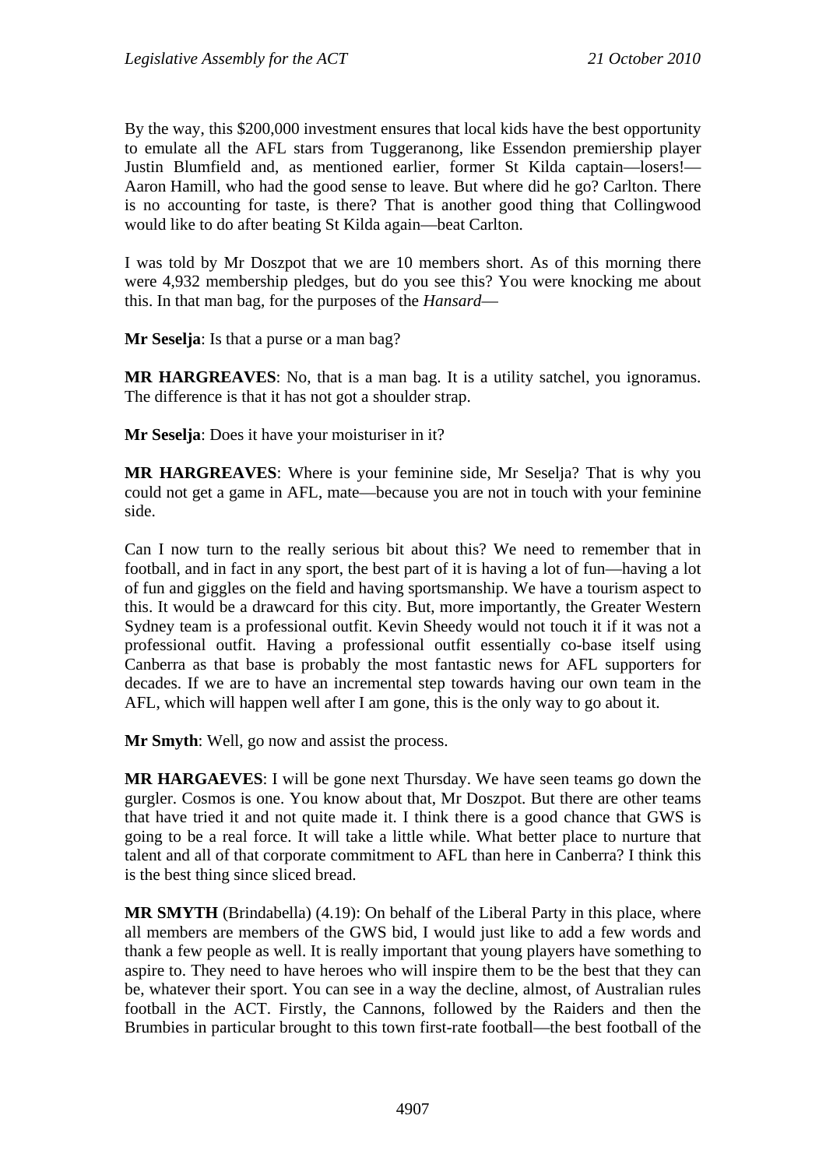By the way, this \$200,000 investment ensures that local kids have the best opportunity to emulate all the AFL stars from Tuggeranong, like Essendon premiership player Justin Blumfield and, as mentioned earlier, former St Kilda captain—losers!— Aaron Hamill, who had the good sense to leave. But where did he go? Carlton. There is no accounting for taste, is there? That is another good thing that Collingwood would like to do after beating St Kilda again—beat Carlton.

I was told by Mr Doszpot that we are 10 members short. As of this morning there were 4,932 membership pledges, but do you see this? You were knocking me about this. In that man bag, for the purposes of the *Hansard*—

**Mr Seselja**: Is that a purse or a man bag?

**MR HARGREAVES**: No, that is a man bag. It is a utility satchel, you ignoramus. The difference is that it has not got a shoulder strap.

**Mr Seselja**: Does it have your moisturiser in it?

**MR HARGREAVES**: Where is your feminine side, Mr Seselja? That is why you could not get a game in AFL, mate—because you are not in touch with your feminine side.

Can I now turn to the really serious bit about this? We need to remember that in football, and in fact in any sport, the best part of it is having a lot of fun—having a lot of fun and giggles on the field and having sportsmanship. We have a tourism aspect to this. It would be a drawcard for this city. But, more importantly, the Greater Western Sydney team is a professional outfit. Kevin Sheedy would not touch it if it was not a professional outfit. Having a professional outfit essentially co-base itself using Canberra as that base is probably the most fantastic news for AFL supporters for decades. If we are to have an incremental step towards having our own team in the AFL, which will happen well after I am gone, this is the only way to go about it.

**Mr Smyth**: Well, go now and assist the process.

**MR HARGAEVES**: I will be gone next Thursday. We have seen teams go down the gurgler. Cosmos is one. You know about that, Mr Doszpot. But there are other teams that have tried it and not quite made it. I think there is a good chance that GWS is going to be a real force. It will take a little while. What better place to nurture that talent and all of that corporate commitment to AFL than here in Canberra? I think this is the best thing since sliced bread.

**MR SMYTH** (Brindabella) (4.19): On behalf of the Liberal Party in this place, where all members are members of the GWS bid, I would just like to add a few words and thank a few people as well. It is really important that young players have something to aspire to. They need to have heroes who will inspire them to be the best that they can be, whatever their sport. You can see in a way the decline, almost, of Australian rules football in the ACT. Firstly, the Cannons, followed by the Raiders and then the Brumbies in particular brought to this town first-rate football—the best football of the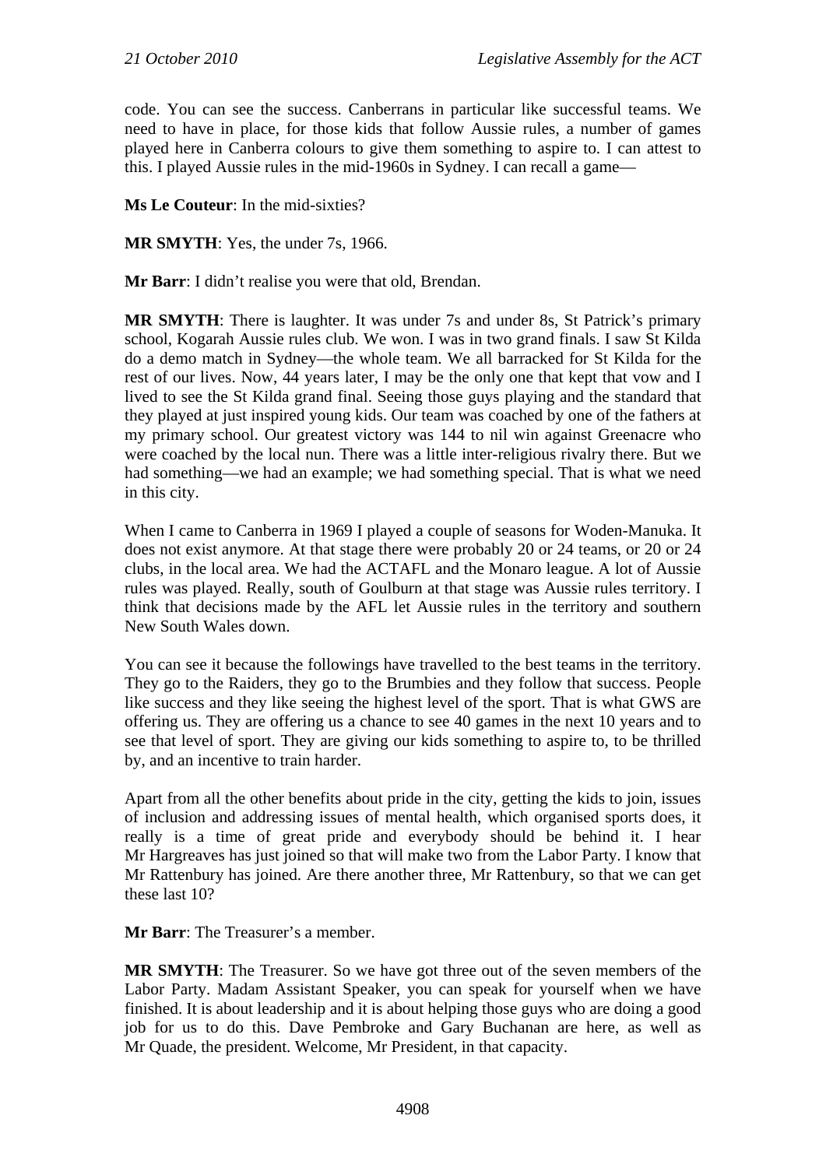code. You can see the success. Canberrans in particular like successful teams. We need to have in place, for those kids that follow Aussie rules, a number of games played here in Canberra colours to give them something to aspire to. I can attest to this. I played Aussie rules in the mid-1960s in Sydney. I can recall a game—

**Ms Le Couteur**: In the mid-sixties?

**MR SMYTH**: Yes, the under 7s, 1966.

**Mr Barr**: I didn't realise you were that old, Brendan.

**MR SMYTH:** There is laughter. It was under 7s and under 8s, St Patrick's primary school, Kogarah Aussie rules club. We won. I was in two grand finals. I saw St Kilda do a demo match in Sydney—the whole team. We all barracked for St Kilda for the rest of our lives. Now, 44 years later, I may be the only one that kept that vow and I lived to see the St Kilda grand final. Seeing those guys playing and the standard that they played at just inspired young kids. Our team was coached by one of the fathers at my primary school. Our greatest victory was 144 to nil win against Greenacre who were coached by the local nun. There was a little inter-religious rivalry there. But we had something—we had an example; we had something special. That is what we need in this city.

When I came to Canberra in 1969 I played a couple of seasons for Woden-Manuka. It does not exist anymore. At that stage there were probably 20 or 24 teams, or 20 or 24 clubs, in the local area. We had the ACTAFL and the Monaro league. A lot of Aussie rules was played. Really, south of Goulburn at that stage was Aussie rules territory. I think that decisions made by the AFL let Aussie rules in the territory and southern New South Wales down.

You can see it because the followings have travelled to the best teams in the territory. They go to the Raiders, they go to the Brumbies and they follow that success. People like success and they like seeing the highest level of the sport. That is what GWS are offering us. They are offering us a chance to see 40 games in the next 10 years and to see that level of sport. They are giving our kids something to aspire to, to be thrilled by, and an incentive to train harder.

Apart from all the other benefits about pride in the city, getting the kids to join, issues of inclusion and addressing issues of mental health, which organised sports does, it really is a time of great pride and everybody should be behind it. I hear Mr Hargreaves has just joined so that will make two from the Labor Party. I know that Mr Rattenbury has joined. Are there another three, Mr Rattenbury, so that we can get these last 10?

**Mr Barr**: The Treasurer's a member.

**MR SMYTH**: The Treasurer. So we have got three out of the seven members of the Labor Party. Madam Assistant Speaker, you can speak for yourself when we have finished. It is about leadership and it is about helping those guys who are doing a good job for us to do this. Dave Pembroke and Gary Buchanan are here, as well as Mr Quade, the president. Welcome, Mr President, in that capacity.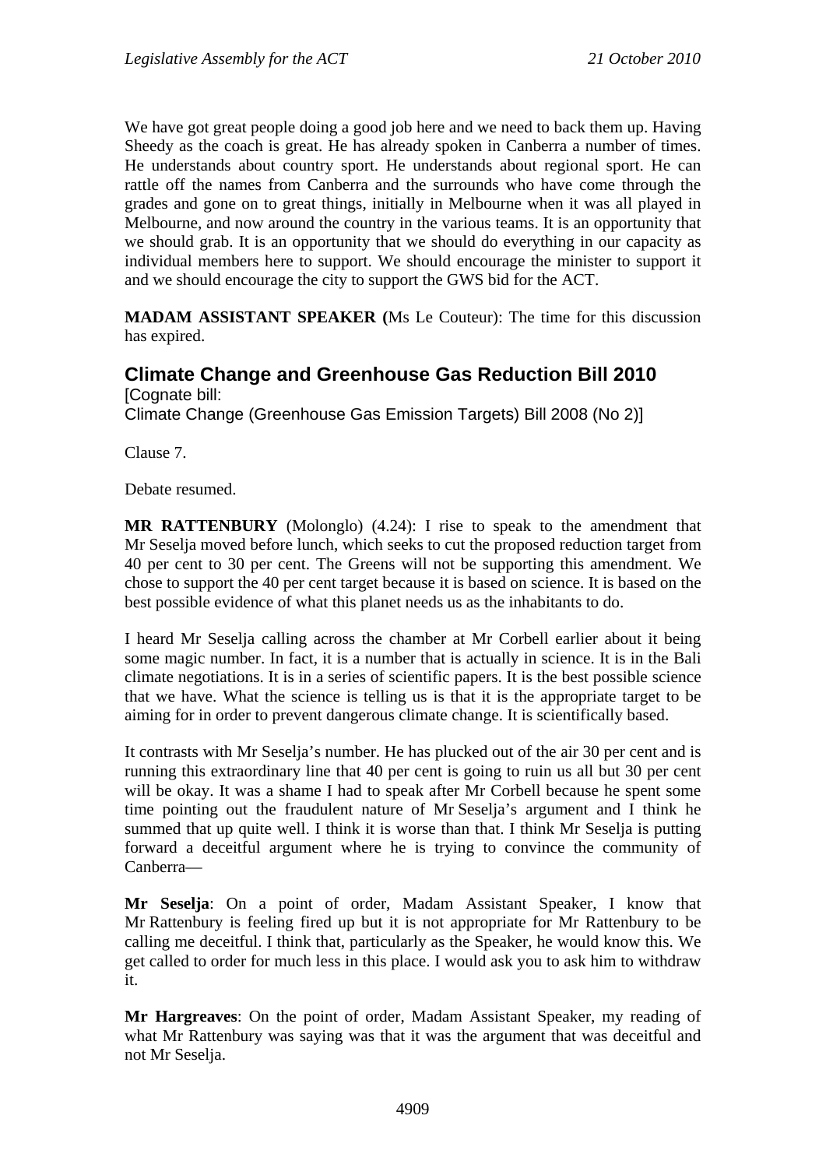We have got great people doing a good job here and we need to back them up. Having Sheedy as the coach is great. He has already spoken in Canberra a number of times. He understands about country sport. He understands about regional sport. He can rattle off the names from Canberra and the surrounds who have come through the grades and gone on to great things, initially in Melbourne when it was all played in Melbourne, and now around the country in the various teams. It is an opportunity that we should grab. It is an opportunity that we should do everything in our capacity as individual members here to support. We should encourage the minister to support it and we should encourage the city to support the GWS bid for the ACT.

**MADAM ASSISTANT SPEAKER (**Ms Le Couteur): The time for this discussion has expired.

#### **Climate Change and Greenhouse Gas Reduction Bill 2010**  [Cognate bill:

Climate Change (Greenhouse Gas Emission Targets) Bill 2008 (No 2)]

Clause 7.

Debate resumed.

**MR RATTENBURY** (Molonglo) (4.24): I rise to speak to the amendment that Mr Seselja moved before lunch, which seeks to cut the proposed reduction target from 40 per cent to 30 per cent. The Greens will not be supporting this amendment. We chose to support the 40 per cent target because it is based on science. It is based on the best possible evidence of what this planet needs us as the inhabitants to do.

I heard Mr Seselja calling across the chamber at Mr Corbell earlier about it being some magic number. In fact, it is a number that is actually in science. It is in the Bali climate negotiations. It is in a series of scientific papers. It is the best possible science that we have. What the science is telling us is that it is the appropriate target to be aiming for in order to prevent dangerous climate change. It is scientifically based.

It contrasts with Mr Seselja's number. He has plucked out of the air 30 per cent and is running this extraordinary line that 40 per cent is going to ruin us all but 30 per cent will be okay. It was a shame I had to speak after Mr Corbell because he spent some time pointing out the fraudulent nature of Mr Seselja's argument and I think he summed that up quite well. I think it is worse than that. I think Mr Seselja is putting forward a deceitful argument where he is trying to convince the community of Canberra—

**Mr Seselja**: On a point of order, Madam Assistant Speaker, I know that Mr Rattenbury is feeling fired up but it is not appropriate for Mr Rattenbury to be calling me deceitful. I think that, particularly as the Speaker, he would know this. We get called to order for much less in this place. I would ask you to ask him to withdraw it.

**Mr Hargreaves**: On the point of order, Madam Assistant Speaker, my reading of what Mr Rattenbury was saying was that it was the argument that was deceitful and not Mr Seselja.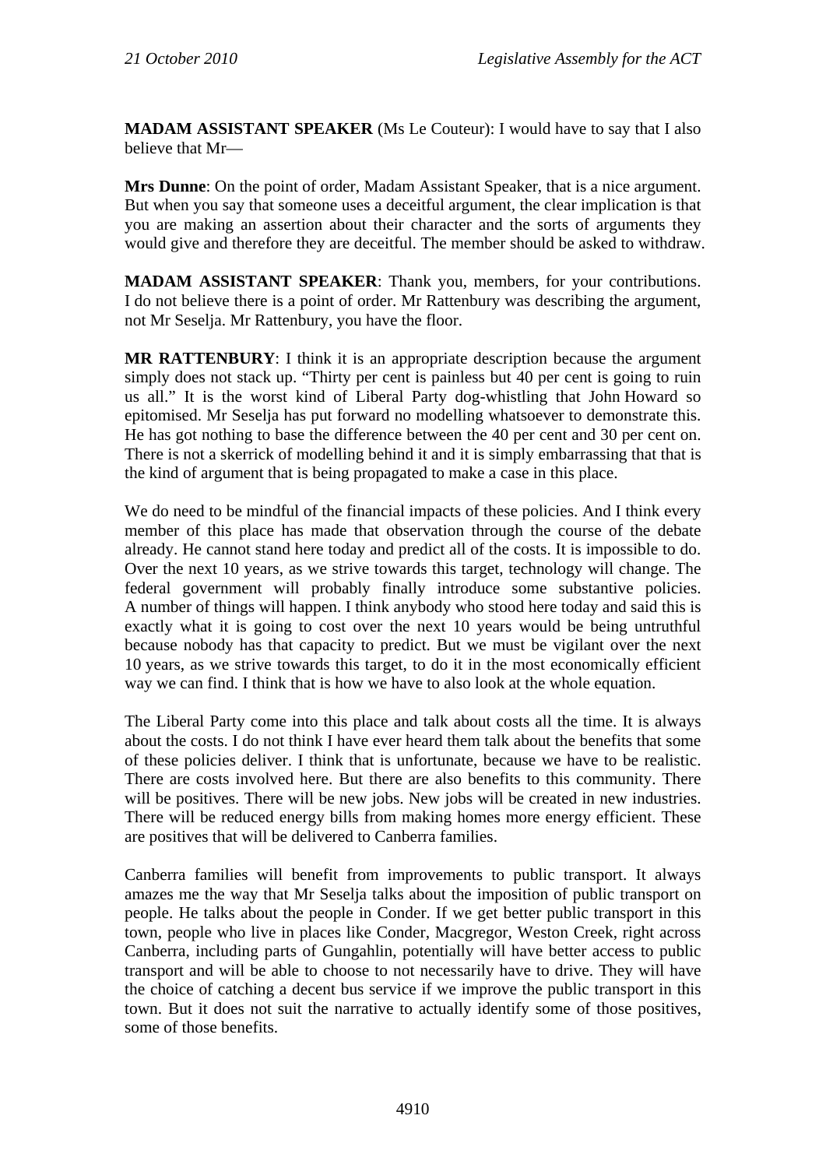**MADAM ASSISTANT SPEAKER** (Ms Le Couteur): I would have to say that I also believe that Mr—

**Mrs Dunne**: On the point of order, Madam Assistant Speaker, that is a nice argument. But when you say that someone uses a deceitful argument, the clear implication is that you are making an assertion about their character and the sorts of arguments they would give and therefore they are deceitful. The member should be asked to withdraw.

**MADAM ASSISTANT SPEAKER**: Thank you, members, for your contributions. I do not believe there is a point of order. Mr Rattenbury was describing the argument, not Mr Seselja. Mr Rattenbury, you have the floor.

**MR RATTENBURY**: I think it is an appropriate description because the argument simply does not stack up. "Thirty per cent is painless but 40 per cent is going to ruin us all." It is the worst kind of Liberal Party dog-whistling that John Howard so epitomised. Mr Seselja has put forward no modelling whatsoever to demonstrate this. He has got nothing to base the difference between the 40 per cent and 30 per cent on. There is not a skerrick of modelling behind it and it is simply embarrassing that that is the kind of argument that is being propagated to make a case in this place.

We do need to be mindful of the financial impacts of these policies. And I think every member of this place has made that observation through the course of the debate already. He cannot stand here today and predict all of the costs. It is impossible to do. Over the next 10 years, as we strive towards this target, technology will change. The federal government will probably finally introduce some substantive policies. A number of things will happen. I think anybody who stood here today and said this is exactly what it is going to cost over the next 10 years would be being untruthful because nobody has that capacity to predict. But we must be vigilant over the next 10 years, as we strive towards this target, to do it in the most economically efficient way we can find. I think that is how we have to also look at the whole equation.

The Liberal Party come into this place and talk about costs all the time. It is always about the costs. I do not think I have ever heard them talk about the benefits that some of these policies deliver. I think that is unfortunate, because we have to be realistic. There are costs involved here. But there are also benefits to this community. There will be positives. There will be new jobs. New jobs will be created in new industries. There will be reduced energy bills from making homes more energy efficient. These are positives that will be delivered to Canberra families.

Canberra families will benefit from improvements to public transport. It always amazes me the way that Mr Seselja talks about the imposition of public transport on people. He talks about the people in Conder. If we get better public transport in this town, people who live in places like Conder, Macgregor, Weston Creek, right across Canberra, including parts of Gungahlin, potentially will have better access to public transport and will be able to choose to not necessarily have to drive. They will have the choice of catching a decent bus service if we improve the public transport in this town. But it does not suit the narrative to actually identify some of those positives, some of those benefits.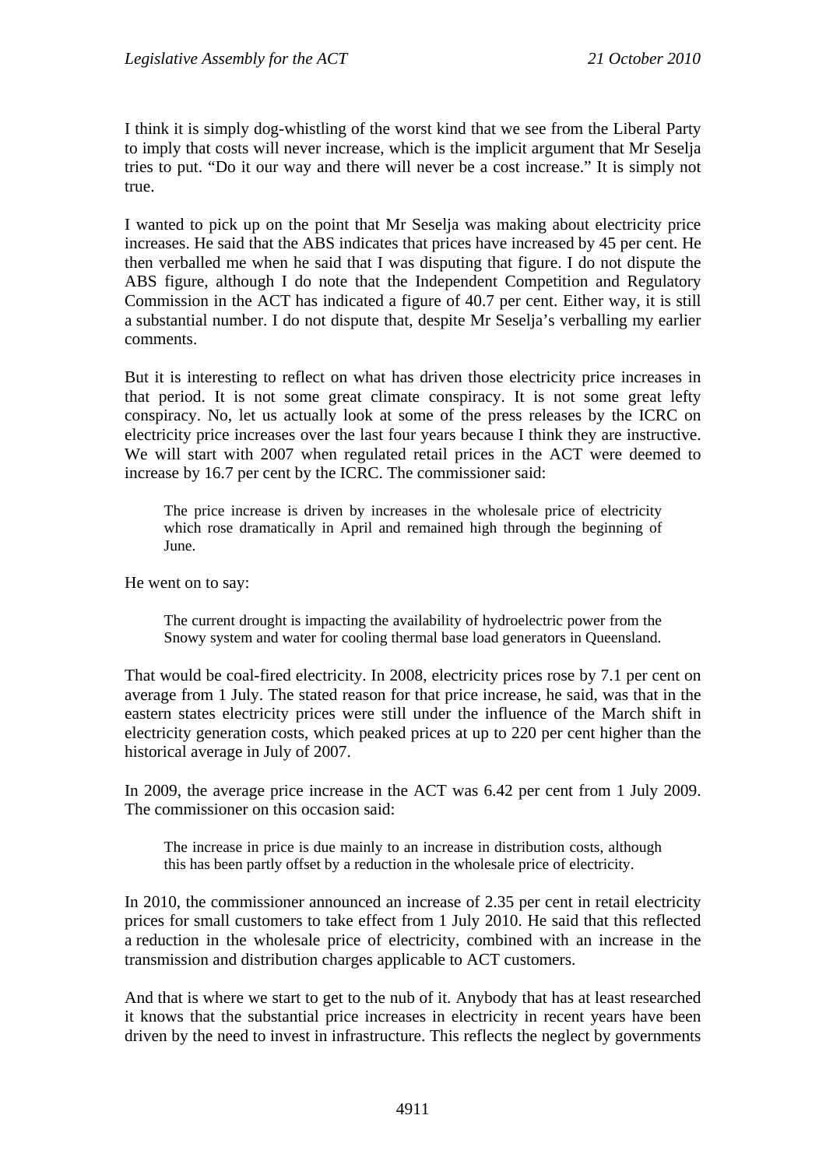I think it is simply dog-whistling of the worst kind that we see from the Liberal Party to imply that costs will never increase, which is the implicit argument that Mr Seselja tries to put. "Do it our way and there will never be a cost increase." It is simply not true.

I wanted to pick up on the point that Mr Seselja was making about electricity price increases. He said that the ABS indicates that prices have increased by 45 per cent. He then verballed me when he said that I was disputing that figure. I do not dispute the ABS figure, although I do note that the Independent Competition and Regulatory Commission in the ACT has indicated a figure of 40.7 per cent. Either way, it is still a substantial number. I do not dispute that, despite Mr Seselja's verballing my earlier comments.

But it is interesting to reflect on what has driven those electricity price increases in that period. It is not some great climate conspiracy. It is not some great lefty conspiracy. No, let us actually look at some of the press releases by the ICRC on electricity price increases over the last four years because I think they are instructive. We will start with 2007 when regulated retail prices in the ACT were deemed to increase by 16.7 per cent by the ICRC. The commissioner said:

The price increase is driven by increases in the wholesale price of electricity which rose dramatically in April and remained high through the beginning of June.

He went on to say:

The current drought is impacting the availability of hydroelectric power from the Snowy system and water for cooling thermal base load generators in Queensland.

That would be coal-fired electricity. In 2008, electricity prices rose by 7.1 per cent on average from 1 July. The stated reason for that price increase, he said, was that in the eastern states electricity prices were still under the influence of the March shift in electricity generation costs, which peaked prices at up to 220 per cent higher than the historical average in July of 2007.

In 2009, the average price increase in the ACT was 6.42 per cent from 1 July 2009. The commissioner on this occasion said:

The increase in price is due mainly to an increase in distribution costs, although this has been partly offset by a reduction in the wholesale price of electricity.

In 2010, the commissioner announced an increase of 2.35 per cent in retail electricity prices for small customers to take effect from 1 July 2010. He said that this reflected a reduction in the wholesale price of electricity, combined with an increase in the transmission and distribution charges applicable to ACT customers.

And that is where we start to get to the nub of it. Anybody that has at least researched it knows that the substantial price increases in electricity in recent years have been driven by the need to invest in infrastructure. This reflects the neglect by governments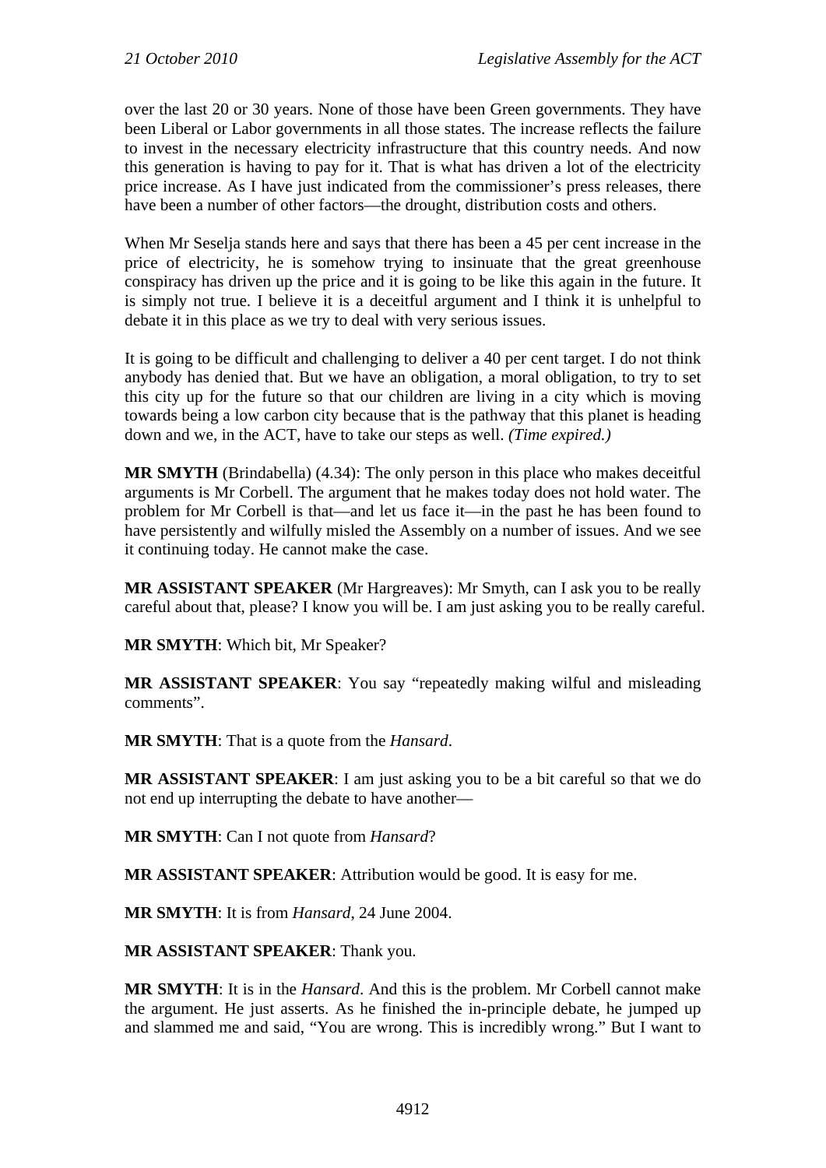over the last 20 or 30 years. None of those have been Green governments. They have been Liberal or Labor governments in all those states. The increase reflects the failure to invest in the necessary electricity infrastructure that this country needs. And now this generation is having to pay for it. That is what has driven a lot of the electricity price increase. As I have just indicated from the commissioner's press releases, there have been a number of other factors—the drought, distribution costs and others.

When Mr Seselja stands here and says that there has been a 45 per cent increase in the price of electricity, he is somehow trying to insinuate that the great greenhouse conspiracy has driven up the price and it is going to be like this again in the future. It is simply not true. I believe it is a deceitful argument and I think it is unhelpful to debate it in this place as we try to deal with very serious issues.

It is going to be difficult and challenging to deliver a 40 per cent target. I do not think anybody has denied that. But we have an obligation, a moral obligation, to try to set this city up for the future so that our children are living in a city which is moving towards being a low carbon city because that is the pathway that this planet is heading down and we, in the ACT, have to take our steps as well. *(Time expired.)*

**MR SMYTH** (Brindabella) (4.34): The only person in this place who makes deceitful arguments is Mr Corbell. The argument that he makes today does not hold water. The problem for Mr Corbell is that—and let us face it—in the past he has been found to have persistently and wilfully misled the Assembly on a number of issues. And we see it continuing today. He cannot make the case.

**MR ASSISTANT SPEAKER** (Mr Hargreaves): Mr Smyth, can I ask you to be really careful about that, please? I know you will be. I am just asking you to be really careful.

**MR SMYTH**: Which bit, Mr Speaker?

**MR ASSISTANT SPEAKER**: You say "repeatedly making wilful and misleading comments".

**MR SMYTH**: That is a quote from the *Hansard*.

**MR ASSISTANT SPEAKER**: I am just asking you to be a bit careful so that we do not end up interrupting the debate to have another—

**MR SMYTH**: Can I not quote from *Hansard*?

**MR ASSISTANT SPEAKER**: Attribution would be good. It is easy for me.

**MR SMYTH**: It is from *Hansard*, 24 June 2004.

**MR ASSISTANT SPEAKER**: Thank you.

**MR SMYTH**: It is in the *Hansard*. And this is the problem. Mr Corbell cannot make the argument. He just asserts. As he finished the in-principle debate, he jumped up and slammed me and said, "You are wrong. This is incredibly wrong." But I want to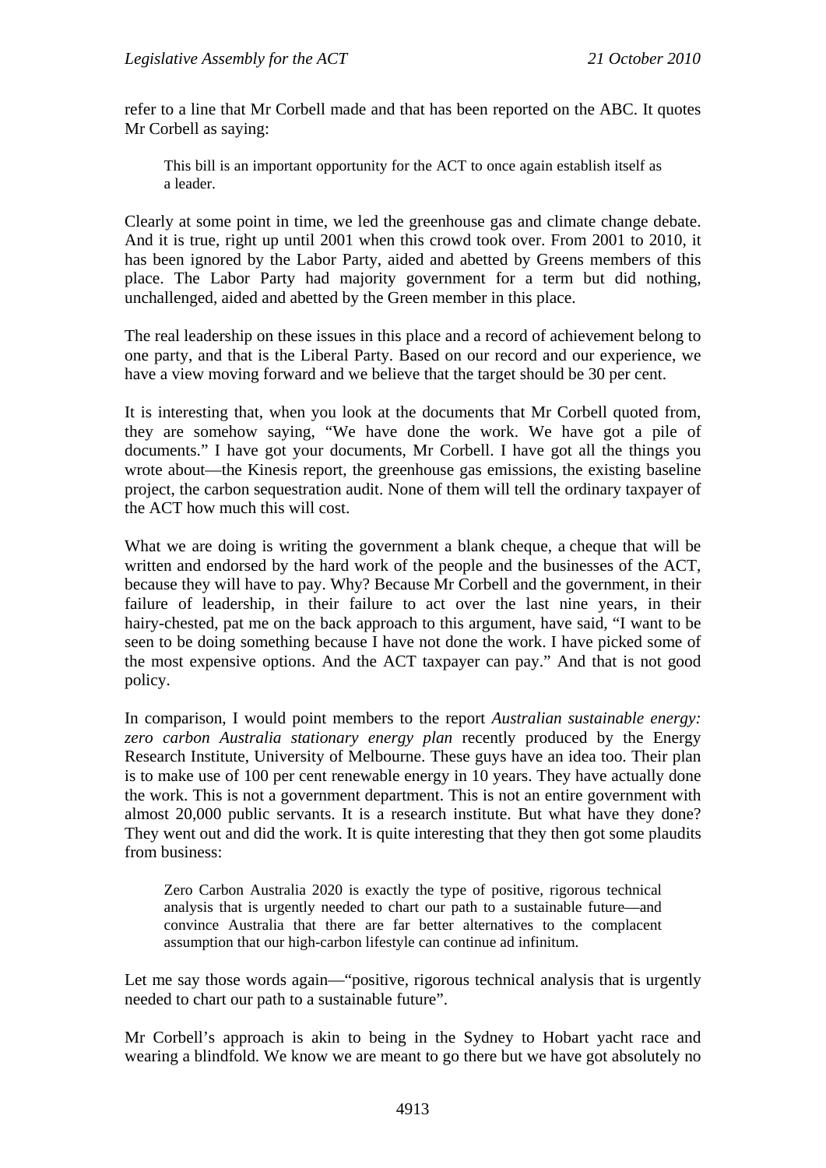refer to a line that Mr Corbell made and that has been reported on the ABC. It quotes Mr Corbell as saying:

This bill is an important opportunity for the ACT to once again establish itself as a leader.

Clearly at some point in time, we led the greenhouse gas and climate change debate. And it is true, right up until 2001 when this crowd took over. From 2001 to 2010, it has been ignored by the Labor Party, aided and abetted by Greens members of this place. The Labor Party had majority government for a term but did nothing, unchallenged, aided and abetted by the Green member in this place.

The real leadership on these issues in this place and a record of achievement belong to one party, and that is the Liberal Party. Based on our record and our experience, we have a view moving forward and we believe that the target should be 30 per cent.

It is interesting that, when you look at the documents that Mr Corbell quoted from, they are somehow saying, "We have done the work. We have got a pile of documents." I have got your documents, Mr Corbell. I have got all the things you wrote about—the Kinesis report, the greenhouse gas emissions, the existing baseline project, the carbon sequestration audit. None of them will tell the ordinary taxpayer of the ACT how much this will cost.

What we are doing is writing the government a blank cheque, a cheque that will be written and endorsed by the hard work of the people and the businesses of the ACT, because they will have to pay. Why? Because Mr Corbell and the government, in their failure of leadership, in their failure to act over the last nine years, in their hairy-chested, pat me on the back approach to this argument, have said, "I want to be seen to be doing something because I have not done the work. I have picked some of the most expensive options. And the ACT taxpayer can pay." And that is not good policy.

In comparison, I would point members to the report *Australian sustainable energy: zero carbon Australia stationary energy plan* recently produced by the Energy Research Institute, University of Melbourne. These guys have an idea too. Their plan is to make use of 100 per cent renewable energy in 10 years. They have actually done the work. This is not a government department. This is not an entire government with almost 20,000 public servants. It is a research institute. But what have they done? They went out and did the work. It is quite interesting that they then got some plaudits from business:

Zero Carbon Australia 2020 is exactly the type of positive, rigorous technical analysis that is urgently needed to chart our path to a sustainable future—and convince Australia that there are far better alternatives to the complacent assumption that our high-carbon lifestyle can continue ad infinitum.

Let me say those words again—"positive, rigorous technical analysis that is urgently needed to chart our path to a sustainable future".

Mr Corbell's approach is akin to being in the Sydney to Hobart yacht race and wearing a blindfold. We know we are meant to go there but we have got absolutely no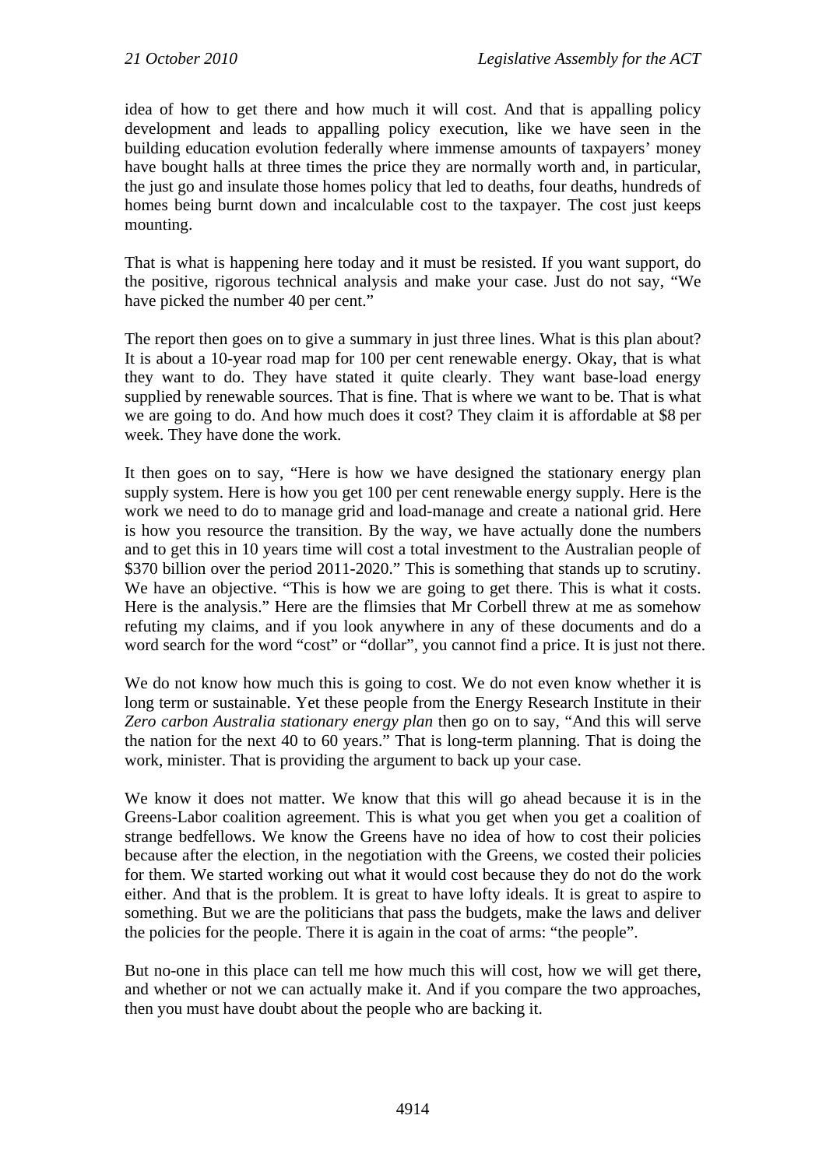idea of how to get there and how much it will cost. And that is appalling policy development and leads to appalling policy execution, like we have seen in the building education evolution federally where immense amounts of taxpayers' money have bought halls at three times the price they are normally worth and, in particular, the just go and insulate those homes policy that led to deaths, four deaths, hundreds of homes being burnt down and incalculable cost to the taxpayer. The cost just keeps mounting.

That is what is happening here today and it must be resisted. If you want support, do the positive, rigorous technical analysis and make your case. Just do not say, "We have picked the number 40 per cent."

The report then goes on to give a summary in just three lines. What is this plan about? It is about a 10-year road map for 100 per cent renewable energy. Okay, that is what they want to do. They have stated it quite clearly. They want base-load energy supplied by renewable sources. That is fine. That is where we want to be. That is what we are going to do. And how much does it cost? They claim it is affordable at \$8 per week. They have done the work.

It then goes on to say, "Here is how we have designed the stationary energy plan supply system. Here is how you get 100 per cent renewable energy supply. Here is the work we need to do to manage grid and load-manage and create a national grid. Here is how you resource the transition. By the way, we have actually done the numbers and to get this in 10 years time will cost a total investment to the Australian people of \$370 billion over the period 2011-2020." This is something that stands up to scrutiny. We have an objective. "This is how we are going to get there. This is what it costs. Here is the analysis." Here are the flimsies that Mr Corbell threw at me as somehow refuting my claims, and if you look anywhere in any of these documents and do a word search for the word "cost" or "dollar", you cannot find a price. It is just not there.

We do not know how much this is going to cost. We do not even know whether it is long term or sustainable. Yet these people from the Energy Research Institute in their *Zero carbon Australia stationary energy plan* then go on to say, "And this will serve the nation for the next 40 to 60 years." That is long-term planning. That is doing the work, minister. That is providing the argument to back up your case.

We know it does not matter. We know that this will go ahead because it is in the Greens-Labor coalition agreement. This is what you get when you get a coalition of strange bedfellows. We know the Greens have no idea of how to cost their policies because after the election, in the negotiation with the Greens, we costed their policies for them. We started working out what it would cost because they do not do the work either. And that is the problem. It is great to have lofty ideals. It is great to aspire to something. But we are the politicians that pass the budgets, make the laws and deliver the policies for the people. There it is again in the coat of arms: "the people".

But no-one in this place can tell me how much this will cost, how we will get there, and whether or not we can actually make it. And if you compare the two approaches, then you must have doubt about the people who are backing it.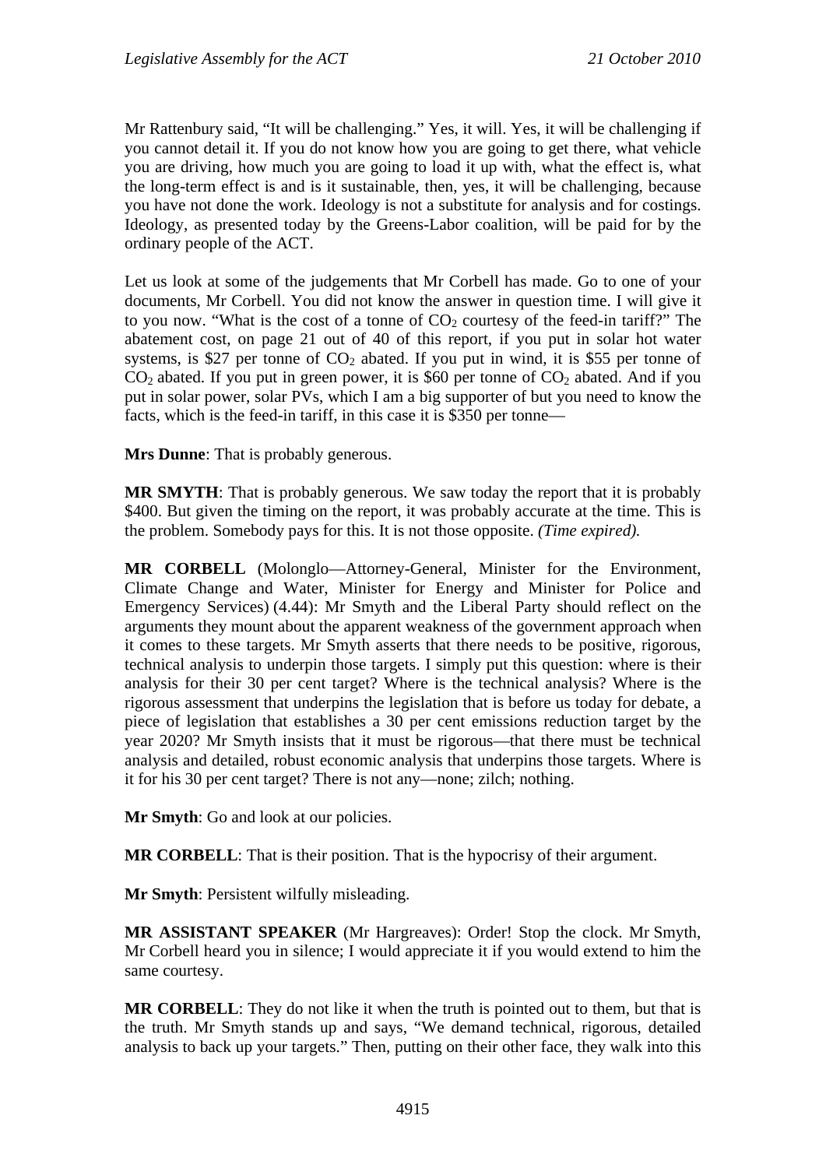Mr Rattenbury said, "It will be challenging." Yes, it will. Yes, it will be challenging if you cannot detail it. If you do not know how you are going to get there, what vehicle you are driving, how much you are going to load it up with, what the effect is, what the long-term effect is and is it sustainable, then, yes, it will be challenging, because you have not done the work. Ideology is not a substitute for analysis and for costings. Ideology, as presented today by the Greens-Labor coalition, will be paid for by the ordinary people of the ACT.

Let us look at some of the judgements that Mr Corbell has made. Go to one of your documents, Mr Corbell. You did not know the answer in question time. I will give it to you now. "What is the cost of a tonne of  $CO<sub>2</sub>$  courtesy of the feed-in tariff?" The abatement cost, on page 21 out of 40 of this report, if you put in solar hot water systems, is \$27 per tonne of  $CO<sub>2</sub>$  abated. If you put in wind, it is \$55 per tonne of  $CO<sub>2</sub>$  abated. If you put in green power, it is \$60 per tonne of  $CO<sub>2</sub>$  abated. And if you put in solar power, solar PVs, which I am a big supporter of but you need to know the facts, which is the feed-in tariff, in this case it is \$350 per tonne—

**Mrs Dunne**: That is probably generous.

**MR SMYTH**: That is probably generous. We saw today the report that it is probably \$400. But given the timing on the report, it was probably accurate at the time. This is the problem. Somebody pays for this. It is not those opposite. *(Time expired).*

**MR CORBELL** (Molonglo—Attorney-General, Minister for the Environment, Climate Change and Water, Minister for Energy and Minister for Police and Emergency Services) (4.44): Mr Smyth and the Liberal Party should reflect on the arguments they mount about the apparent weakness of the government approach when it comes to these targets. Mr Smyth asserts that there needs to be positive, rigorous, technical analysis to underpin those targets. I simply put this question: where is their analysis for their 30 per cent target? Where is the technical analysis? Where is the rigorous assessment that underpins the legislation that is before us today for debate, a piece of legislation that establishes a 30 per cent emissions reduction target by the year 2020? Mr Smyth insists that it must be rigorous—that there must be technical analysis and detailed, robust economic analysis that underpins those targets. Where is it for his 30 per cent target? There is not any—none; zilch; nothing.

**Mr Smyth:** Go and look at our policies.

**MR CORBELL**: That is their position. That is the hypocrisy of their argument.

**Mr Smyth**: Persistent wilfully misleading.

**MR ASSISTANT SPEAKER** (Mr Hargreaves): Order! Stop the clock. Mr Smyth, Mr Corbell heard you in silence; I would appreciate it if you would extend to him the same courtesy.

**MR CORBELL**: They do not like it when the truth is pointed out to them, but that is the truth. Mr Smyth stands up and says, "We demand technical, rigorous, detailed analysis to back up your targets." Then, putting on their other face, they walk into this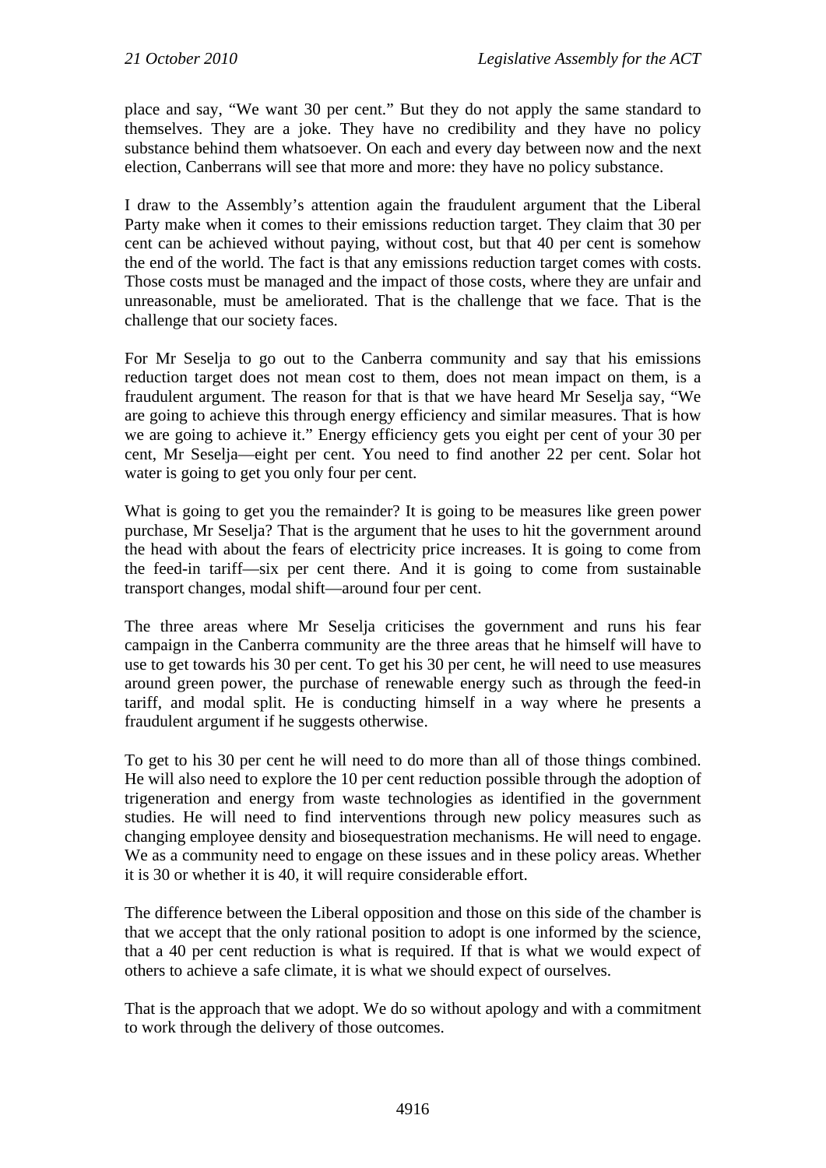place and say, "We want 30 per cent." But they do not apply the same standard to themselves. They are a joke. They have no credibility and they have no policy substance behind them whatsoever. On each and every day between now and the next election, Canberrans will see that more and more: they have no policy substance.

I draw to the Assembly's attention again the fraudulent argument that the Liberal Party make when it comes to their emissions reduction target. They claim that 30 per cent can be achieved without paying, without cost, but that 40 per cent is somehow the end of the world. The fact is that any emissions reduction target comes with costs. Those costs must be managed and the impact of those costs, where they are unfair and unreasonable, must be ameliorated. That is the challenge that we face. That is the challenge that our society faces.

For Mr Seselja to go out to the Canberra community and say that his emissions reduction target does not mean cost to them, does not mean impact on them, is a fraudulent argument. The reason for that is that we have heard Mr Seselja say, "We are going to achieve this through energy efficiency and similar measures. That is how we are going to achieve it." Energy efficiency gets you eight per cent of your 30 per cent, Mr Seselja—eight per cent. You need to find another 22 per cent. Solar hot water is going to get you only four per cent.

What is going to get you the remainder? It is going to be measures like green power purchase, Mr Seselja? That is the argument that he uses to hit the government around the head with about the fears of electricity price increases. It is going to come from the feed-in tariff—six per cent there. And it is going to come from sustainable transport changes, modal shift—around four per cent.

The three areas where Mr Seselja criticises the government and runs his fear campaign in the Canberra community are the three areas that he himself will have to use to get towards his 30 per cent. To get his 30 per cent, he will need to use measures around green power, the purchase of renewable energy such as through the feed-in tariff, and modal split. He is conducting himself in a way where he presents a fraudulent argument if he suggests otherwise.

To get to his 30 per cent he will need to do more than all of those things combined. He will also need to explore the 10 per cent reduction possible through the adoption of trigeneration and energy from waste technologies as identified in the government studies. He will need to find interventions through new policy measures such as changing employee density and biosequestration mechanisms. He will need to engage. We as a community need to engage on these issues and in these policy areas. Whether it is 30 or whether it is 40, it will require considerable effort.

The difference between the Liberal opposition and those on this side of the chamber is that we accept that the only rational position to adopt is one informed by the science, that a 40 per cent reduction is what is required. If that is what we would expect of others to achieve a safe climate, it is what we should expect of ourselves.

That is the approach that we adopt. We do so without apology and with a commitment to work through the delivery of those outcomes.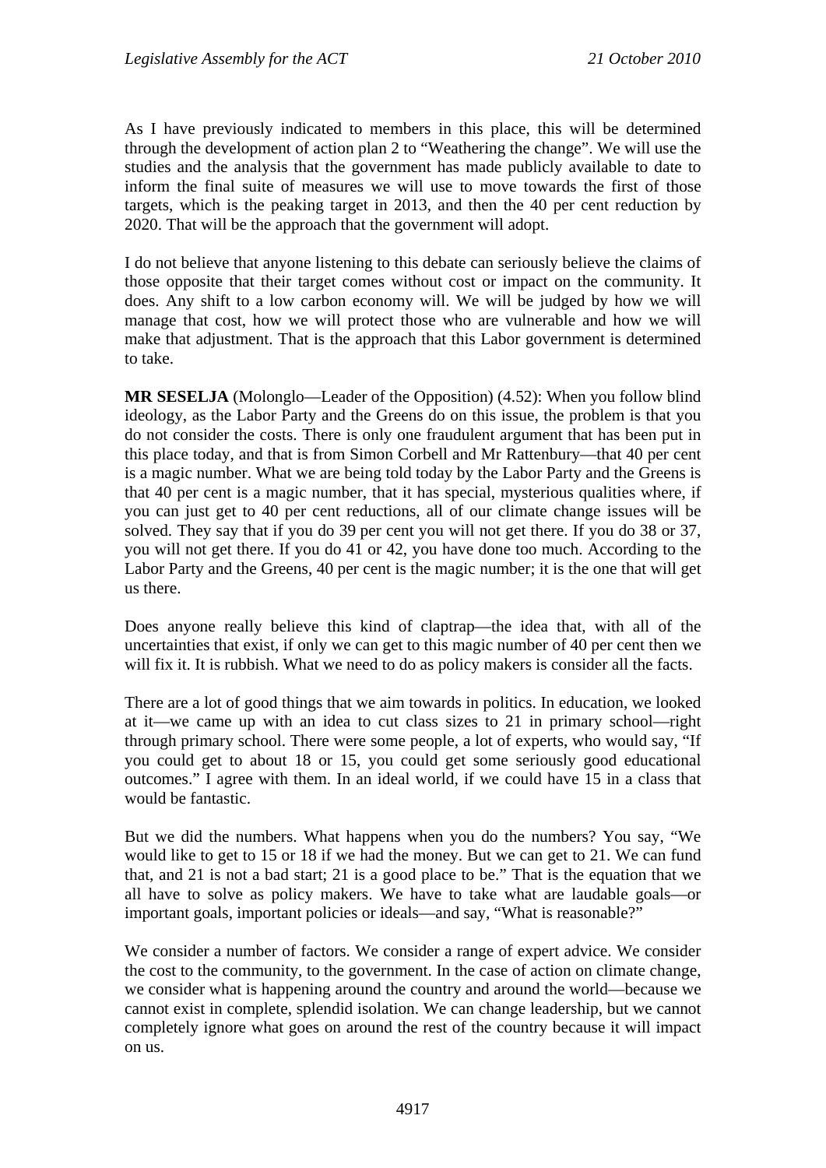As I have previously indicated to members in this place, this will be determined through the development of action plan 2 to "Weathering the change". We will use the studies and the analysis that the government has made publicly available to date to inform the final suite of measures we will use to move towards the first of those targets, which is the peaking target in 2013, and then the 40 per cent reduction by 2020. That will be the approach that the government will adopt.

I do not believe that anyone listening to this debate can seriously believe the claims of those opposite that their target comes without cost or impact on the community. It does. Any shift to a low carbon economy will. We will be judged by how we will manage that cost, how we will protect those who are vulnerable and how we will make that adjustment. That is the approach that this Labor government is determined to take.

**MR SESELJA** (Molonglo—Leader of the Opposition) (4.52): When you follow blind ideology, as the Labor Party and the Greens do on this issue, the problem is that you do not consider the costs. There is only one fraudulent argument that has been put in this place today, and that is from Simon Corbell and Mr Rattenbury—that 40 per cent is a magic number. What we are being told today by the Labor Party and the Greens is that 40 per cent is a magic number, that it has special, mysterious qualities where, if you can just get to 40 per cent reductions, all of our climate change issues will be solved. They say that if you do 39 per cent you will not get there. If you do 38 or 37, you will not get there. If you do 41 or 42, you have done too much. According to the Labor Party and the Greens, 40 per cent is the magic number; it is the one that will get us there.

Does anyone really believe this kind of claptrap—the idea that, with all of the uncertainties that exist, if only we can get to this magic number of 40 per cent then we will fix it. It is rubbish. What we need to do as policy makers is consider all the facts.

There are a lot of good things that we aim towards in politics. In education, we looked at it—we came up with an idea to cut class sizes to 21 in primary school—right through primary school. There were some people, a lot of experts, who would say, "If you could get to about 18 or 15, you could get some seriously good educational outcomes." I agree with them. In an ideal world, if we could have 15 in a class that would be fantastic.

But we did the numbers. What happens when you do the numbers? You say, "We would like to get to 15 or 18 if we had the money. But we can get to 21. We can fund that, and 21 is not a bad start; 21 is a good place to be." That is the equation that we all have to solve as policy makers. We have to take what are laudable goals—or important goals, important policies or ideals—and say, "What is reasonable?"

We consider a number of factors. We consider a range of expert advice. We consider the cost to the community, to the government. In the case of action on climate change, we consider what is happening around the country and around the world—because we cannot exist in complete, splendid isolation. We can change leadership, but we cannot completely ignore what goes on around the rest of the country because it will impact on us.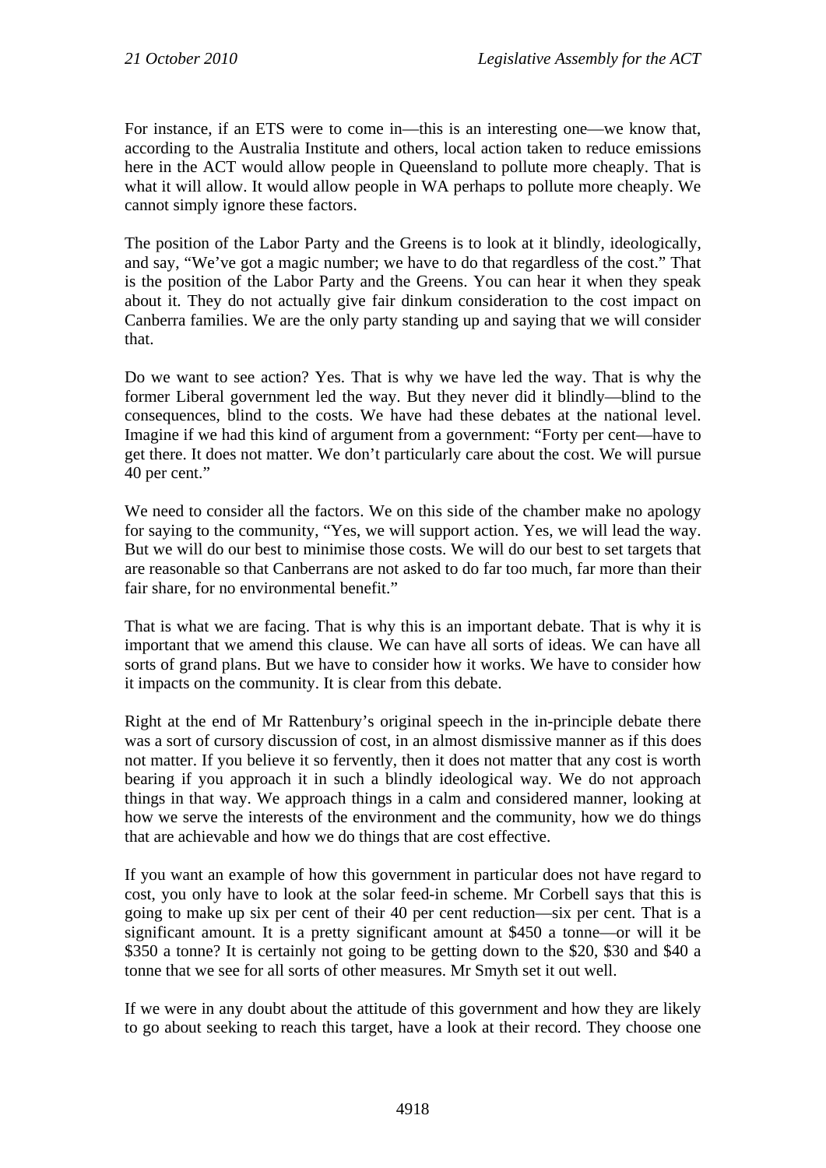For instance, if an ETS were to come in—this is an interesting one—we know that, according to the Australia Institute and others, local action taken to reduce emissions here in the ACT would allow people in Queensland to pollute more cheaply. That is what it will allow. It would allow people in WA perhaps to pollute more cheaply. We cannot simply ignore these factors.

The position of the Labor Party and the Greens is to look at it blindly, ideologically, and say, "We've got a magic number; we have to do that regardless of the cost." That is the position of the Labor Party and the Greens. You can hear it when they speak about it. They do not actually give fair dinkum consideration to the cost impact on Canberra families. We are the only party standing up and saying that we will consider that.

Do we want to see action? Yes. That is why we have led the way. That is why the former Liberal government led the way. But they never did it blindly—blind to the consequences, blind to the costs. We have had these debates at the national level. Imagine if we had this kind of argument from a government: "Forty per cent—have to get there. It does not matter. We don't particularly care about the cost. We will pursue 40 per cent."

We need to consider all the factors. We on this side of the chamber make no apology for saying to the community, "Yes, we will support action. Yes, we will lead the way. But we will do our best to minimise those costs. We will do our best to set targets that are reasonable so that Canberrans are not asked to do far too much, far more than their fair share, for no environmental benefit."

That is what we are facing. That is why this is an important debate. That is why it is important that we amend this clause. We can have all sorts of ideas. We can have all sorts of grand plans. But we have to consider how it works. We have to consider how it impacts on the community. It is clear from this debate.

Right at the end of Mr Rattenbury's original speech in the in-principle debate there was a sort of cursory discussion of cost, in an almost dismissive manner as if this does not matter. If you believe it so fervently, then it does not matter that any cost is worth bearing if you approach it in such a blindly ideological way. We do not approach things in that way. We approach things in a calm and considered manner, looking at how we serve the interests of the environment and the community, how we do things that are achievable and how we do things that are cost effective.

If you want an example of how this government in particular does not have regard to cost, you only have to look at the solar feed-in scheme. Mr Corbell says that this is going to make up six per cent of their 40 per cent reduction—six per cent. That is a significant amount. It is a pretty significant amount at \$450 a tonne—or will it be \$350 a tonne? It is certainly not going to be getting down to the \$20, \$30 and \$40 a tonne that we see for all sorts of other measures. Mr Smyth set it out well.

If we were in any doubt about the attitude of this government and how they are likely to go about seeking to reach this target, have a look at their record. They choose one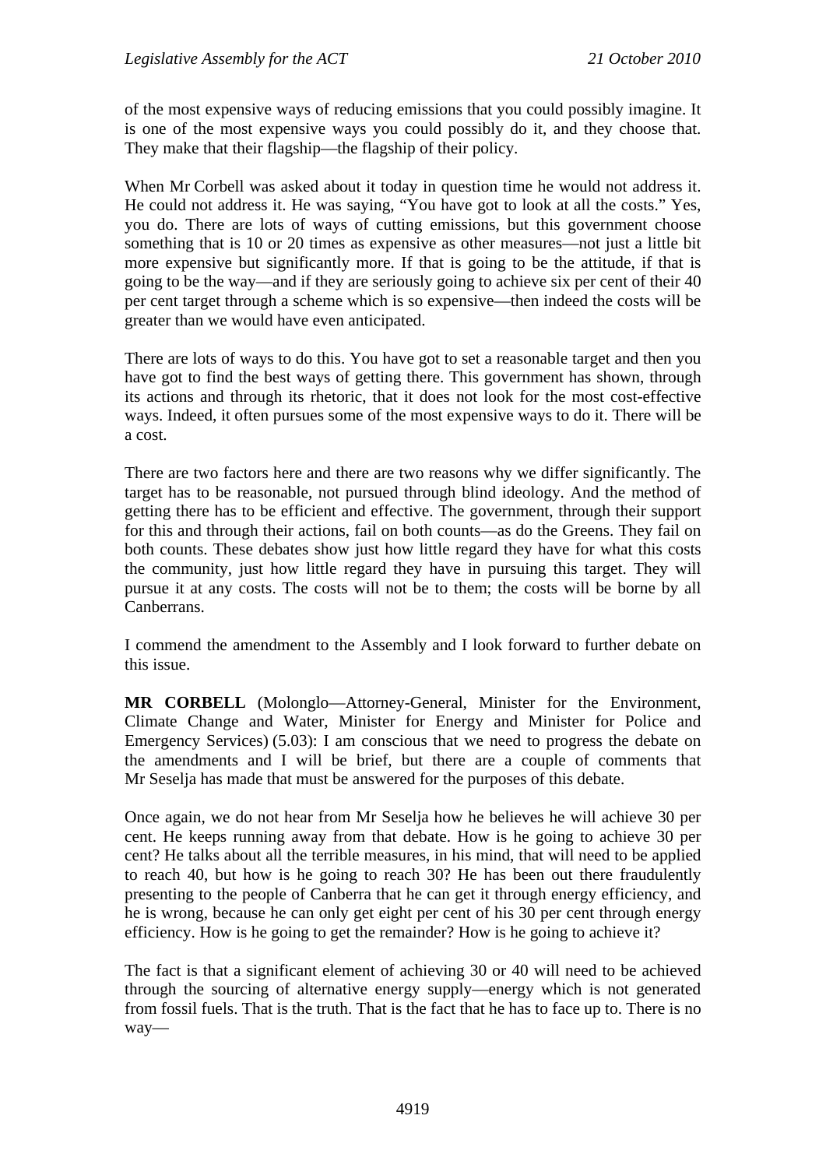of the most expensive ways of reducing emissions that you could possibly imagine. It is one of the most expensive ways you could possibly do it, and they choose that. They make that their flagship—the flagship of their policy.

When Mr Corbell was asked about it today in question time he would not address it. He could not address it. He was saying, "You have got to look at all the costs." Yes, you do. There are lots of ways of cutting emissions, but this government choose something that is 10 or 20 times as expensive as other measures—not just a little bit more expensive but significantly more. If that is going to be the attitude, if that is going to be the way—and if they are seriously going to achieve six per cent of their 40 per cent target through a scheme which is so expensive—then indeed the costs will be greater than we would have even anticipated.

There are lots of ways to do this. You have got to set a reasonable target and then you have got to find the best ways of getting there. This government has shown, through its actions and through its rhetoric, that it does not look for the most cost-effective ways. Indeed, it often pursues some of the most expensive ways to do it. There will be a cost.

There are two factors here and there are two reasons why we differ significantly. The target has to be reasonable, not pursued through blind ideology. And the method of getting there has to be efficient and effective. The government, through their support for this and through their actions, fail on both counts—as do the Greens. They fail on both counts. These debates show just how little regard they have for what this costs the community, just how little regard they have in pursuing this target. They will pursue it at any costs. The costs will not be to them; the costs will be borne by all Canberrans.

I commend the amendment to the Assembly and I look forward to further debate on this issue.

**MR CORBELL** (Molonglo—Attorney-General, Minister for the Environment, Climate Change and Water, Minister for Energy and Minister for Police and Emergency Services) (5.03): I am conscious that we need to progress the debate on the amendments and I will be brief, but there are a couple of comments that Mr Seselja has made that must be answered for the purposes of this debate.

Once again, we do not hear from Mr Seselja how he believes he will achieve 30 per cent. He keeps running away from that debate. How is he going to achieve 30 per cent? He talks about all the terrible measures, in his mind, that will need to be applied to reach 40, but how is he going to reach 30? He has been out there fraudulently presenting to the people of Canberra that he can get it through energy efficiency, and he is wrong, because he can only get eight per cent of his 30 per cent through energy efficiency. How is he going to get the remainder? How is he going to achieve it?

The fact is that a significant element of achieving 30 or 40 will need to be achieved through the sourcing of alternative energy supply—energy which is not generated from fossil fuels. That is the truth. That is the fact that he has to face up to. There is no way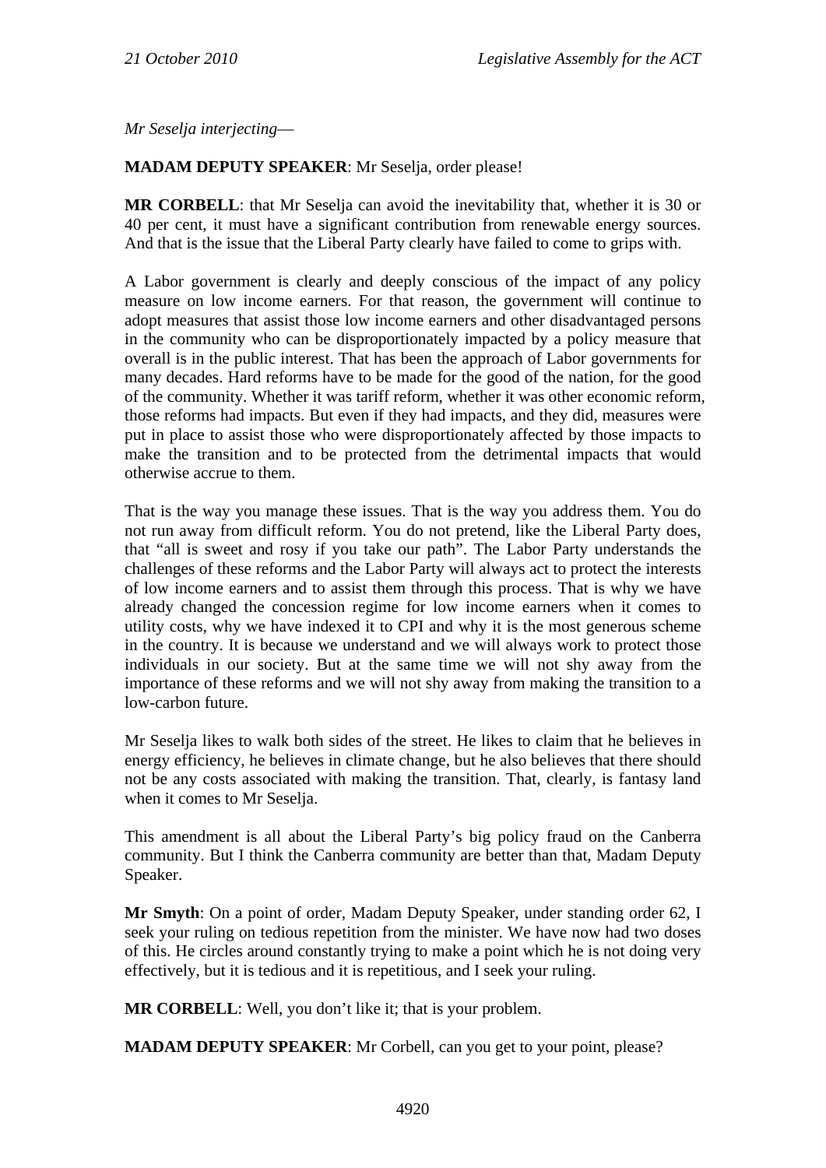*Mr Seselja interjecting*—

### **MADAM DEPUTY SPEAKER**: Mr Seselja, order please!

**MR CORBELL**: that Mr Seselja can avoid the inevitability that, whether it is 30 or 40 per cent, it must have a significant contribution from renewable energy sources. And that is the issue that the Liberal Party clearly have failed to come to grips with.

A Labor government is clearly and deeply conscious of the impact of any policy measure on low income earners. For that reason, the government will continue to adopt measures that assist those low income earners and other disadvantaged persons in the community who can be disproportionately impacted by a policy measure that overall is in the public interest. That has been the approach of Labor governments for many decades. Hard reforms have to be made for the good of the nation, for the good of the community. Whether it was tariff reform, whether it was other economic reform, those reforms had impacts. But even if they had impacts, and they did, measures were put in place to assist those who were disproportionately affected by those impacts to make the transition and to be protected from the detrimental impacts that would otherwise accrue to them.

That is the way you manage these issues. That is the way you address them. You do not run away from difficult reform. You do not pretend, like the Liberal Party does, that "all is sweet and rosy if you take our path". The Labor Party understands the challenges of these reforms and the Labor Party will always act to protect the interests of low income earners and to assist them through this process. That is why we have already changed the concession regime for low income earners when it comes to utility costs, why we have indexed it to CPI and why it is the most generous scheme in the country. It is because we understand and we will always work to protect those individuals in our society. But at the same time we will not shy away from the importance of these reforms and we will not shy away from making the transition to a low-carbon future.

Mr Seselja likes to walk both sides of the street. He likes to claim that he believes in energy efficiency, he believes in climate change, but he also believes that there should not be any costs associated with making the transition. That, clearly, is fantasy land when it comes to Mr Seselja.

This amendment is all about the Liberal Party's big policy fraud on the Canberra community. But I think the Canberra community are better than that, Madam Deputy Speaker.

**Mr Smyth**: On a point of order, Madam Deputy Speaker, under standing order 62, I seek your ruling on tedious repetition from the minister. We have now had two doses of this. He circles around constantly trying to make a point which he is not doing very effectively, but it is tedious and it is repetitious, and I seek your ruling.

**MR CORBELL**: Well, you don't like it; that is your problem.

**MADAM DEPUTY SPEAKER**: Mr Corbell, can you get to your point, please?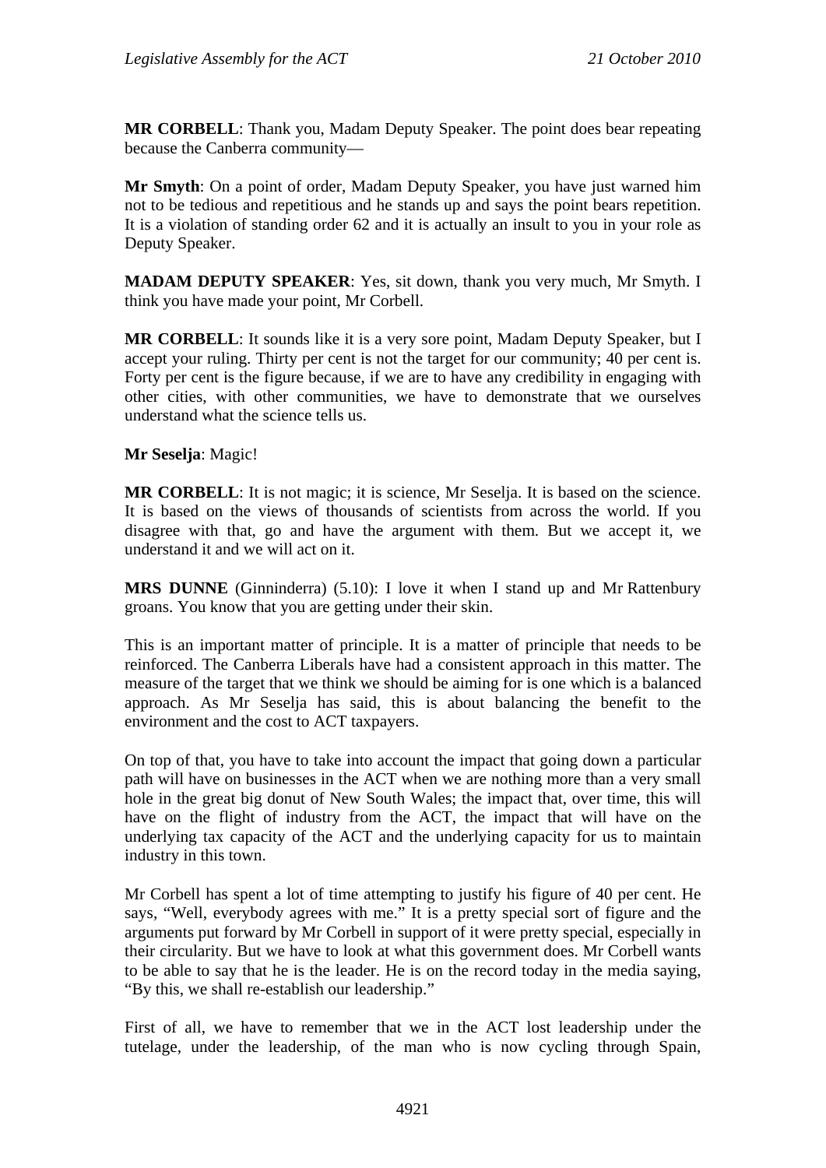**MR CORBELL**: Thank you, Madam Deputy Speaker. The point does bear repeating because the Canberra community—

**Mr Smyth**: On a point of order, Madam Deputy Speaker, you have just warned him not to be tedious and repetitious and he stands up and says the point bears repetition. It is a violation of standing order 62 and it is actually an insult to you in your role as Deputy Speaker.

**MADAM DEPUTY SPEAKER**: Yes, sit down, thank you very much, Mr Smyth. I think you have made your point, Mr Corbell.

**MR CORBELL**: It sounds like it is a very sore point, Madam Deputy Speaker, but I accept your ruling. Thirty per cent is not the target for our community; 40 per cent is. Forty per cent is the figure because, if we are to have any credibility in engaging with other cities, with other communities, we have to demonstrate that we ourselves understand what the science tells us.

**Mr Seselja**: Magic!

**MR CORBELL**: It is not magic; it is science, Mr Seselja. It is based on the science. It is based on the views of thousands of scientists from across the world. If you disagree with that, go and have the argument with them. But we accept it, we understand it and we will act on it.

**MRS DUNNE** (Ginninderra) (5.10): I love it when I stand up and Mr Rattenbury groans. You know that you are getting under their skin.

This is an important matter of principle. It is a matter of principle that needs to be reinforced. The Canberra Liberals have had a consistent approach in this matter. The measure of the target that we think we should be aiming for is one which is a balanced approach. As Mr Seselja has said, this is about balancing the benefit to the environment and the cost to ACT taxpayers.

On top of that, you have to take into account the impact that going down a particular path will have on businesses in the ACT when we are nothing more than a very small hole in the great big donut of New South Wales; the impact that, over time, this will have on the flight of industry from the ACT, the impact that will have on the underlying tax capacity of the ACT and the underlying capacity for us to maintain industry in this town.

Mr Corbell has spent a lot of time attempting to justify his figure of 40 per cent. He says, "Well, everybody agrees with me." It is a pretty special sort of figure and the arguments put forward by Mr Corbell in support of it were pretty special, especially in their circularity. But we have to look at what this government does. Mr Corbell wants to be able to say that he is the leader. He is on the record today in the media saying, "By this, we shall re-establish our leadership."

First of all, we have to remember that we in the ACT lost leadership under the tutelage, under the leadership, of the man who is now cycling through Spain,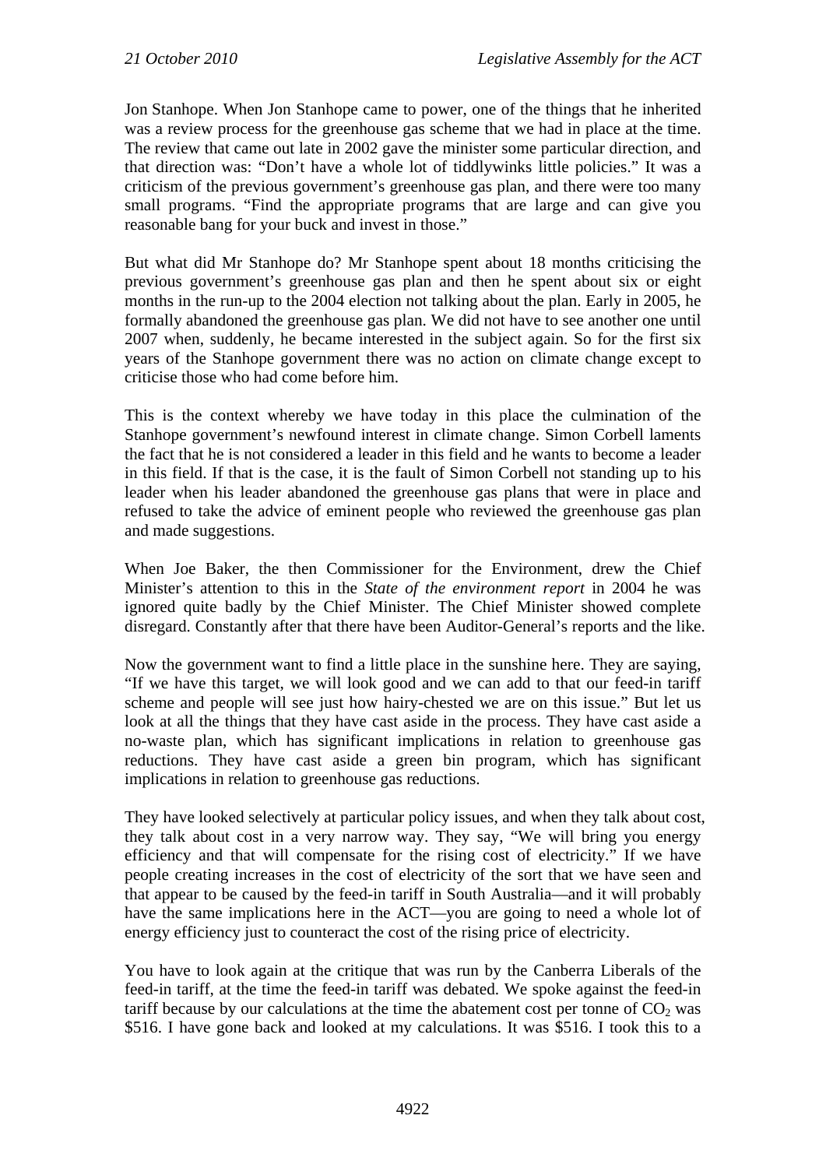Jon Stanhope. When Jon Stanhope came to power, one of the things that he inherited was a review process for the greenhouse gas scheme that we had in place at the time. The review that came out late in 2002 gave the minister some particular direction, and that direction was: "Don't have a whole lot of tiddlywinks little policies." It was a criticism of the previous government's greenhouse gas plan, and there were too many small programs. "Find the appropriate programs that are large and can give you reasonable bang for your buck and invest in those."

But what did Mr Stanhope do? Mr Stanhope spent about 18 months criticising the previous government's greenhouse gas plan and then he spent about six or eight months in the run-up to the 2004 election not talking about the plan. Early in 2005, he formally abandoned the greenhouse gas plan. We did not have to see another one until 2007 when, suddenly, he became interested in the subject again. So for the first six years of the Stanhope government there was no action on climate change except to criticise those who had come before him.

This is the context whereby we have today in this place the culmination of the Stanhope government's newfound interest in climate change. Simon Corbell laments the fact that he is not considered a leader in this field and he wants to become a leader in this field. If that is the case, it is the fault of Simon Corbell not standing up to his leader when his leader abandoned the greenhouse gas plans that were in place and refused to take the advice of eminent people who reviewed the greenhouse gas plan and made suggestions.

When Joe Baker, the then Commissioner for the Environment, drew the Chief Minister's attention to this in the *State of the environment report* in 2004 he was ignored quite badly by the Chief Minister. The Chief Minister showed complete disregard. Constantly after that there have been Auditor-General's reports and the like.

Now the government want to find a little place in the sunshine here. They are saying, "If we have this target, we will look good and we can add to that our feed-in tariff scheme and people will see just how hairy-chested we are on this issue." But let us look at all the things that they have cast aside in the process. They have cast aside a no-waste plan, which has significant implications in relation to greenhouse gas reductions. They have cast aside a green bin program, which has significant implications in relation to greenhouse gas reductions.

They have looked selectively at particular policy issues, and when they talk about cost, they talk about cost in a very narrow way. They say, "We will bring you energy efficiency and that will compensate for the rising cost of electricity." If we have people creating increases in the cost of electricity of the sort that we have seen and that appear to be caused by the feed-in tariff in South Australia—and it will probably have the same implications here in the ACT—you are going to need a whole lot of energy efficiency just to counteract the cost of the rising price of electricity.

You have to look again at the critique that was run by the Canberra Liberals of the feed-in tariff, at the time the feed-in tariff was debated. We spoke against the feed-in tariff because by our calculations at the time the abatement cost per tonne of  $CO<sub>2</sub>$  was \$516. I have gone back and looked at my calculations. It was \$516. I took this to a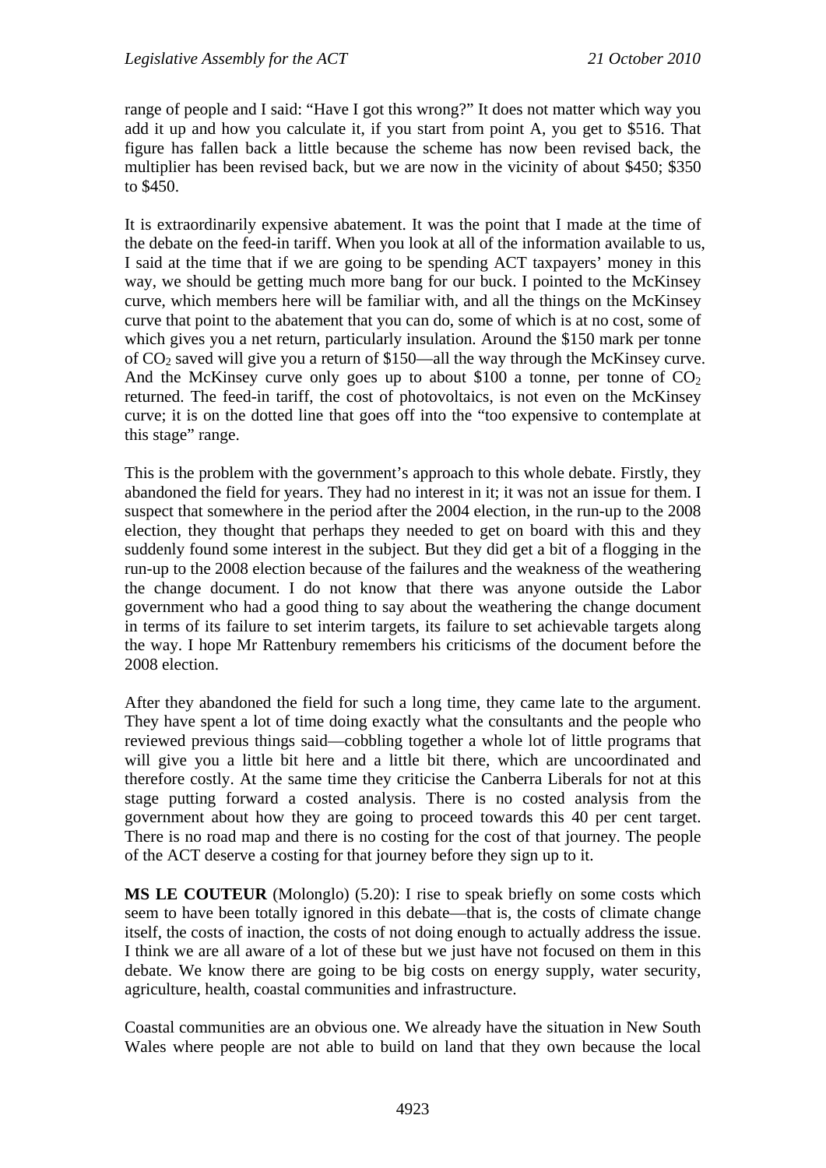range of people and I said: "Have I got this wrong?" It does not matter which way you add it up and how you calculate it, if you start from point A, you get to \$516. That figure has fallen back a little because the scheme has now been revised back, the multiplier has been revised back, but we are now in the vicinity of about \$450; \$350 to \$450.

It is extraordinarily expensive abatement. It was the point that I made at the time of the debate on the feed-in tariff. When you look at all of the information available to us, I said at the time that if we are going to be spending ACT taxpayers' money in this way, we should be getting much more bang for our buck. I pointed to the McKinsey curve, which members here will be familiar with, and all the things on the McKinsey curve that point to the abatement that you can do, some of which is at no cost, some of which gives you a net return, particularly insulation. Around the \$150 mark per tonne of  $CO<sub>2</sub>$  saved will give you a return of \$150—all the way through the McKinsey curve. And the McKinsey curve only goes up to about \$100 a tonne, per tonne of  $CO<sub>2</sub>$ returned. The feed-in tariff, the cost of photovoltaics, is not even on the McKinsey curve; it is on the dotted line that goes off into the "too expensive to contemplate at this stage" range.

This is the problem with the government's approach to this whole debate. Firstly, they abandoned the field for years. They had no interest in it; it was not an issue for them. I suspect that somewhere in the period after the 2004 election, in the run-up to the 2008 election, they thought that perhaps they needed to get on board with this and they suddenly found some interest in the subject. But they did get a bit of a flogging in the run-up to the 2008 election because of the failures and the weakness of the weathering the change document. I do not know that there was anyone outside the Labor government who had a good thing to say about the weathering the change document in terms of its failure to set interim targets, its failure to set achievable targets along the way. I hope Mr Rattenbury remembers his criticisms of the document before the 2008 election.

After they abandoned the field for such a long time, they came late to the argument. They have spent a lot of time doing exactly what the consultants and the people who reviewed previous things said—cobbling together a whole lot of little programs that will give you a little bit here and a little bit there, which are uncoordinated and therefore costly. At the same time they criticise the Canberra Liberals for not at this stage putting forward a costed analysis. There is no costed analysis from the government about how they are going to proceed towards this 40 per cent target. There is no road map and there is no costing for the cost of that journey. The people of the ACT deserve a costing for that journey before they sign up to it.

**MS LE COUTEUR** (Molonglo) (5.20): I rise to speak briefly on some costs which seem to have been totally ignored in this debate—that is, the costs of climate change itself, the costs of inaction, the costs of not doing enough to actually address the issue. I think we are all aware of a lot of these but we just have not focused on them in this debate. We know there are going to be big costs on energy supply, water security, agriculture, health, coastal communities and infrastructure.

Coastal communities are an obvious one. We already have the situation in New South Wales where people are not able to build on land that they own because the local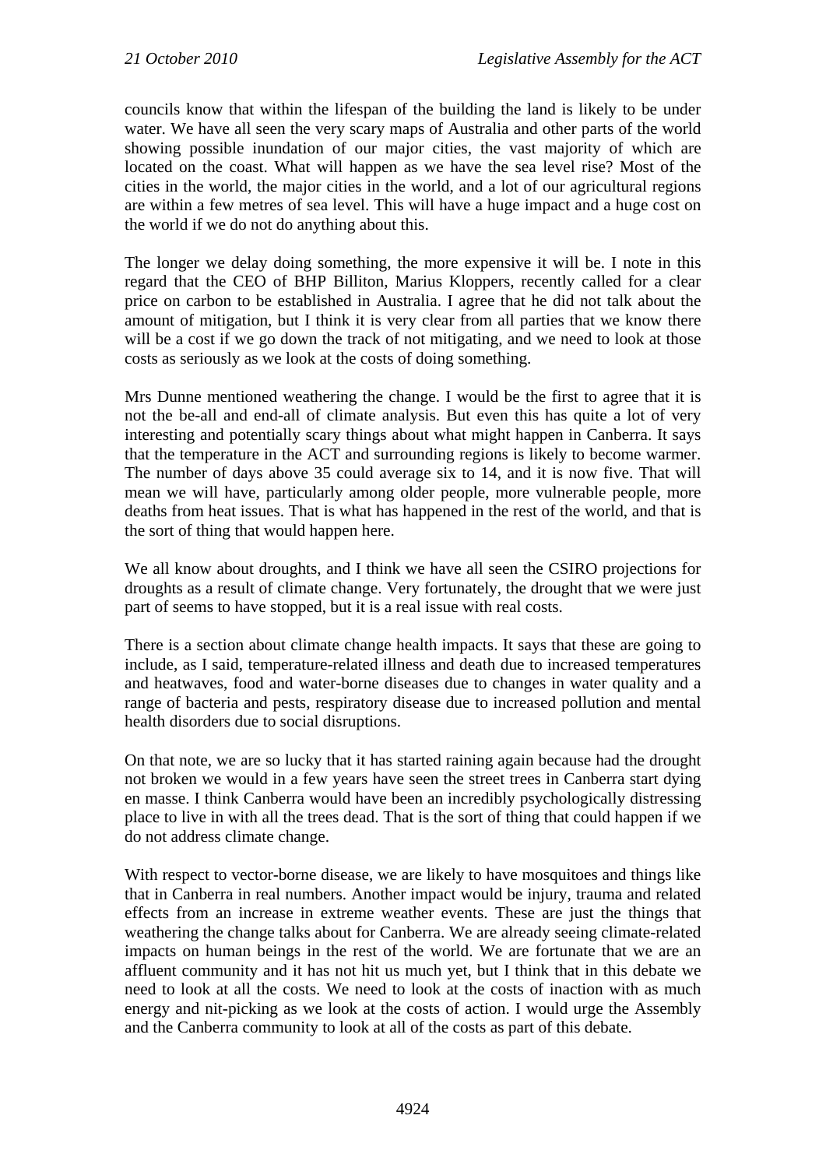councils know that within the lifespan of the building the land is likely to be under water. We have all seen the very scary maps of Australia and other parts of the world showing possible inundation of our major cities, the vast majority of which are located on the coast. What will happen as we have the sea level rise? Most of the cities in the world, the major cities in the world, and a lot of our agricultural regions are within a few metres of sea level. This will have a huge impact and a huge cost on the world if we do not do anything about this.

The longer we delay doing something, the more expensive it will be. I note in this regard that the CEO of BHP Billiton, Marius Kloppers, recently called for a clear price on carbon to be established in Australia. I agree that he did not talk about the amount of mitigation, but I think it is very clear from all parties that we know there will be a cost if we go down the track of not mitigating, and we need to look at those costs as seriously as we look at the costs of doing something.

Mrs Dunne mentioned weathering the change. I would be the first to agree that it is not the be-all and end-all of climate analysis. But even this has quite a lot of very interesting and potentially scary things about what might happen in Canberra. It says that the temperature in the ACT and surrounding regions is likely to become warmer. The number of days above 35 could average six to 14, and it is now five. That will mean we will have, particularly among older people, more vulnerable people, more deaths from heat issues. That is what has happened in the rest of the world, and that is the sort of thing that would happen here.

We all know about droughts, and I think we have all seen the CSIRO projections for droughts as a result of climate change. Very fortunately, the drought that we were just part of seems to have stopped, but it is a real issue with real costs.

There is a section about climate change health impacts. It says that these are going to include, as I said, temperature-related illness and death due to increased temperatures and heatwaves, food and water-borne diseases due to changes in water quality and a range of bacteria and pests, respiratory disease due to increased pollution and mental health disorders due to social disruptions.

On that note, we are so lucky that it has started raining again because had the drought not broken we would in a few years have seen the street trees in Canberra start dying en masse. I think Canberra would have been an incredibly psychologically distressing place to live in with all the trees dead. That is the sort of thing that could happen if we do not address climate change.

With respect to vector-borne disease, we are likely to have mosquitoes and things like that in Canberra in real numbers. Another impact would be injury, trauma and related effects from an increase in extreme weather events. These are just the things that weathering the change talks about for Canberra. We are already seeing climate-related impacts on human beings in the rest of the world. We are fortunate that we are an affluent community and it has not hit us much yet, but I think that in this debate we need to look at all the costs. We need to look at the costs of inaction with as much energy and nit-picking as we look at the costs of action. I would urge the Assembly and the Canberra community to look at all of the costs as part of this debate.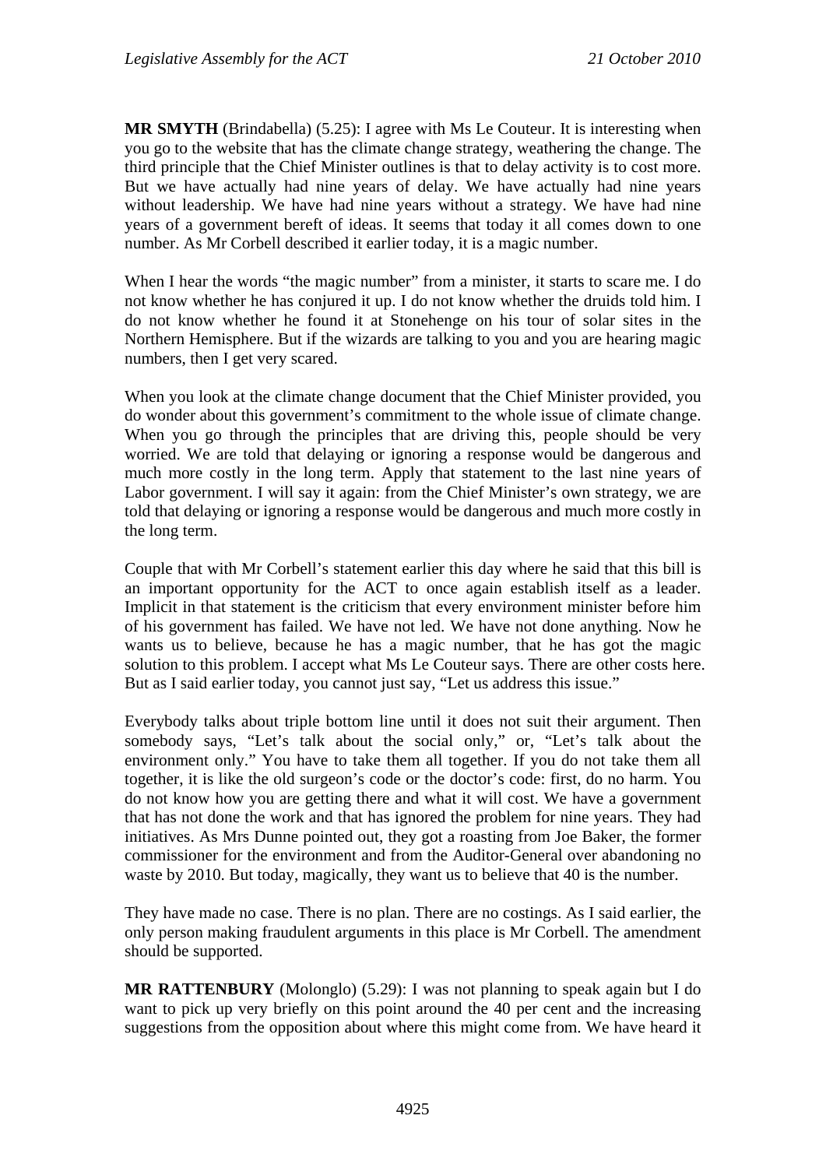**MR SMYTH** (Brindabella) (5.25): I agree with Ms Le Couteur. It is interesting when you go to the website that has the climate change strategy, weathering the change. The third principle that the Chief Minister outlines is that to delay activity is to cost more. But we have actually had nine years of delay. We have actually had nine years without leadership. We have had nine years without a strategy. We have had nine years of a government bereft of ideas. It seems that today it all comes down to one number. As Mr Corbell described it earlier today, it is a magic number.

When I hear the words "the magic number" from a minister, it starts to scare me. I do not know whether he has conjured it up. I do not know whether the druids told him. I do not know whether he found it at Stonehenge on his tour of solar sites in the Northern Hemisphere. But if the wizards are talking to you and you are hearing magic numbers, then I get very scared.

When you look at the climate change document that the Chief Minister provided, you do wonder about this government's commitment to the whole issue of climate change. When you go through the principles that are driving this, people should be very worried. We are told that delaying or ignoring a response would be dangerous and much more costly in the long term. Apply that statement to the last nine years of Labor government. I will say it again: from the Chief Minister's own strategy, we are told that delaying or ignoring a response would be dangerous and much more costly in the long term.

Couple that with Mr Corbell's statement earlier this day where he said that this bill is an important opportunity for the ACT to once again establish itself as a leader. Implicit in that statement is the criticism that every environment minister before him of his government has failed. We have not led. We have not done anything. Now he wants us to believe, because he has a magic number, that he has got the magic solution to this problem. I accept what Ms Le Couteur says. There are other costs here. But as I said earlier today, you cannot just say, "Let us address this issue."

Everybody talks about triple bottom line until it does not suit their argument. Then somebody says, "Let's talk about the social only," or, "Let's talk about the environment only." You have to take them all together. If you do not take them all together, it is like the old surgeon's code or the doctor's code: first, do no harm. You do not know how you are getting there and what it will cost. We have a government that has not done the work and that has ignored the problem for nine years. They had initiatives. As Mrs Dunne pointed out, they got a roasting from Joe Baker, the former commissioner for the environment and from the Auditor-General over abandoning no waste by 2010. But today, magically, they want us to believe that 40 is the number.

They have made no case. There is no plan. There are no costings. As I said earlier, the only person making fraudulent arguments in this place is Mr Corbell. The amendment should be supported.

**MR RATTENBURY** (Molonglo) (5.29): I was not planning to speak again but I do want to pick up very briefly on this point around the 40 per cent and the increasing suggestions from the opposition about where this might come from. We have heard it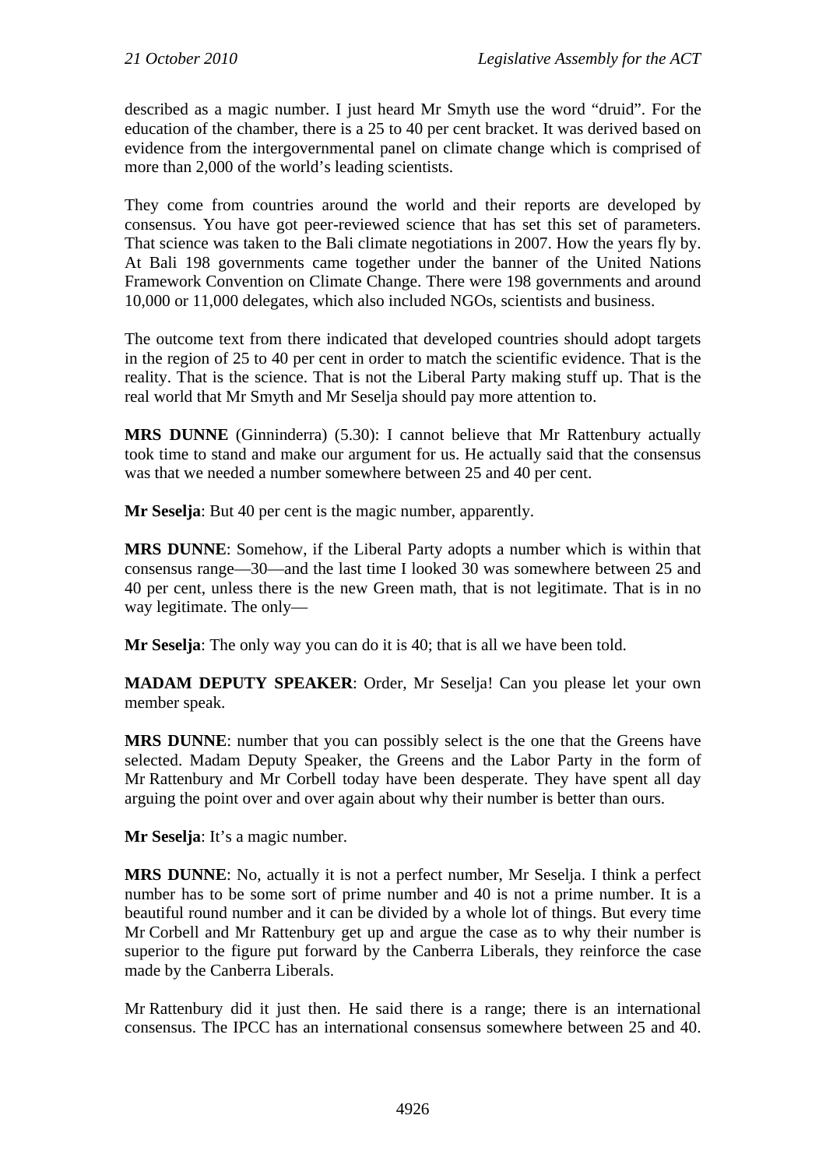described as a magic number. I just heard Mr Smyth use the word "druid". For the education of the chamber, there is a 25 to 40 per cent bracket. It was derived based on evidence from the intergovernmental panel on climate change which is comprised of more than 2,000 of the world's leading scientists.

They come from countries around the world and their reports are developed by consensus. You have got peer-reviewed science that has set this set of parameters. That science was taken to the Bali climate negotiations in 2007. How the years fly by. At Bali 198 governments came together under the banner of the United Nations Framework Convention on Climate Change. There were 198 governments and around 10,000 or 11,000 delegates, which also included NGOs, scientists and business.

The outcome text from there indicated that developed countries should adopt targets in the region of 25 to 40 per cent in order to match the scientific evidence. That is the reality. That is the science. That is not the Liberal Party making stuff up. That is the real world that Mr Smyth and Mr Seselja should pay more attention to.

**MRS DUNNE** (Ginninderra) (5.30): I cannot believe that Mr Rattenbury actually took time to stand and make our argument for us. He actually said that the consensus was that we needed a number somewhere between 25 and 40 per cent.

**Mr Seselja**: But 40 per cent is the magic number, apparently.

**MRS DUNNE**: Somehow, if the Liberal Party adopts a number which is within that consensus range—30—and the last time I looked 30 was somewhere between 25 and 40 per cent, unless there is the new Green math, that is not legitimate. That is in no way legitimate. The only—

**Mr Seselja**: The only way you can do it is 40; that is all we have been told.

**MADAM DEPUTY SPEAKER:** Order, Mr Seselja! Can you please let your own member speak.

**MRS DUNNE**: number that you can possibly select is the one that the Greens have selected. Madam Deputy Speaker, the Greens and the Labor Party in the form of Mr Rattenbury and Mr Corbell today have been desperate. They have spent all day arguing the point over and over again about why their number is better than ours.

**Mr Seselja**: It's a magic number.

**MRS DUNNE**: No, actually it is not a perfect number, Mr Seselja. I think a perfect number has to be some sort of prime number and 40 is not a prime number. It is a beautiful round number and it can be divided by a whole lot of things. But every time Mr Corbell and Mr Rattenbury get up and argue the case as to why their number is superior to the figure put forward by the Canberra Liberals, they reinforce the case made by the Canberra Liberals.

Mr Rattenbury did it just then. He said there is a range; there is an international consensus. The IPCC has an international consensus somewhere between 25 and 40.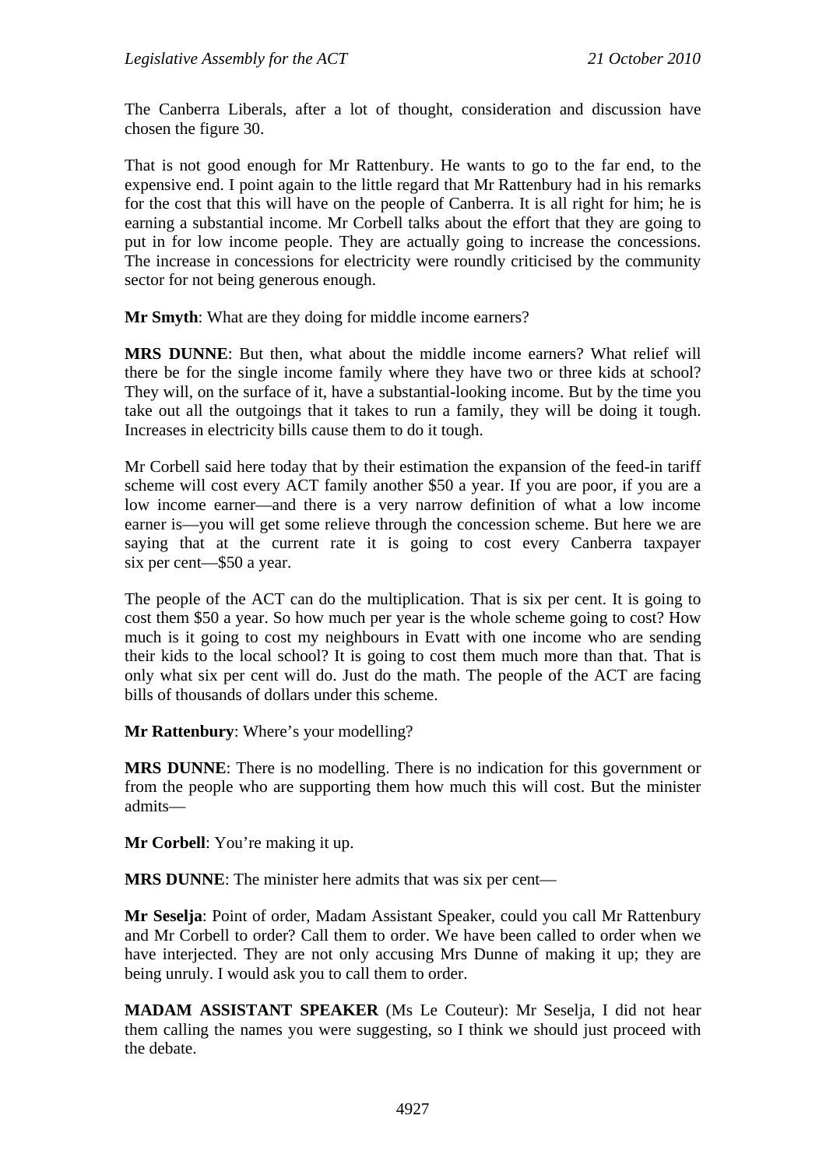The Canberra Liberals, after a lot of thought, consideration and discussion have chosen the figure 30.

That is not good enough for Mr Rattenbury. He wants to go to the far end, to the expensive end. I point again to the little regard that Mr Rattenbury had in his remarks for the cost that this will have on the people of Canberra. It is all right for him; he is earning a substantial income. Mr Corbell talks about the effort that they are going to put in for low income people. They are actually going to increase the concessions. The increase in concessions for electricity were roundly criticised by the community sector for not being generous enough.

**Mr Smyth**: What are they doing for middle income earners?

**MRS DUNNE**: But then, what about the middle income earners? What relief will there be for the single income family where they have two or three kids at school? They will, on the surface of it, have a substantial-looking income. But by the time you take out all the outgoings that it takes to run a family, they will be doing it tough. Increases in electricity bills cause them to do it tough.

Mr Corbell said here today that by their estimation the expansion of the feed-in tariff scheme will cost every ACT family another \$50 a year. If you are poor, if you are a low income earner—and there is a very narrow definition of what a low income earner is—you will get some relieve through the concession scheme. But here we are saying that at the current rate it is going to cost every Canberra taxpayer six per cent—\$50 a year.

The people of the ACT can do the multiplication. That is six per cent. It is going to cost them \$50 a year. So how much per year is the whole scheme going to cost? How much is it going to cost my neighbours in Evatt with one income who are sending their kids to the local school? It is going to cost them much more than that. That is only what six per cent will do. Just do the math. The people of the ACT are facing bills of thousands of dollars under this scheme.

**Mr Rattenbury**: Where's your modelling?

**MRS DUNNE**: There is no modelling. There is no indication for this government or from the people who are supporting them how much this will cost. But the minister admits—

**Mr Corbell**: You're making it up.

**MRS DUNNE**: The minister here admits that was six per cent—

**Mr Seselja**: Point of order, Madam Assistant Speaker, could you call Mr Rattenbury and Mr Corbell to order? Call them to order. We have been called to order when we have interjected. They are not only accusing Mrs Dunne of making it up; they are being unruly. I would ask you to call them to order.

**MADAM ASSISTANT SPEAKER** (Ms Le Couteur): Mr Seselja, I did not hear them calling the names you were suggesting, so I think we should just proceed with the debate.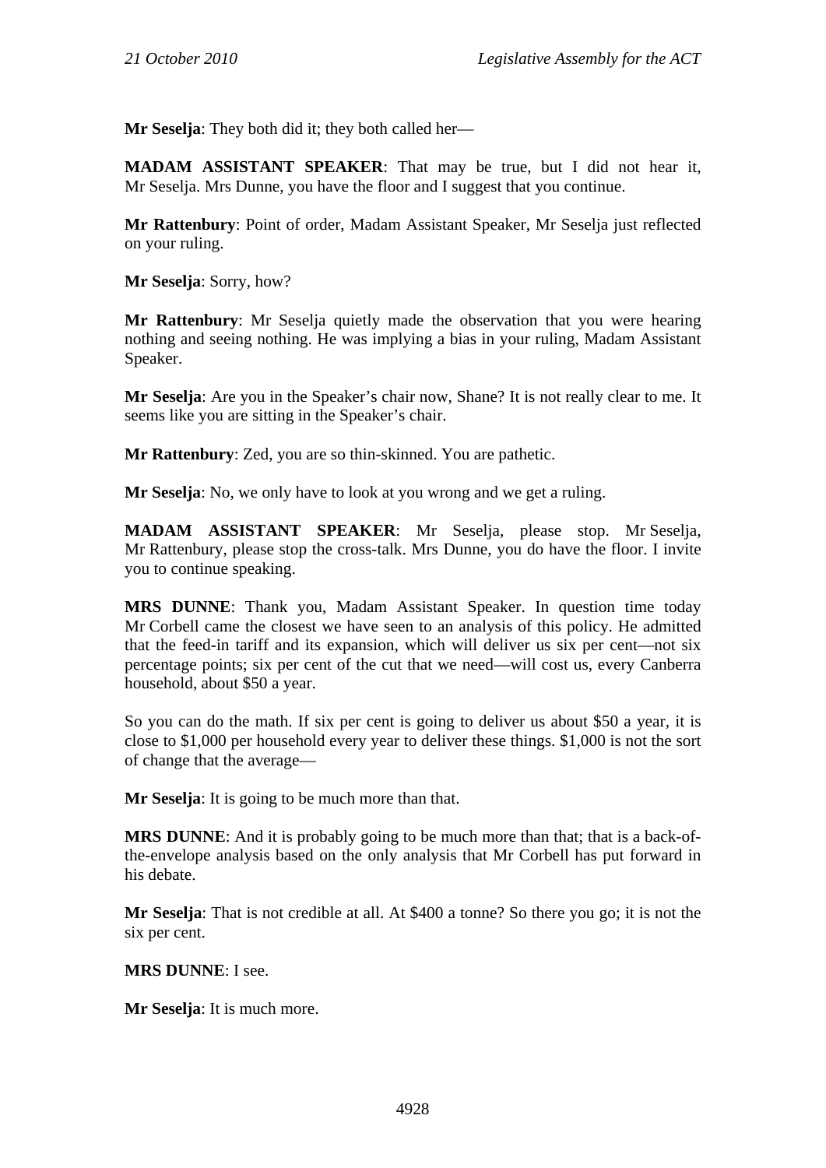**Mr Seselja**: They both did it; they both called her—

**MADAM ASSISTANT SPEAKER**: That may be true, but I did not hear it, Mr Seselja. Mrs Dunne, you have the floor and I suggest that you continue.

**Mr Rattenbury**: Point of order, Madam Assistant Speaker, Mr Seselja just reflected on your ruling.

**Mr Seselja**: Sorry, how?

**Mr Rattenbury**: Mr Seselja quietly made the observation that you were hearing nothing and seeing nothing. He was implying a bias in your ruling, Madam Assistant Speaker.

**Mr Seselja**: Are you in the Speaker's chair now, Shane? It is not really clear to me. It seems like you are sitting in the Speaker's chair.

**Mr Rattenbury**: Zed, you are so thin-skinned. You are pathetic.

**Mr Seselja**: No, we only have to look at you wrong and we get a ruling.

**MADAM ASSISTANT SPEAKER**: Mr Seselja, please stop. Mr Seselja, Mr Rattenbury, please stop the cross-talk. Mrs Dunne, you do have the floor. I invite you to continue speaking.

**MRS DUNNE**: Thank you, Madam Assistant Speaker. In question time today Mr Corbell came the closest we have seen to an analysis of this policy. He admitted that the feed-in tariff and its expansion, which will deliver us six per cent—not six percentage points; six per cent of the cut that we need—will cost us, every Canberra household, about \$50 a year.

So you can do the math. If six per cent is going to deliver us about \$50 a year, it is close to \$1,000 per household every year to deliver these things. \$1,000 is not the sort of change that the average—

**Mr Seselja**: It is going to be much more than that.

**MRS DUNNE:** And it is probably going to be much more than that; that is a back-ofthe-envelope analysis based on the only analysis that Mr Corbell has put forward in his debate.

**Mr Seselja**: That is not credible at all. At \$400 a tonne? So there you go; it is not the six per cent.

**MRS DUNNE**: I see.

**Mr Seselja**: It is much more.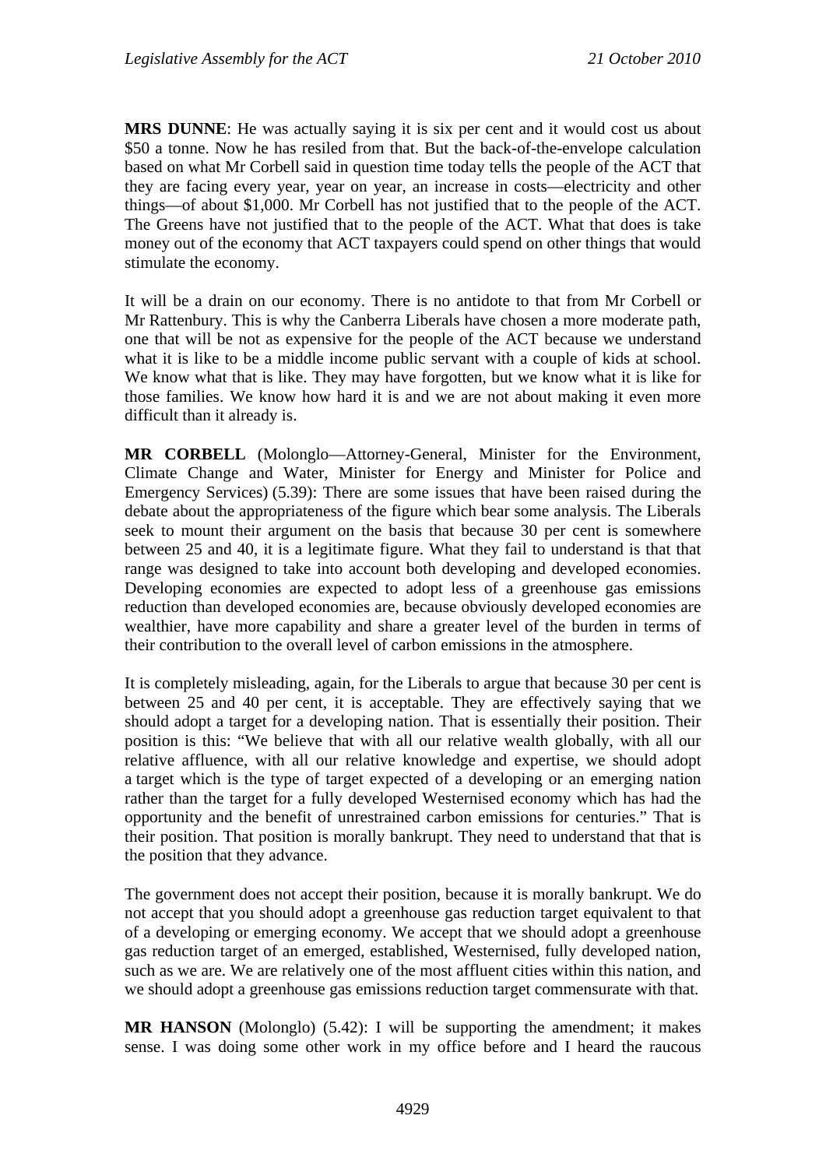**MRS DUNNE**: He was actually saying it is six per cent and it would cost us about \$50 a tonne. Now he has resiled from that. But the back-of-the-envelope calculation based on what Mr Corbell said in question time today tells the people of the ACT that they are facing every year, year on year, an increase in costs—electricity and other things—of about \$1,000. Mr Corbell has not justified that to the people of the ACT. The Greens have not justified that to the people of the ACT. What that does is take money out of the economy that ACT taxpayers could spend on other things that would stimulate the economy.

It will be a drain on our economy. There is no antidote to that from Mr Corbell or Mr Rattenbury. This is why the Canberra Liberals have chosen a more moderate path, one that will be not as expensive for the people of the ACT because we understand what it is like to be a middle income public servant with a couple of kids at school. We know what that is like. They may have forgotten, but we know what it is like for those families. We know how hard it is and we are not about making it even more difficult than it already is.

**MR CORBELL** (Molonglo—Attorney-General, Minister for the Environment, Climate Change and Water, Minister for Energy and Minister for Police and Emergency Services) (5.39): There are some issues that have been raised during the debate about the appropriateness of the figure which bear some analysis. The Liberals seek to mount their argument on the basis that because 30 per cent is somewhere between 25 and 40, it is a legitimate figure. What they fail to understand is that that range was designed to take into account both developing and developed economies. Developing economies are expected to adopt less of a greenhouse gas emissions reduction than developed economies are, because obviously developed economies are wealthier, have more capability and share a greater level of the burden in terms of their contribution to the overall level of carbon emissions in the atmosphere.

It is completely misleading, again, for the Liberals to argue that because 30 per cent is between 25 and 40 per cent, it is acceptable. They are effectively saying that we should adopt a target for a developing nation. That is essentially their position. Their position is this: "We believe that with all our relative wealth globally, with all our relative affluence, with all our relative knowledge and expertise, we should adopt a target which is the type of target expected of a developing or an emerging nation rather than the target for a fully developed Westernised economy which has had the opportunity and the benefit of unrestrained carbon emissions for centuries." That is their position. That position is morally bankrupt. They need to understand that that is the position that they advance.

The government does not accept their position, because it is morally bankrupt. We do not accept that you should adopt a greenhouse gas reduction target equivalent to that of a developing or emerging economy. We accept that we should adopt a greenhouse gas reduction target of an emerged, established, Westernised, fully developed nation, such as we are. We are relatively one of the most affluent cities within this nation, and we should adopt a greenhouse gas emissions reduction target commensurate with that.

**MR HANSON** (Molonglo) (5.42): I will be supporting the amendment; it makes sense. I was doing some other work in my office before and I heard the raucous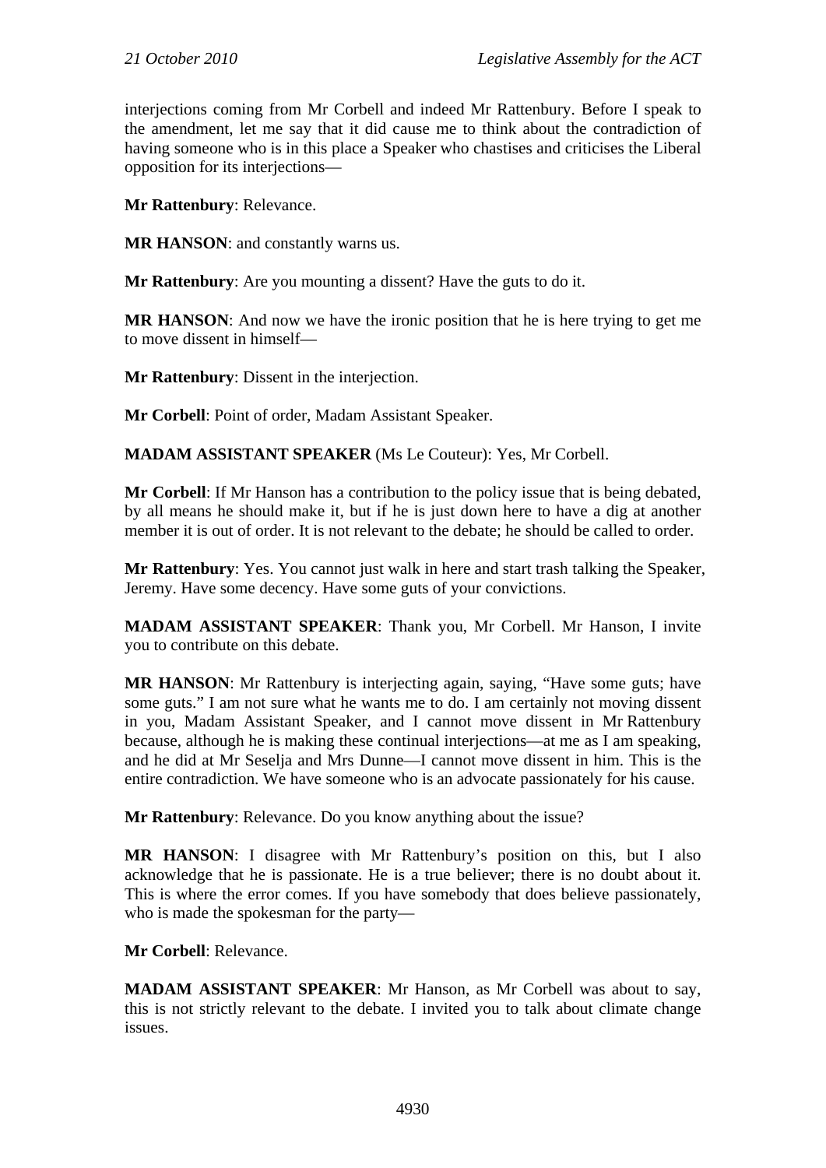interjections coming from Mr Corbell and indeed Mr Rattenbury. Before I speak to the amendment, let me say that it did cause me to think about the contradiction of having someone who is in this place a Speaker who chastises and criticises the Liberal opposition for its interjections—

**Mr Rattenbury**: Relevance.

**MR HANSON**: and constantly warns us.

**Mr Rattenbury**: Are you mounting a dissent? Have the guts to do it.

**MR HANSON**: And now we have the ironic position that he is here trying to get me to move dissent in himself—

**Mr Rattenbury**: Dissent in the interjection.

**Mr Corbell**: Point of order, Madam Assistant Speaker.

**MADAM ASSISTANT SPEAKER** (Ms Le Couteur): Yes, Mr Corbell.

**Mr Corbell**: If Mr Hanson has a contribution to the policy issue that is being debated, by all means he should make it, but if he is just down here to have a dig at another member it is out of order. It is not relevant to the debate; he should be called to order.

**Mr Rattenbury**: Yes. You cannot just walk in here and start trash talking the Speaker, Jeremy. Have some decency. Have some guts of your convictions.

**MADAM ASSISTANT SPEAKER**: Thank you, Mr Corbell. Mr Hanson, I invite you to contribute on this debate.

**MR HANSON**: Mr Rattenbury is interjecting again, saying, "Have some guts; have some guts." I am not sure what he wants me to do. I am certainly not moving dissent in you, Madam Assistant Speaker, and I cannot move dissent in Mr Rattenbury because, although he is making these continual interjections—at me as I am speaking, and he did at Mr Seselja and Mrs Dunne—I cannot move dissent in him. This is the entire contradiction. We have someone who is an advocate passionately for his cause.

**Mr Rattenbury**: Relevance. Do you know anything about the issue?

**MR HANSON**: I disagree with Mr Rattenbury's position on this, but I also acknowledge that he is passionate. He is a true believer; there is no doubt about it. This is where the error comes. If you have somebody that does believe passionately, who is made the spokesman for the party—

**Mr Corbell**: Relevance.

**MADAM ASSISTANT SPEAKER**: Mr Hanson, as Mr Corbell was about to say, this is not strictly relevant to the debate. I invited you to talk about climate change issues.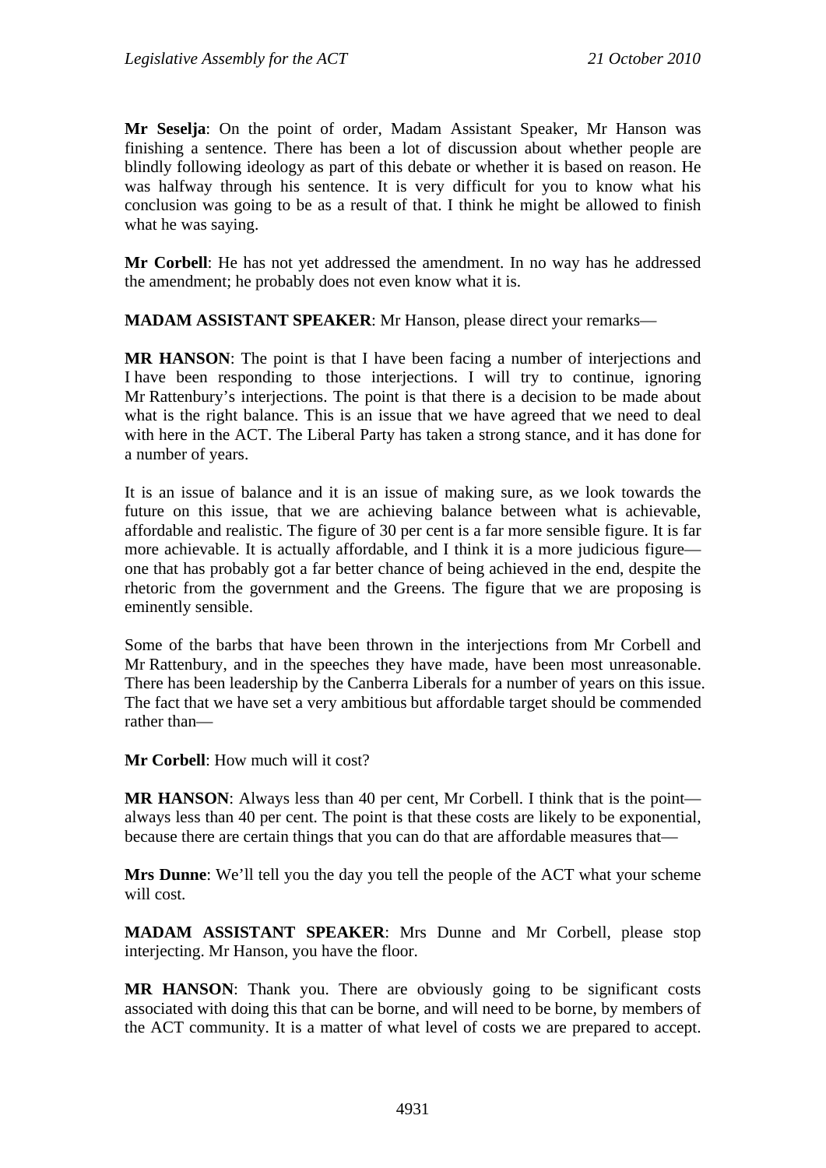**Mr Seselja**: On the point of order, Madam Assistant Speaker, Mr Hanson was finishing a sentence. There has been a lot of discussion about whether people are blindly following ideology as part of this debate or whether it is based on reason. He was halfway through his sentence. It is very difficult for you to know what his conclusion was going to be as a result of that. I think he might be allowed to finish what he was saying.

**Mr Corbell**: He has not yet addressed the amendment. In no way has he addressed the amendment; he probably does not even know what it is.

**MADAM ASSISTANT SPEAKER**: Mr Hanson, please direct your remarks—

**MR HANSON**: The point is that I have been facing a number of interjections and I have been responding to those interjections. I will try to continue, ignoring Mr Rattenbury's interjections. The point is that there is a decision to be made about what is the right balance. This is an issue that we have agreed that we need to deal with here in the ACT. The Liberal Party has taken a strong stance, and it has done for a number of years.

It is an issue of balance and it is an issue of making sure, as we look towards the future on this issue, that we are achieving balance between what is achievable, affordable and realistic. The figure of 30 per cent is a far more sensible figure. It is far more achievable. It is actually affordable, and I think it is a more judicious figure one that has probably got a far better chance of being achieved in the end, despite the rhetoric from the government and the Greens. The figure that we are proposing is eminently sensible.

Some of the barbs that have been thrown in the interjections from Mr Corbell and Mr Rattenbury, and in the speeches they have made, have been most unreasonable. There has been leadership by the Canberra Liberals for a number of years on this issue. The fact that we have set a very ambitious but affordable target should be commended rather than—

**Mr Corbell**: How much will it cost?

**MR HANSON:** Always less than 40 per cent, Mr Corbell. I think that is the point always less than 40 per cent. The point is that these costs are likely to be exponential, because there are certain things that you can do that are affordable measures that—

**Mrs Dunne**: We'll tell you the day you tell the people of the ACT what your scheme will cost.

**MADAM ASSISTANT SPEAKER**: Mrs Dunne and Mr Corbell, please stop interjecting. Mr Hanson, you have the floor.

**MR HANSON**: Thank you. There are obviously going to be significant costs associated with doing this that can be borne, and will need to be borne, by members of the ACT community. It is a matter of what level of costs we are prepared to accept.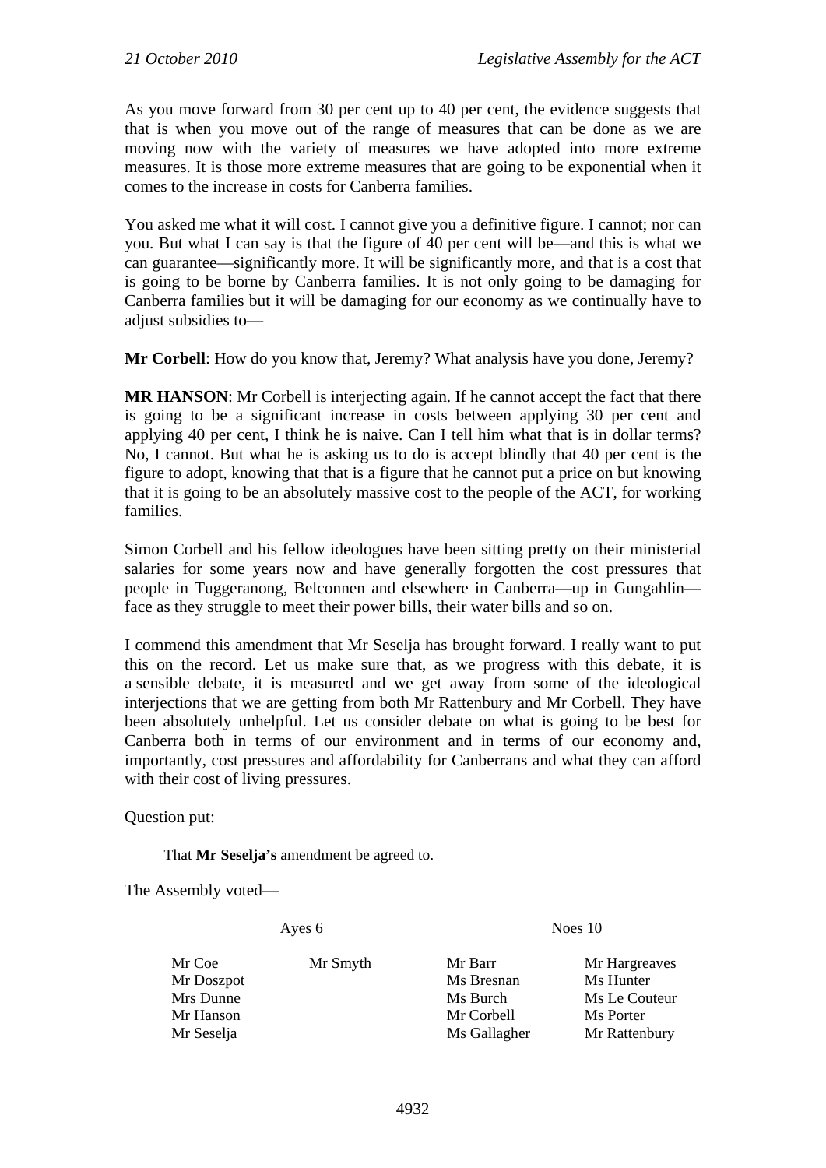As you move forward from 30 per cent up to 40 per cent, the evidence suggests that that is when you move out of the range of measures that can be done as we are moving now with the variety of measures we have adopted into more extreme measures. It is those more extreme measures that are going to be exponential when it comes to the increase in costs for Canberra families.

You asked me what it will cost. I cannot give you a definitive figure. I cannot; nor can you. But what I can say is that the figure of 40 per cent will be—and this is what we can guarantee—significantly more. It will be significantly more, and that is a cost that is going to be borne by Canberra families. It is not only going to be damaging for Canberra families but it will be damaging for our economy as we continually have to adjust subsidies to—

**Mr Corbell:** How do you know that, Jeremy? What analysis have you done, Jeremy?

**MR HANSON**: Mr Corbell is interjecting again. If he cannot accept the fact that there is going to be a significant increase in costs between applying 30 per cent and applying 40 per cent, I think he is naive. Can I tell him what that is in dollar terms? No, I cannot. But what he is asking us to do is accept blindly that 40 per cent is the figure to adopt, knowing that that is a figure that he cannot put a price on but knowing that it is going to be an absolutely massive cost to the people of the ACT, for working families.

Simon Corbell and his fellow ideologues have been sitting pretty on their ministerial salaries for some years now and have generally forgotten the cost pressures that people in Tuggeranong, Belconnen and elsewhere in Canberra—up in Gungahlin face as they struggle to meet their power bills, their water bills and so on.

I commend this amendment that Mr Seselja has brought forward. I really want to put this on the record. Let us make sure that, as we progress with this debate, it is a sensible debate, it is measured and we get away from some of the ideological interjections that we are getting from both Mr Rattenbury and Mr Corbell. They have been absolutely unhelpful. Let us consider debate on what is going to be best for Canberra both in terms of our environment and in terms of our economy and, importantly, cost pressures and affordability for Canberrans and what they can afford with their cost of living pressures.

Question put:

That **Mr Seselja's** amendment be agreed to.

The Assembly voted—

Ayes 6 Noes 10

| Mr Coe     | Mr Smyth | Mr Barr      | Mr Hargreaves |
|------------|----------|--------------|---------------|
| Mr Doszpot |          | Ms Bresnan   | Ms Hunter     |
| Mrs Dunne  |          | Ms Burch     | Ms Le Couteur |
| Mr Hanson  |          | Mr Corbell   | Ms Porter     |
| Mr Seselja |          | Ms Gallagher | Mr Rattenbury |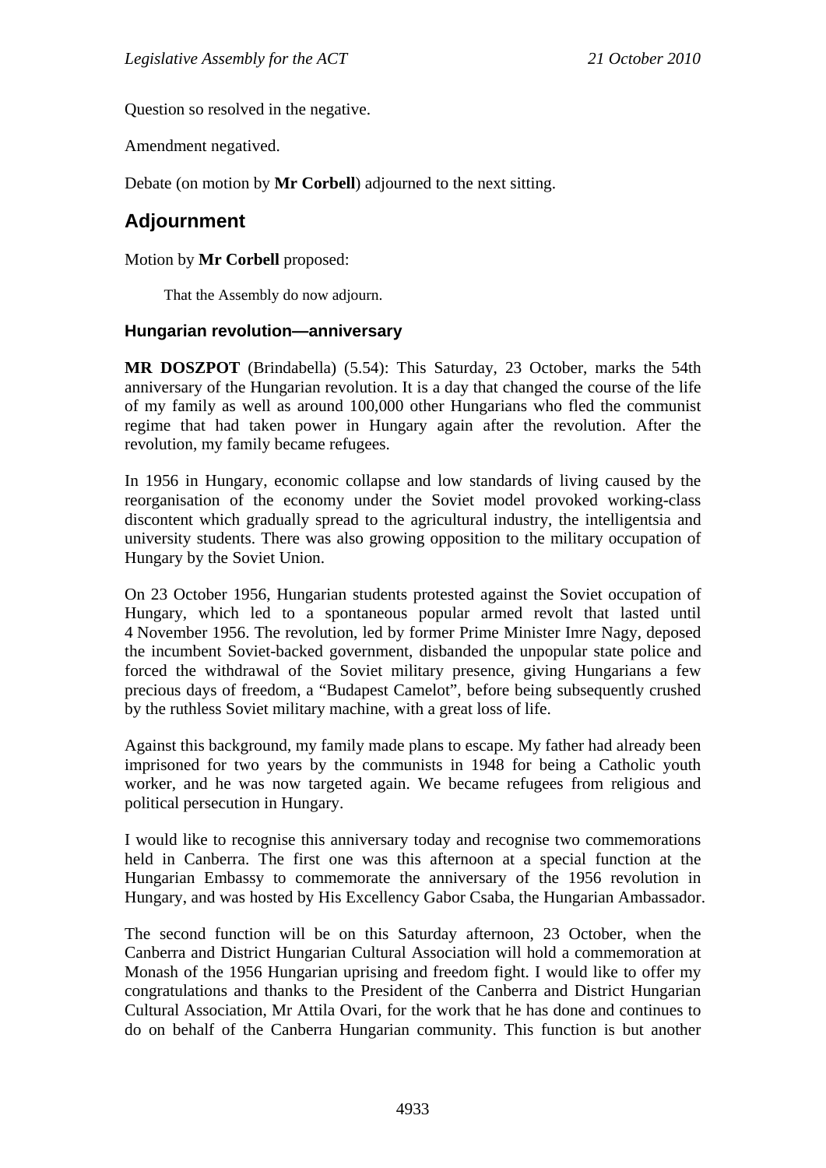Question so resolved in the negative.

Amendment negatived.

Debate (on motion by **Mr Corbell**) adjourned to the next sitting.

# **Adjournment**

### Motion by **Mr Corbell** proposed:

That the Assembly do now adjourn.

### **Hungarian revolution—anniversary**

**MR DOSZPOT** (Brindabella) (5.54): This Saturday, 23 October, marks the 54th anniversary of the Hungarian revolution. It is a day that changed the course of the life of my family as well as around 100,000 other Hungarians who fled the communist regime that had taken power in Hungary again after the revolution. After the revolution, my family became refugees.

In 1956 in Hungary, economic collapse and low standards of living caused by the reorganisation of the economy under the Soviet model provoked working-class discontent which gradually spread to the agricultural industry, the intelligentsia and university students. There was also growing opposition to the military occupation of Hungary by the Soviet Union.

On 23 October 1956, Hungarian students protested against the Soviet occupation of Hungary, which led to a spontaneous popular armed revolt that lasted until 4 November 1956. The revolution, led by former Prime Minister Imre Nagy, deposed the incumbent Soviet-backed government, disbanded the unpopular state police and forced the withdrawal of the Soviet military presence, giving Hungarians a few precious days of freedom, a "Budapest Camelot", before being subsequently crushed by the ruthless Soviet military machine, with a great loss of life.

Against this background, my family made plans to escape. My father had already been imprisoned for two years by the communists in 1948 for being a Catholic youth worker, and he was now targeted again. We became refugees from religious and political persecution in Hungary.

I would like to recognise this anniversary today and recognise two commemorations held in Canberra. The first one was this afternoon at a special function at the Hungarian Embassy to commemorate the anniversary of the 1956 revolution in Hungary, and was hosted by His Excellency Gabor Csaba, the Hungarian Ambassador.

The second function will be on this Saturday afternoon, 23 October, when the Canberra and District Hungarian Cultural Association will hold a commemoration at Monash of the 1956 Hungarian uprising and freedom fight. I would like to offer my congratulations and thanks to the President of the Canberra and District Hungarian Cultural Association, Mr Attila Ovari, for the work that he has done and continues to do on behalf of the Canberra Hungarian community. This function is but another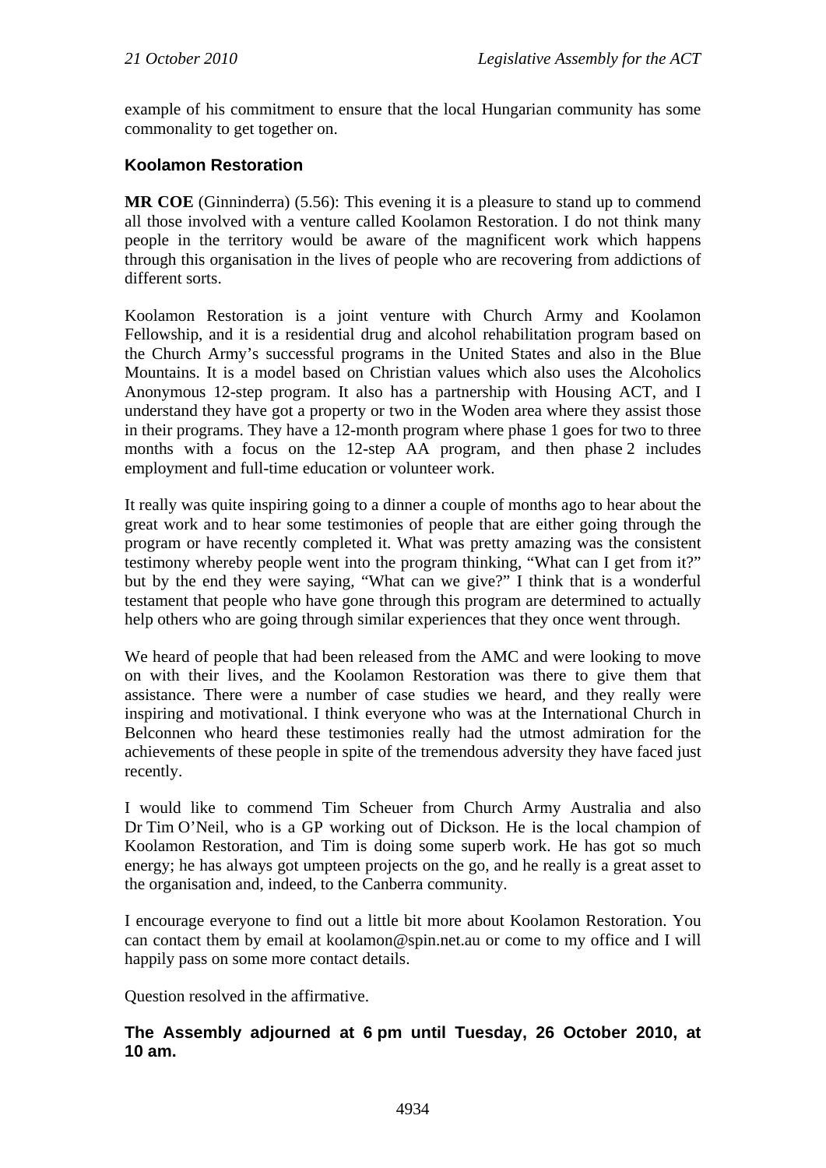example of his commitment to ensure that the local Hungarian community has some commonality to get together on.

# **Koolamon Restoration**

**MR COE** (Ginninderra) (5.56): This evening it is a pleasure to stand up to commend all those involved with a venture called Koolamon Restoration. I do not think many people in the territory would be aware of the magnificent work which happens through this organisation in the lives of people who are recovering from addictions of different sorts.

Koolamon Restoration is a joint venture with Church Army and Koolamon Fellowship, and it is a residential drug and alcohol rehabilitation program based on the Church Army's successful programs in the United States and also in the Blue Mountains. It is a model based on Christian values which also uses the Alcoholics Anonymous 12-step program. It also has a partnership with Housing ACT, and I understand they have got a property or two in the Woden area where they assist those in their programs. They have a 12-month program where phase 1 goes for two to three months with a focus on the 12-step AA program, and then phase 2 includes employment and full-time education or volunteer work.

It really was quite inspiring going to a dinner a couple of months ago to hear about the great work and to hear some testimonies of people that are either going through the program or have recently completed it. What was pretty amazing was the consistent testimony whereby people went into the program thinking, "What can I get from it?" but by the end they were saying, "What can we give?" I think that is a wonderful testament that people who have gone through this program are determined to actually help others who are going through similar experiences that they once went through.

We heard of people that had been released from the AMC and were looking to move on with their lives, and the Koolamon Restoration was there to give them that assistance. There were a number of case studies we heard, and they really were inspiring and motivational. I think everyone who was at the International Church in Belconnen who heard these testimonies really had the utmost admiration for the achievements of these people in spite of the tremendous adversity they have faced just recently.

I would like to commend Tim Scheuer from Church Army Australia and also Dr Tim O'Neil, who is a GP working out of Dickson. He is the local champion of Koolamon Restoration, and Tim is doing some superb work. He has got so much energy; he has always got umpteen projects on the go, and he really is a great asset to the organisation and, indeed, to the Canberra community.

I encourage everyone to find out a little bit more about Koolamon Restoration. You can contact them by email at koolamon@spin.net.au or come to my office and I will happily pass on some more contact details.

Question resolved in the affirmative.

# **The Assembly adjourned at 6 pm until Tuesday, 26 October 2010, at 10 am.**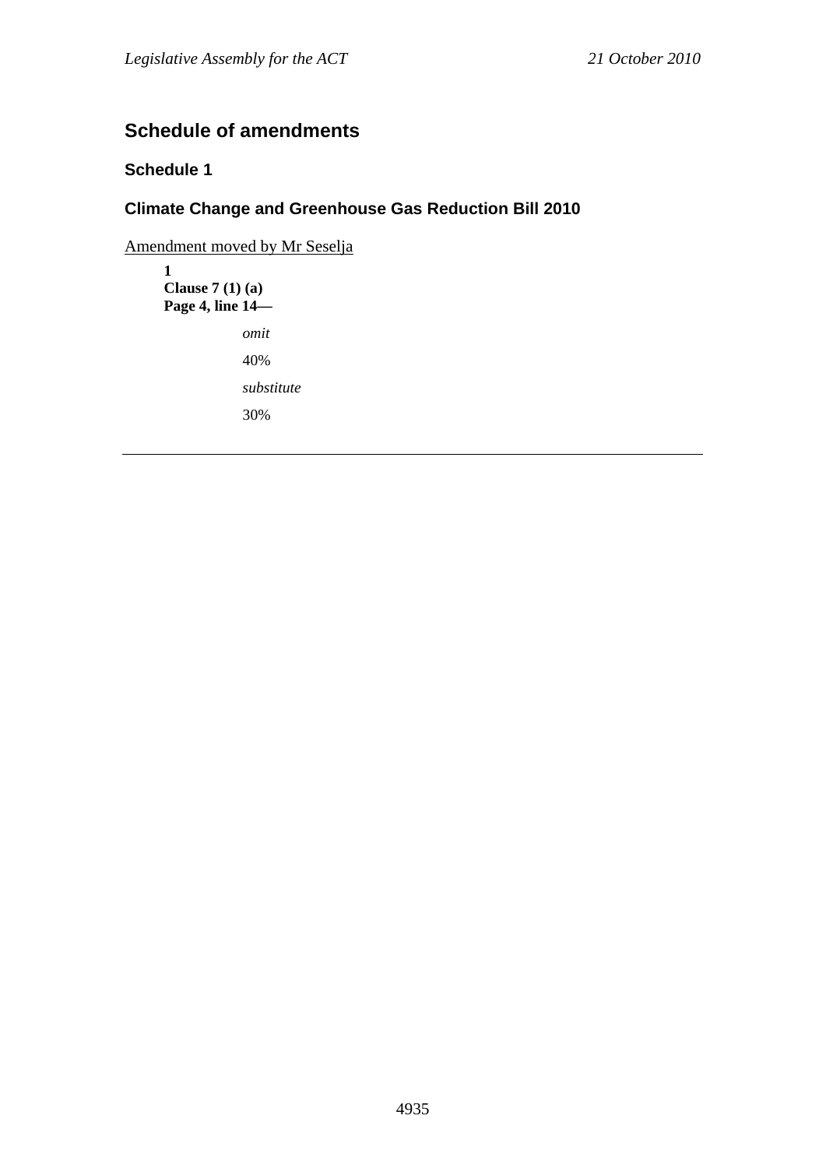# **Schedule of amendments**

# **Schedule 1**

# **Climate Change and Greenhouse Gas Reduction Bill 2010**

Amendment moved by Mr Seselja

**1 Clause 7 (1) (a) Page 4, line 14**  *omit*  40% *substitute*  30%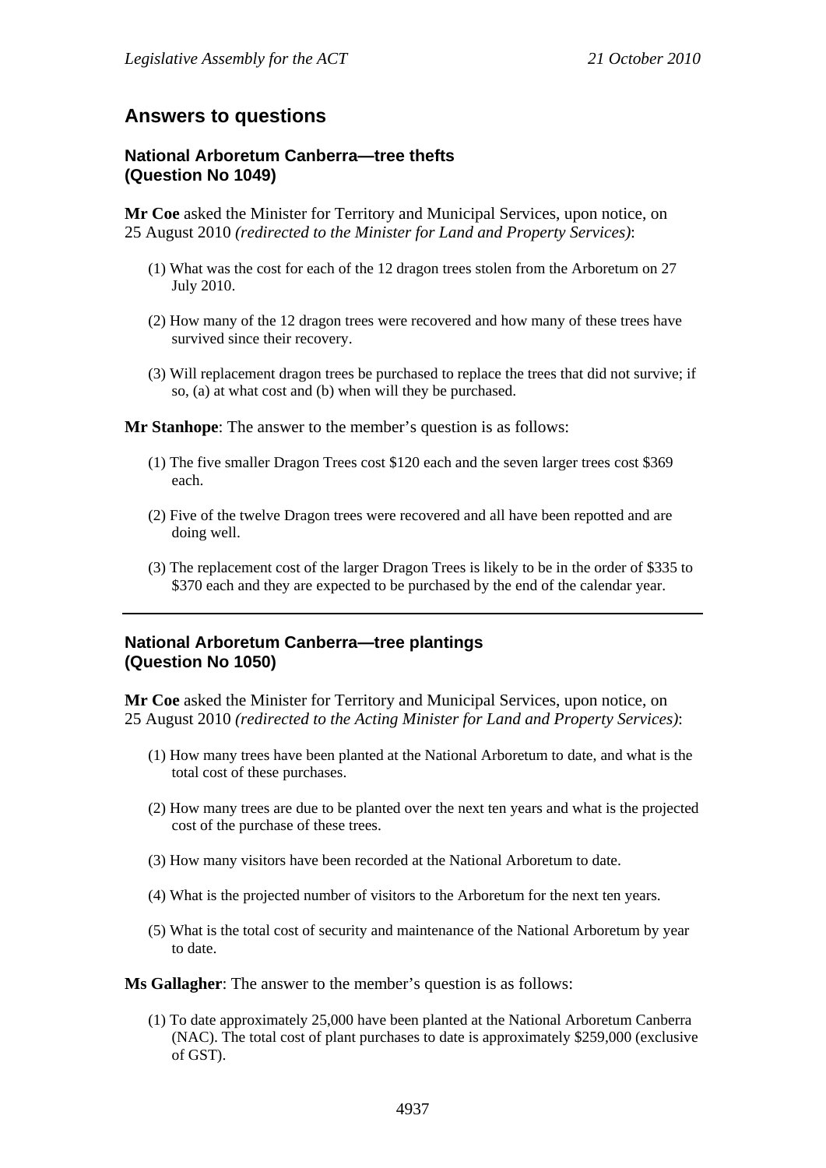# **Answers to questions**

# **National Arboretum Canberra—tree thefts (Question No 1049)**

**Mr Coe** asked the Minister for Territory and Municipal Services, upon notice, on 25 August 2010 *(redirected to the Minister for Land and Property Services)*:

- (1) What was the cost for each of the 12 dragon trees stolen from the Arboretum on 27 July 2010.
- (2) How many of the 12 dragon trees were recovered and how many of these trees have survived since their recovery.
- (3) Will replacement dragon trees be purchased to replace the trees that did not survive; if so, (a) at what cost and (b) when will they be purchased.

**Mr Stanhope**: The answer to the member's question is as follows:

- (1) The five smaller Dragon Trees cost \$120 each and the seven larger trees cost \$369 each.
- (2) Five of the twelve Dragon trees were recovered and all have been repotted and are doing well.
- (3) The replacement cost of the larger Dragon Trees is likely to be in the order of \$335 to \$370 each and they are expected to be purchased by the end of the calendar year.

# **National Arboretum Canberra—tree plantings (Question No 1050)**

**Mr Coe** asked the Minister for Territory and Municipal Services, upon notice, on 25 August 2010 *(redirected to the Acting Minister for Land and Property Services)*:

- (1) How many trees have been planted at the National Arboretum to date, and what is the total cost of these purchases.
- (2) How many trees are due to be planted over the next ten years and what is the projected cost of the purchase of these trees.
- (3) How many visitors have been recorded at the National Arboretum to date.
- (4) What is the projected number of visitors to the Arboretum for the next ten years.
- (5) What is the total cost of security and maintenance of the National Arboretum by year to date.

**Ms Gallagher**: The answer to the member's question is as follows:

(1) To date approximately 25,000 have been planted at the National Arboretum Canberra (NAC). The total cost of plant purchases to date is approximately \$259,000 (exclusive of GST).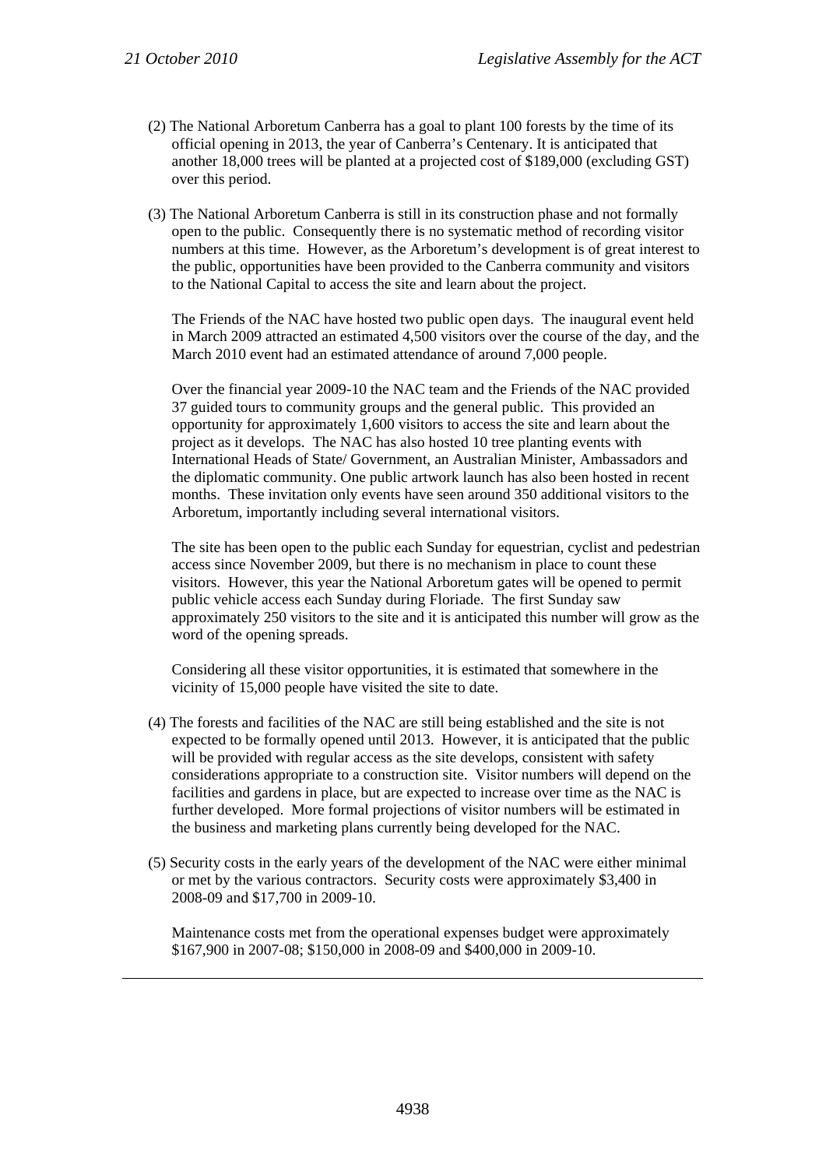- (2) The National Arboretum Canberra has a goal to plant 100 forests by the time of its official opening in 2013, the year of Canberra's Centenary. It is anticipated that another 18,000 trees will be planted at a projected cost of \$189,000 (excluding GST) over this period.
- (3) The National Arboretum Canberra is still in its construction phase and not formally open to the public. Consequently there is no systematic method of recording visitor numbers at this time. However, as the Arboretum's development is of great interest to the public, opportunities have been provided to the Canberra community and visitors to the National Capital to access the site and learn about the project.

The Friends of the NAC have hosted two public open days. The inaugural event held in March 2009 attracted an estimated 4,500 visitors over the course of the day, and the March 2010 event had an estimated attendance of around 7,000 people.

Over the financial year 2009-10 the NAC team and the Friends of the NAC provided 37 guided tours to community groups and the general public. This provided an opportunity for approximately 1,600 visitors to access the site and learn about the project as it develops. The NAC has also hosted 10 tree planting events with International Heads of State/ Government, an Australian Minister, Ambassadors and the diplomatic community. One public artwork launch has also been hosted in recent months. These invitation only events have seen around 350 additional visitors to the Arboretum, importantly including several international visitors.

The site has been open to the public each Sunday for equestrian, cyclist and pedestrian access since November 2009, but there is no mechanism in place to count these visitors. However, this year the National Arboretum gates will be opened to permit public vehicle access each Sunday during Floriade. The first Sunday saw approximately 250 visitors to the site and it is anticipated this number will grow as the word of the opening spreads.

Considering all these visitor opportunities, it is estimated that somewhere in the vicinity of 15,000 people have visited the site to date.

- (4) The forests and facilities of the NAC are still being established and the site is not expected to be formally opened until 2013. However, it is anticipated that the public will be provided with regular access as the site develops, consistent with safety considerations appropriate to a construction site. Visitor numbers will depend on the facilities and gardens in place, but are expected to increase over time as the NAC is further developed. More formal projections of visitor numbers will be estimated in the business and marketing plans currently being developed for the NAC.
- (5) Security costs in the early years of the development of the NAC were either minimal or met by the various contractors. Security costs were approximately \$3,400 in 2008-09 and \$17,700 in 2009-10.

Maintenance costs met from the operational expenses budget were approximately \$167,900 in 2007-08; \$150,000 in 2008-09 and \$400,000 in 2009-10.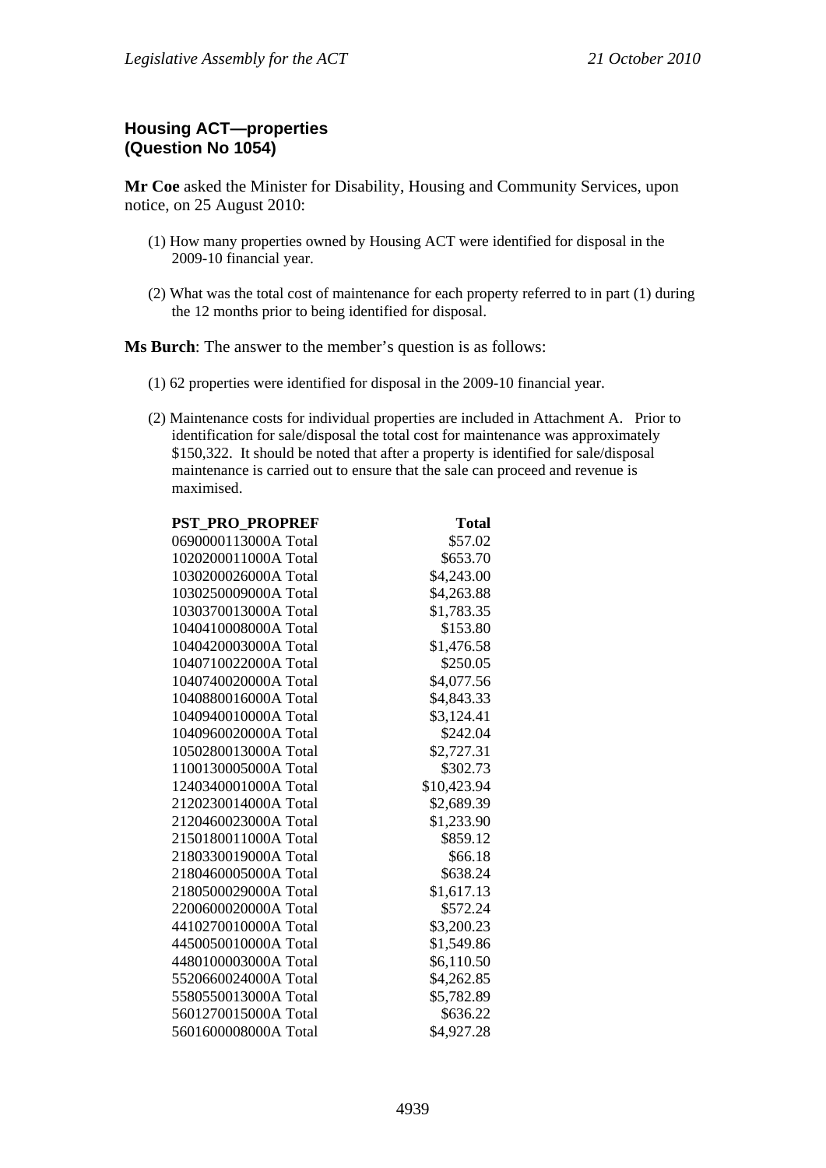# **Housing ACT—properties (Question No 1054)**

**Mr Coe** asked the Minister for Disability, Housing and Community Services, upon notice, on 25 August 2010:

- (1) How many properties owned by Housing ACT were identified for disposal in the 2009-10 financial year.
- (2) What was the total cost of maintenance for each property referred to in part (1) during the 12 months prior to being identified for disposal.

**Ms Burch**: The answer to the member's question is as follows:

- (1) 62 properties were identified for disposal in the 2009-10 financial year.
- (2) Maintenance costs for individual properties are included in Attachment A. Prior to identification for sale/disposal the total cost for maintenance was approximately \$150,322. It should be noted that after a property is identified for sale/disposal maintenance is carried out to ensure that the sale can proceed and revenue is maximised.

| <b>PST_PRO_PROPREF</b> | <b>Total</b> |
|------------------------|--------------|
| 0690000113000A Total   | \$57.02      |
| 1020200011000A Total   | \$653.70     |
| 1030200026000A Total   | \$4,243.00   |
| 1030250009000A Total   | \$4,263.88   |
| 1030370013000A Total   | \$1,783.35   |
| 1040410008000A Total   | \$153.80     |
| 1040420003000A Total   | \$1,476.58   |
| 1040710022000A Total   | \$250.05     |
| 1040740020000A Total   | \$4,077.56   |
| 1040880016000A Total   | \$4,843.33   |
| 1040940010000A Total   | \$3,124.41   |
| 1040960020000A Total   | \$242.04     |
| 1050280013000A Total   | \$2,727.31   |
| 1100130005000A Total   | \$302.73     |
| 1240340001000A Total   | \$10,423.94  |
| 2120230014000A Total   | \$2,689.39   |
| 2120460023000A Total   | \$1,233.90   |
| 2150180011000A Total   | \$859.12     |
| 2180330019000A Total   | \$66.18      |
| 2180460005000A Total   | \$638.24     |
| 2180500029000A Total   | \$1,617.13   |
| 2200600020000A Total   | \$572.24     |
| 4410270010000A Total   | \$3,200.23   |
| 4450050010000A Total   | \$1,549.86   |
| 4480100003000A Total   | \$6,110.50   |
| 5520660024000A Total   | \$4,262.85   |
| 5580550013000A Total   | \$5,782.89   |
| 5601270015000A Total   | \$636.22     |
| 5601600008000A Total   | \$4,927.28   |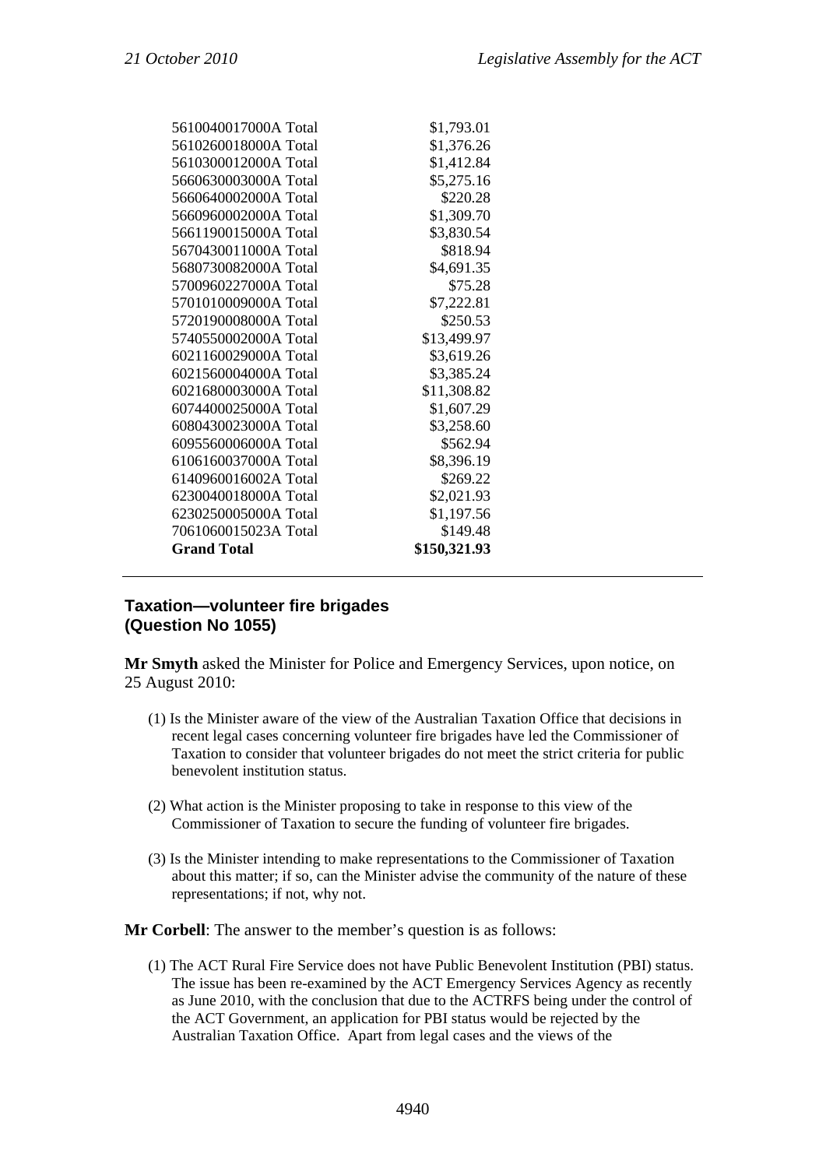| 5610040017000A Total | \$1,793.01   |
|----------------------|--------------|
| 5610260018000A Total | \$1,376.26   |
| 5610300012000A Total | \$1,412.84   |
| 5660630003000A Total | \$5,275.16   |
| 5660640002000A Total | \$220.28     |
| 5660960002000A Total | \$1,309.70   |
| 5661190015000A Total | \$3,830.54   |
| 5670430011000A Total | \$818.94     |
| 5680730082000A Total | \$4,691.35   |
| 5700960227000A Total | \$75.28      |
| 5701010009000A Total | \$7,222.81   |
| 5720190008000A Total | \$250.53     |
| 5740550002000A Total | \$13,499.97  |
| 6021160029000A Total | \$3,619.26   |
| 6021560004000A Total | \$3,385.24   |
| 6021680003000A Total | \$11,308.82  |
| 6074400025000A Total | \$1,607.29   |
| 6080430023000A Total | \$3,258.60   |
| 6095560006000A Total | \$562.94     |
| 6106160037000A Total | \$8,396.19   |
| 6140960016002A Total | \$269.22     |
| 6230040018000A Total | \$2,021.93   |
| 6230250005000A Total | \$1,197.56   |
| 7061060015023A Total | \$149.48     |
| <b>Grand Total</b>   | \$150,321.93 |
|                      |              |

# **Taxation—volunteer fire brigades (Question No 1055)**

**Mr Smyth** asked the Minister for Police and Emergency Services, upon notice, on 25 August 2010:

- (1) Is the Minister aware of the view of the Australian Taxation Office that decisions in recent legal cases concerning volunteer fire brigades have led the Commissioner of Taxation to consider that volunteer brigades do not meet the strict criteria for public benevolent institution status.
- (2) What action is the Minister proposing to take in response to this view of the Commissioner of Taxation to secure the funding of volunteer fire brigades.
- (3) Is the Minister intending to make representations to the Commissioner of Taxation about this matter; if so, can the Minister advise the community of the nature of these representations; if not, why not.

**Mr Corbell**: The answer to the member's question is as follows:

(1) The ACT Rural Fire Service does not have Public Benevolent Institution (PBI) status. The issue has been re-examined by the ACT Emergency Services Agency as recently as June 2010, with the conclusion that due to the ACTRFS being under the control of the ACT Government, an application for PBI status would be rejected by the Australian Taxation Office. Apart from legal cases and the views of the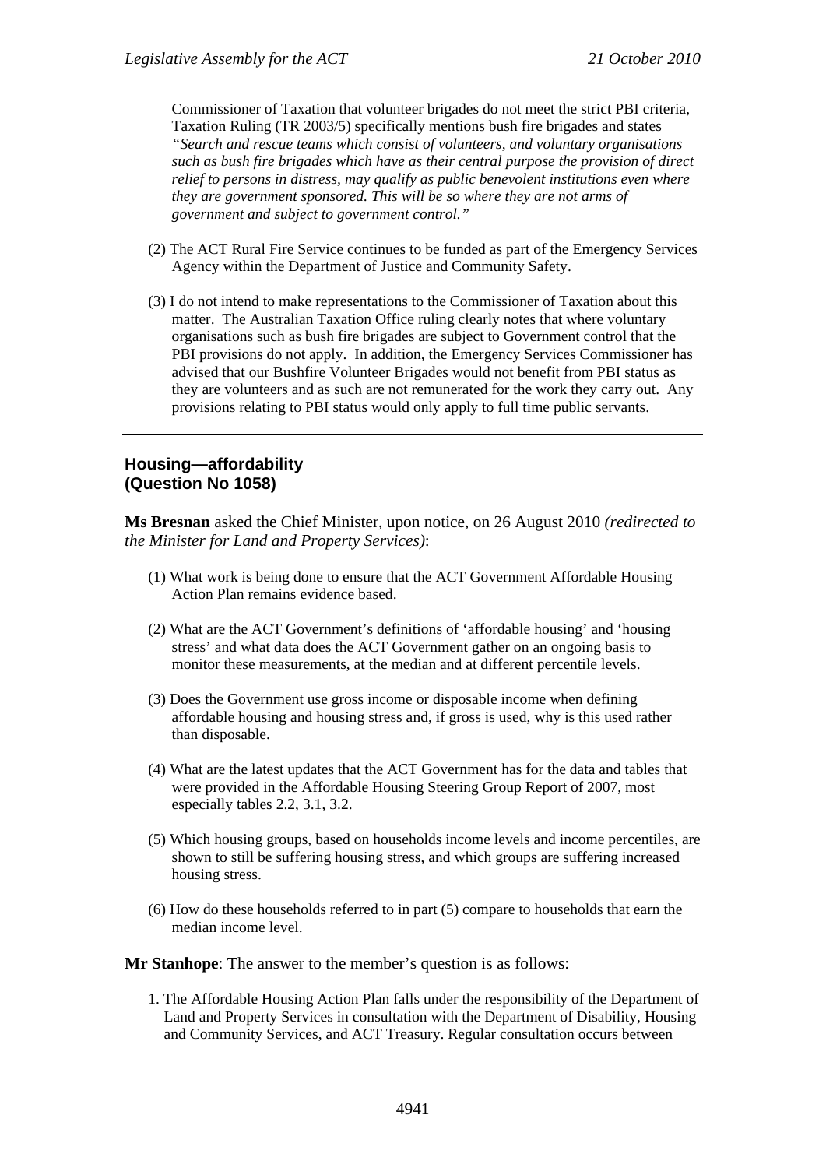Commissioner of Taxation that volunteer brigades do not meet the strict PBI criteria, Taxation Ruling (TR 2003/5) specifically mentions bush fire brigades and states *"Search and rescue teams which consist of volunteers, and voluntary organisations such as bush fire brigades which have as their central purpose the provision of direct relief to persons in distress, may qualify as public benevolent institutions even where they are government sponsored. This will be so where they are not arms of government and subject to government control."*

- (2) The ACT Rural Fire Service continues to be funded as part of the Emergency Services Agency within the Department of Justice and Community Safety.
- (3) I do not intend to make representations to the Commissioner of Taxation about this matter. The Australian Taxation Office ruling clearly notes that where voluntary organisations such as bush fire brigades are subject to Government control that the PBI provisions do not apply. In addition, the Emergency Services Commissioner has advised that our Bushfire Volunteer Brigades would not benefit from PBI status as they are volunteers and as such are not remunerated for the work they carry out. Any provisions relating to PBI status would only apply to full time public servants.

#### **Housing—affordability (Question No 1058)**

**Ms Bresnan** asked the Chief Minister, upon notice, on 26 August 2010 *(redirected to the Minister for Land and Property Services)*:

- (1) What work is being done to ensure that the ACT Government Affordable Housing Action Plan remains evidence based.
- (2) What are the ACT Government's definitions of 'affordable housing' and 'housing stress' and what data does the ACT Government gather on an ongoing basis to monitor these measurements, at the median and at different percentile levels.
- (3) Does the Government use gross income or disposable income when defining affordable housing and housing stress and, if gross is used, why is this used rather than disposable.
- (4) What are the latest updates that the ACT Government has for the data and tables that were provided in the Affordable Housing Steering Group Report of 2007, most especially tables 2.2, 3.1, 3.2.
- (5) Which housing groups, based on households income levels and income percentiles, are shown to still be suffering housing stress, and which groups are suffering increased housing stress.
- (6) How do these households referred to in part (5) compare to households that earn the median income level.
- **Mr Stanhope**: The answer to the member's question is as follows:
	- 1. The Affordable Housing Action Plan falls under the responsibility of the Department of Land and Property Services in consultation with the Department of Disability, Housing and Community Services, and ACT Treasury. Regular consultation occurs between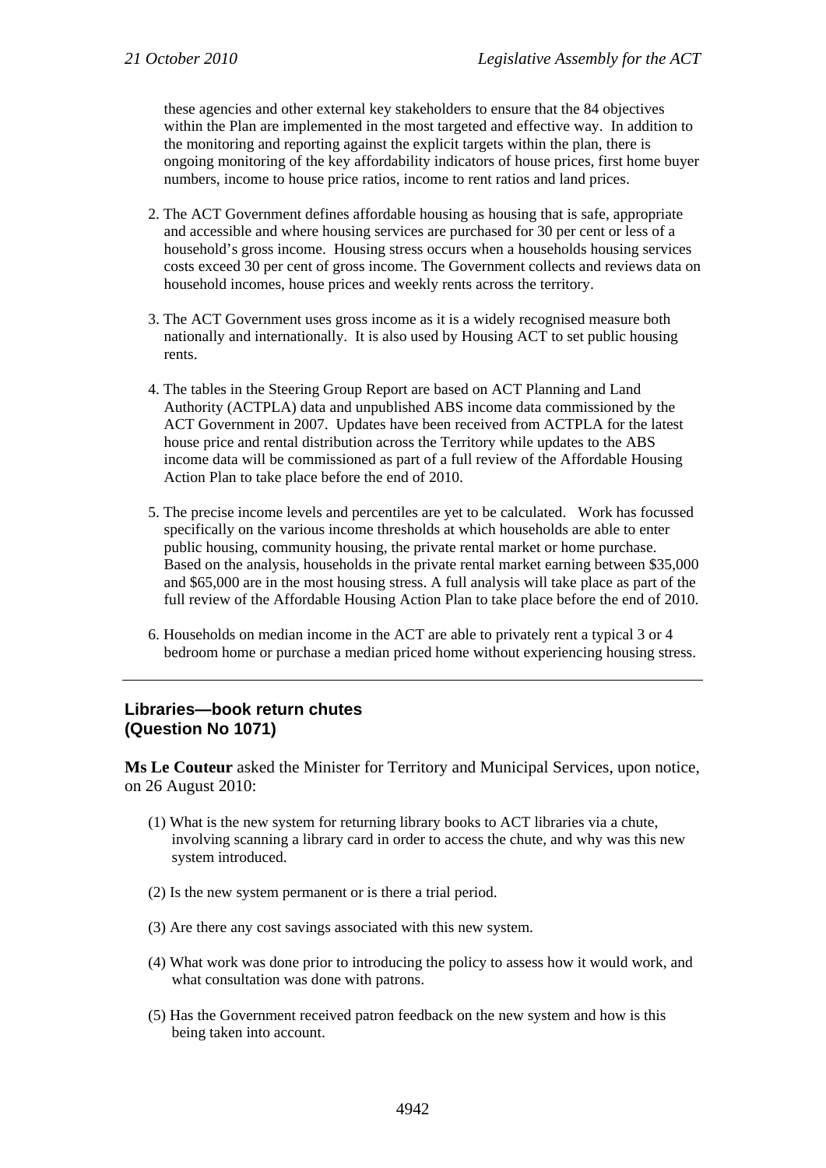these agencies and other external key stakeholders to ensure that the 84 objectives within the Plan are implemented in the most targeted and effective way. In addition to the monitoring and reporting against the explicit targets within the plan, there is ongoing monitoring of the key affordability indicators of house prices, first home buyer numbers, income to house price ratios, income to rent ratios and land prices.

- 2. The ACT Government defines affordable housing as housing that is safe, appropriate and accessible and where housing services are purchased for 30 per cent or less of a household's gross income. Housing stress occurs when a households housing services costs exceed 30 per cent of gross income. The Government collects and reviews data on household incomes, house prices and weekly rents across the territory.
- 3. The ACT Government uses gross income as it is a widely recognised measure both nationally and internationally. It is also used by Housing ACT to set public housing rents.
- 4. The tables in the Steering Group Report are based on ACT Planning and Land Authority (ACTPLA) data and unpublished ABS income data commissioned by the ACT Government in 2007. Updates have been received from ACTPLA for the latest house price and rental distribution across the Territory while updates to the ABS income data will be commissioned as part of a full review of the Affordable Housing Action Plan to take place before the end of 2010.
- 5. The precise income levels and percentiles are yet to be calculated. Work has focussed specifically on the various income thresholds at which households are able to enter public housing, community housing, the private rental market or home purchase. Based on the analysis, households in the private rental market earning between \$35,000 and \$65,000 are in the most housing stress. A full analysis will take place as part of the full review of the Affordable Housing Action Plan to take place before the end of 2010.
- 6. Households on median income in the ACT are able to privately rent a typical 3 or 4 bedroom home or purchase a median priced home without experiencing housing stress.

#### **Libraries—book return chutes (Question No 1071)**

**Ms Le Couteur** asked the Minister for Territory and Municipal Services, upon notice, on 26 August 2010:

- (1) What is the new system for returning library books to ACT libraries via a chute, involving scanning a library card in order to access the chute, and why was this new system introduced.
- (2) Is the new system permanent or is there a trial period.
- (3) Are there any cost savings associated with this new system.
- (4) What work was done prior to introducing the policy to assess how it would work, and what consultation was done with patrons.
- (5) Has the Government received patron feedback on the new system and how is this being taken into account.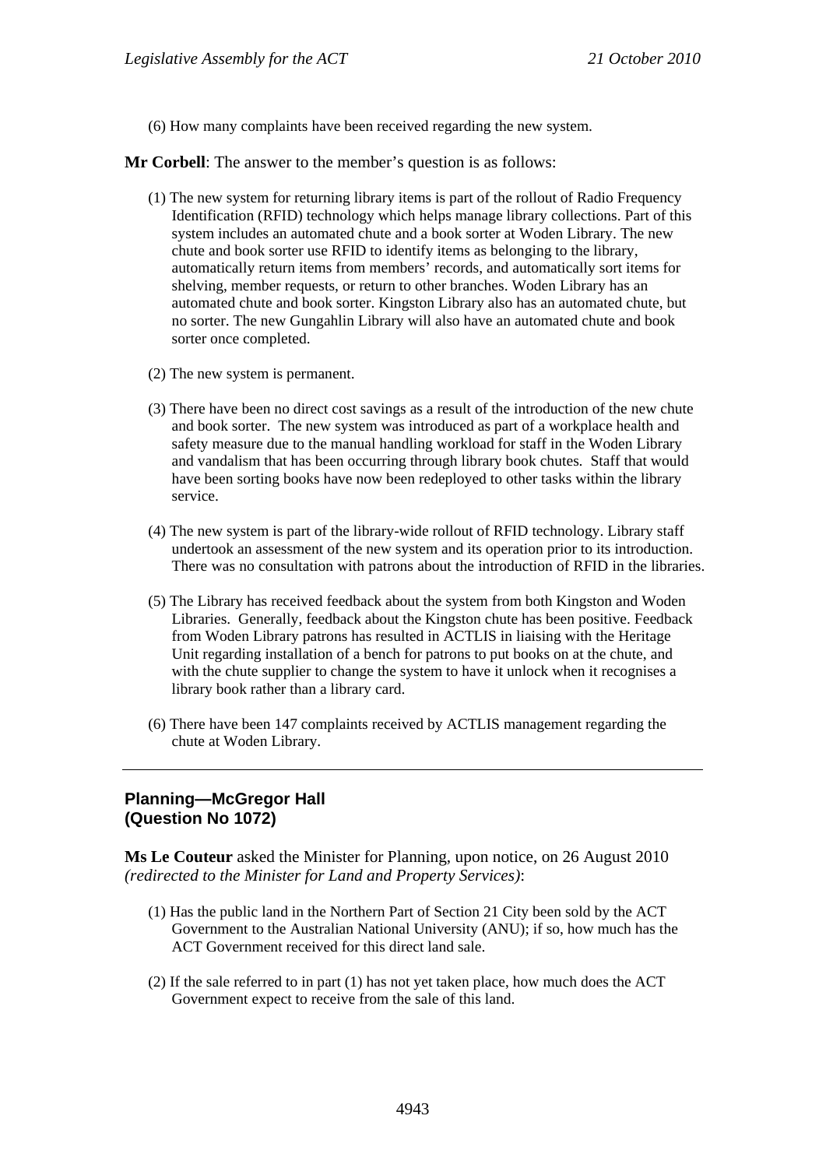(6) How many complaints have been received regarding the new system.

**Mr Corbell**: The answer to the member's question is as follows:

- (1) The new system for returning library items is part of the rollout of Radio Frequency Identification (RFID) technology which helps manage library collections. Part of this system includes an automated chute and a book sorter at Woden Library. The new chute and book sorter use RFID to identify items as belonging to the library, automatically return items from members' records, and automatically sort items for shelving, member requests, or return to other branches. Woden Library has an automated chute and book sorter. Kingston Library also has an automated chute, but no sorter. The new Gungahlin Library will also have an automated chute and book sorter once completed.
- (2) The new system is permanent.
- (3) There have been no direct cost savings as a result of the introduction of the new chute and book sorter. The new system was introduced as part of a workplace health and safety measure due to the manual handling workload for staff in the Woden Library and vandalism that has been occurring through library book chutes. Staff that would have been sorting books have now been redeployed to other tasks within the library service.
- (4) The new system is part of the library-wide rollout of RFID technology. Library staff undertook an assessment of the new system and its operation prior to its introduction. There was no consultation with patrons about the introduction of RFID in the libraries.
- (5) The Library has received feedback about the system from both Kingston and Woden Libraries. Generally, feedback about the Kingston chute has been positive. Feedback from Woden Library patrons has resulted in ACTLIS in liaising with the Heritage Unit regarding installation of a bench for patrons to put books on at the chute, and with the chute supplier to change the system to have it unlock when it recognises a library book rather than a library card.
- (6) There have been 147 complaints received by ACTLIS management regarding the chute at Woden Library.

### **Planning—McGregor Hall (Question No 1072)**

**Ms Le Couteur** asked the Minister for Planning, upon notice, on 26 August 2010 *(redirected to the Minister for Land and Property Services)*:

- (1) Has the public land in the Northern Part of Section 21 City been sold by the ACT Government to the Australian National University (ANU); if so, how much has the ACT Government received for this direct land sale.
- (2) If the sale referred to in part (1) has not yet taken place, how much does the ACT Government expect to receive from the sale of this land.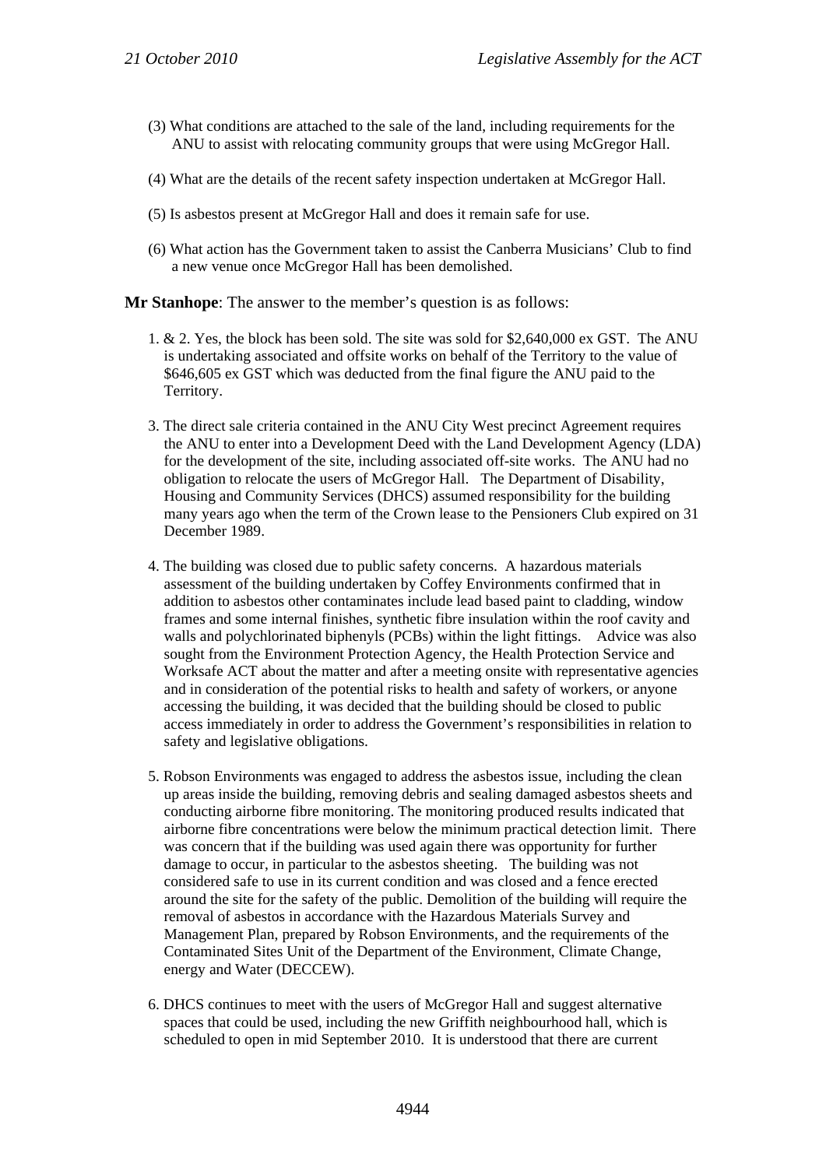- (3) What conditions are attached to the sale of the land, including requirements for the ANU to assist with relocating community groups that were using McGregor Hall.
- (4) What are the details of the recent safety inspection undertaken at McGregor Hall.
- (5) Is asbestos present at McGregor Hall and does it remain safe for use.
- (6) What action has the Government taken to assist the Canberra Musicians' Club to find a new venue once McGregor Hall has been demolished.

**Mr Stanhope**: The answer to the member's question is as follows:

- 1. & 2. Yes, the block has been sold. The site was sold for \$2,640,000 ex GST. The ANU is undertaking associated and offsite works on behalf of the Territory to the value of \$646,605 ex GST which was deducted from the final figure the ANU paid to the Territory.
- 3. The direct sale criteria contained in the ANU City West precinct Agreement requires the ANU to enter into a Development Deed with the Land Development Agency (LDA) for the development of the site, including associated off-site works. The ANU had no obligation to relocate the users of McGregor Hall. The Department of Disability, Housing and Community Services (DHCS) assumed responsibility for the building many years ago when the term of the Crown lease to the Pensioners Club expired on 31 December 1989.
- 4. The building was closed due to public safety concerns. A hazardous materials assessment of the building undertaken by Coffey Environments confirmed that in addition to asbestos other contaminates include lead based paint to cladding, window frames and some internal finishes, synthetic fibre insulation within the roof cavity and walls and polychlorinated biphenyls (PCBs) within the light fittings. Advice was also sought from the Environment Protection Agency, the Health Protection Service and Worksafe ACT about the matter and after a meeting onsite with representative agencies and in consideration of the potential risks to health and safety of workers, or anyone accessing the building, it was decided that the building should be closed to public access immediately in order to address the Government's responsibilities in relation to safety and legislative obligations.
- 5. Robson Environments was engaged to address the asbestos issue, including the clean up areas inside the building, removing debris and sealing damaged asbestos sheets and conducting airborne fibre monitoring. The monitoring produced results indicated that airborne fibre concentrations were below the minimum practical detection limit. There was concern that if the building was used again there was opportunity for further damage to occur, in particular to the asbestos sheeting. The building was not considered safe to use in its current condition and was closed and a fence erected around the site for the safety of the public. Demolition of the building will require the removal of asbestos in accordance with the Hazardous Materials Survey and Management Plan, prepared by Robson Environments, and the requirements of the Contaminated Sites Unit of the Department of the Environment, Climate Change, energy and Water (DECCEW).
- 6. DHCS continues to meet with the users of McGregor Hall and suggest alternative spaces that could be used, including the new Griffith neighbourhood hall, which is scheduled to open in mid September 2010. It is understood that there are current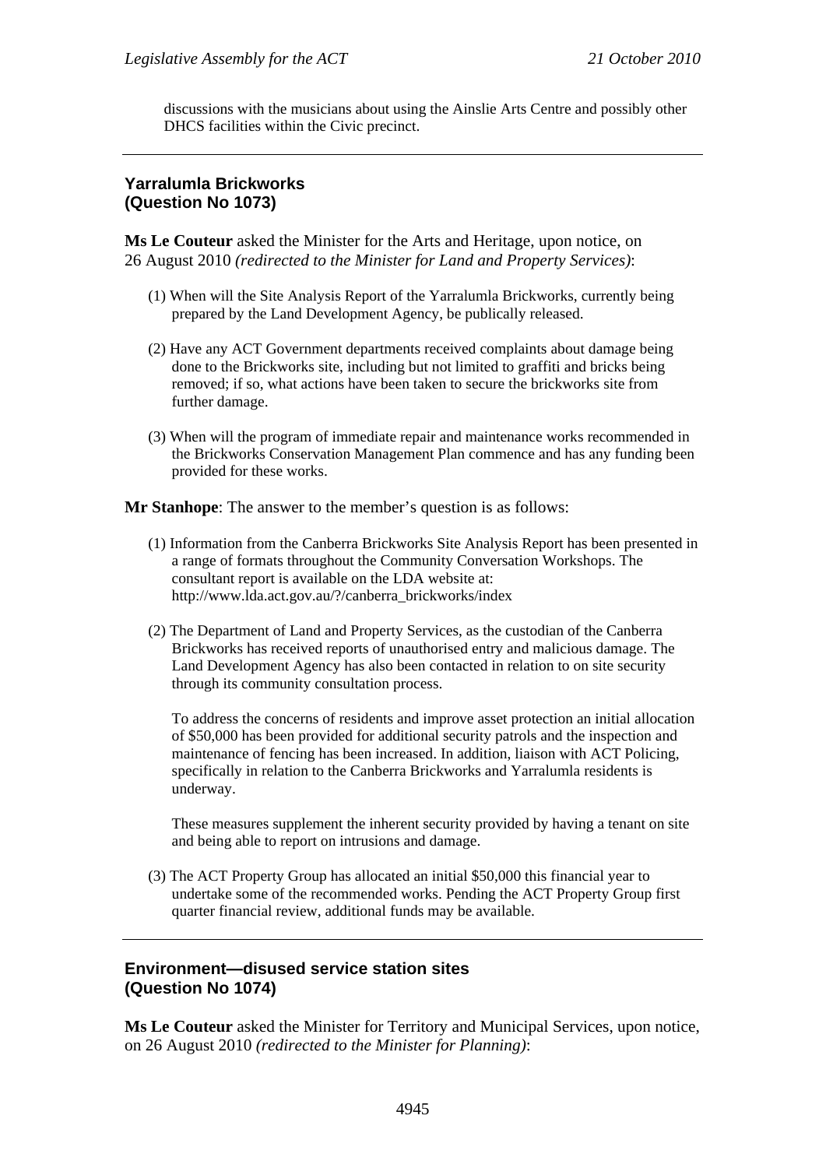discussions with the musicians about using the Ainslie Arts Centre and possibly other DHCS facilities within the Civic precinct.

# **Yarralumla Brickworks (Question No 1073)**

**Ms Le Couteur** asked the Minister for the Arts and Heritage, upon notice, on 26 August 2010 *(redirected to the Minister for Land and Property Services)*:

- (1) When will the Site Analysis Report of the Yarralumla Brickworks, currently being prepared by the Land Development Agency, be publically released.
- (2) Have any ACT Government departments received complaints about damage being done to the Brickworks site, including but not limited to graffiti and bricks being removed; if so, what actions have been taken to secure the brickworks site from further damage.
- (3) When will the program of immediate repair and maintenance works recommended in the Brickworks Conservation Management Plan commence and has any funding been provided for these works.

**Mr Stanhope**: The answer to the member's question is as follows:

- (1) Information from the Canberra Brickworks Site Analysis Report has been presented in a range of formats throughout the Community Conversation Workshops. The consultant report is available on the LDA website at: http://www.lda.act.gov.au/?/canberra\_brickworks/index
- (2) The Department of Land and Property Services, as the custodian of the Canberra Brickworks has received reports of unauthorised entry and malicious damage. The Land Development Agency has also been contacted in relation to on site security through its community consultation process.

To address the concerns of residents and improve asset protection an initial allocation of \$50,000 has been provided for additional security patrols and the inspection and maintenance of fencing has been increased. In addition, liaison with ACT Policing, specifically in relation to the Canberra Brickworks and Yarralumla residents is underway.

These measures supplement the inherent security provided by having a tenant on site and being able to report on intrusions and damage.

(3) The ACT Property Group has allocated an initial \$50,000 this financial year to undertake some of the recommended works. Pending the ACT Property Group first quarter financial review, additional funds may be available.

#### **Environment—disused service station sites (Question No 1074)**

**Ms Le Couteur** asked the Minister for Territory and Municipal Services, upon notice, on 26 August 2010 *(redirected to the Minister for Planning)*: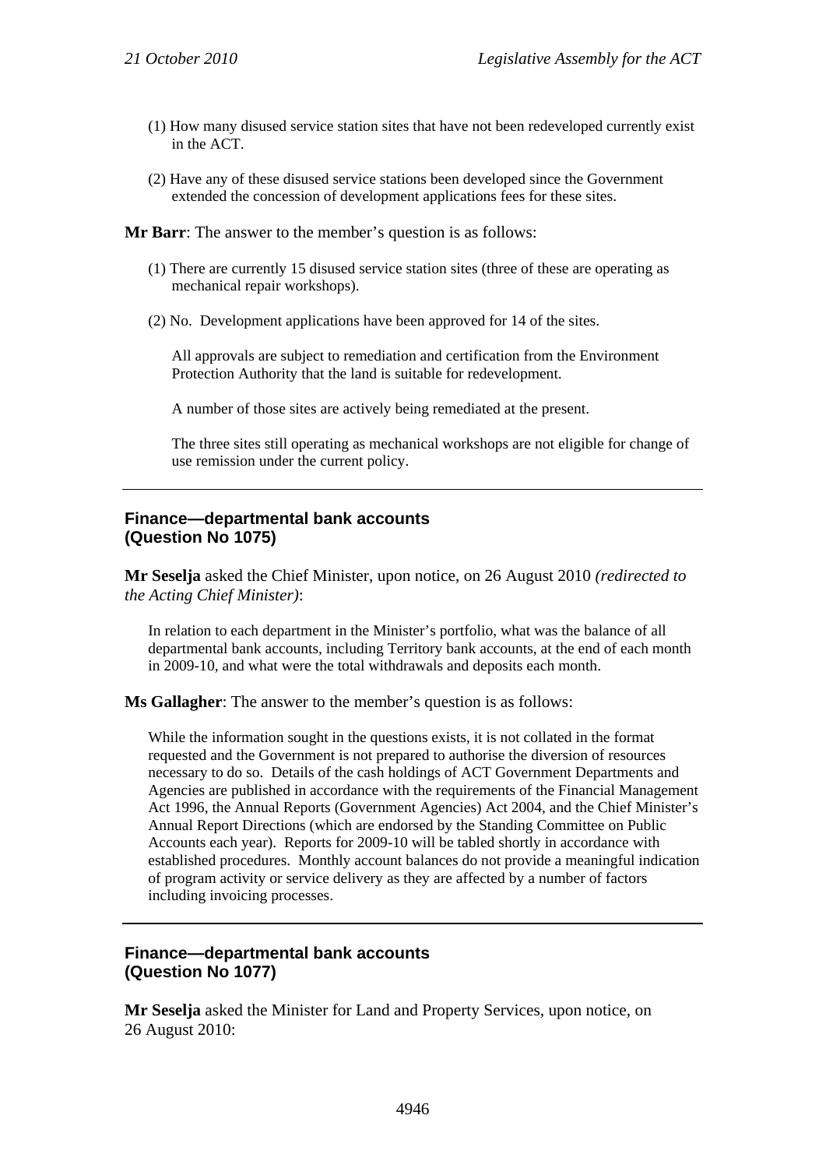- (1) How many disused service station sites that have not been redeveloped currently exist in the ACT.
- (2) Have any of these disused service stations been developed since the Government extended the concession of development applications fees for these sites.

**Mr Barr**: The answer to the member's question is as follows:

- (1) There are currently 15 disused service station sites (three of these are operating as mechanical repair workshops).
- (2) No. Development applications have been approved for 14 of the sites.

All approvals are subject to remediation and certification from the Environment Protection Authority that the land is suitable for redevelopment.

A number of those sites are actively being remediated at the present.

The three sites still operating as mechanical workshops are not eligible for change of use remission under the current policy.

#### **Finance—departmental bank accounts (Question No 1075)**

**Mr Seselja** asked the Chief Minister, upon notice, on 26 August 2010 *(redirected to the Acting Chief Minister)*:

In relation to each department in the Minister's portfolio, what was the balance of all departmental bank accounts, including Territory bank accounts, at the end of each month in 2009-10, and what were the total withdrawals and deposits each month.

**Ms Gallagher**: The answer to the member's question is as follows:

While the information sought in the questions exists, it is not collated in the format requested and the Government is not prepared to authorise the diversion of resources necessary to do so. Details of the cash holdings of ACT Government Departments and Agencies are published in accordance with the requirements of the Financial Management Act 1996, the Annual Reports (Government Agencies) Act 2004, and the Chief Minister's Annual Report Directions (which are endorsed by the Standing Committee on Public Accounts each year). Reports for 2009-10 will be tabled shortly in accordance with established procedures. Monthly account balances do not provide a meaningful indication of program activity or service delivery as they are affected by a number of factors including invoicing processes.

# **Finance—departmental bank accounts (Question No 1077)**

**Mr Seselja** asked the Minister for Land and Property Services, upon notice, on 26 August 2010: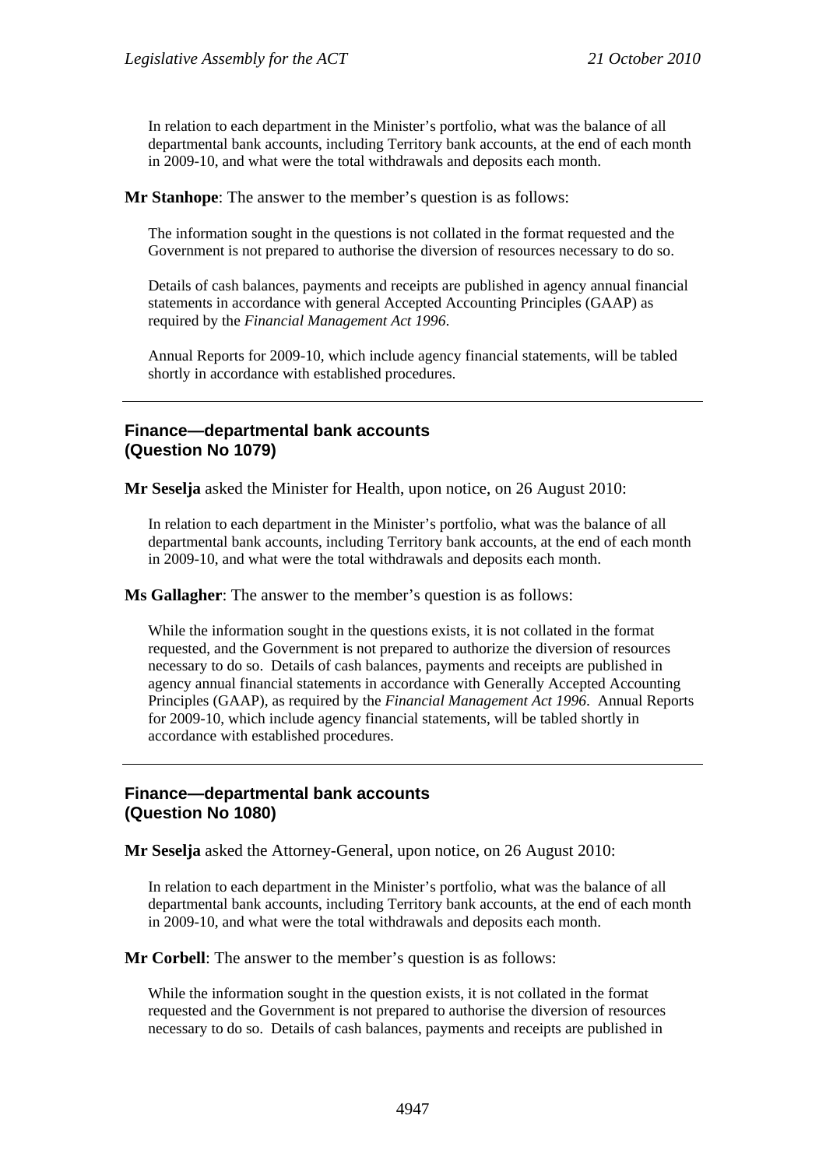In relation to each department in the Minister's portfolio, what was the balance of all departmental bank accounts, including Territory bank accounts, at the end of each month in 2009-10, and what were the total withdrawals and deposits each month.

**Mr Stanhope**: The answer to the member's question is as follows:

The information sought in the questions is not collated in the format requested and the Government is not prepared to authorise the diversion of resources necessary to do so.

Details of cash balances, payments and receipts are published in agency annual financial statements in accordance with general Accepted Accounting Principles (GAAP) as required by the *Financial Management Act 1996*.

Annual Reports for 2009-10, which include agency financial statements, will be tabled shortly in accordance with established procedures.

#### **Finance—departmental bank accounts (Question No 1079)**

**Mr Seselja** asked the Minister for Health, upon notice, on 26 August 2010:

In relation to each department in the Minister's portfolio, what was the balance of all departmental bank accounts, including Territory bank accounts, at the end of each month in 2009-10, and what were the total withdrawals and deposits each month.

**Ms Gallagher**: The answer to the member's question is as follows:

While the information sought in the questions exists, it is not collated in the format requested, and the Government is not prepared to authorize the diversion of resources necessary to do so. Details of cash balances, payments and receipts are published in agency annual financial statements in accordance with Generally Accepted Accounting Principles (GAAP), as required by the *Financial Management Act 1996*. Annual Reports for 2009-10, which include agency financial statements, will be tabled shortly in accordance with established procedures.

#### **Finance—departmental bank accounts (Question No 1080)**

**Mr Seselja** asked the Attorney-General, upon notice, on 26 August 2010:

In relation to each department in the Minister's portfolio, what was the balance of all departmental bank accounts, including Territory bank accounts, at the end of each month in 2009-10, and what were the total withdrawals and deposits each month.

**Mr Corbell**: The answer to the member's question is as follows:

While the information sought in the question exists, it is not collated in the format requested and the Government is not prepared to authorise the diversion of resources necessary to do so. Details of cash balances, payments and receipts are published in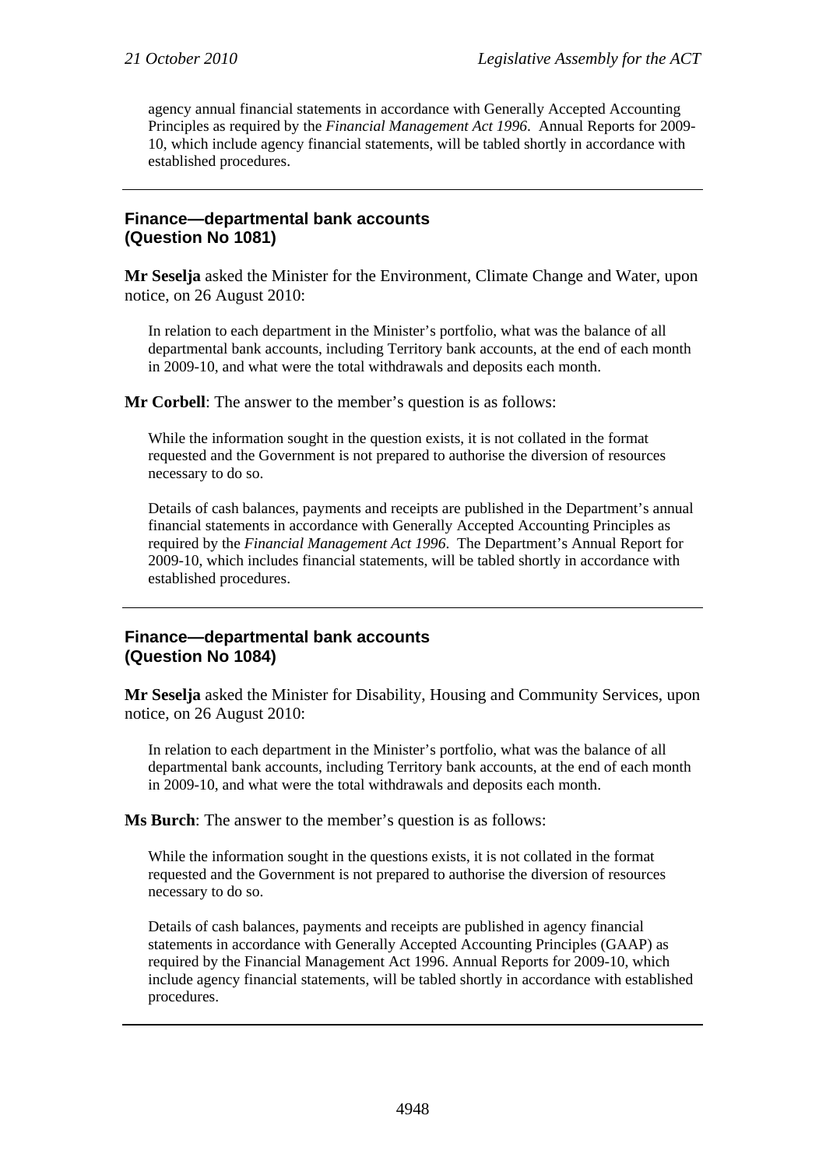agency annual financial statements in accordance with Generally Accepted Accounting Principles as required by the *Financial Management Act 1996*. Annual Reports for 2009- 10, which include agency financial statements, will be tabled shortly in accordance with established procedures.

# **Finance—departmental bank accounts (Question No 1081)**

**Mr Seselja** asked the Minister for the Environment, Climate Change and Water, upon notice, on 26 August 2010:

In relation to each department in the Minister's portfolio, what was the balance of all departmental bank accounts, including Territory bank accounts, at the end of each month in 2009-10, and what were the total withdrawals and deposits each month.

**Mr Corbell**: The answer to the member's question is as follows:

While the information sought in the question exists, it is not collated in the format requested and the Government is not prepared to authorise the diversion of resources necessary to do so.

Details of cash balances, payments and receipts are published in the Department's annual financial statements in accordance with Generally Accepted Accounting Principles as required by the *Financial Management Act 1996*. The Department's Annual Report for 2009-10, which includes financial statements, will be tabled shortly in accordance with established procedures.

# **Finance—departmental bank accounts (Question No 1084)**

**Mr Seselja** asked the Minister for Disability, Housing and Community Services, upon notice, on 26 August 2010:

In relation to each department in the Minister's portfolio, what was the balance of all departmental bank accounts, including Territory bank accounts, at the end of each month in 2009-10, and what were the total withdrawals and deposits each month.

**Ms Burch**: The answer to the member's question is as follows:

While the information sought in the questions exists, it is not collated in the format requested and the Government is not prepared to authorise the diversion of resources necessary to do so.

Details of cash balances, payments and receipts are published in agency financial statements in accordance with Generally Accepted Accounting Principles (GAAP) as required by the Financial Management Act 1996. Annual Reports for 2009-10, which include agency financial statements, will be tabled shortly in accordance with established procedures.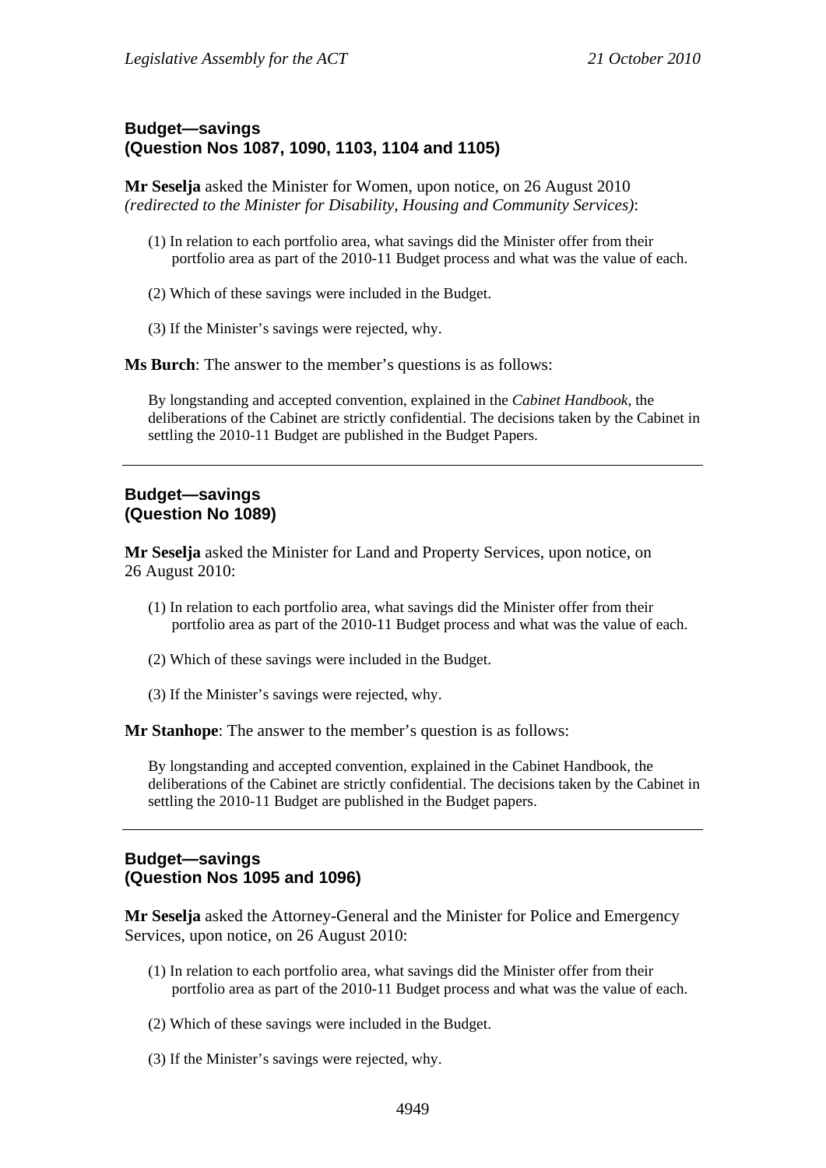# **Budget—savings (Question Nos 1087, 1090, 1103, 1104 and 1105)**

**Mr Seselja** asked the Minister for Women, upon notice, on 26 August 2010 *(redirected to the Minister for Disability, Housing and Community Services)*:

- (1) In relation to each portfolio area, what savings did the Minister offer from their portfolio area as part of the 2010-11 Budget process and what was the value of each.
- (2) Which of these savings were included in the Budget.
- (3) If the Minister's savings were rejected, why.

**Ms Burch**: The answer to the member's questions is as follows:

By longstanding and accepted convention, explained in the *Cabinet Handbook*, the deliberations of the Cabinet are strictly confidential. The decisions taken by the Cabinet in settling the 2010-11 Budget are published in the Budget Papers.

# **Budget—savings (Question No 1089)**

**Mr Seselja** asked the Minister for Land and Property Services, upon notice, on 26 August 2010:

- (1) In relation to each portfolio area, what savings did the Minister offer from their portfolio area as part of the 2010-11 Budget process and what was the value of each.
- (2) Which of these savings were included in the Budget.
- (3) If the Minister's savings were rejected, why.

**Mr Stanhope**: The answer to the member's question is as follows:

By longstanding and accepted convention, explained in the Cabinet Handbook, the deliberations of the Cabinet are strictly confidential. The decisions taken by the Cabinet in settling the 2010-11 Budget are published in the Budget papers.

# **Budget—savings (Question Nos 1095 and 1096)**

**Mr Seselja** asked the Attorney-General and the Minister for Police and Emergency Services, upon notice, on 26 August 2010:

- (1) In relation to each portfolio area, what savings did the Minister offer from their portfolio area as part of the 2010-11 Budget process and what was the value of each.
- (2) Which of these savings were included in the Budget.
- (3) If the Minister's savings were rejected, why.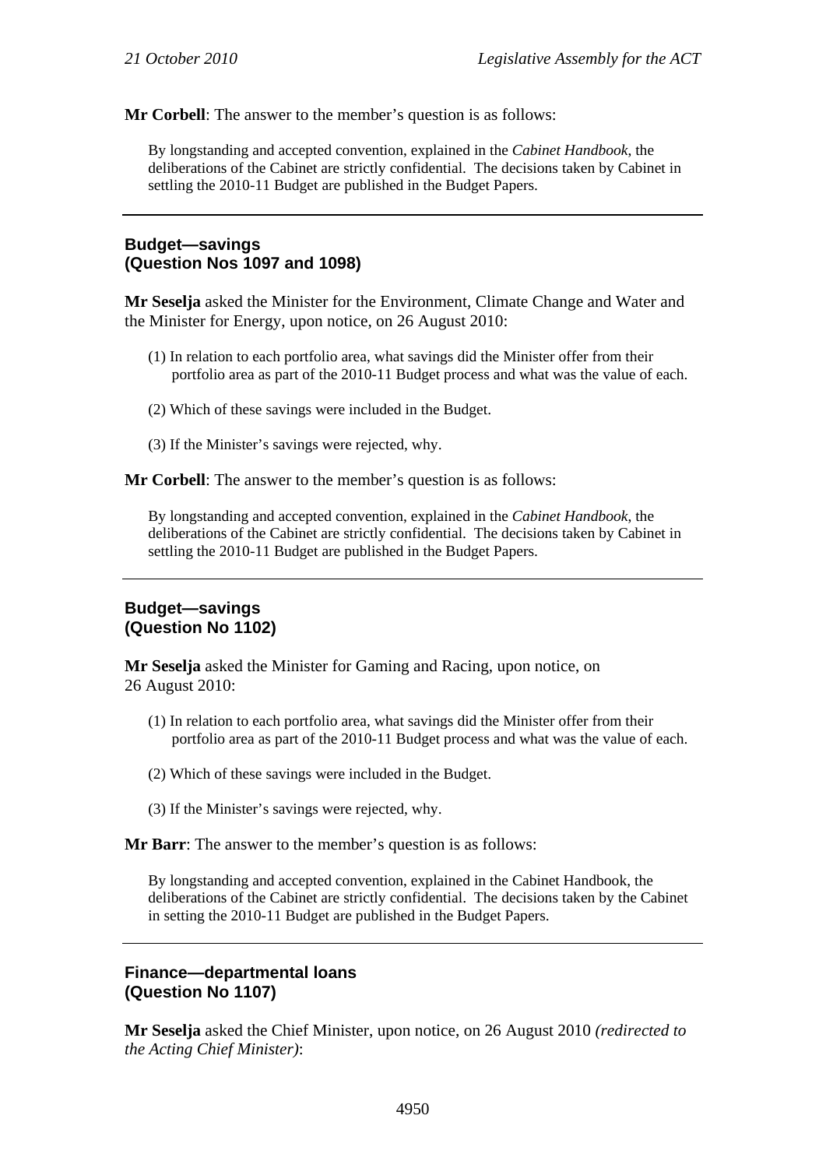**Mr Corbell**: The answer to the member's question is as follows:

By longstanding and accepted convention, explained in the *Cabinet Handbook*, the deliberations of the Cabinet are strictly confidential. The decisions taken by Cabinet in settling the 2010-11 Budget are published in the Budget Papers.

# **Budget—savings (Question Nos 1097 and 1098)**

**Mr Seselja** asked the Minister for the Environment, Climate Change and Water and the Minister for Energy, upon notice, on 26 August 2010:

- (1) In relation to each portfolio area, what savings did the Minister offer from their portfolio area as part of the 2010-11 Budget process and what was the value of each.
- (2) Which of these savings were included in the Budget.
- (3) If the Minister's savings were rejected, why.

**Mr Corbell**: The answer to the member's question is as follows:

By longstanding and accepted convention, explained in the *Cabinet Handbook*, the deliberations of the Cabinet are strictly confidential. The decisions taken by Cabinet in settling the 2010-11 Budget are published in the Budget Papers.

### **Budget—savings (Question No 1102)**

**Mr Seselja** asked the Minister for Gaming and Racing, upon notice, on 26 August 2010:

- (1) In relation to each portfolio area, what savings did the Minister offer from their portfolio area as part of the 2010-11 Budget process and what was the value of each.
- (2) Which of these savings were included in the Budget.
- (3) If the Minister's savings were rejected, why.

**Mr Barr:** The answer to the member's question is as follows:

By longstanding and accepted convention, explained in the Cabinet Handbook, the deliberations of the Cabinet are strictly confidential. The decisions taken by the Cabinet in setting the 2010-11 Budget are published in the Budget Papers.

#### **Finance—departmental loans (Question No 1107)**

**Mr Seselja** asked the Chief Minister, upon notice, on 26 August 2010 *(redirected to the Acting Chief Minister)*: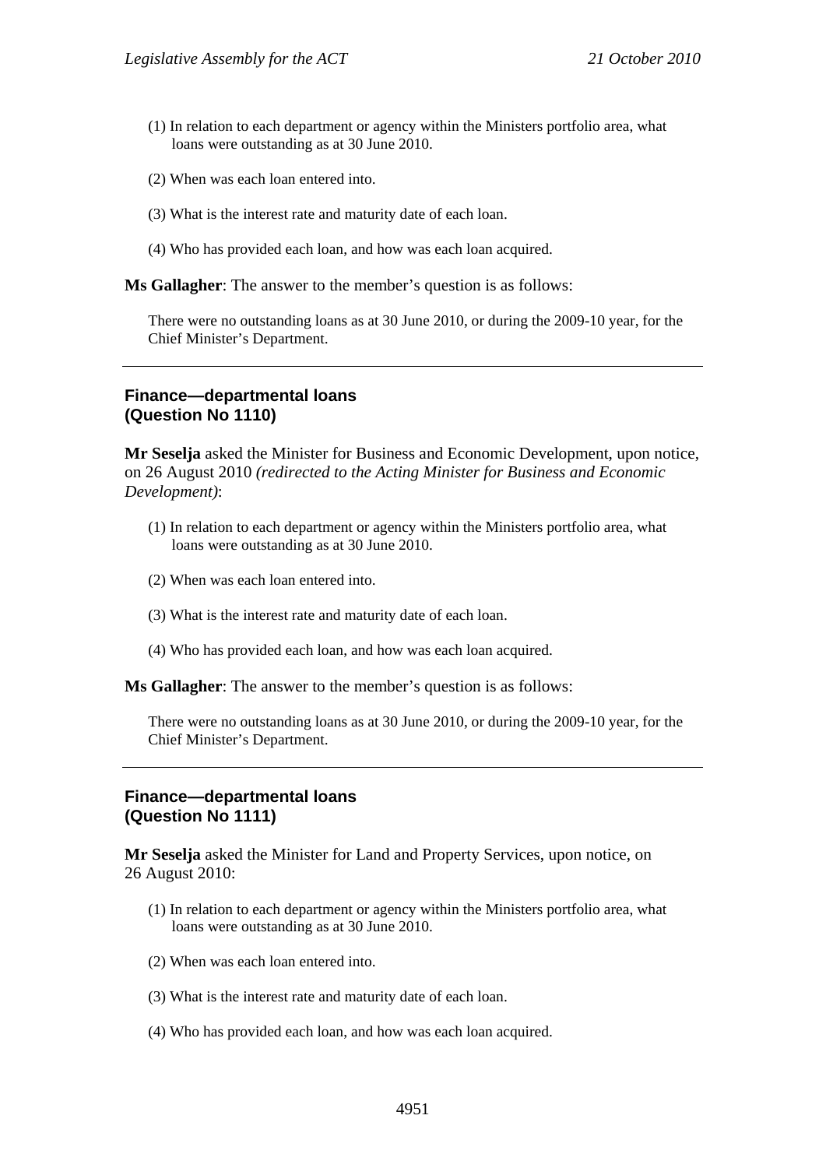- (1) In relation to each department or agency within the Ministers portfolio area, what loans were outstanding as at 30 June 2010.
- (2) When was each loan entered into.
- (3) What is the interest rate and maturity date of each loan.
- (4) Who has provided each loan, and how was each loan acquired.

**Ms Gallagher**: The answer to the member's question is as follows:

There were no outstanding loans as at 30 June 2010, or during the 2009-10 year, for the Chief Minister's Department.

#### **Finance—departmental loans (Question No 1110)**

**Mr Seselja** asked the Minister for Business and Economic Development, upon notice, on 26 August 2010 *(redirected to the Acting Minister for Business and Economic Development)*:

- (1) In relation to each department or agency within the Ministers portfolio area, what loans were outstanding as at 30 June 2010.
- (2) When was each loan entered into.
- (3) What is the interest rate and maturity date of each loan.
- (4) Who has provided each loan, and how was each loan acquired.

**Ms Gallagher**: The answer to the member's question is as follows:

There were no outstanding loans as at 30 June 2010, or during the 2009-10 year, for the Chief Minister's Department.

#### **Finance—departmental loans (Question No 1111)**

**Mr Seselja** asked the Minister for Land and Property Services, upon notice, on 26 August 2010:

- (1) In relation to each department or agency within the Ministers portfolio area, what loans were outstanding as at 30 June 2010.
- (2) When was each loan entered into.
- (3) What is the interest rate and maturity date of each loan.
- (4) Who has provided each loan, and how was each loan acquired.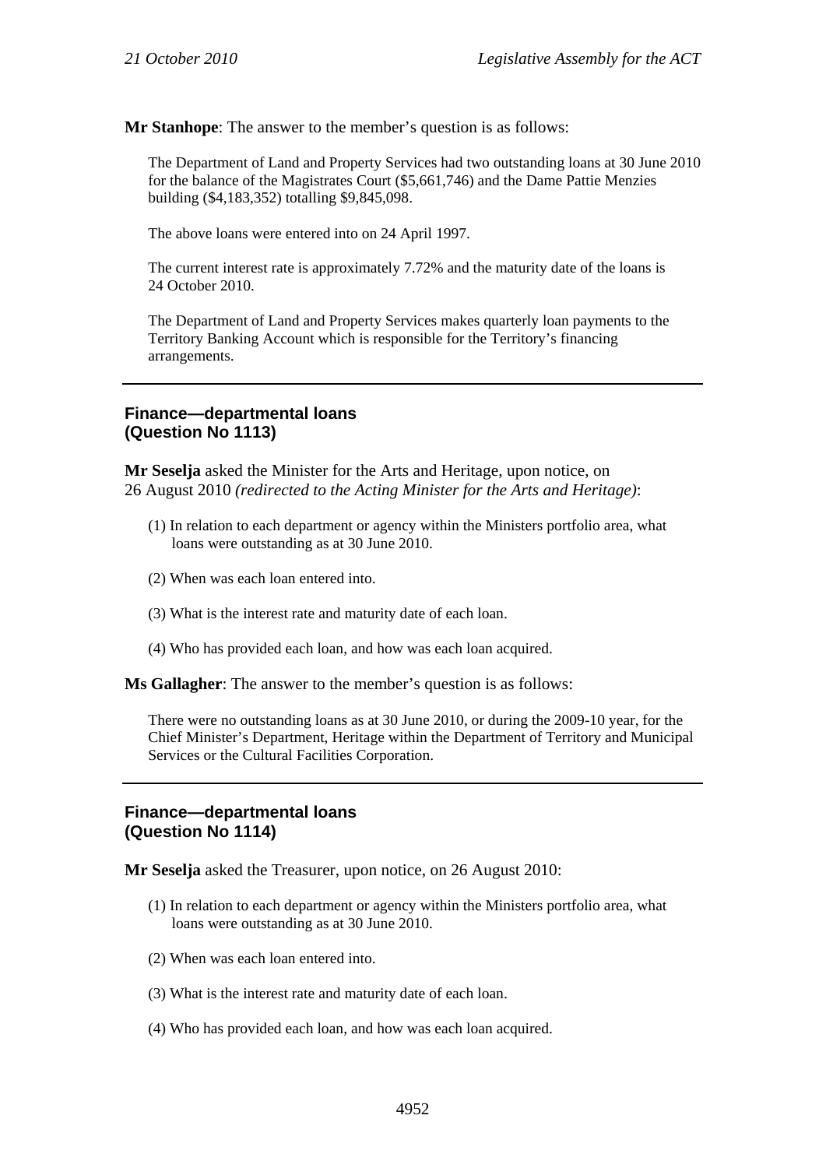**Mr Stanhope**: The answer to the member's question is as follows:

The Department of Land and Property Services had two outstanding loans at 30 June 2010 for the balance of the Magistrates Court (\$5,661,746) and the Dame Pattie Menzies building (\$4,183,352) totalling \$9,845,098.

The above loans were entered into on 24 April 1997.

The current interest rate is approximately 7.72% and the maturity date of the loans is 24 October 2010.

The Department of Land and Property Services makes quarterly loan payments to the Territory Banking Account which is responsible for the Territory's financing arrangements.

#### **Finance—departmental loans (Question No 1113)**

**Mr Seselja** asked the Minister for the Arts and Heritage, upon notice, on 26 August 2010 *(redirected to the Acting Minister for the Arts and Heritage)*:

- (1) In relation to each department or agency within the Ministers portfolio area, what loans were outstanding as at 30 June 2010.
- (2) When was each loan entered into.
- (3) What is the interest rate and maturity date of each loan.
- (4) Who has provided each loan, and how was each loan acquired.

**Ms Gallagher**: The answer to the member's question is as follows:

There were no outstanding loans as at 30 June 2010, or during the 2009-10 year, for the Chief Minister's Department, Heritage within the Department of Territory and Municipal Services or the Cultural Facilities Corporation.

#### **Finance—departmental loans (Question No 1114)**

**Mr Seselja** asked the Treasurer, upon notice, on 26 August 2010:

- (1) In relation to each department or agency within the Ministers portfolio area, what loans were outstanding as at 30 June 2010.
- (2) When was each loan entered into.
- (3) What is the interest rate and maturity date of each loan.
- (4) Who has provided each loan, and how was each loan acquired.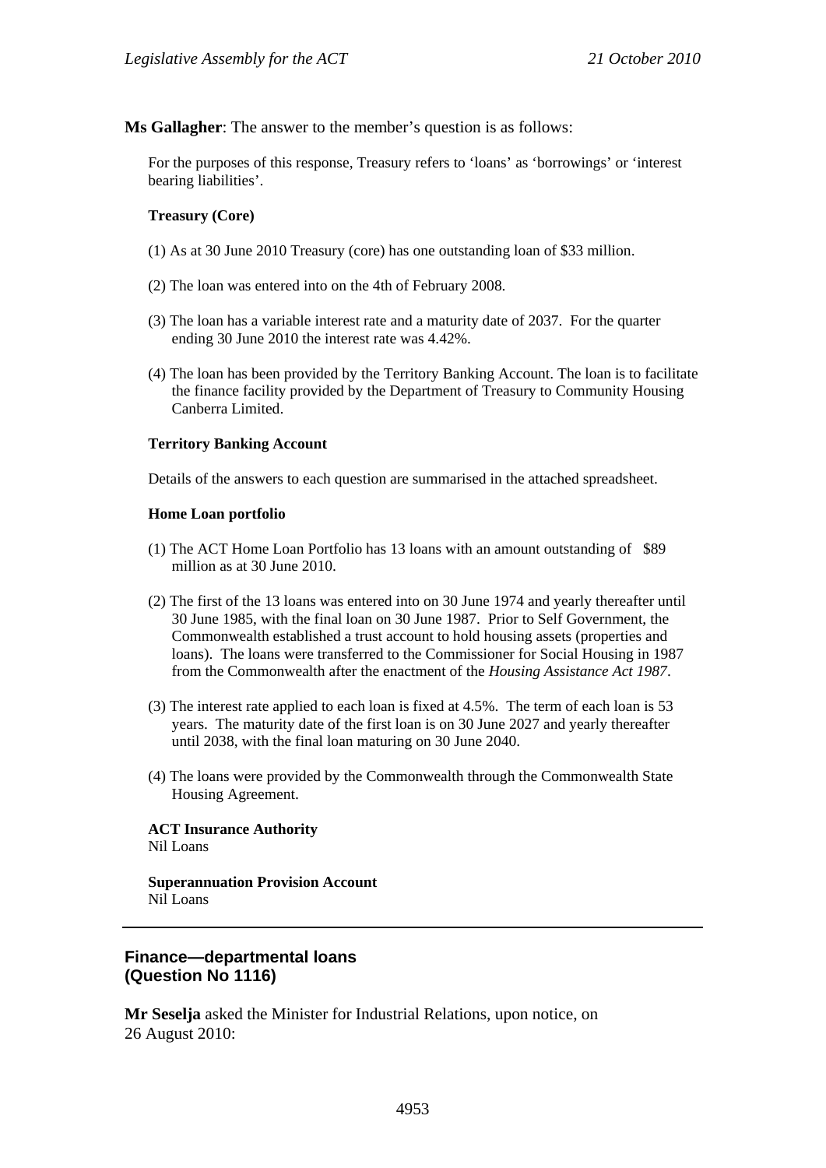**Ms Gallagher**: The answer to the member's question is as follows:

For the purposes of this response, Treasury refers to 'loans' as 'borrowings' or 'interest bearing liabilities'.

#### **Treasury (Core)**

- (1) As at 30 June 2010 Treasury (core) has one outstanding loan of \$33 million.
- (2) The loan was entered into on the 4th of February 2008.
- (3) The loan has a variable interest rate and a maturity date of 2037. For the quarter ending 30 June 2010 the interest rate was 4.42%.
- (4) The loan has been provided by the Territory Banking Account. The loan is to facilitate the finance facility provided by the Department of Treasury to Community Housing Canberra Limited.

#### **Territory Banking Account**

Details of the answers to each question are summarised in the attached spreadsheet.

#### **Home Loan portfolio**

- (1) The ACT Home Loan Portfolio has 13 loans with an amount outstanding of \$89 million as at 30 June 2010.
- (2) The first of the 13 loans was entered into on 30 June 1974 and yearly thereafter until 30 June 1985, with the final loan on 30 June 1987. Prior to Self Government, the Commonwealth established a trust account to hold housing assets (properties and loans). The loans were transferred to the Commissioner for Social Housing in 1987 from the Commonwealth after the enactment of the *Housing Assistance Act 1987*.
- (3) The interest rate applied to each loan is fixed at 4.5%. The term of each loan is 53 years. The maturity date of the first loan is on 30 June 2027 and yearly thereafter until 2038, with the final loan maturing on 30 June 2040.
- (4) The loans were provided by the Commonwealth through the Commonwealth State Housing Agreement.

**ACT Insurance Authority**  Nil Loans

**Superannuation Provision Account**  Nil Loans

#### **Finance—departmental loans (Question No 1116)**

**Mr Seselja** asked the Minister for Industrial Relations, upon notice, on 26 August 2010: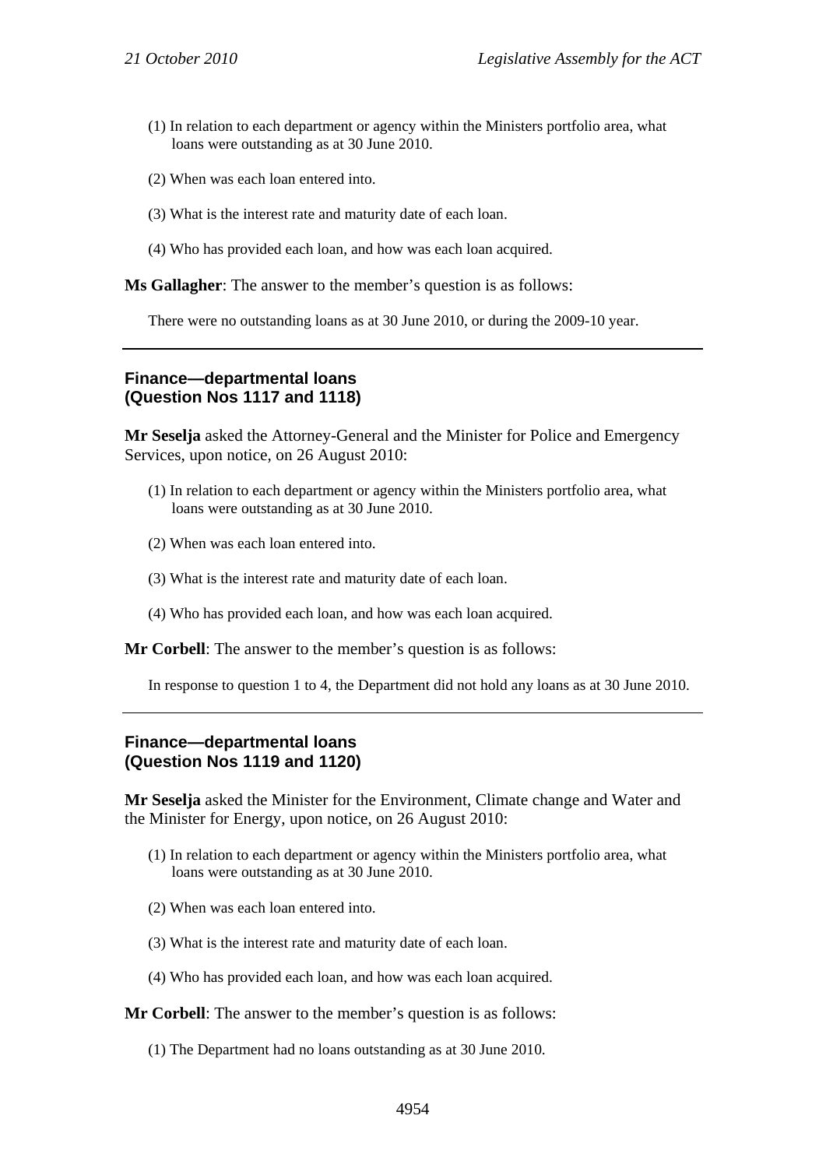- (1) In relation to each department or agency within the Ministers portfolio area, what loans were outstanding as at 30 June 2010.
- (2) When was each loan entered into.
- (3) What is the interest rate and maturity date of each loan.
- (4) Who has provided each loan, and how was each loan acquired.

**Ms Gallagher**: The answer to the member's question is as follows:

There were no outstanding loans as at 30 June 2010, or during the 2009-10 year.

# **Finance—departmental loans (Question Nos 1117 and 1118)**

**Mr Seselja** asked the Attorney-General and the Minister for Police and Emergency Services, upon notice, on 26 August 2010:

- (1) In relation to each department or agency within the Ministers portfolio area, what loans were outstanding as at 30 June 2010.
- (2) When was each loan entered into.
- (3) What is the interest rate and maturity date of each loan.
- (4) Who has provided each loan, and how was each loan acquired.

**Mr Corbell**: The answer to the member's question is as follows:

In response to question 1 to 4, the Department did not hold any loans as at 30 June 2010.

# **Finance—departmental loans (Question Nos 1119 and 1120)**

**Mr Seselja** asked the Minister for the Environment, Climate change and Water and the Minister for Energy, upon notice, on 26 August 2010:

- (1) In relation to each department or agency within the Ministers portfolio area, what loans were outstanding as at 30 June 2010.
- (2) When was each loan entered into.
- (3) What is the interest rate and maturity date of each loan.
- (4) Who has provided each loan, and how was each loan acquired.

**Mr Corbell**: The answer to the member's question is as follows:

(1) The Department had no loans outstanding as at 30 June 2010.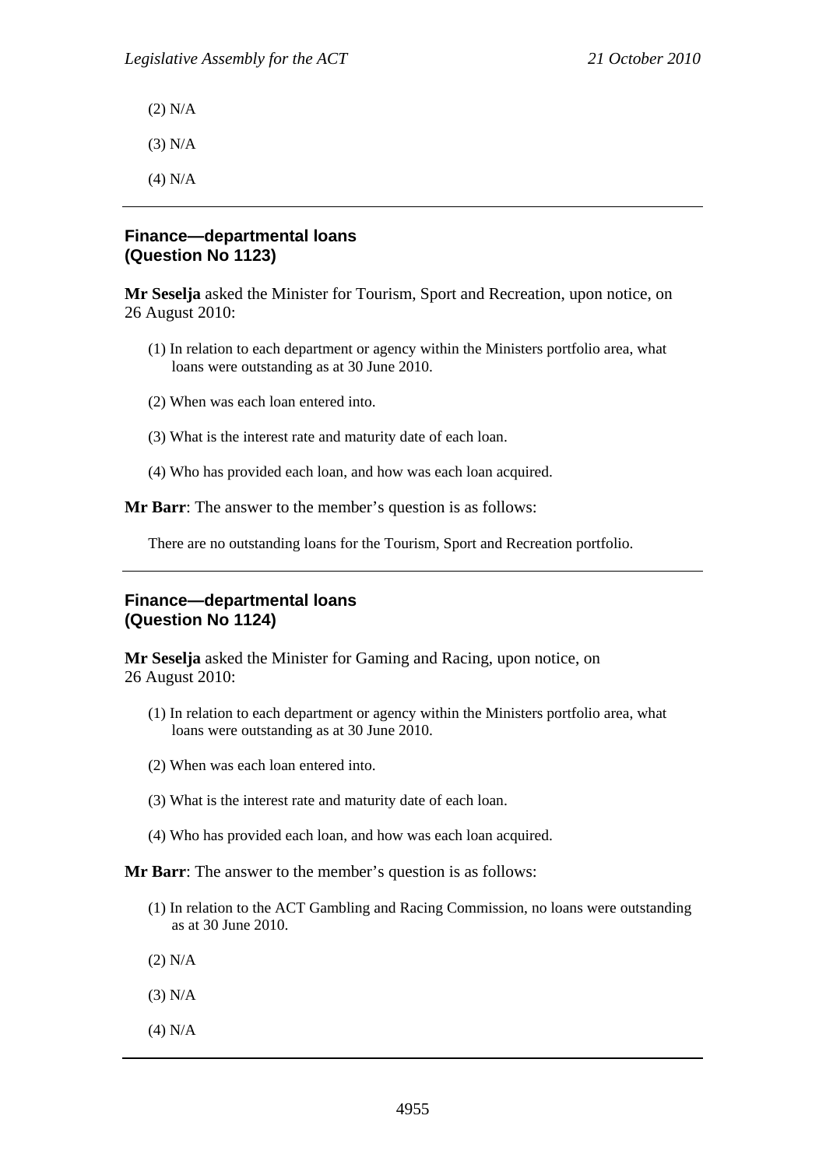(2) N/A

(3) N/A

(4) N/A

# **Finance—departmental loans (Question No 1123)**

**Mr Seselja** asked the Minister for Tourism, Sport and Recreation, upon notice, on 26 August 2010:

- (1) In relation to each department or agency within the Ministers portfolio area, what loans were outstanding as at 30 June 2010.
- (2) When was each loan entered into.
- (3) What is the interest rate and maturity date of each loan.
- (4) Who has provided each loan, and how was each loan acquired.

**Mr Barr**: The answer to the member's question is as follows:

There are no outstanding loans for the Tourism, Sport and Recreation portfolio.

### **Finance—departmental loans (Question No 1124)**

**Mr Seselja** asked the Minister for Gaming and Racing, upon notice, on 26 August 2010:

- (1) In relation to each department or agency within the Ministers portfolio area, what loans were outstanding as at 30 June 2010.
- (2) When was each loan entered into.
- (3) What is the interest rate and maturity date of each loan.
- (4) Who has provided each loan, and how was each loan acquired.

**Mr Barr**: The answer to the member's question is as follows:

- (1) In relation to the ACT Gambling and Racing Commission, no loans were outstanding as at 30 June 2010.
- (2) N/A
- (3) N/A
- (4) N/A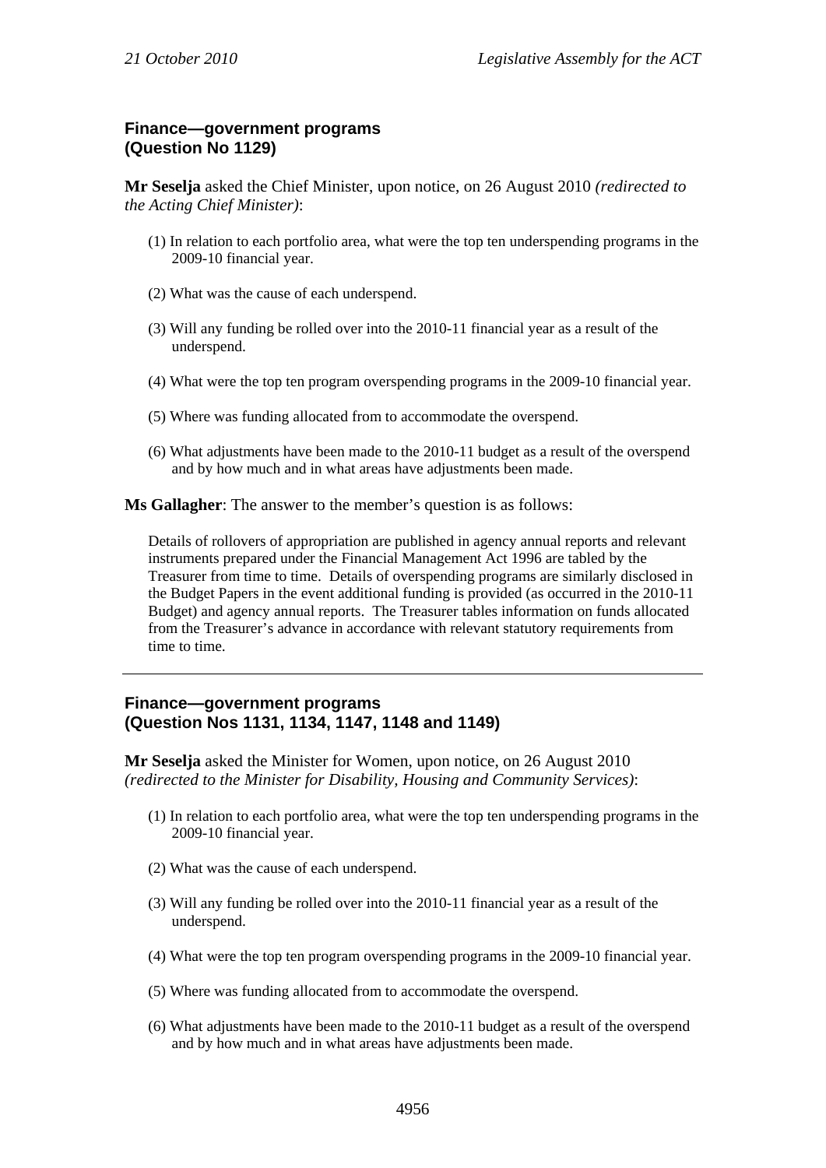# **Finance—government programs (Question No 1129)**

**Mr Seselja** asked the Chief Minister, upon notice, on 26 August 2010 *(redirected to the Acting Chief Minister)*:

- (1) In relation to each portfolio area, what were the top ten underspending programs in the 2009-10 financial year.
- (2) What was the cause of each underspend.
- (3) Will any funding be rolled over into the 2010-11 financial year as a result of the underspend.
- (4) What were the top ten program overspending programs in the 2009-10 financial year.
- (5) Where was funding allocated from to accommodate the overspend.
- (6) What adjustments have been made to the 2010-11 budget as a result of the overspend and by how much and in what areas have adjustments been made.

**Ms Gallagher**: The answer to the member's question is as follows:

Details of rollovers of appropriation are published in agency annual reports and relevant instruments prepared under the Financial Management Act 1996 are tabled by the Treasurer from time to time. Details of overspending programs are similarly disclosed in the Budget Papers in the event additional funding is provided (as occurred in the 2010-11 Budget) and agency annual reports. The Treasurer tables information on funds allocated from the Treasurer's advance in accordance with relevant statutory requirements from time to time.

#### **Finance—government programs (Question Nos 1131, 1134, 1147, 1148 and 1149)**

**Mr Seselja** asked the Minister for Women, upon notice, on 26 August 2010 *(redirected to the Minister for Disability, Housing and Community Services)*:

- (1) In relation to each portfolio area, what were the top ten underspending programs in the 2009-10 financial year.
- (2) What was the cause of each underspend.
- (3) Will any funding be rolled over into the 2010-11 financial year as a result of the underspend.
- (4) What were the top ten program overspending programs in the 2009-10 financial year.
- (5) Where was funding allocated from to accommodate the overspend.
- (6) What adjustments have been made to the 2010-11 budget as a result of the overspend and by how much and in what areas have adjustments been made.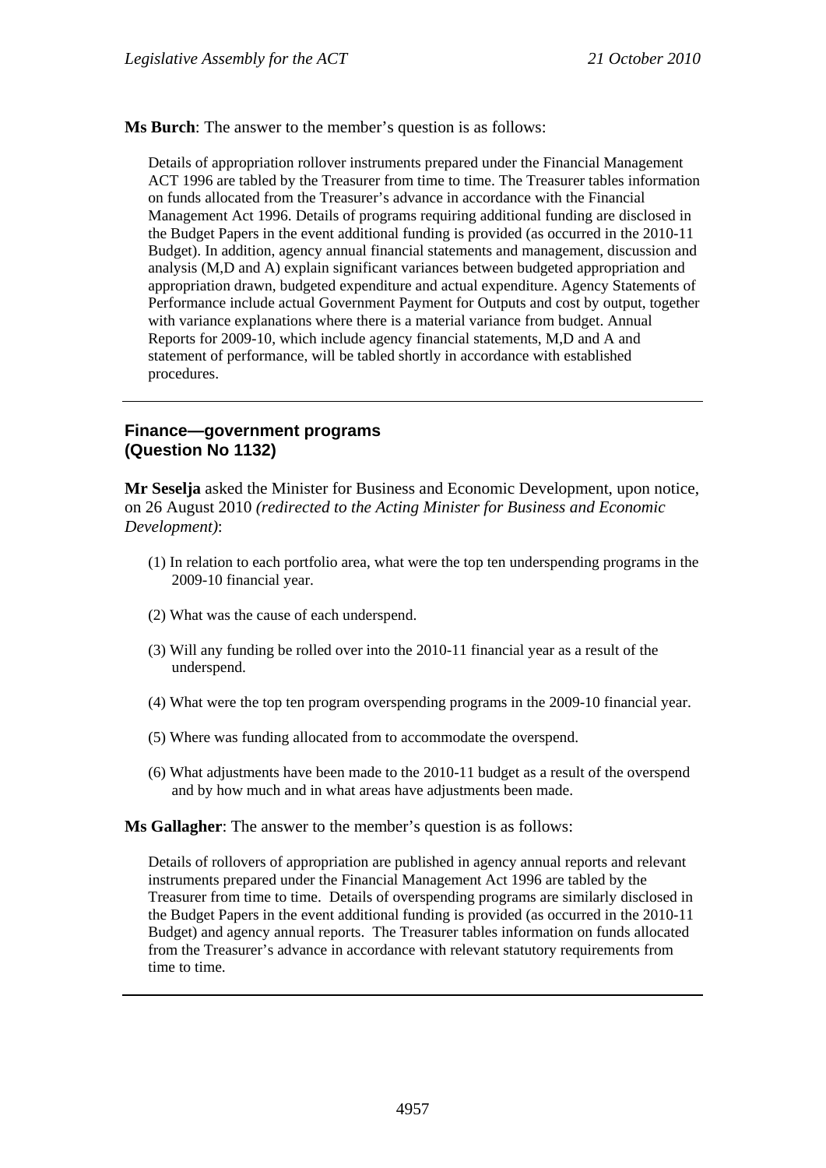**Ms Burch**: The answer to the member's question is as follows:

Details of appropriation rollover instruments prepared under the Financial Management ACT 1996 are tabled by the Treasurer from time to time. The Treasurer tables information on funds allocated from the Treasurer's advance in accordance with the Financial Management Act 1996. Details of programs requiring additional funding are disclosed in the Budget Papers in the event additional funding is provided (as occurred in the 2010-11 Budget). In addition, agency annual financial statements and management, discussion and analysis (M,D and A) explain significant variances between budgeted appropriation and appropriation drawn, budgeted expenditure and actual expenditure. Agency Statements of Performance include actual Government Payment for Outputs and cost by output, together with variance explanations where there is a material variance from budget. Annual Reports for 2009-10, which include agency financial statements, M,D and A and statement of performance, will be tabled shortly in accordance with established procedures.

#### **Finance—government programs (Question No 1132)**

**Mr Seselja** asked the Minister for Business and Economic Development, upon notice, on 26 August 2010 *(redirected to the Acting Minister for Business and Economic Development)*:

- (1) In relation to each portfolio area, what were the top ten underspending programs in the 2009-10 financial year.
- (2) What was the cause of each underspend.
- (3) Will any funding be rolled over into the 2010-11 financial year as a result of the underspend.
- (4) What were the top ten program overspending programs in the 2009-10 financial year.
- (5) Where was funding allocated from to accommodate the overspend.
- (6) What adjustments have been made to the 2010-11 budget as a result of the overspend and by how much and in what areas have adjustments been made.

**Ms Gallagher**: The answer to the member's question is as follows:

Details of rollovers of appropriation are published in agency annual reports and relevant instruments prepared under the Financial Management Act 1996 are tabled by the Treasurer from time to time. Details of overspending programs are similarly disclosed in the Budget Papers in the event additional funding is provided (as occurred in the 2010-11 Budget) and agency annual reports. The Treasurer tables information on funds allocated from the Treasurer's advance in accordance with relevant statutory requirements from time to time.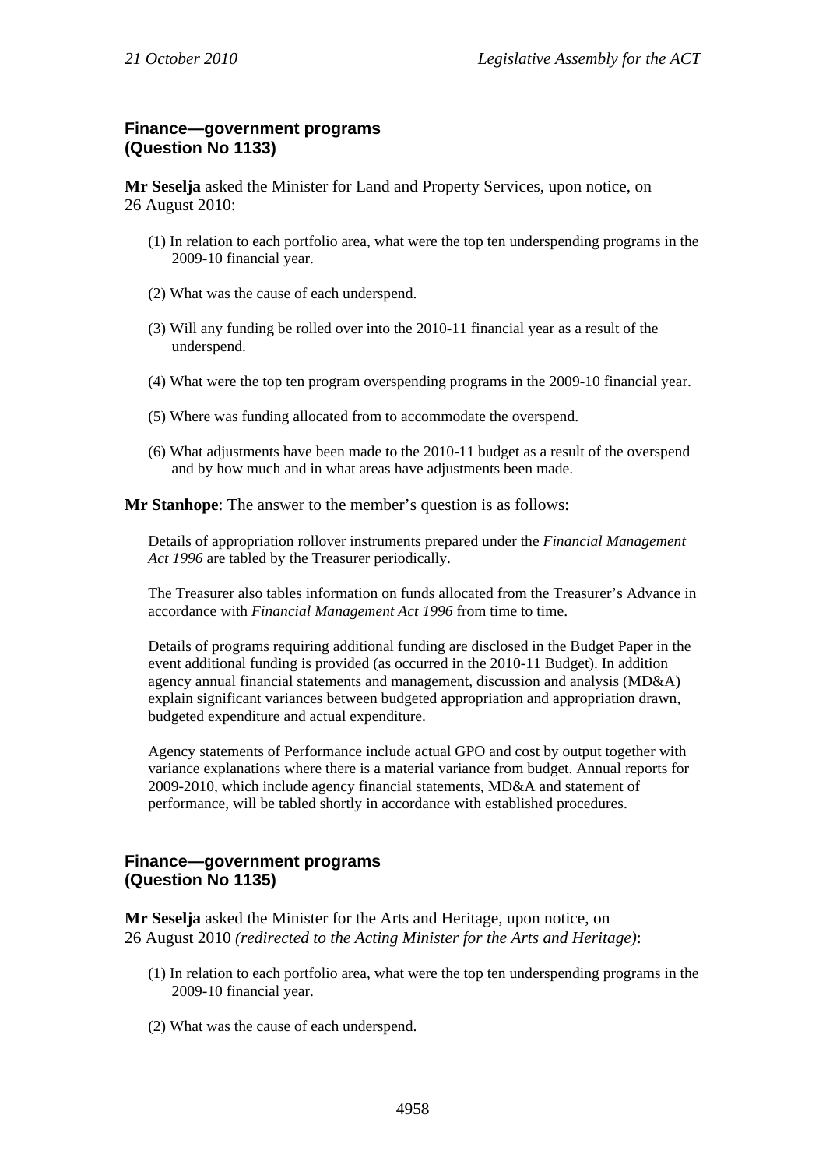# **Finance—government programs (Question No 1133)**

**Mr Seselja** asked the Minister for Land and Property Services, upon notice, on 26 August 2010:

- (1) In relation to each portfolio area, what were the top ten underspending programs in the 2009-10 financial year.
- (2) What was the cause of each underspend.
- (3) Will any funding be rolled over into the 2010-11 financial year as a result of the underspend.
- (4) What were the top ten program overspending programs in the 2009-10 financial year.
- (5) Where was funding allocated from to accommodate the overspend.
- (6) What adjustments have been made to the 2010-11 budget as a result of the overspend and by how much and in what areas have adjustments been made.

**Mr Stanhope**: The answer to the member's question is as follows:

Details of appropriation rollover instruments prepared under the *Financial Management Act 1996* are tabled by the Treasurer periodically.

The Treasurer also tables information on funds allocated from the Treasurer's Advance in accordance with *Financial Management Act 1996* from time to time.

Details of programs requiring additional funding are disclosed in the Budget Paper in the event additional funding is provided (as occurred in the 2010-11 Budget). In addition agency annual financial statements and management, discussion and analysis (MD&A) explain significant variances between budgeted appropriation and appropriation drawn, budgeted expenditure and actual expenditure.

Agency statements of Performance include actual GPO and cost by output together with variance explanations where there is a material variance from budget. Annual reports for 2009-2010, which include agency financial statements, MD&A and statement of performance, will be tabled shortly in accordance with established procedures.

### **Finance—government programs (Question No 1135)**

**Mr Seselja** asked the Minister for the Arts and Heritage, upon notice, on 26 August 2010 *(redirected to the Acting Minister for the Arts and Heritage)*:

- (1) In relation to each portfolio area, what were the top ten underspending programs in the 2009-10 financial year.
- (2) What was the cause of each underspend.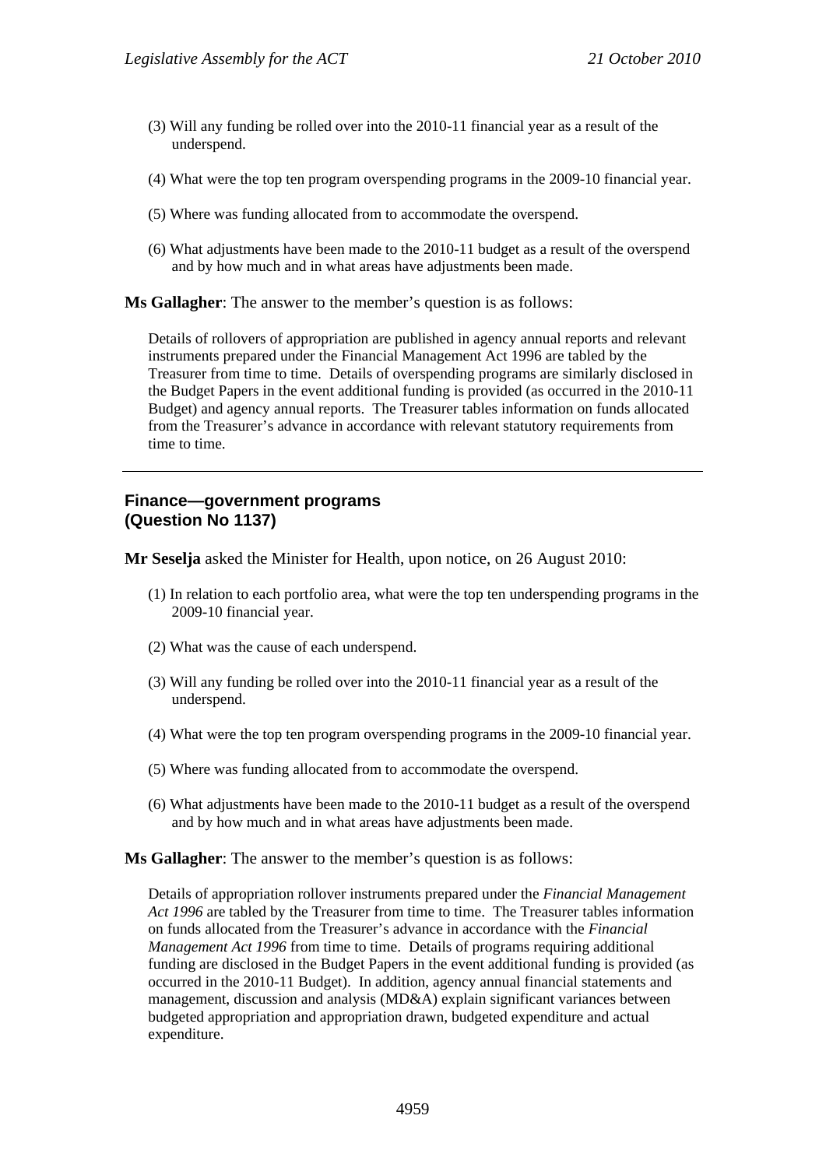- (3) Will any funding be rolled over into the 2010-11 financial year as a result of the underspend.
- (4) What were the top ten program overspending programs in the 2009-10 financial year.
- (5) Where was funding allocated from to accommodate the overspend.
- (6) What adjustments have been made to the 2010-11 budget as a result of the overspend and by how much and in what areas have adjustments been made.

**Ms Gallagher**: The answer to the member's question is as follows:

Details of rollovers of appropriation are published in agency annual reports and relevant instruments prepared under the Financial Management Act 1996 are tabled by the Treasurer from time to time. Details of overspending programs are similarly disclosed in the Budget Papers in the event additional funding is provided (as occurred in the 2010-11 Budget) and agency annual reports. The Treasurer tables information on funds allocated from the Treasurer's advance in accordance with relevant statutory requirements from time to time.

#### **Finance—government programs (Question No 1137)**

**Mr Seselja** asked the Minister for Health, upon notice, on 26 August 2010:

- (1) In relation to each portfolio area, what were the top ten underspending programs in the 2009-10 financial year.
- (2) What was the cause of each underspend.
- (3) Will any funding be rolled over into the 2010-11 financial year as a result of the underspend.
- (4) What were the top ten program overspending programs in the 2009-10 financial year.
- (5) Where was funding allocated from to accommodate the overspend.
- (6) What adjustments have been made to the 2010-11 budget as a result of the overspend and by how much and in what areas have adjustments been made.

**Ms Gallagher**: The answer to the member's question is as follows:

Details of appropriation rollover instruments prepared under the *Financial Management Act 1996* are tabled by the Treasurer from time to time. The Treasurer tables information on funds allocated from the Treasurer's advance in accordance with the *Financial Management Act 1996* from time to time. Details of programs requiring additional funding are disclosed in the Budget Papers in the event additional funding is provided (as occurred in the 2010-11 Budget). In addition, agency annual financial statements and management, discussion and analysis (MD&A) explain significant variances between budgeted appropriation and appropriation drawn, budgeted expenditure and actual expenditure.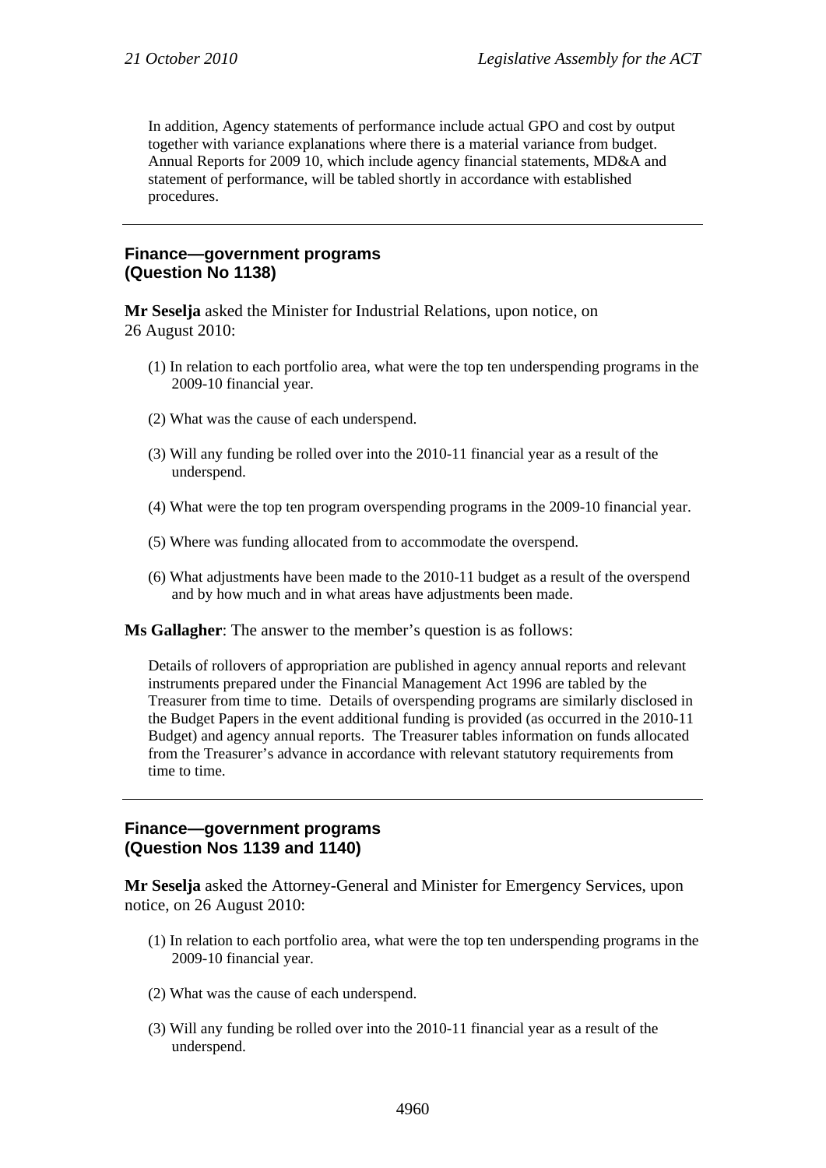In addition, Agency statements of performance include actual GPO and cost by output together with variance explanations where there is a material variance from budget. Annual Reports for 2009 10, which include agency financial statements, MD&A and statement of performance, will be tabled shortly in accordance with established procedures.

#### **Finance—government programs (Question No 1138)**

**Mr Seselja** asked the Minister for Industrial Relations, upon notice, on 26 August 2010:

- (1) In relation to each portfolio area, what were the top ten underspending programs in the 2009-10 financial year.
- (2) What was the cause of each underspend.
- (3) Will any funding be rolled over into the 2010-11 financial year as a result of the underspend.
- (4) What were the top ten program overspending programs in the 2009-10 financial year.
- (5) Where was funding allocated from to accommodate the overspend.
- (6) What adjustments have been made to the 2010-11 budget as a result of the overspend and by how much and in what areas have adjustments been made.

**Ms Gallagher**: The answer to the member's question is as follows:

Details of rollovers of appropriation are published in agency annual reports and relevant instruments prepared under the Financial Management Act 1996 are tabled by the Treasurer from time to time. Details of overspending programs are similarly disclosed in the Budget Papers in the event additional funding is provided (as occurred in the 2010-11 Budget) and agency annual reports. The Treasurer tables information on funds allocated from the Treasurer's advance in accordance with relevant statutory requirements from time to time.

### **Finance—government programs (Question Nos 1139 and 1140)**

**Mr Seselja** asked the Attorney-General and Minister for Emergency Services, upon notice, on 26 August 2010:

- (1) In relation to each portfolio area, what were the top ten underspending programs in the 2009-10 financial year.
- (2) What was the cause of each underspend.
- (3) Will any funding be rolled over into the 2010-11 financial year as a result of the underspend.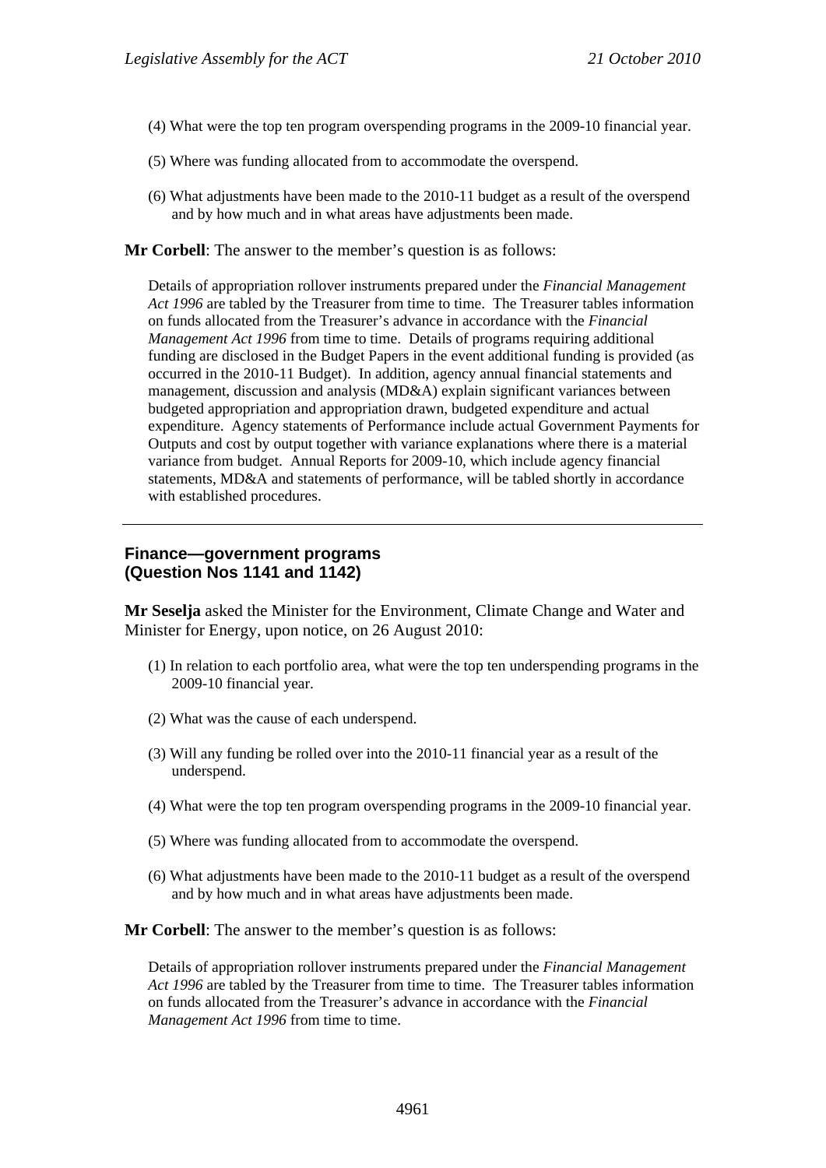- (4) What were the top ten program overspending programs in the 2009-10 financial year.
- (5) Where was funding allocated from to accommodate the overspend.
- (6) What adjustments have been made to the 2010-11 budget as a result of the overspend and by how much and in what areas have adjustments been made.

**Mr Corbell**: The answer to the member's question is as follows:

Details of appropriation rollover instruments prepared under the *Financial Management Act 1996* are tabled by the Treasurer from time to time. The Treasurer tables information on funds allocated from the Treasurer's advance in accordance with the *Financial Management Act 1996* from time to time. Details of programs requiring additional funding are disclosed in the Budget Papers in the event additional funding is provided (as occurred in the 2010-11 Budget). In addition, agency annual financial statements and management, discussion and analysis (MD&A) explain significant variances between budgeted appropriation and appropriation drawn, budgeted expenditure and actual expenditure. Agency statements of Performance include actual Government Payments for Outputs and cost by output together with variance explanations where there is a material variance from budget. Annual Reports for 2009-10, which include agency financial statements, MD&A and statements of performance, will be tabled shortly in accordance with established procedures.

# **Finance—government programs (Question Nos 1141 and 1142)**

**Mr Seselja** asked the Minister for the Environment, Climate Change and Water and Minister for Energy, upon notice, on 26 August 2010:

- (1) In relation to each portfolio area, what were the top ten underspending programs in the 2009-10 financial year.
- (2) What was the cause of each underspend.
- (3) Will any funding be rolled over into the 2010-11 financial year as a result of the underspend.
- (4) What were the top ten program overspending programs in the 2009-10 financial year.
- (5) Where was funding allocated from to accommodate the overspend.
- (6) What adjustments have been made to the 2010-11 budget as a result of the overspend and by how much and in what areas have adjustments been made.

**Mr Corbell**: The answer to the member's question is as follows:

Details of appropriation rollover instruments prepared under the *Financial Management Act 1996* are tabled by the Treasurer from time to time. The Treasurer tables information on funds allocated from the Treasurer's advance in accordance with the *Financial Management Act 1996* from time to time.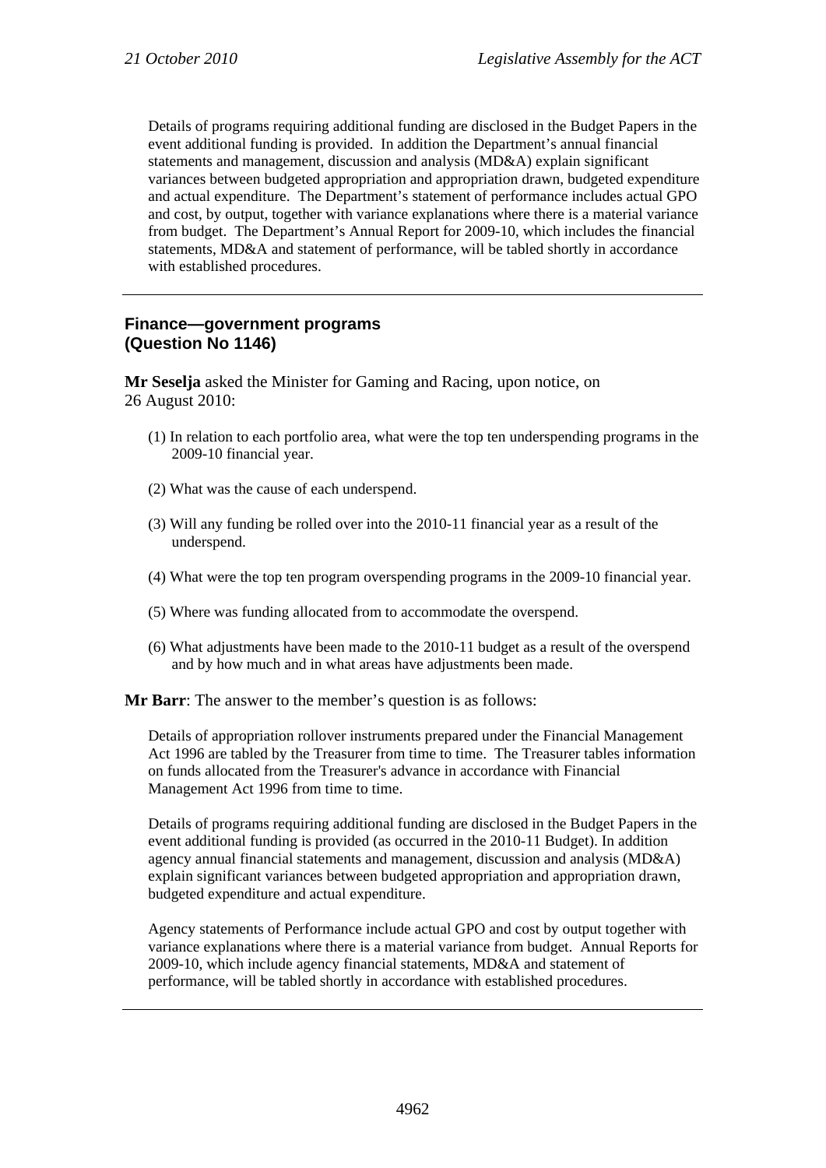Details of programs requiring additional funding are disclosed in the Budget Papers in the event additional funding is provided. In addition the Department's annual financial statements and management, discussion and analysis (MD&A) explain significant variances between budgeted appropriation and appropriation drawn, budgeted expenditure and actual expenditure. The Department's statement of performance includes actual GPO and cost, by output, together with variance explanations where there is a material variance from budget. The Department's Annual Report for 2009-10, which includes the financial statements, MD&A and statement of performance, will be tabled shortly in accordance with established procedures.

#### **Finance—government programs (Question No 1146)**

**Mr Seselja** asked the Minister for Gaming and Racing, upon notice, on 26 August 2010:

- (1) In relation to each portfolio area, what were the top ten underspending programs in the 2009-10 financial year.
- (2) What was the cause of each underspend.
- (3) Will any funding be rolled over into the 2010-11 financial year as a result of the underspend.
- (4) What were the top ten program overspending programs in the 2009-10 financial year.
- (5) Where was funding allocated from to accommodate the overspend.
- (6) What adjustments have been made to the 2010-11 budget as a result of the overspend and by how much and in what areas have adjustments been made.

**Mr Barr**: The answer to the member's question is as follows:

Details of appropriation rollover instruments prepared under the Financial Management Act 1996 are tabled by the Treasurer from time to time. The Treasurer tables information on funds allocated from the Treasurer's advance in accordance with Financial Management Act 1996 from time to time.

Details of programs requiring additional funding are disclosed in the Budget Papers in the event additional funding is provided (as occurred in the 2010-11 Budget). In addition agency annual financial statements and management, discussion and analysis (MD&A) explain significant variances between budgeted appropriation and appropriation drawn, budgeted expenditure and actual expenditure.

Agency statements of Performance include actual GPO and cost by output together with variance explanations where there is a material variance from budget. Annual Reports for 2009-10, which include agency financial statements, MD&A and statement of performance, will be tabled shortly in accordance with established procedures.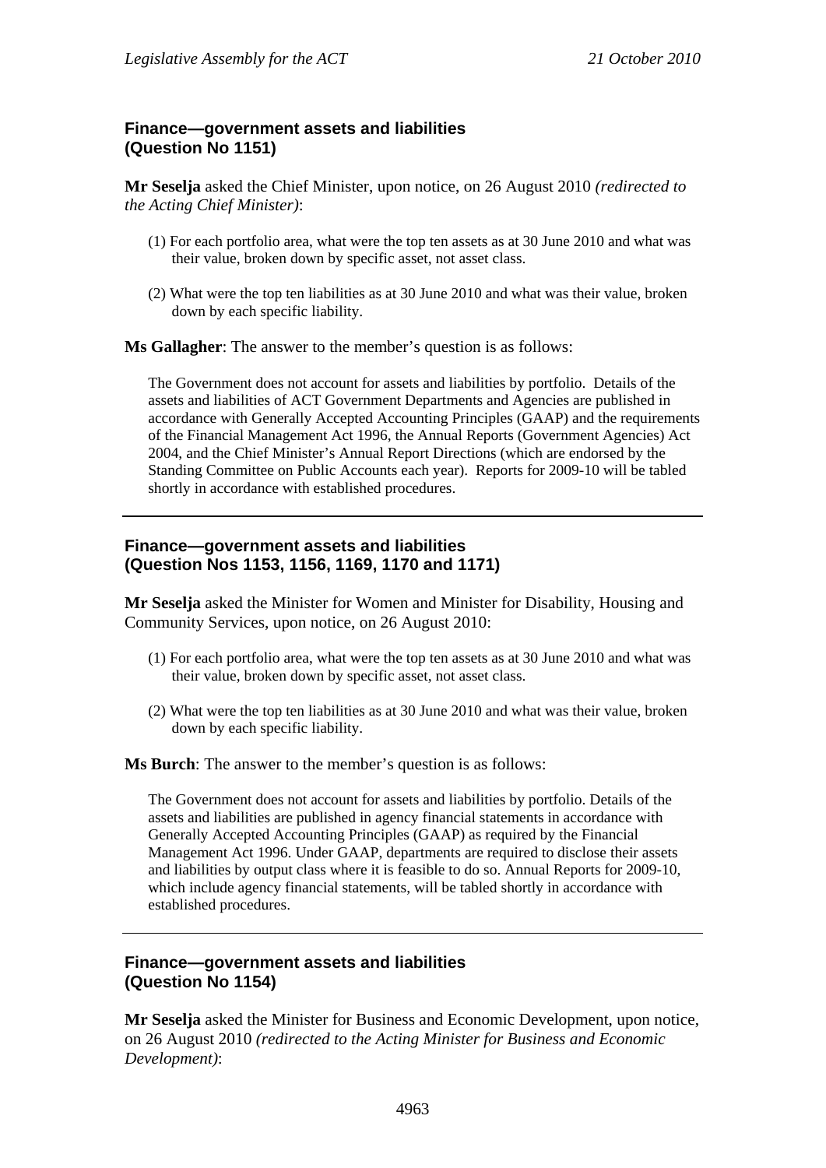# **Finance—government assets and liabilities (Question No 1151)**

**Mr Seselja** asked the Chief Minister, upon notice, on 26 August 2010 *(redirected to the Acting Chief Minister)*:

- (1) For each portfolio area, what were the top ten assets as at 30 June 2010 and what was their value, broken down by specific asset, not asset class.
- (2) What were the top ten liabilities as at 30 June 2010 and what was their value, broken down by each specific liability.

**Ms Gallagher**: The answer to the member's question is as follows:

The Government does not account for assets and liabilities by portfolio. Details of the assets and liabilities of ACT Government Departments and Agencies are published in accordance with Generally Accepted Accounting Principles (GAAP) and the requirements of the Financial Management Act 1996, the Annual Reports (Government Agencies) Act 2004, and the Chief Minister's Annual Report Directions (which are endorsed by the Standing Committee on Public Accounts each year). Reports for 2009-10 will be tabled shortly in accordance with established procedures.

## **Finance—government assets and liabilities (Question Nos 1153, 1156, 1169, 1170 and 1171)**

**Mr Seselja** asked the Minister for Women and Minister for Disability, Housing and Community Services, upon notice, on 26 August 2010:

- (1) For each portfolio area, what were the top ten assets as at 30 June 2010 and what was their value, broken down by specific asset, not asset class.
- (2) What were the top ten liabilities as at 30 June 2010 and what was their value, broken down by each specific liability.

**Ms Burch**: The answer to the member's question is as follows:

The Government does not account for assets and liabilities by portfolio. Details of the assets and liabilities are published in agency financial statements in accordance with Generally Accepted Accounting Principles (GAAP) as required by the Financial Management Act 1996. Under GAAP, departments are required to disclose their assets and liabilities by output class where it is feasible to do so. Annual Reports for 2009-10, which include agency financial statements, will be tabled shortly in accordance with established procedures.

#### **Finance—government assets and liabilities (Question No 1154)**

**Mr Seselja** asked the Minister for Business and Economic Development, upon notice, on 26 August 2010 *(redirected to the Acting Minister for Business and Economic Development)*: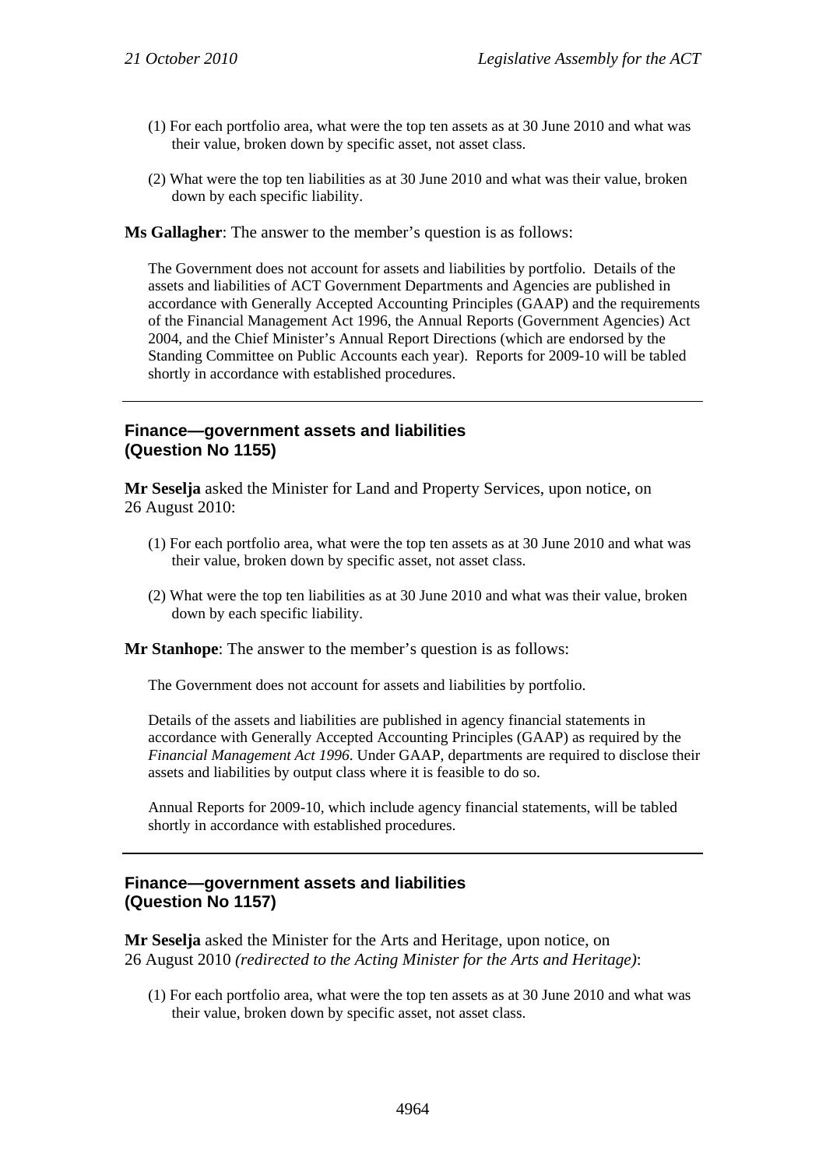- (1) For each portfolio area, what were the top ten assets as at 30 June 2010 and what was their value, broken down by specific asset, not asset class.
- (2) What were the top ten liabilities as at 30 June 2010 and what was their value, broken down by each specific liability.

**Ms Gallagher**: The answer to the member's question is as follows:

The Government does not account for assets and liabilities by portfolio. Details of the assets and liabilities of ACT Government Departments and Agencies are published in accordance with Generally Accepted Accounting Principles (GAAP) and the requirements of the Financial Management Act 1996, the Annual Reports (Government Agencies) Act 2004, and the Chief Minister's Annual Report Directions (which are endorsed by the Standing Committee on Public Accounts each year). Reports for 2009-10 will be tabled shortly in accordance with established procedures.

#### **Finance—government assets and liabilities (Question No 1155)**

**Mr Seselja** asked the Minister for Land and Property Services, upon notice, on 26 August 2010:

- (1) For each portfolio area, what were the top ten assets as at 30 June 2010 and what was their value, broken down by specific asset, not asset class.
- (2) What were the top ten liabilities as at 30 June 2010 and what was their value, broken down by each specific liability.

**Mr Stanhope**: The answer to the member's question is as follows:

The Government does not account for assets and liabilities by portfolio.

Details of the assets and liabilities are published in agency financial statements in accordance with Generally Accepted Accounting Principles (GAAP) as required by the *Financial Management Act 1996*. Under GAAP, departments are required to disclose their assets and liabilities by output class where it is feasible to do so.

Annual Reports for 2009-10, which include agency financial statements, will be tabled shortly in accordance with established procedures.

## **Finance—government assets and liabilities (Question No 1157)**

**Mr Seselja** asked the Minister for the Arts and Heritage, upon notice, on 26 August 2010 *(redirected to the Acting Minister for the Arts and Heritage)*:

(1) For each portfolio area, what were the top ten assets as at 30 June 2010 and what was their value, broken down by specific asset, not asset class.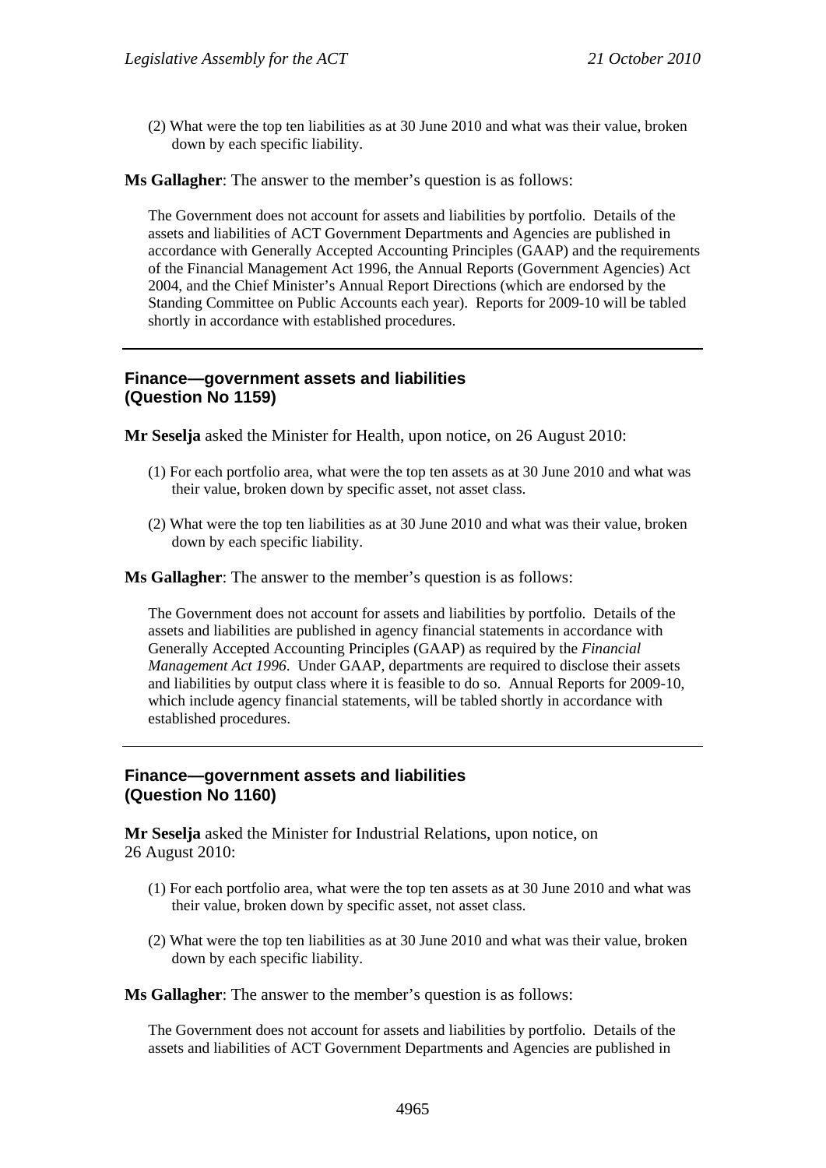(2) What were the top ten liabilities as at 30 June 2010 and what was their value, broken down by each specific liability.

**Ms Gallagher**: The answer to the member's question is as follows:

The Government does not account for assets and liabilities by portfolio. Details of the assets and liabilities of ACT Government Departments and Agencies are published in accordance with Generally Accepted Accounting Principles (GAAP) and the requirements of the Financial Management Act 1996, the Annual Reports (Government Agencies) Act 2004, and the Chief Minister's Annual Report Directions (which are endorsed by the Standing Committee on Public Accounts each year). Reports for 2009-10 will be tabled shortly in accordance with established procedures.

#### **Finance—government assets and liabilities (Question No 1159)**

**Mr Seselja** asked the Minister for Health, upon notice, on 26 August 2010:

- (1) For each portfolio area, what were the top ten assets as at 30 June 2010 and what was their value, broken down by specific asset, not asset class.
- (2) What were the top ten liabilities as at 30 June 2010 and what was their value, broken down by each specific liability.

**Ms Gallagher**: The answer to the member's question is as follows:

The Government does not account for assets and liabilities by portfolio. Details of the assets and liabilities are published in agency financial statements in accordance with Generally Accepted Accounting Principles (GAAP) as required by the *Financial Management Act 1996*. Under GAAP, departments are required to disclose their assets and liabilities by output class where it is feasible to do so. Annual Reports for 2009-10, which include agency financial statements, will be tabled shortly in accordance with established procedures.

#### **Finance—government assets and liabilities (Question No 1160)**

**Mr Seselja** asked the Minister for Industrial Relations, upon notice, on 26 August 2010:

- (1) For each portfolio area, what were the top ten assets as at 30 June 2010 and what was their value, broken down by specific asset, not asset class.
- (2) What were the top ten liabilities as at 30 June 2010 and what was their value, broken down by each specific liability.

**Ms Gallagher**: The answer to the member's question is as follows:

The Government does not account for assets and liabilities by portfolio. Details of the assets and liabilities of ACT Government Departments and Agencies are published in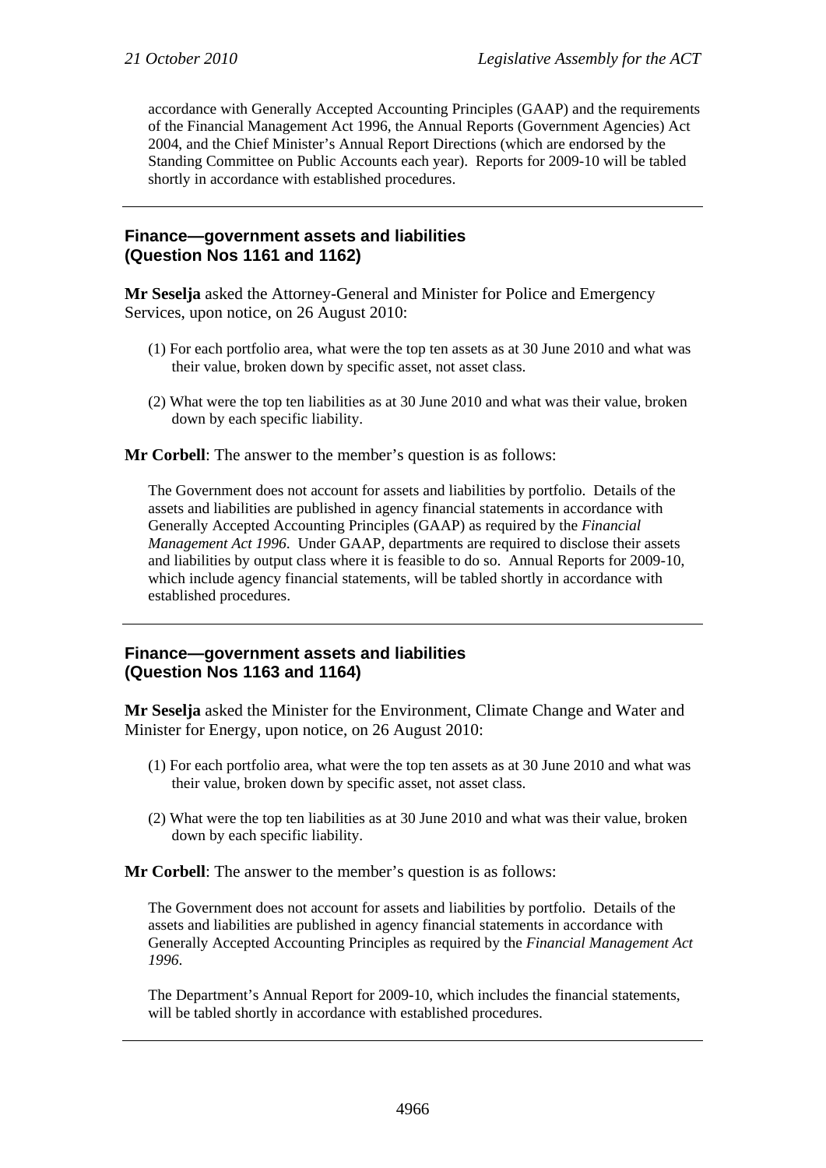accordance with Generally Accepted Accounting Principles (GAAP) and the requirements of the Financial Management Act 1996, the Annual Reports (Government Agencies) Act 2004, and the Chief Minister's Annual Report Directions (which are endorsed by the Standing Committee on Public Accounts each year). Reports for 2009-10 will be tabled shortly in accordance with established procedures.

#### **Finance—government assets and liabilities (Question Nos 1161 and 1162)**

**Mr Seselja** asked the Attorney-General and Minister for Police and Emergency Services, upon notice, on 26 August 2010:

- (1) For each portfolio area, what were the top ten assets as at 30 June 2010 and what was their value, broken down by specific asset, not asset class.
- (2) What were the top ten liabilities as at 30 June 2010 and what was their value, broken down by each specific liability.

**Mr Corbell**: The answer to the member's question is as follows:

The Government does not account for assets and liabilities by portfolio. Details of the assets and liabilities are published in agency financial statements in accordance with Generally Accepted Accounting Principles (GAAP) as required by the *Financial Management Act 1996*. Under GAAP, departments are required to disclose their assets and liabilities by output class where it is feasible to do so. Annual Reports for 2009-10, which include agency financial statements, will be tabled shortly in accordance with established procedures.

## **Finance—government assets and liabilities (Question Nos 1163 and 1164)**

**Mr Seselja** asked the Minister for the Environment, Climate Change and Water and Minister for Energy, upon notice, on 26 August 2010:

- (1) For each portfolio area, what were the top ten assets as at 30 June 2010 and what was their value, broken down by specific asset, not asset class.
- (2) What were the top ten liabilities as at 30 June 2010 and what was their value, broken down by each specific liability.

**Mr Corbell**: The answer to the member's question is as follows:

The Government does not account for assets and liabilities by portfolio. Details of the assets and liabilities are published in agency financial statements in accordance with Generally Accepted Accounting Principles as required by the *Financial Management Act 1996*.

The Department's Annual Report for 2009-10, which includes the financial statements, will be tabled shortly in accordance with established procedures.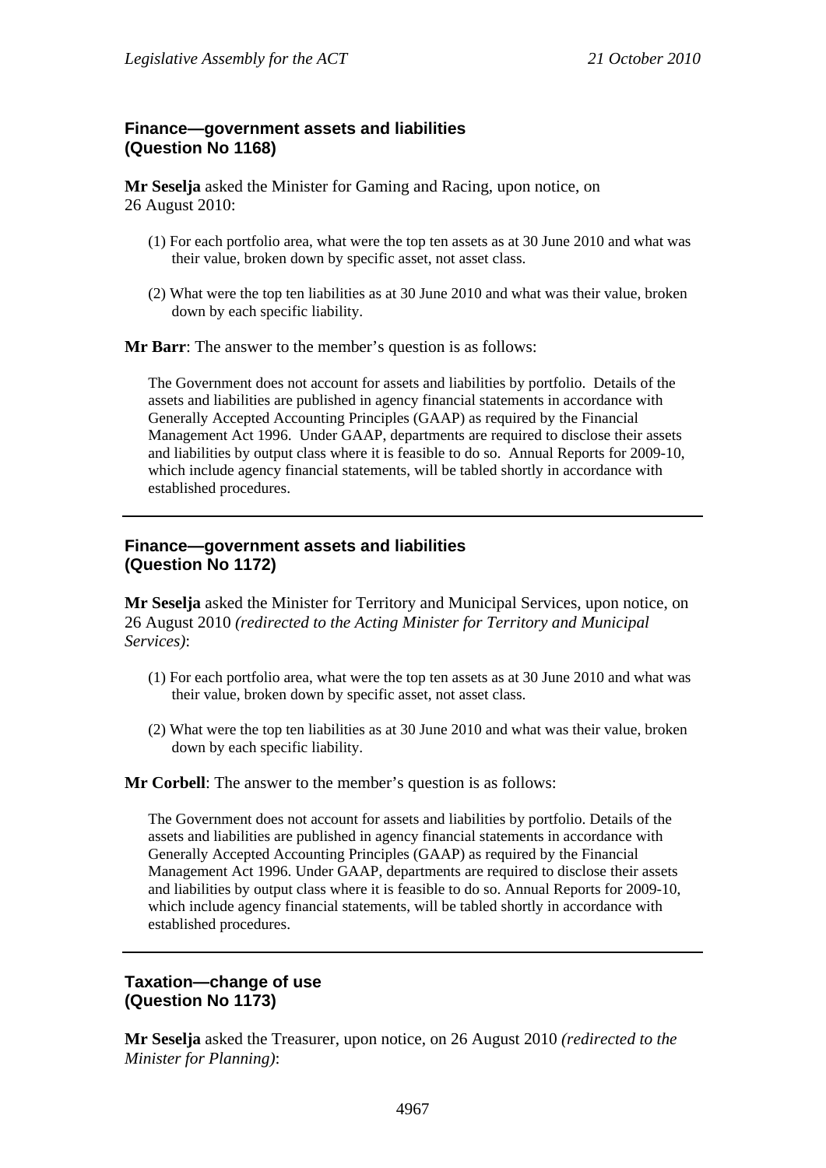# **Finance—government assets and liabilities (Question No 1168)**

**Mr Seselja** asked the Minister for Gaming and Racing, upon notice, on 26 August 2010:

- (1) For each portfolio area, what were the top ten assets as at 30 June 2010 and what was their value, broken down by specific asset, not asset class.
- (2) What were the top ten liabilities as at 30 June 2010 and what was their value, broken down by each specific liability.

**Mr Barr**: The answer to the member's question is as follows:

The Government does not account for assets and liabilities by portfolio. Details of the assets and liabilities are published in agency financial statements in accordance with Generally Accepted Accounting Principles (GAAP) as required by the Financial Management Act 1996. Under GAAP, departments are required to disclose their assets and liabilities by output class where it is feasible to do so. Annual Reports for 2009-10, which include agency financial statements, will be tabled shortly in accordance with established procedures.

#### **Finance—government assets and liabilities (Question No 1172)**

**Mr Seselja** asked the Minister for Territory and Municipal Services, upon notice, on 26 August 2010 *(redirected to the Acting Minister for Territory and Municipal Services)*:

- (1) For each portfolio area, what were the top ten assets as at 30 June 2010 and what was their value, broken down by specific asset, not asset class.
- (2) What were the top ten liabilities as at 30 June 2010 and what was their value, broken down by each specific liability.

**Mr Corbell**: The answer to the member's question is as follows:

The Government does not account for assets and liabilities by portfolio. Details of the assets and liabilities are published in agency financial statements in accordance with Generally Accepted Accounting Principles (GAAP) as required by the Financial Management Act 1996. Under GAAP, departments are required to disclose their assets and liabilities by output class where it is feasible to do so. Annual Reports for 2009-10, which include agency financial statements, will be tabled shortly in accordance with established procedures.

#### **Taxation—change of use (Question No 1173)**

**Mr Seselja** asked the Treasurer, upon notice, on 26 August 2010 *(redirected to the Minister for Planning)*: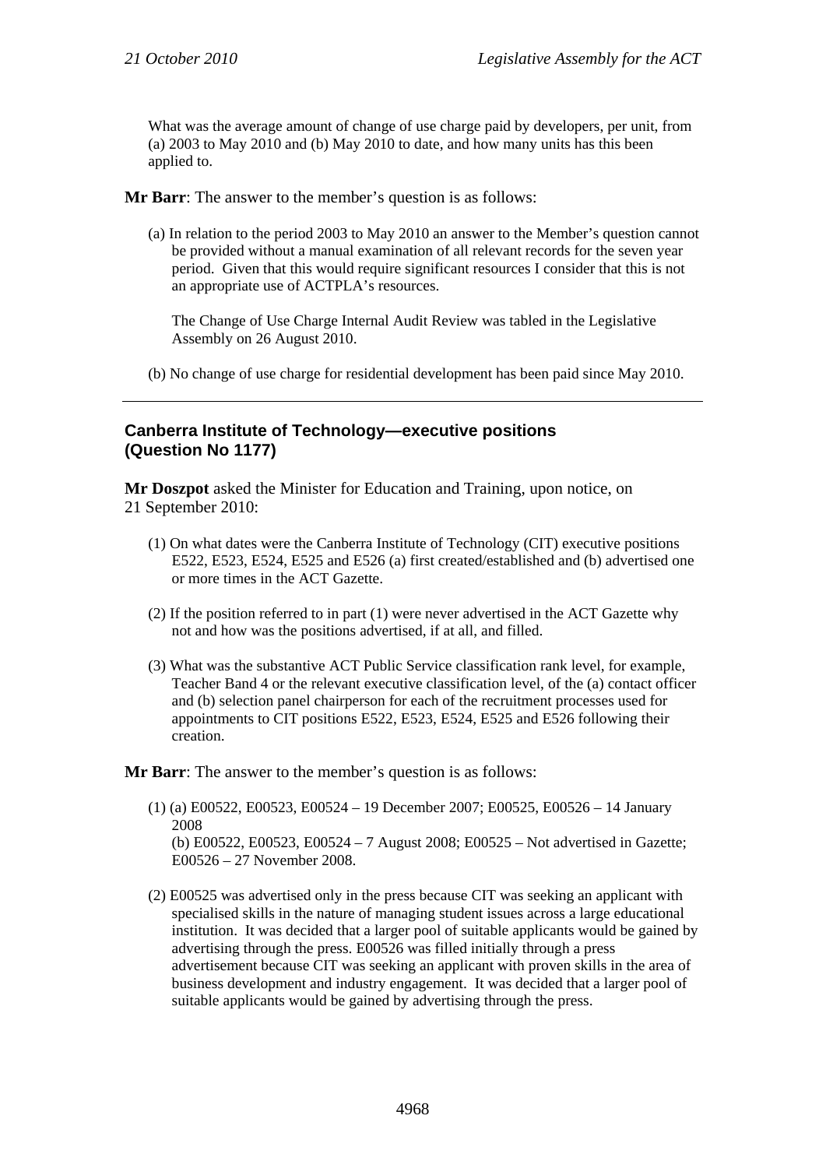What was the average amount of change of use charge paid by developers, per unit, from (a) 2003 to May 2010 and (b) May 2010 to date, and how many units has this been applied to.

**Mr Barr**: The answer to the member's question is as follows:

(a) In relation to the period 2003 to May 2010 an answer to the Member's question cannot be provided without a manual examination of all relevant records for the seven year period. Given that this would require significant resources I consider that this is not an appropriate use of ACTPLA's resources.

The Change of Use Charge Internal Audit Review was tabled in the Legislative Assembly on 26 August 2010.

(b) No change of use charge for residential development has been paid since May 2010.

#### **Canberra Institute of Technology—executive positions (Question No 1177)**

**Mr Doszpot** asked the Minister for Education and Training, upon notice, on 21 September 2010:

- (1) On what dates were the Canberra Institute of Technology (CIT) executive positions E522, E523, E524, E525 and E526 (a) first created/established and (b) advertised one or more times in the ACT Gazette.
- (2) If the position referred to in part (1) were never advertised in the ACT Gazette why not and how was the positions advertised, if at all, and filled.
- (3) What was the substantive ACT Public Service classification rank level, for example, Teacher Band 4 or the relevant executive classification level, of the (a) contact officer and (b) selection panel chairperson for each of the recruitment processes used for appointments to CIT positions E522, E523, E524, E525 and E526 following their creation.

**Mr Barr**: The answer to the member's question is as follows:

- (1) (a) E00522, E00523, E00524 19 December 2007; E00525, E00526 14 January 2008 (b) E00522, E00523, E00524 – 7 August 2008; E00525 – Not advertised in Gazette; E00526 – 27 November 2008.
- (2) E00525 was advertised only in the press because CIT was seeking an applicant with specialised skills in the nature of managing student issues across a large educational institution. It was decided that a larger pool of suitable applicants would be gained by advertising through the press. E00526 was filled initially through a press advertisement because CIT was seeking an applicant with proven skills in the area of business development and industry engagement. It was decided that a larger pool of suitable applicants would be gained by advertising through the press.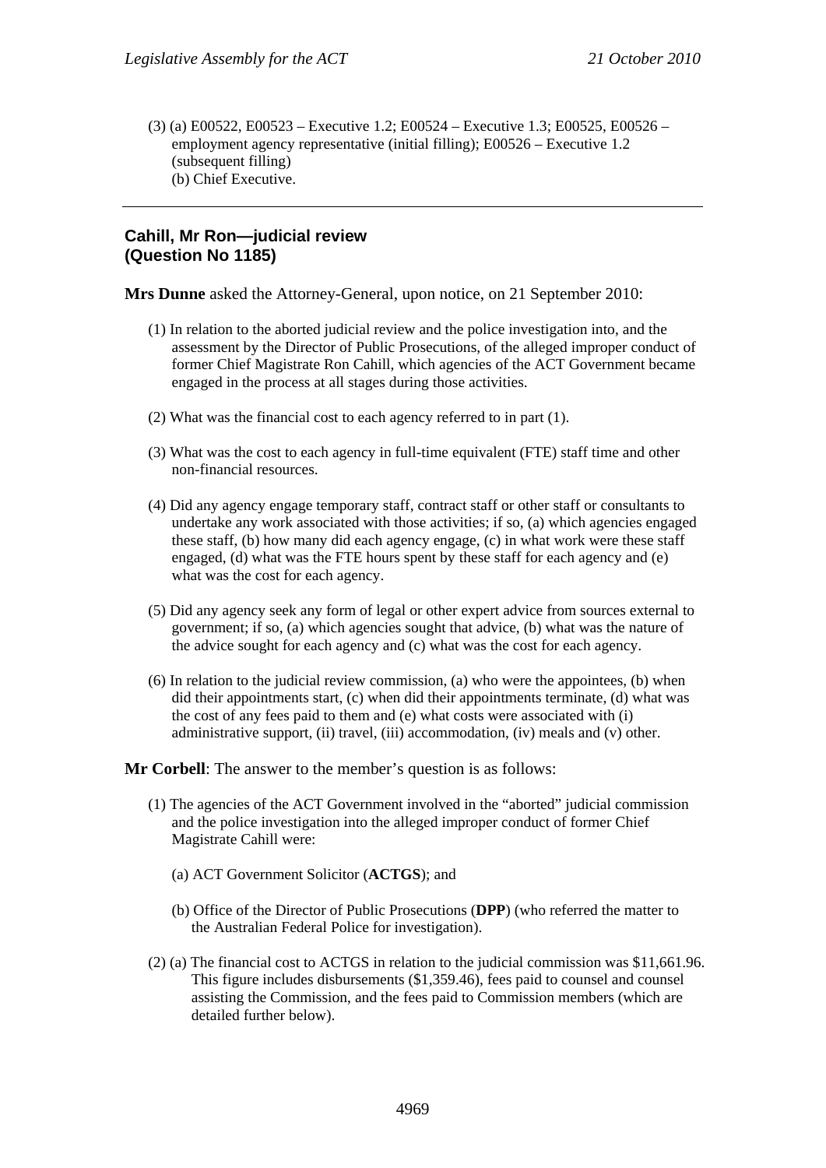(3) (a) E00522, E00523 – Executive 1.2; E00524 – Executive 1.3; E00525, E00526 – employment agency representative (initial filling); E00526 – Executive 1.2 (subsequent filling) (b) Chief Executive.

#### **Cahill, Mr Ron—judicial review (Question No 1185)**

**Mrs Dunne** asked the Attorney-General, upon notice, on 21 September 2010:

- (1) In relation to the aborted judicial review and the police investigation into, and the assessment by the Director of Public Prosecutions, of the alleged improper conduct of former Chief Magistrate Ron Cahill, which agencies of the ACT Government became engaged in the process at all stages during those activities.
- (2) What was the financial cost to each agency referred to in part (1).
- (3) What was the cost to each agency in full-time equivalent (FTE) staff time and other non-financial resources.
- (4) Did any agency engage temporary staff, contract staff or other staff or consultants to undertake any work associated with those activities; if so, (a) which agencies engaged these staff, (b) how many did each agency engage, (c) in what work were these staff engaged, (d) what was the FTE hours spent by these staff for each agency and (e) what was the cost for each agency.
- (5) Did any agency seek any form of legal or other expert advice from sources external to government; if so, (a) which agencies sought that advice, (b) what was the nature of the advice sought for each agency and (c) what was the cost for each agency.
- (6) In relation to the judicial review commission, (a) who were the appointees, (b) when did their appointments start, (c) when did their appointments terminate, (d) what was the cost of any fees paid to them and (e) what costs were associated with (i) administrative support, (ii) travel, (iii) accommodation, (iv) meals and (v) other.

**Mr Corbell**: The answer to the member's question is as follows:

- (1) The agencies of the ACT Government involved in the "aborted" judicial commission and the police investigation into the alleged improper conduct of former Chief Magistrate Cahill were:
	- (a) ACT Government Solicitor (**ACTGS**); and
	- (b) Office of the Director of Public Prosecutions (**DPP**) (who referred the matter to the Australian Federal Police for investigation).
- (2) (a) The financial cost to ACTGS in relation to the judicial commission was \$11,661.96. This figure includes disbursements (\$1,359.46), fees paid to counsel and counsel assisting the Commission, and the fees paid to Commission members (which are detailed further below).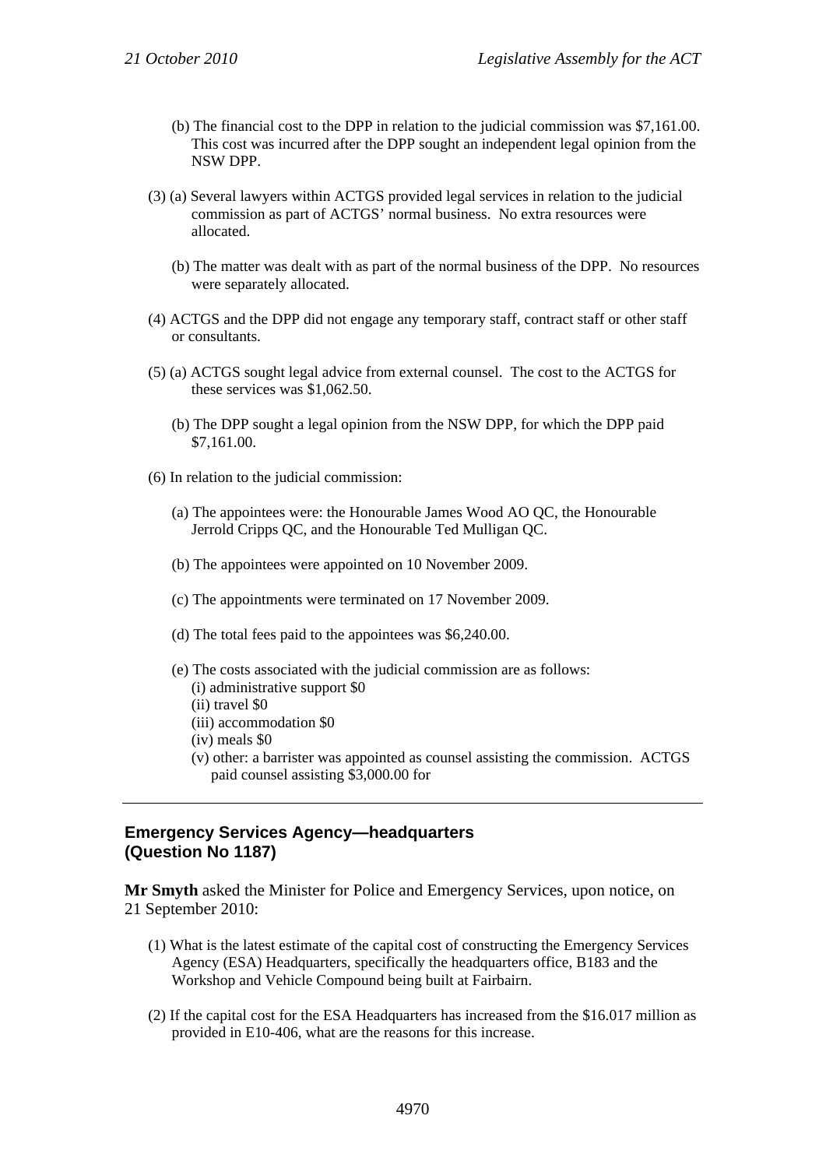- (b) The financial cost to the DPP in relation to the judicial commission was \$7,161.00. This cost was incurred after the DPP sought an independent legal opinion from the NSW DPP.
- (3) (a) Several lawyers within ACTGS provided legal services in relation to the judicial commission as part of ACTGS' normal business. No extra resources were allocated.
	- (b) The matter was dealt with as part of the normal business of the DPP. No resources were separately allocated.
- (4) ACTGS and the DPP did not engage any temporary staff, contract staff or other staff or consultants.
- (5) (a) ACTGS sought legal advice from external counsel. The cost to the ACTGS for these services was \$1,062.50.
	- (b) The DPP sought a legal opinion from the NSW DPP, for which the DPP paid \$7,161.00.
- (6) In relation to the judicial commission:
	- (a) The appointees were: the Honourable James Wood AO QC, the Honourable Jerrold Cripps QC, and the Honourable Ted Mulligan QC.
	- (b) The appointees were appointed on 10 November 2009.
	- (c) The appointments were terminated on 17 November 2009.
	- (d) The total fees paid to the appointees was \$6,240.00.
	- (e) The costs associated with the judicial commission are as follows: (i) administrative support \$0
		- (ii) travel \$0
		- (iii) accommodation \$0
		- (iv) meals \$0
		- (v) other: a barrister was appointed as counsel assisting the commission. ACTGS paid counsel assisting \$3,000.00 for

#### **Emergency Services Agency—headquarters (Question No 1187)**

**Mr Smyth** asked the Minister for Police and Emergency Services, upon notice, on 21 September 2010:

- (1) What is the latest estimate of the capital cost of constructing the Emergency Services Agency (ESA) Headquarters, specifically the headquarters office, B183 and the Workshop and Vehicle Compound being built at Fairbairn.
- (2) If the capital cost for the ESA Headquarters has increased from the \$16.017 million as provided in E10-406, what are the reasons for this increase.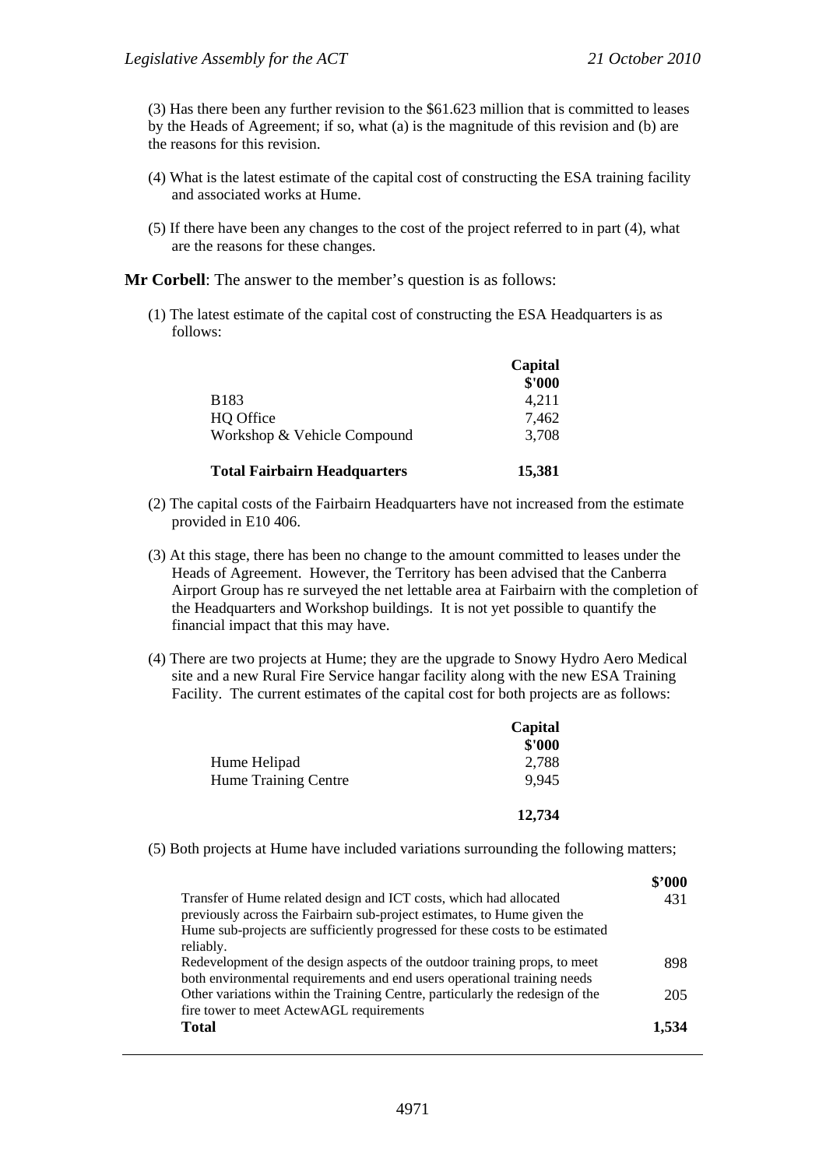(3) Has there been any further revision to the \$61.623 million that is committed to leases by the Heads of Agreement; if so, what (a) is the magnitude of this revision and (b) are the reasons for this revision.

- (4) What is the latest estimate of the capital cost of constructing the ESA training facility and associated works at Hume.
- (5) If there have been any changes to the cost of the project referred to in part (4), what are the reasons for these changes.

**Mr Corbell**: The answer to the member's question is as follows:

(1) The latest estimate of the capital cost of constructing the ESA Headquarters is as follows:

|                                     | Capital |
|-------------------------------------|---------|
|                                     | \$'000  |
| <b>B183</b>                         | 4.211   |
| HQ Office                           | 7,462   |
| Workshop & Vehicle Compound         | 3,708   |
| <b>Total Fairbairn Headquarters</b> | 15,381  |

- (2) The capital costs of the Fairbairn Headquarters have not increased from the estimate provided in E10 406.
- (3) At this stage, there has been no change to the amount committed to leases under the Heads of Agreement. However, the Territory has been advised that the Canberra Airport Group has re surveyed the net lettable area at Fairbairn with the completion of the Headquarters and Workshop buildings. It is not yet possible to quantify the financial impact that this may have.
- (4) There are two projects at Hume; they are the upgrade to Snowy Hydro Aero Medical site and a new Rural Fire Service hangar facility along with the new ESA Training Facility. The current estimates of the capital cost for both projects are as follows:

|                             | Capital |
|-----------------------------|---------|
|                             | \$'000  |
| Hume Helipad                | 2,788   |
| <b>Hume Training Centre</b> | 9,945   |
|                             | 12,734  |

(5) Both projects at Hume have included variations surrounding the following matters;

|                                                                                                                                                        | \$'000 |
|--------------------------------------------------------------------------------------------------------------------------------------------------------|--------|
| Transfer of Hume related design and ICT costs, which had allocated<br>previously across the Fairbairn sub-project estimates, to Hume given the         | 431    |
| Hume sub-projects are sufficiently progressed for these costs to be estimated<br>reliably.                                                             |        |
| Redevelopment of the design aspects of the outdoor training props, to meet<br>both environmental requirements and end users operational training needs | 898    |
| Other variations within the Training Centre, particularly the redesign of the<br>fire tower to meet ActewAGL requirements                              | 205    |
| <b>Total</b>                                                                                                                                           | 1.534  |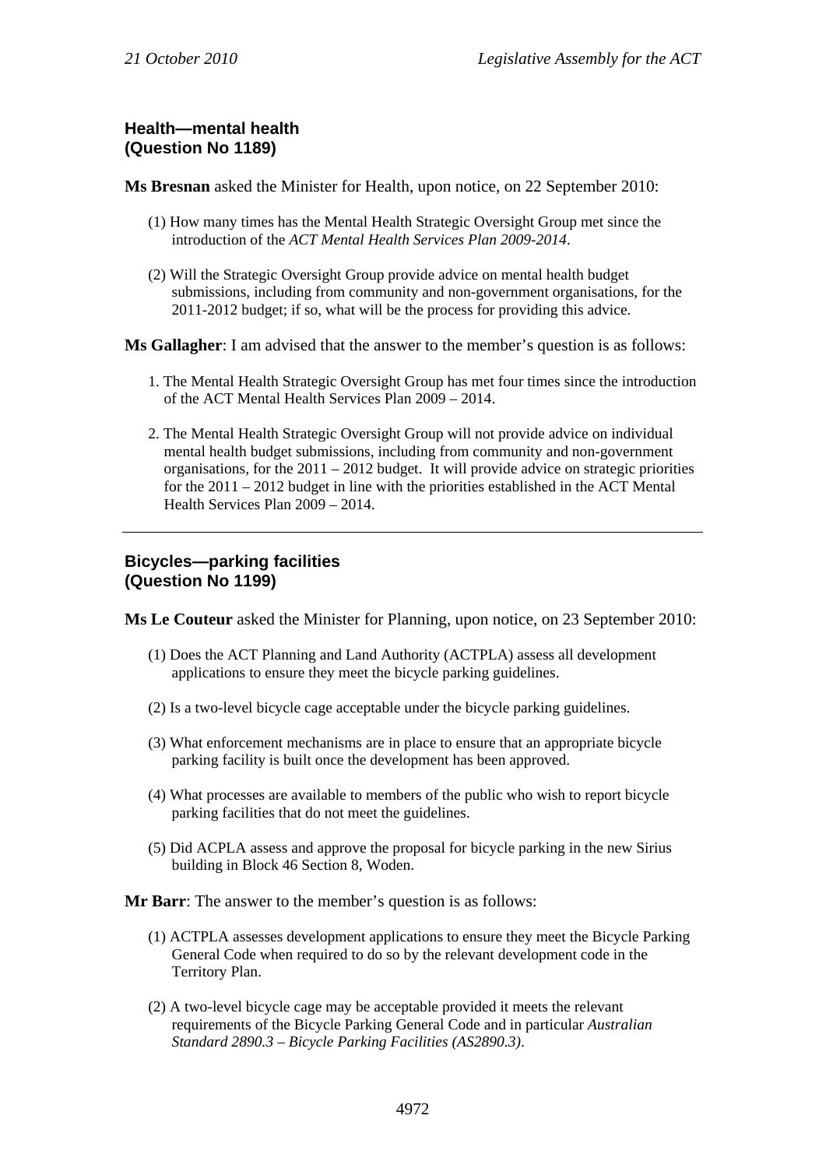## **Health—mental health (Question No 1189)**

**Ms Bresnan** asked the Minister for Health, upon notice, on 22 September 2010:

- (1) How many times has the Mental Health Strategic Oversight Group met since the introduction of the *ACT Mental Health Services Plan 2009-2014*.
- (2) Will the Strategic Oversight Group provide advice on mental health budget submissions, including from community and non-government organisations, for the 2011-2012 budget; if so, what will be the process for providing this advice.

**Ms Gallagher**: I am advised that the answer to the member's question is as follows:

- 1. The Mental Health Strategic Oversight Group has met four times since the introduction of the ACT Mental Health Services Plan 2009 – 2014.
- 2. The Mental Health Strategic Oversight Group will not provide advice on individual mental health budget submissions, including from community and non-government organisations, for the  $2011 - 2012$  budget. It will provide advice on strategic priorities for the 2011 – 2012 budget in line with the priorities established in the ACT Mental Health Services Plan 2009 – 2014.

# **Bicycles—parking facilities (Question No 1199)**

**Ms Le Couteur** asked the Minister for Planning, upon notice, on 23 September 2010:

- (1) Does the ACT Planning and Land Authority (ACTPLA) assess all development applications to ensure they meet the bicycle parking guidelines.
- (2) Is a two-level bicycle cage acceptable under the bicycle parking guidelines.
- (3) What enforcement mechanisms are in place to ensure that an appropriate bicycle parking facility is built once the development has been approved.
- (4) What processes are available to members of the public who wish to report bicycle parking facilities that do not meet the guidelines.
- (5) Did ACPLA assess and approve the proposal for bicycle parking in the new Sirius building in Block 46 Section 8, Woden.

**Mr Barr**: The answer to the member's question is as follows:

- (1) ACTPLA assesses development applications to ensure they meet the Bicycle Parking General Code when required to do so by the relevant development code in the Territory Plan.
- (2) A two-level bicycle cage may be acceptable provided it meets the relevant requirements of the Bicycle Parking General Code and in particular *Australian Standard 2890.3 – Bicycle Parking Facilities (AS2890.3)*.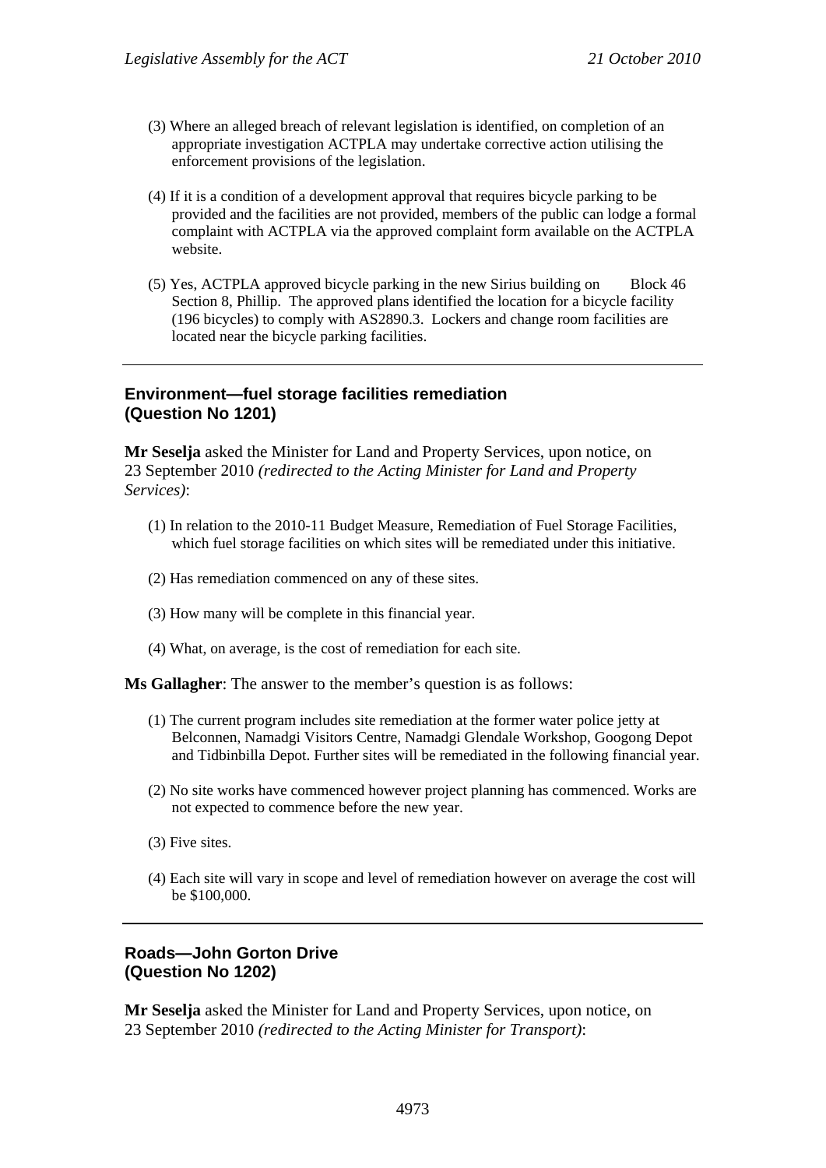- (3) Where an alleged breach of relevant legislation is identified, on completion of an appropriate investigation ACTPLA may undertake corrective action utilising the enforcement provisions of the legislation.
- (4) If it is a condition of a development approval that requires bicycle parking to be provided and the facilities are not provided, members of the public can lodge a formal complaint with ACTPLA via the approved complaint form available on the ACTPLA website.
- (5) Yes, ACTPLA approved bicycle parking in the new Sirius building on Block 46 Section 8, Phillip. The approved plans identified the location for a bicycle facility (196 bicycles) to comply with AS2890.3. Lockers and change room facilities are located near the bicycle parking facilities.

#### **Environment—fuel storage facilities remediation (Question No 1201)**

**Mr Seselja** asked the Minister for Land and Property Services, upon notice, on 23 September 2010 *(redirected to the Acting Minister for Land and Property Services)*:

- (1) In relation to the 2010-11 Budget Measure, Remediation of Fuel Storage Facilities, which fuel storage facilities on which sites will be remediated under this initiative.
- (2) Has remediation commenced on any of these sites.
- (3) How many will be complete in this financial year.
- (4) What, on average, is the cost of remediation for each site.

**Ms Gallagher**: The answer to the member's question is as follows:

- (1) The current program includes site remediation at the former water police jetty at Belconnen, Namadgi Visitors Centre, Namadgi Glendale Workshop, Googong Depot and Tidbinbilla Depot. Further sites will be remediated in the following financial year.
- (2) No site works have commenced however project planning has commenced. Works are not expected to commence before the new year.
- (3) Five sites.
- (4) Each site will vary in scope and level of remediation however on average the cost will be \$100,000.

## **Roads—John Gorton Drive (Question No 1202)**

**Mr Seselja** asked the Minister for Land and Property Services, upon notice, on 23 September 2010 *(redirected to the Acting Minister for Transport)*: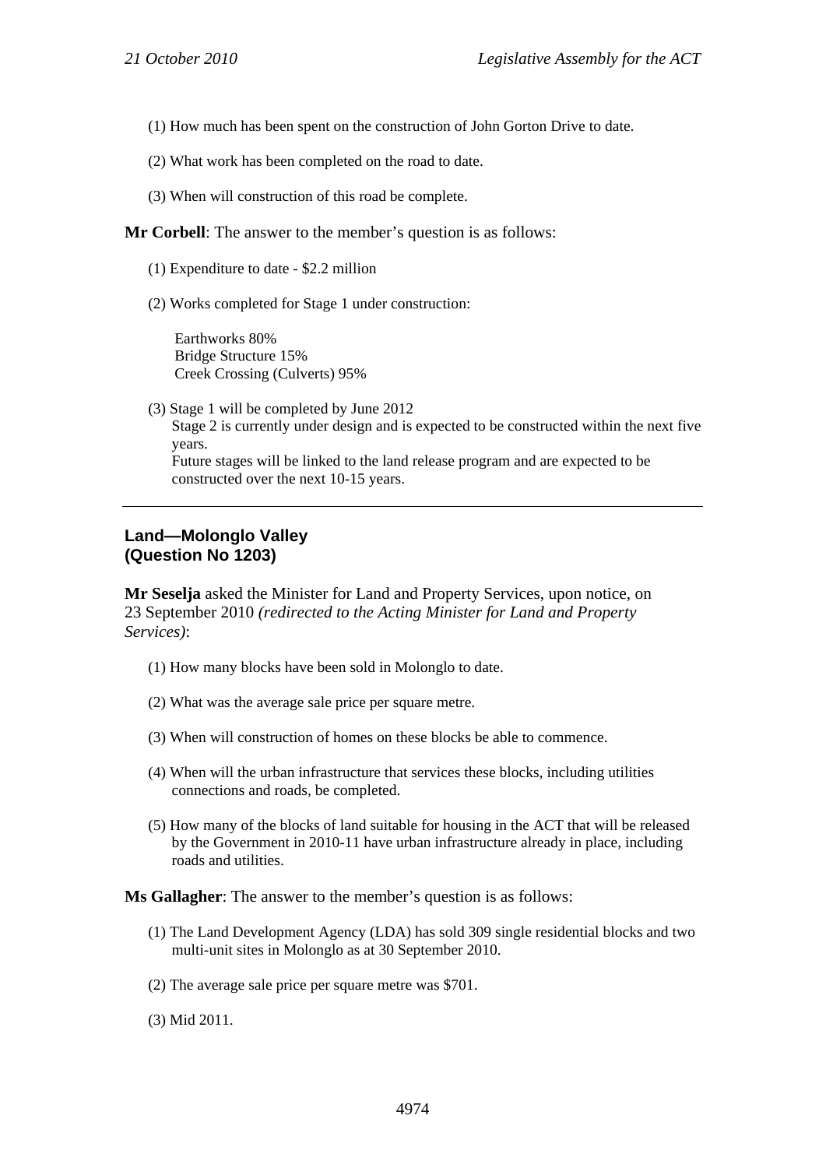- (1) How much has been spent on the construction of John Gorton Drive to date.
- (2) What work has been completed on the road to date.
- (3) When will construction of this road be complete.

#### **Mr Corbell**: The answer to the member's question is as follows:

- (1) Expenditure to date \$2.2 million
- (2) Works completed for Stage 1 under construction:

Earthworks 80% Bridge Structure 15% Creek Crossing (Culverts) 95%

(3) Stage 1 will be completed by June 2012 Stage 2 is currently under design and is expected to be constructed within the next five years. Future stages will be linked to the land release program and are expected to be constructed over the next 10-15 years.

#### **Land—Molonglo Valley (Question No 1203)**

**Mr Seselja** asked the Minister for Land and Property Services, upon notice, on 23 September 2010 *(redirected to the Acting Minister for Land and Property Services)*:

- (1) How many blocks have been sold in Molonglo to date.
- (2) What was the average sale price per square metre.
- (3) When will construction of homes on these blocks be able to commence.
- (4) When will the urban infrastructure that services these blocks, including utilities connections and roads, be completed.
- (5) How many of the blocks of land suitable for housing in the ACT that will be released by the Government in 2010-11 have urban infrastructure already in place, including roads and utilities.

#### **Ms Gallagher**: The answer to the member's question is as follows:

- (1) The Land Development Agency (LDA) has sold 309 single residential blocks and two multi-unit sites in Molonglo as at 30 September 2010.
- (2) The average sale price per square metre was \$701.
- (3) Mid 2011.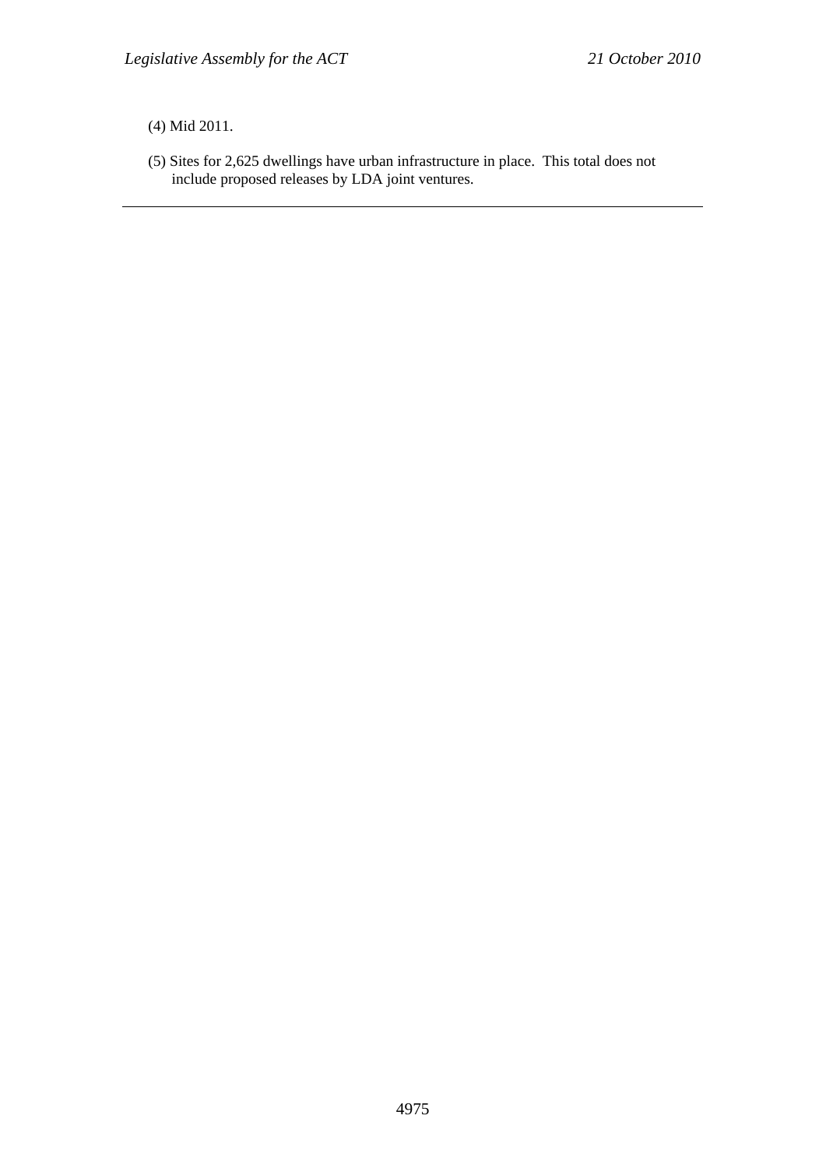(4) Mid 2011.

(5) Sites for 2,625 dwellings have urban infrastructure in place. This total does not include proposed releases by LDA joint ventures.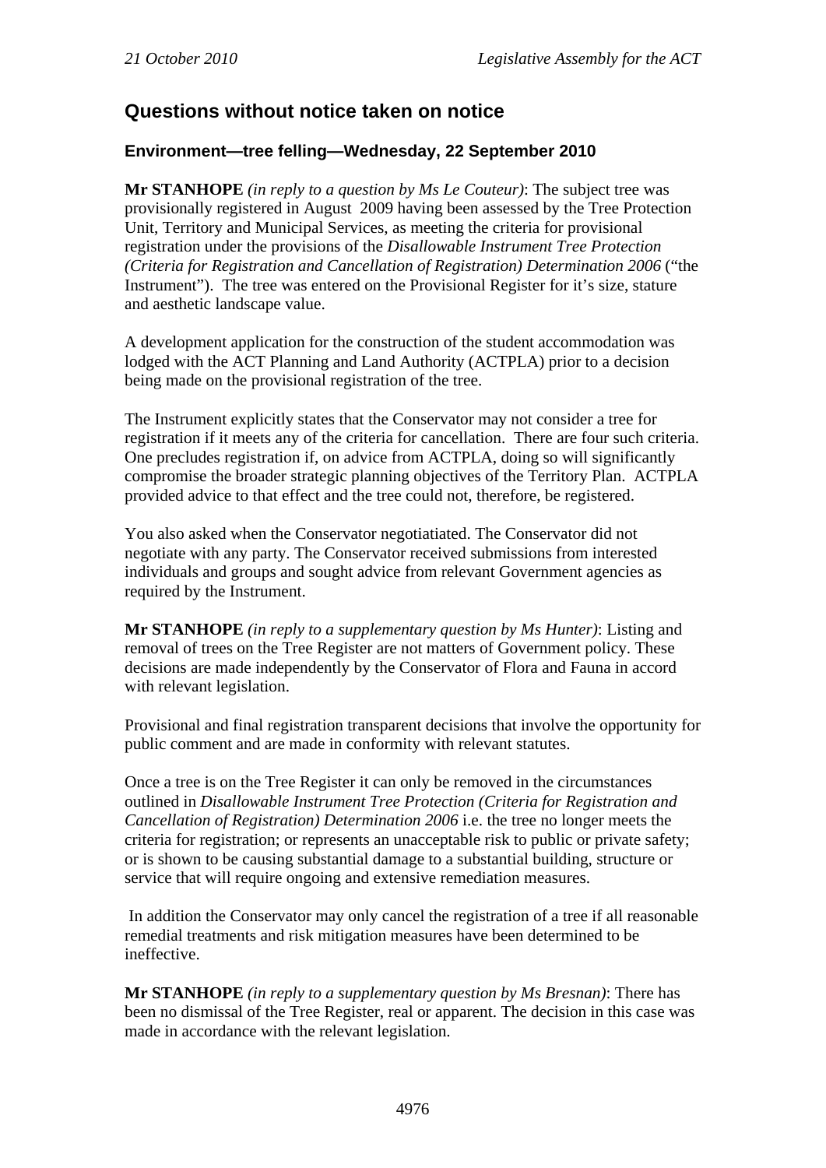# **Questions without notice taken on notice**

# **Environment—tree felling—Wednesday, 22 September 2010**

**Mr STANHOPE** *(in reply to a question by Ms Le Couteur)*: The subject tree was provisionally registered in August 2009 having been assessed by the Tree Protection Unit, Territory and Municipal Services, as meeting the criteria for provisional registration under the provisions of the *Disallowable Instrument Tree Protection (Criteria for Registration and Cancellation of Registration) Determination 2006* ("the Instrument"). The tree was entered on the Provisional Register for it's size, stature and aesthetic landscape value.

A development application for the construction of the student accommodation was lodged with the ACT Planning and Land Authority (ACTPLA) prior to a decision being made on the provisional registration of the tree.

The Instrument explicitly states that the Conservator may not consider a tree for registration if it meets any of the criteria for cancellation. There are four such criteria. One precludes registration if, on advice from ACTPLA, doing so will significantly compromise the broader strategic planning objectives of the Territory Plan. ACTPLA provided advice to that effect and the tree could not, therefore, be registered.

You also asked when the Conservator negotiatiated. The Conservator did not negotiate with any party. The Conservator received submissions from interested individuals and groups and sought advice from relevant Government agencies as required by the Instrument.

**Mr STANHOPE** *(in reply to a supplementary question by Ms Hunter)*: Listing and removal of trees on the Tree Register are not matters of Government policy. These decisions are made independently by the Conservator of Flora and Fauna in accord with relevant legislation.

Provisional and final registration transparent decisions that involve the opportunity for public comment and are made in conformity with relevant statutes.

Once a tree is on the Tree Register it can only be removed in the circumstances outlined in *Disallowable Instrument Tree Protection (Criteria for Registration and Cancellation of Registration) Determination 2006* i.e. the tree no longer meets the criteria for registration; or represents an unacceptable risk to public or private safety; or is shown to be causing substantial damage to a substantial building, structure or service that will require ongoing and extensive remediation measures.

 In addition the Conservator may only cancel the registration of a tree if all reasonable remedial treatments and risk mitigation measures have been determined to be ineffective.

**Mr STANHOPE** *(in reply to a supplementary question by Ms Bresnan)*: There has been no dismissal of the Tree Register, real or apparent. The decision in this case was made in accordance with the relevant legislation.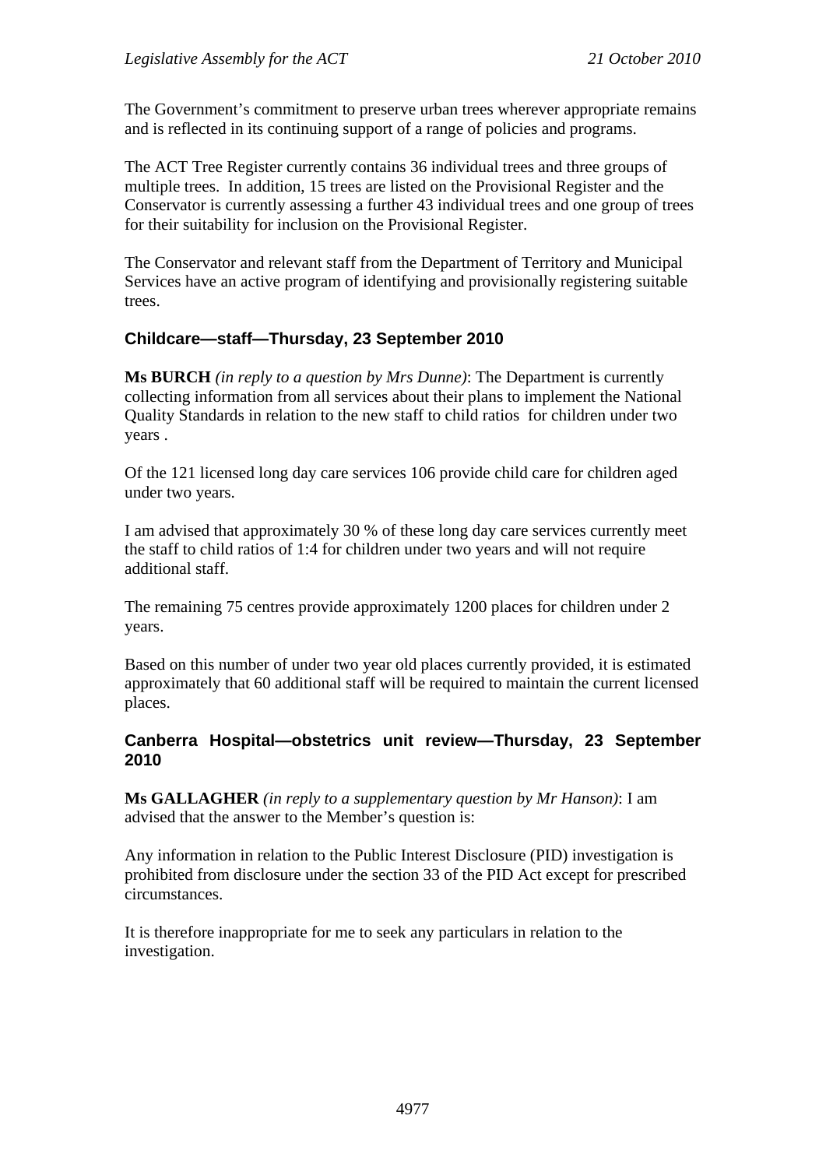The Government's commitment to preserve urban trees wherever appropriate remains and is reflected in its continuing support of a range of policies and programs.

The ACT Tree Register currently contains 36 individual trees and three groups of multiple trees. In addition, 15 trees are listed on the Provisional Register and the Conservator is currently assessing a further 43 individual trees and one group of trees for their suitability for inclusion on the Provisional Register.

The Conservator and relevant staff from the Department of Territory and Municipal Services have an active program of identifying and provisionally registering suitable trees.

# **Childcare—staff—Thursday, 23 September 2010**

**Ms BURCH** *(in reply to a question by Mrs Dunne)*: The Department is currently collecting information from all services about their plans to implement the National Quality Standards in relation to the new staff to child ratios for children under two years .

Of the 121 licensed long day care services 106 provide child care for children aged under two years.

I am advised that approximately 30 % of these long day care services currently meet the staff to child ratios of 1:4 for children under two years and will not require additional staff.

The remaining 75 centres provide approximately 1200 places for children under 2 years.

Based on this number of under two year old places currently provided, it is estimated approximately that 60 additional staff will be required to maintain the current licensed places.

## **Canberra Hospital—obstetrics unit review—Thursday, 23 September 2010**

**Ms GALLAGHER** *(in reply to a supplementary question by Mr Hanson)*: I am advised that the answer to the Member's question is:

Any information in relation to the Public Interest Disclosure (PID) investigation is prohibited from disclosure under the section 33 of the PID Act except for prescribed circumstances.

It is therefore inappropriate for me to seek any particulars in relation to the investigation.